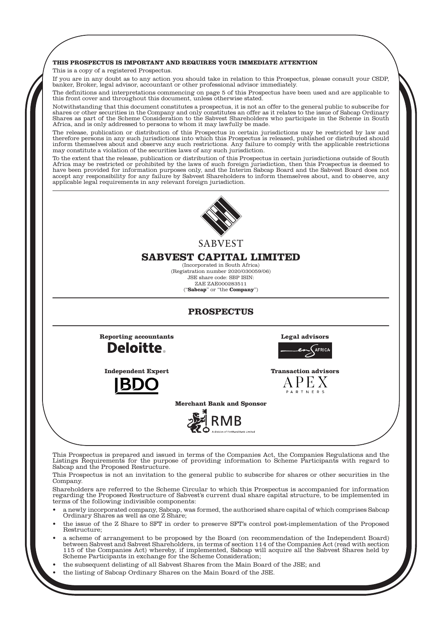### **THIS PROSPECTUS IS IMPORTANT AND REQUIRES YOUR IMMEDIATE ATTENTION**

This is a copy of a registered Prospectus.

If you are in any doubt as to any action you should take in relation to this Prospectus, please consult your CSDP, banker, Broker, legal advisor, accountant or other professional advisor immediately.

The definitions and interpretations commencing on page 5 of this Prospectus have been used and are applicable to this front cover and throughout this document, unless otherwise stated.

Notwithstanding that this document constitutes a prospectus, it is not an offer to the general public to subscribe for shares or other securities in the Company and only constitutes an offer as it relates to the issue of Sabcap Ordinary Shares as part of the Scheme Consideration to the Sabvest Shareholders who participate in the Scheme in South Africa, and is only addressed to persons to whom it may lawfully be made.

The release, publication or distribution of this Prospectus in certain jurisdictions may be restricted by law and therefore persons in any such jurisdictions into which this Prospectus is released, published or distributed should inform themselves about and observe any such restrictions. Any failure to comply with the applicable restrictions may constitute a violation of the securities laws of any such jurisdiction.

To the extent that the release, publication or distribution of this Prospectus in certain jurisdictions outside of South Africa may be restricted or prohibited by the laws of such foreign jurisdiction, then this Prospectus is deemed to have been provided for information purposes only, and the Interim Sabcap Board and the Sabvest Board does not accept any responsibility for any failure by Sabvest Shareholders to inform themselves about, and to observe, any applicable legal requirements in any relevant foreign jurisdiction.



**SARVEST** 

# **SABVEST CAPITAL LIMITED**

(Incorporated in South Africa) (Registration number 2020/030059/06) JSE share code: SBP ISIN: ZAE ZAE000283511 ("**Sabcap**" or "the **Company**")

# **PROSPECTUS**

**Reporting accountants Legal advisors Deloitte.** 

**AFRICA** 

**Independent Expert Transaction advisors**



**Merchant Bank and Sponsor**



This Prospectus is prepared and issued in terms of the Companies Act, the Companies Regulations and the Listings Requirements for the purpose of providing information to Scheme Participants with regard to Sabcap and the Proposed Restructure.

This Prospectus is not an invitation to the general public to subscribe for shares or other securities in the Company.

Shareholders are referred to the Scheme Circular to which this Prospectus is accompanied for information regarding the Proposed Restructure of Sabvest's current dual share capital structure, to be implemented in terms of the following indivisible components:

- a newly incorporated company, Sabcap, was formed, the authorised share capital of which comprises Sabcap Ordinary Shares as well as one Z Share;
- the issue of the Z Share to SFT in order to preserve SFT's control post-implementation of the Proposed Restructure;
- a scheme of arrangement to be proposed by the Board (on recommendation of the Independent Board) between Sabvest and Sabvest Shareholders, in terms of section 114 of the Companies Act (read with section 115 of the Companies Act) whereby, if implemented, Sabcap will acquire all the Sabvest Shares held by Scheme Participants in exchange for the Scheme Consideration;
- the subsequent delisting of all Sabvest Shares from the Main Board of the JSE; and
- the listing of Sabcap Ordinary Shares on the Main Board of the JSE.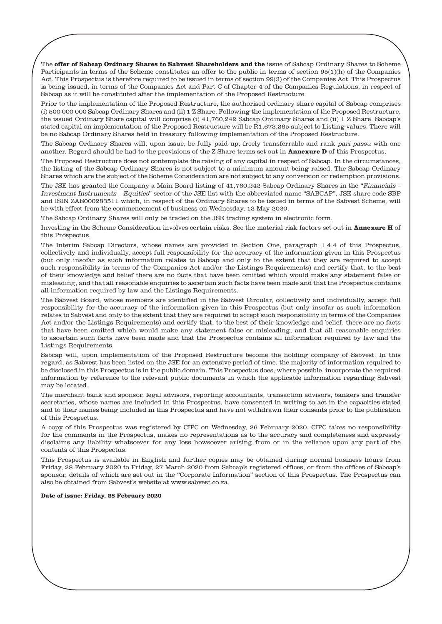The **offer of Sabcap Ordinary Shares to Sabvest Shareholders and the** issue of Sabcap Ordinary Shares to Scheme Participants in terms of the Scheme constitutes an offer to the public in terms of section 95(1)(h) of the Companies Act. This Prospectus is therefore required to be issued in terms of section 99(3) of the Companies Act. This Prospectus is being issued, in terms of the Companies Act and Part C of Chapter 4 of the Companies Regulations, in respect of Sabcap as it will be constituted after the implementation of the Proposed Restructure.

Prior to the implementation of the Proposed Restructure, the authorised ordinary share capital of Sabcap comprises (i) 500 000 000 Sabcap Ordinary Shares and (ii) 1 Z Share. Following the implementation of the Proposed Restructure, the issued Ordinary Share capital will comprise (i) 41,760,242 Sabcap Ordinary Shares and (ii) 1 Z Share. Sabcap's stated capital on implementation of the Proposed Restructure will be R1,673,365 subject to Listing values. There will be no Sabcap Ordinary Shares held in treasury following implementation of the Proposed Restructure.

The Sabcap Ordinary Shares will, upon issue, be fully paid up, freely transferrable and rank pari passu with one another. Regard should be had to the provisions of the Z Share terms set out in **Annexure D** of this Prospectus.

The Proposed Restructure does not contemplate the raising of any capital in respect of Sabcap. In the circumstances, the listing of the Sabcap Ordinary Shares is not subject to a minimum amount being raised. The Sabcap Ordinary Shares which are the subject of the Scheme Consideration are not subject to any conversion or redemption provisions.

The JSE has granted the Company a Main Board listing of 41,760,242 Sabcap Ordinary Shares in the "Financials – Investment Instruments – Equities" sector of the JSE list with the abbreviated name "SABCAP", JSE share code SBP and ISIN ZAE000283511 which, in respect of the Ordinary Shares to be issued in terms of the Sabvest Scheme, will be with effect from the commencement of business on Wednesday, 13 May 2020.

The Sabcap Ordinary Shares will only be traded on the JSE trading system in electronic form.

Investing in the Scheme Consideration involves certain risks. See the material risk factors set out in **Annexure H** of this Prospectus.

The Interim Sabcap Directors, whose names are provided in Section One, paragraph 1.4.4 of this Prospectus, collectively and individually, accept full responsibility for the accuracy of the information given in this Prospectus (but only insofar as such information relates to Sabcap and only to the extent that they are required to accept such responsibility in terms of the Companies Act and/or the Listings Requirements) and certify that, to the best of their knowledge and belief there are no facts that have been omitted which would make any statement false or misleading, and that all reasonable enquiries to ascertain such facts have been made and that the Prospectus contains all information required by law and the Listings Requirements.

The Sabvest Board, whose members are identified in the Sabvest Circular, collectively and individually, accept full responsibility for the accuracy of the information given in this Prospectus (but only insofar as such information relates to Sabvest and only to the extent that they are required to accept such responsibility in terms of the Companies Act and/or the Listings Requirements) and certify that, to the best of their knowledge and belief, there are no facts that have been omitted which would make any statement false or misleading, and that all reasonable enquiries to ascertain such facts have been made and that the Prospectus contains all information required by law and the Listings Requirements.

Sabcap will, upon implementation of the Proposed Restructure become the holding company of Sabvest. In this regard, as Sabvest has been listed on the JSE for an extensive period of time, the majority of information required to be disclosed in this Prospectus is in the public domain. This Prospectus does, where possible, incorporate the required information by reference to the relevant public documents in which the applicable information regarding Sabvest may be located.

The merchant bank and sponsor, legal advisors, reporting accountants, transaction advisors, bankers and transfer secretaries, whose names are included in this Prospectus, have consented in writing to act in the capacities stated and to their names being included in this Prospectus and have not withdrawn their consents prior to the publication of this Prospectus.

A copy of this Prospectus was registered by CIPC on Wednesday, 26 February 2020. CIPC takes no responsibility for the comments in the Prospectus, makes no representations as to the accuracy and completeness and expressly disclaims any liability whatsoever for any loss howsoever arising from or in the reliance upon any part of the contents of this Prospectus.

This Prospectus is available in English and further copies may be obtained during normal business hours from Friday, 28 February 2020 to Friday, 27 March 2020 from Sabcap's registered offices, or from the offices of Sabcap's sponsor, details of which are set out in the "Corporate Information" section of this Prospectus. The Prospectus can also be obtained from Sabvest's website at www.sabvest.co.za.

#### **Date of issue: Friday, 28 February 2020**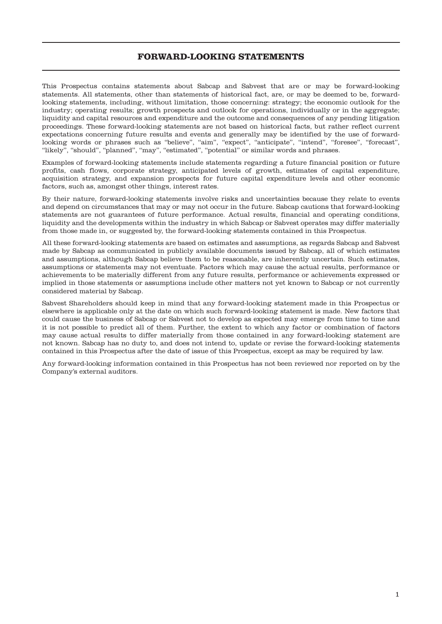# **FORWARD-LOOKING STATEMENTS**

This Prospectus contains statements about Sabcap and Sabvest that are or may be forward-looking statements. All statements, other than statements of historical fact, are, or may be deemed to be, forwardlooking statements, including, without limitation, those concerning: strategy; the economic outlook for the industry; operating results; growth prospects and outlook for operations, individually or in the aggregate; liquidity and capital resources and expenditure and the outcome and consequences of any pending litigation proceedings. These forward-looking statements are not based on historical facts, but rather reflect current expectations concerning future results and events and generally may be identified by the use of forwardlooking words or phrases such as "believe", "aim", "expect", "anticipate", "intend", "foresee", "forecast", "likely", "should", "planned", "may", "estimated", "potential" or similar words and phrases.

Examples of forward-looking statements include statements regarding a future financial position or future profits, cash flows, corporate strategy, anticipated levels of growth, estimates of capital expenditure, acquisition strategy, and expansion prospects for future capital expenditure levels and other economic factors, such as, amongst other things, interest rates.

By their nature, forward-looking statements involve risks and uncertainties because they relate to events and depend on circumstances that may or may not occur in the future. Sabcap cautions that forward-looking statements are not guarantees of future performance. Actual results, financial and operating conditions, liquidity and the developments within the industry in which Sabcap or Sabvest operates may differ materially from those made in, or suggested by, the forward-looking statements contained in this Prospectus.

All these forward-looking statements are based on estimates and assumptions, as regards Sabcap and Sabvest made by Sabcap as communicated in publicly available documents issued by Sabcap, all of which estimates and assumptions, although Sabcap believe them to be reasonable, are inherently uncertain. Such estimates, assumptions or statements may not eventuate. Factors which may cause the actual results, performance or achievements to be materially different from any future results, performance or achievements expressed or implied in those statements or assumptions include other matters not yet known to Sabcap or not currently considered material by Sabcap.

Sabvest Shareholders should keep in mind that any forward-looking statement made in this Prospectus or elsewhere is applicable only at the date on which such forward-looking statement is made. New factors that could cause the business of Sabcap or Sabvest not to develop as expected may emerge from time to time and it is not possible to predict all of them. Further, the extent to which any factor or combination of factors may cause actual results to differ materially from those contained in any forward-looking statement are not known. Sabcap has no duty to, and does not intend to, update or revise the forward-looking statements contained in this Prospectus after the date of issue of this Prospectus, except as may be required by law.

Any forward-looking information contained in this Prospectus has not been reviewed nor reported on by the Company's external auditors.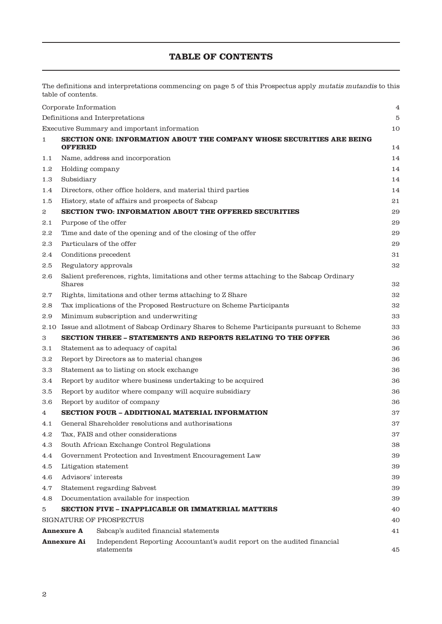# **TABLE OF CONTENTS**

The definitions and interpretations commencing on page 5 of this Prospectus apply mutatis mutandis to this table of contents.

|                                                            | Corporate Information                                                 |                                                                                           | 4  |  |  |
|------------------------------------------------------------|-----------------------------------------------------------------------|-------------------------------------------------------------------------------------------|----|--|--|
|                                                            |                                                                       | Definitions and Interpretations                                                           | 5  |  |  |
|                                                            |                                                                       | Executive Summary and important information                                               | 10 |  |  |
| 1                                                          | SECTION ONE: INFORMATION ABOUT THE COMPANY WHOSE SECURITIES ARE BEING |                                                                                           |    |  |  |
|                                                            | <b>OFFERED</b>                                                        |                                                                                           | 14 |  |  |
| 1.1                                                        |                                                                       | Name, address and incorporation                                                           | 14 |  |  |
| 1.2                                                        | Holding company                                                       |                                                                                           | 14 |  |  |
| 1.3                                                        | Subsidiary                                                            |                                                                                           | 14 |  |  |
| 1.4                                                        |                                                                       | Directors, other office holders, and material third parties                               | 14 |  |  |
| 1.5                                                        |                                                                       | History, state of affairs and prospects of Sabcap                                         | 21 |  |  |
| $\boldsymbol{2}$                                           |                                                                       | <b>SECTION TWO: INFORMATION ABOUT THE OFFERED SECURITIES</b>                              | 29 |  |  |
| 2.1                                                        | Purpose of the offer                                                  |                                                                                           | 29 |  |  |
| $2.2\,$                                                    |                                                                       | Time and date of the opening and of the closing of the offer                              | 29 |  |  |
| 2.3                                                        |                                                                       | Particulars of the offer                                                                  | 29 |  |  |
| 2.4                                                        |                                                                       | Conditions precedent                                                                      | 31 |  |  |
| 2.5                                                        |                                                                       | Regulatory approvals                                                                      | 32 |  |  |
| 2.6                                                        | Shares                                                                | Salient preferences, rights, limitations and other terms attaching to the Sabcap Ordinary | 32 |  |  |
| 2.7                                                        |                                                                       | Rights, limitations and other terms attaching to Z Share                                  | 32 |  |  |
| 2.8                                                        |                                                                       | Tax implications of the Proposed Restructure on Scheme Participants                       | 32 |  |  |
| 2.9                                                        |                                                                       | Minimum subscription and underwriting                                                     | 33 |  |  |
| 2.10                                                       |                                                                       | Issue and allotment of Sabcap Ordinary Shares to Scheme Participants pursuant to Scheme   | 33 |  |  |
| 3                                                          |                                                                       | SECTION THREE - STATEMENTS AND REPORTS RELATING TO THE OFFER                              | 36 |  |  |
| 3.1                                                        |                                                                       | Statement as to adequacy of capital                                                       | 36 |  |  |
| 3.2                                                        |                                                                       | Report by Directors as to material changes                                                | 36 |  |  |
| 3.3                                                        |                                                                       | Statement as to listing on stock exchange                                                 | 36 |  |  |
| 3.4                                                        |                                                                       | Report by auditor where business undertaking to be acquired                               | 36 |  |  |
| 3.5                                                        |                                                                       | Report by auditor where company will acquire subsidiary                                   | 36 |  |  |
| $3.6\,$                                                    |                                                                       | Report by auditor of company                                                              | 36 |  |  |
| 4                                                          |                                                                       | SECTION FOUR - ADDITIONAL MATERIAL INFORMATION                                            | 37 |  |  |
| 4.1                                                        |                                                                       | General Shareholder resolutions and authorisations                                        | 37 |  |  |
| 4.2                                                        |                                                                       | Tax, FAIS and other considerations                                                        | 37 |  |  |
| 4.3                                                        |                                                                       | South African Exchange Control Regulations                                                | 38 |  |  |
| 4.4                                                        | Government Protection and Investment Encouragement Law                |                                                                                           | 39 |  |  |
| $4.5\,$                                                    |                                                                       | Litigation statement                                                                      | 39 |  |  |
| 4.6                                                        | Advisors' interests                                                   |                                                                                           | 39 |  |  |
| 4.7                                                        |                                                                       | Statement regarding Sabvest                                                               | 39 |  |  |
| 4.8                                                        |                                                                       | Documentation available for inspection                                                    | 39 |  |  |
| 5                                                          | <b>SECTION FIVE - INAPPLICABLE OR IMMATERIAL MATTERS</b>              |                                                                                           | 40 |  |  |
|                                                            | SIGNATURE OF PROSPECTUS                                               |                                                                                           | 40 |  |  |
| Sabcap's audited financial statements<br><b>Annexure A</b> |                                                                       |                                                                                           | 41 |  |  |
|                                                            | Annexure Ai                                                           | Independent Reporting Accountant's audit report on the audited financial<br>statements    | 45 |  |  |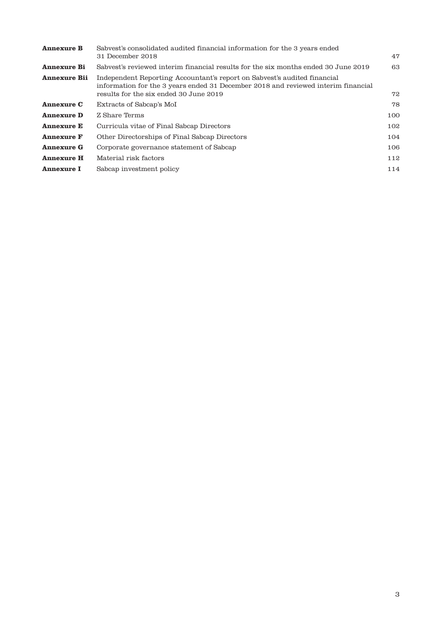| Sabvest's consolidated audited financial information for the 3 years ended                                                                                                                              |     |
|---------------------------------------------------------------------------------------------------------------------------------------------------------------------------------------------------------|-----|
| 31 December 2018                                                                                                                                                                                        | 47  |
| Sabvest's reviewed interim financial results for the six months ended 30 June 2019                                                                                                                      | 63  |
| Independent Reporting Accountant's report on Sabvest's audited financial<br>information for the 3 years ended 31 December 2018 and reviewed interim financial<br>results for the six ended 30 June 2019 | 72  |
| Extracts of Sabcap's MoI                                                                                                                                                                                | 78  |
| Z Share Terms                                                                                                                                                                                           | 100 |
| Curricula vitae of Final Sabcap Directors                                                                                                                                                               | 102 |
| Other Directorships of Final Sabcap Directors                                                                                                                                                           | 104 |
| Corporate governance statement of Sabcap                                                                                                                                                                | 106 |
| Material risk factors                                                                                                                                                                                   | 112 |
| Sabcap investment policy                                                                                                                                                                                | 114 |
|                                                                                                                                                                                                         |     |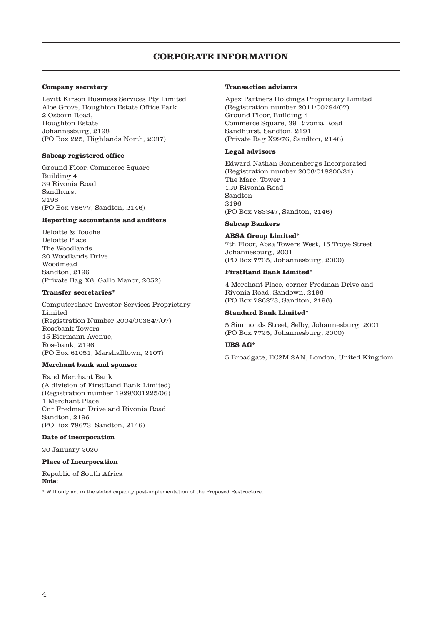# **CORPORATE INFORMATION**

## **Company secretary**

Levitt Kirson Business Services Pty Limited Aloe Grove, Houghton Estate Office Park 2 Osborn Road, Houghton Estate Johannesburg, 2198 (PO Box 225, Highlands North, 2037)

#### **Sabcap registered office**

Ground Floor, Commerce Square Building 4 39 Rivonia Road Sandhurst 2196 (PO Box 78677, Sandton, 2146)

#### **Reporting accountants and auditors**

Deloitte & Touche Deloitte Place The Woodlands 20 Woodlands Drive Woodmead Sandton, 2196 (Private Bag X6, Gallo Manor, 2052)

#### **Transfer secretaries\***

Computershare Investor Services Proprietary Limited (Registration Number 2004/003647/07) Rosebank Towers 15 Biermann Avenue, Rosebank, 2196 (PO Box 61051, Marshalltown, 2107)

#### **Merchant bank and sponsor**

Rand Merchant Bank (A division of FirstRand Bank Limited) (Registration number 1929/001225/06) 1 Merchant Place Cnr Fredman Drive and Rivonia Road Sandton, 2196 (PO Box 78673, Sandton, 2146)

# **Date of incorporation**

20 January 2020

## **Place of Incorporation**

Republic of South Africa **Note:**

\* Will only act in the stated capacity post-implementation of the Proposed Restructure.

## **Transaction advisors**

Apex Partners Holdings Proprietary Limited (Registration number 2011/00794/07) Ground Floor, Building 4 Commerce Square, 39 Rivonia Road Sandhurst, Sandton, 2191 (Private Bag X9976, Sandton, 2146)

## **Legal advisors**

Edward Nathan Sonnenbergs Incorporated (Registration number 2006/018200/21) The Marc, Tower 1 129 Rivonia Road Sandton 2196 (PO Box 783347, Sandton, 2146)

#### **Sabcap Bankers**

#### **ABSA Group Limited\***

7th Floor, Absa Towers West, 15 Troye Street Johannesburg, 2001 (PO Box 7735, Johannesburg, 2000)

## **FirstRand Bank Limited\***

4 Merchant Place, corner Fredman Drive and Rivonia Road, Sandown, 2196 (PO Box 786273, Sandton, 2196)

#### **Standard Bank Limited\***

5 Simmonds Street, Selby, Johannesburg, 2001 (PO Box 7725, Johannesburg, 2000)

# **UBS AG\***

5 Broadgate, EC2M 2AN, London, United Kingdom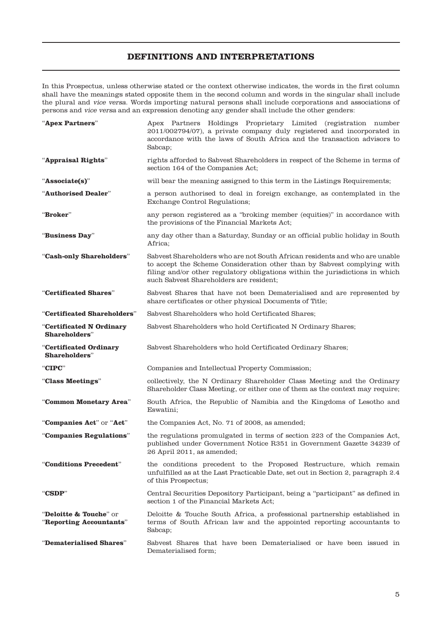# **DEFINITIONS AND INTERPRETATIONS**

In this Prospectus, unless otherwise stated or the context otherwise indicates, the words in the first column shall have the meanings stated opposite them in the second column and words in the singular shall include the plural and vice versa. Words importing natural persons shall include corporations and associations of persons and vice versa and an expression denoting any gender shall include the other genders:

| "Apex Partners"                                               | Apex Partners Holdings Proprietary Limited (registration number<br>2011/002794/07), a private company duly registered and incorporated in<br>accordance with the laws of South Africa and the transaction advisors to<br>Sabcap;                                                  |  |  |
|---------------------------------------------------------------|-----------------------------------------------------------------------------------------------------------------------------------------------------------------------------------------------------------------------------------------------------------------------------------|--|--|
| "Appraisal Rights"                                            | rights afforded to Sabvest Shareholders in respect of the Scheme in terms of<br>section 164 of the Companies Act;                                                                                                                                                                 |  |  |
| "Associate(s)"                                                | will bear the meaning assigned to this term in the Listings Requirements;                                                                                                                                                                                                         |  |  |
| "Authorised Dealer"                                           | a person authorised to deal in foreign exchange, as contemplated in the<br>Exchange Control Regulations;                                                                                                                                                                          |  |  |
| "Broker"                                                      | any person registered as a "broking member (equities)" in accordance with<br>the provisions of the Financial Markets Act;                                                                                                                                                         |  |  |
| "Business Day"                                                | any day other than a Saturday, Sunday or an official public holiday in South<br>Africa;                                                                                                                                                                                           |  |  |
| "Cash-only Shareholders"                                      | Sabvest Shareholders who are not South African residents and who are unable<br>to accept the Scheme Consideration other than by Sabvest complying with<br>filing and/or other regulatory obligations within the jurisdictions in which<br>such Sabvest Shareholders are resident; |  |  |
| "Certificated Shares"                                         | Sabvest Shares that have not been Dematerialised and are represented by<br>share certificates or other physical Documents of Title;                                                                                                                                               |  |  |
| "Certificated Shareholders"                                   | Sabvest Shareholders who hold Certificated Shares;                                                                                                                                                                                                                                |  |  |
| "Certificated N Ordinary<br>Shareholders"                     | Sabvest Shareholders who hold Certificated N Ordinary Shares;                                                                                                                                                                                                                     |  |  |
| "Certificated Ordinary<br><b>Shareholders</b> "               | Sabvest Shareholders who hold Certificated Ordinary Shares;                                                                                                                                                                                                                       |  |  |
| "CIPC"                                                        | Companies and Intellectual Property Commission;                                                                                                                                                                                                                                   |  |  |
| "Class Meetings"                                              | collectively, the N Ordinary Shareholder Class Meeting and the Ordinary<br>Shareholder Class Meeting, or either one of them as the context may require;                                                                                                                           |  |  |
| "Common Monetary Area"                                        | South Africa, the Republic of Namibia and the Kingdoms of Lesotho and<br>Eswatini;                                                                                                                                                                                                |  |  |
| "Companies Act" or "Act"                                      | the Companies Act, No. 71 of 2008, as amended;                                                                                                                                                                                                                                    |  |  |
| "Companies Regulations"                                       | the regulations promulgated in terms of section 223 of the Companies Act,<br>published under Government Notice R351 in Government Gazette 34239 of<br>26 April 2011, as amended;                                                                                                  |  |  |
| "Conditions Precedent"                                        | the conditions precedent to the Proposed Restructure, which remain<br>unfulfilled as at the Last Practicable Date, set out in Section 2, paragraph 2.4<br>of this Prospectus;                                                                                                     |  |  |
| "CSDP"                                                        | Central Securities Depository Participant, being a "participant" as defined in<br>section 1 of the Financial Markets Act;                                                                                                                                                         |  |  |
| <b>"Deloitte &amp; Touche</b> " or<br>"Reporting Accountants" | Deloitte & Touche South Africa, a professional partnership established in<br>terms of South African law and the appointed reporting accountants to<br>Sabcap;                                                                                                                     |  |  |
| "Dematerialised Shares"                                       | Sabvest Shares that have been Dematerialised or have been issued in<br>Dematerialised form;                                                                                                                                                                                       |  |  |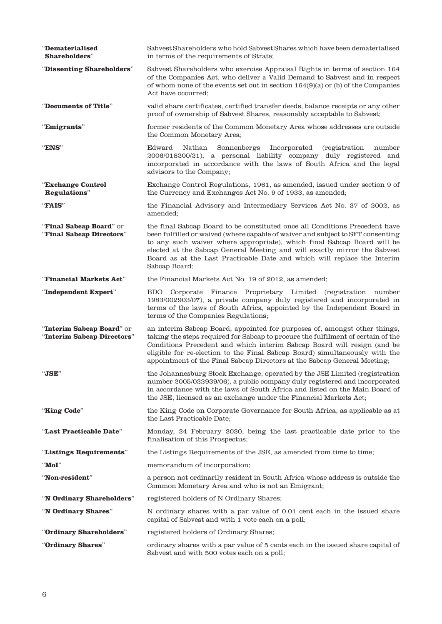| "Dematerialised<br>Shareholders"                        | Sabvest Shareholders who hold Sabvest Shares which have been dematerialised<br>in terms of the requirements of Strate;                                                                                                                                                                                                                                                                                              |  |  |
|---------------------------------------------------------|---------------------------------------------------------------------------------------------------------------------------------------------------------------------------------------------------------------------------------------------------------------------------------------------------------------------------------------------------------------------------------------------------------------------|--|--|
| "Dissenting Shareholders"                               | Sabvest Shareholders who exercise Appraisal Rights in terms of section 164<br>of the Companies Act, who deliver a Valid Demand to Sabvest and in respect<br>of whom none of the events set out in section $164(9)(a)$ or (b) of the Companies<br>Act have occurred;                                                                                                                                                 |  |  |
| "Documents of Title"                                    | valid share certificates, certified transfer deeds, balance receipts or any other<br>proof of ownership of Sabvest Shares, reasonably acceptable to Sabvest;                                                                                                                                                                                                                                                        |  |  |
| "Emigrants"                                             | former residents of the Common Monetary Area whose addresses are outside<br>the Common Monetary Area;                                                                                                                                                                                                                                                                                                               |  |  |
| "ENS"                                                   | Edward<br>Nathan<br>Sonnenbergs<br>Incorporated<br><i>(registration)</i><br>number<br>2006/018200/21), a personal liability company duly registered and<br>incorporated in accordance with the laws of South Africa and the legal<br>advisors to the Company;                                                                                                                                                       |  |  |
| "Exchange Control<br>Regulations"                       | Exchange Control Regulations, 1961, as amended, issued under section 9 of<br>the Currency and Exchanges Act No. 9 of 1933, as amended;                                                                                                                                                                                                                                                                              |  |  |
| "FAIS"                                                  | the Financial Advisory and Intermediary Services Act No. 37 of 2002, as<br>amended;                                                                                                                                                                                                                                                                                                                                 |  |  |
| "Final Sabcap Board" or<br>"Final Sabcap Directors"     | the final Sabcap Board to be constituted once all Conditions Precedent have<br>been fulfilled or waived (where capable of waiver and subject to SFT consenting<br>to any such waiver where appropriate), which final Sabcap Board will be<br>elected at the Sabcap General Meeting and will exactly mirror the Sabvest<br>Board as at the Last Practicable Date and which will replace the Interim<br>Sabcap Board; |  |  |
| "Financial Markets Act"                                 | the Financial Markets Act No. 19 of 2012, as amended;                                                                                                                                                                                                                                                                                                                                                               |  |  |
| "Independent Expert"                                    | BDO.<br>Corporate Finance Proprietary Limited (registration number<br>1983/002903/07), a private company duly registered and incorporated in<br>terms of the laws of South Africa, appointed by the Independent Board in<br>terms of the Companies Regulations;                                                                                                                                                     |  |  |
| "Interim Sabcap Board" or<br>"Interim Sabcap Directors" | an interim Sabcap Board, appointed for purposes of, amongst other things,<br>taking the steps required for Sabcap to procure the fulfilment of certain of the<br>Conditions Precedent and which interim Sabcap Board will resign (and be<br>eligible for re-election to the Final Sabcap Board) simultaneously with the<br>appointment of the Final Sabcap Directors at the Sabcap General Meeting;                 |  |  |
| "JSE"                                                   | the Johannesburg Stock Exchange, operated by the JSE Limited (registration<br>number 2005/022939/06), a public company duly registered and incorporated<br>in accordance with the laws of South Africa and listed on the Main Board of<br>the JSE, licensed as an exchange under the Financial Markets Act;                                                                                                         |  |  |
| "King Code"                                             | the King Code on Corporate Governance for South Africa, as applicable as at<br>the Last Practicable Date;                                                                                                                                                                                                                                                                                                           |  |  |
| "Last Practicable Date"                                 | Monday, 24 February 2020, being the last practicable date prior to the<br>finalisation of this Prospectus;                                                                                                                                                                                                                                                                                                          |  |  |
| "Listings Requirements"                                 | the Listings Requirements of the JSE, as amended from time to time;                                                                                                                                                                                                                                                                                                                                                 |  |  |
| $"$ MoI"                                                | memorandum of incorporation;                                                                                                                                                                                                                                                                                                                                                                                        |  |  |
| "Non-resident"                                          | a person not ordinarily resident in South Africa whose address is outside the<br>Common Monetary Area and who is not an Emigrant;                                                                                                                                                                                                                                                                                   |  |  |
| "N Ordinary Shareholders"                               | registered holders of N Ordinary Shares;                                                                                                                                                                                                                                                                                                                                                                            |  |  |
| "N Ordinary Shares"                                     | N ordinary shares with a par value of 0.01 cent each in the issued share<br>capital of Sabvest and with 1 vote each on a poll;                                                                                                                                                                                                                                                                                      |  |  |
| "Ordinary Shareholders"                                 | registered holders of Ordinary Shares;                                                                                                                                                                                                                                                                                                                                                                              |  |  |
| "Ordinary Shares"                                       | ordinary shares with a par value of 5 cents each in the issued share capital of<br>Sabvest and with 500 votes each on a poll;                                                                                                                                                                                                                                                                                       |  |  |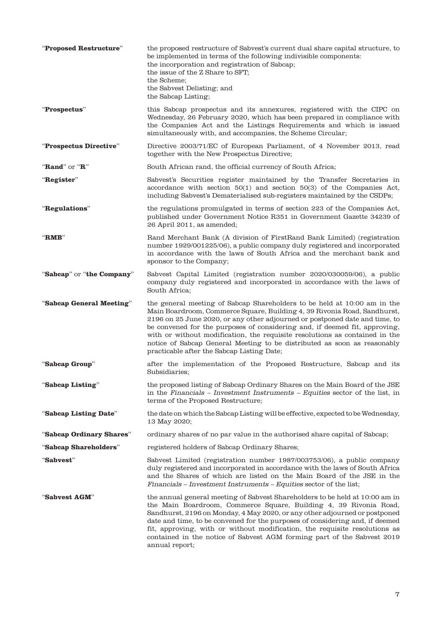| "Proposed Restructure"    | the proposed restructure of Sabvest's current dual share capital structure, to<br>be implemented in terms of the following indivisible components:<br>the incorporation and registration of Sabcap;<br>the issue of the Z Share to SFT;<br>the Scheme:<br>the Sabvest Delisting; and<br>the Sabcap Listing;                                                                                                                                                                                                                |
|---------------------------|----------------------------------------------------------------------------------------------------------------------------------------------------------------------------------------------------------------------------------------------------------------------------------------------------------------------------------------------------------------------------------------------------------------------------------------------------------------------------------------------------------------------------|
| "Prospectus"              | this Sabcap prospectus and its annexures, registered with the CIPC on<br>Wednesday, 26 February 2020, which has been prepared in compliance with<br>the Companies Act and the Listings Requirements and which is issued<br>simultaneously with, and accompanies, the Scheme Circular;                                                                                                                                                                                                                                      |
| "Prospectus Directive"    | Directive 2003/71/EC of European Parliament, of 4 November 2013, read<br>together with the New Prospectus Directive;                                                                                                                                                                                                                                                                                                                                                                                                       |
| "Rand" or " $R$ "         | South African rand, the official currency of South Africa;                                                                                                                                                                                                                                                                                                                                                                                                                                                                 |
| "Register"                | Sabvest's Securities register maintained by the Transfer Secretaries in<br>accordance with section $50(1)$ and section $50(3)$ of the Companies Act,<br>including Sabvest's Dematerialised sub-registers maintained by the CSDPs;                                                                                                                                                                                                                                                                                          |
| "Regulations"             | the regulations promulgated in terms of section 223 of the Companies Act,<br>published under Government Notice R351 in Government Gazette 34239 of<br>26 April 2011, as amended;                                                                                                                                                                                                                                                                                                                                           |
| $\mathbf{``RMB''}$        | Rand Merchant Bank (A division of FirstRand Bank Limited) (registration<br>number 1929/001225/06), a public company duly registered and incorporated<br>in accordance with the laws of South Africa and the merchant bank and<br>sponsor to the Company;                                                                                                                                                                                                                                                                   |
| "Sabcap" or "the Company" | Sabvest Capital Limited (registration number 2020/030059/06), a public<br>company duly registered and incorporated in accordance with the laws of<br>South Africa;                                                                                                                                                                                                                                                                                                                                                         |
| "Sabcap General Meeting"  | the general meeting of Sabcap Shareholders to be held at 10:00 am in the<br>Main Boardroom, Commerce Square, Building 4, 39 Rivonia Road, Sandhurst,<br>2196 on 25 June 2020, or any other adjourned or postponed date and time, to<br>be convened for the purposes of considering and, if deemed fit, approving,<br>with or without modification, the requisite resolutions as contained in the<br>notice of Sabcap General Meeting to be distributed as soon as reasonably<br>practicable after the Sabcap Listing Date; |
| "Sabcap Group"            | after the implementation of the Proposed Restructure, Sabcap and its<br>Subsidiaries;                                                                                                                                                                                                                                                                                                                                                                                                                                      |
| "Sabcap Listing"          | the proposed listing of Sabcap Ordinary Shares on the Main Board of the JSE<br>in the Financials – Investment Instruments – Equities sector of the list, in<br>terms of the Proposed Restructure;                                                                                                                                                                                                                                                                                                                          |
| "Sabcap Listing Date"     | the date on which the Sabcap Listing will be effective, expected to be Wednesday,<br>13 May 2020;                                                                                                                                                                                                                                                                                                                                                                                                                          |
| "Sabcap Ordinary Shares"  | ordinary shares of no par value in the authorised share capital of Sabcap;                                                                                                                                                                                                                                                                                                                                                                                                                                                 |
| "Sabcap Shareholders"     | registered holders of Sabcap Ordinary Shares;                                                                                                                                                                                                                                                                                                                                                                                                                                                                              |
| "Sabvest"                 | Sabvest Limited (registration number 1987/003753/06), a public company<br>duly registered and incorporated in accordance with the laws of South Africa<br>and the Shares of which are listed on the Main Board of the JSE in the<br>Financials – Investment Instruments – Equities sector of the list;                                                                                                                                                                                                                     |
| "Sabvest AGM"             | the annual general meeting of Sabvest Shareholders to be held at 10:00 am in<br>the Main Boardroom, Commerce Square, Building 4, 39 Rivonia Road,<br>Sandhurst, 2196 on Monday, 4 May 2020, or any other adjourned or postponed<br>date and time, to be convened for the purposes of considering and, if deemed<br>fit, approving, with or without modification, the requisite resolutions as<br>contained in the notice of Sabvest AGM forming part of the Sabvest 2019<br>annual report;                                 |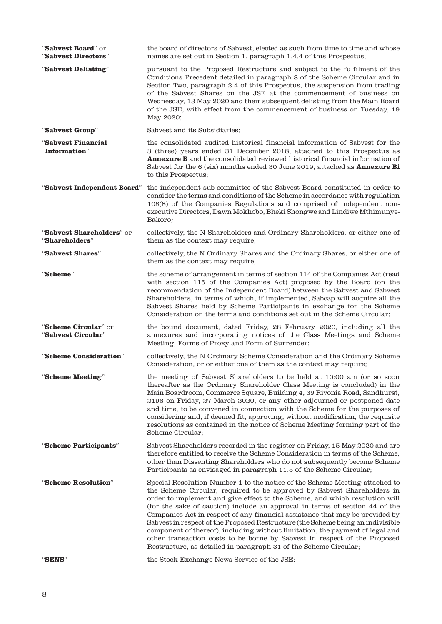| "Sabvest Board" or<br>"Sabvest Directors"   | the board of directors of Sabvest, elected as such from time to time and whose<br>names are set out in Section 1, paragraph 1.4.4 of this Prospectus;                                                                                                                                                                                                                                                                                                                                                                                                                                                                                                                                                                     |
|---------------------------------------------|---------------------------------------------------------------------------------------------------------------------------------------------------------------------------------------------------------------------------------------------------------------------------------------------------------------------------------------------------------------------------------------------------------------------------------------------------------------------------------------------------------------------------------------------------------------------------------------------------------------------------------------------------------------------------------------------------------------------------|
| "Sabvest Delisting"                         | pursuant to the Proposed Restructure and subject to the fulfilment of the<br>Conditions Precedent detailed in paragraph 8 of the Scheme Circular and in<br>Section Two, paragraph 2.4 of this Prospectus, the suspension from trading<br>of the Sabvest Shares on the JSE at the commencement of business on<br>Wednesday, 13 May 2020 and their subsequent delisting from the Main Board<br>of the JSE, with effect from the commencement of business on Tuesday, 19<br>May 2020;                                                                                                                                                                                                                                        |
| "Sabvest Group"                             | Sabvest and its Subsidiaries;                                                                                                                                                                                                                                                                                                                                                                                                                                                                                                                                                                                                                                                                                             |
| "Sabvest Financial<br>Information"          | the consolidated audited historical financial information of Sabvest for the<br>3 (three) years ended 31 December 2018, attached to this Prospectus as<br><b>Annexure B</b> and the consolidated reviewed historical financial information of<br>Sabvest for the 6 (six) months ended 30 June 2019, attached as <b>Annexure Bi</b><br>to this Prospectus;                                                                                                                                                                                                                                                                                                                                                                 |
| "Sabvest Independent Board"                 | the independent sub-committee of the Sabvest Board constituted in order to<br>consider the terms and conditions of the Scheme in accordance with regulation<br>108(8) of the Companies Regulations and comprised of independent non-<br>executive Directors, Dawn Mokhobo, Bheki Shongwe and Lindiwe Mthimunye-<br>Bakoro;                                                                                                                                                                                                                                                                                                                                                                                                |
| "Sabvest Shareholders" or<br>"Shareholders" | collectively, the N Shareholders and Ordinary Shareholders, or either one of<br>them as the context may require;                                                                                                                                                                                                                                                                                                                                                                                                                                                                                                                                                                                                          |
| "Sabvest Shares"                            | collectively, the N Ordinary Shares and the Ordinary Shares, or either one of<br>them as the context may require;                                                                                                                                                                                                                                                                                                                                                                                                                                                                                                                                                                                                         |
| "Scheme"                                    | the scheme of arrangement in terms of section 114 of the Companies Act (read<br>with section 115 of the Companies Act) proposed by the Board (on the<br>recommendation of the Independent Board) between the Sabvest and Sabvest<br>Shareholders, in terms of which, if implemented, Sabcap will acquire all the<br>Sabvest Shares held by Scheme Participants in exchange for the Scheme<br>Consideration on the terms and conditions set out in the Scheme Circular;                                                                                                                                                                                                                                                    |
| "Scheme Circular" or<br>"Sabvest Circular"  | the bound document, dated Friday, 28 February 2020, including all the<br>annexures and incorporating notices of the Class Meetings and Scheme<br>Meeting, Forms of Proxy and Form of Surrender;                                                                                                                                                                                                                                                                                                                                                                                                                                                                                                                           |
| "Scheme Consideration"                      | collectively, the N Ordinary Scheme Consideration and the Ordinary Scheme<br>Consideration, or or either one of them as the context may require;                                                                                                                                                                                                                                                                                                                                                                                                                                                                                                                                                                          |
| "Scheme Meeting"                            | the meeting of Sabvest Shareholders to be held at 10:00 am (or so soon<br>thereafter as the Ordinary Shareholder Class Meeting is concluded) in the<br>Main Boardroom, Commerce Square, Building 4, 39 Rivonia Road, Sandhurst,<br>2196 on Friday, 27 March 2020, or any other adjourned or postponed date<br>and time, to be convened in connection with the Scheme for the purposes of<br>considering and, if deemed fit, approving, without modification, the requisite<br>resolutions as contained in the notice of Scheme Meeting forming part of the<br>Scheme Circular;                                                                                                                                            |
| "Scheme Participants"                       | Sabvest Shareholders recorded in the register on Friday, 15 May 2020 and are<br>therefore entitled to receive the Scheme Consideration in terms of the Scheme,<br>other than Dissenting Shareholders who do not subsequently become Scheme<br>Participants as envisaged in paragraph 11.5 of the Scheme Circular;                                                                                                                                                                                                                                                                                                                                                                                                         |
| "Scheme Resolution"                         | Special Resolution Number 1 to the notice of the Scheme Meeting attached to<br>the Scheme Circular, required to be approved by Sabvest Shareholders in<br>order to implement and give effect to the Scheme, and which resolution will<br>(for the sake of caution) include an approval in terms of section 44 of the<br>Companies Act in respect of any financial assistance that may be provided by<br>Sabvest in respect of the Proposed Restructure (the Scheme being an indivisible<br>component of thereof), including without limitation, the payment of legal and<br>other transaction costs to be borne by Sabvest in respect of the Proposed<br>Restructure, as detailed in paragraph 31 of the Scheme Circular; |
| "SENS"                                      | the Stock Exchange News Service of the JSE;                                                                                                                                                                                                                                                                                                                                                                                                                                                                                                                                                                                                                                                                               |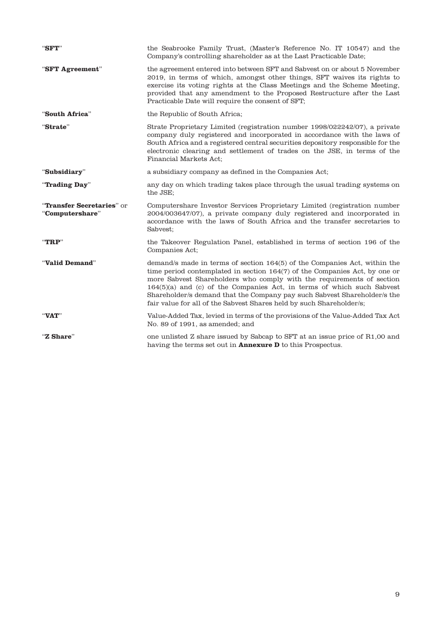| "SFT"                                        | the Seabrooke Family Trust, (Master's Reference No. IT 10547) and the<br>Company's controlling shareholder as at the Last Practicable Date;                                                                                                                                                                                                                                                                                                                    |  |  |
|----------------------------------------------|----------------------------------------------------------------------------------------------------------------------------------------------------------------------------------------------------------------------------------------------------------------------------------------------------------------------------------------------------------------------------------------------------------------------------------------------------------------|--|--|
| "SFT Agreement"                              | the agreement entered into between SFT and Sabvest on or about 5 November<br>2019, in terms of which, amongst other things, SFT waives its rights to<br>exercise its voting rights at the Class Meetings and the Scheme Meeting,<br>provided that any amendment to the Proposed Restructure after the Last<br>Practicable Date will require the consent of SFT;                                                                                                |  |  |
| "South Africa"                               | the Republic of South Africa;                                                                                                                                                                                                                                                                                                                                                                                                                                  |  |  |
| "Strate"                                     | Strate Proprietary Limited (registration number 1998/022242/07), a private<br>company duly registered and incorporated in accordance with the laws of<br>South Africa and a registered central securities depository responsible for the<br>electronic clearing and settlement of trades on the JSE, in terms of the<br>Financial Markets Act;                                                                                                                 |  |  |
| "Subsidiary"                                 | a subsidiary company as defined in the Companies Act;                                                                                                                                                                                                                                                                                                                                                                                                          |  |  |
| "Trading Day"                                | any day on which trading takes place through the usual trading systems on<br>the JSE;                                                                                                                                                                                                                                                                                                                                                                          |  |  |
| "Transfer Secretaries" or<br>"Computershare" | Computershare Investor Services Proprietary Limited (registration number<br>2004/003647/07), a private company duly registered and incorporated in<br>accordance with the laws of South Africa and the transfer secretaries to<br>Sabvest;                                                                                                                                                                                                                     |  |  |
| $"{\bf TRP}"$                                | the Takeover Regulation Panel, established in terms of section 196 of the<br>Companies Act;                                                                                                                                                                                                                                                                                                                                                                    |  |  |
| "Valid Demand"                               | demand/s made in terms of section 164(5) of the Companies Act, within the<br>time period contemplated in section 164(7) of the Companies Act, by one or<br>more Sabvest Shareholders who comply with the requirements of section<br>164(5)(a) and (c) of the Companies Act, in terms of which such Sabvest<br>Shareholder/s demand that the Company pay such Sabvest Shareholder/s the<br>fair value for all of the Sabvest Shares held by such Shareholder/s; |  |  |
| "VAT"                                        | Value-Added Tax, levied in terms of the provisions of the Value-Added Tax Act<br>No. 89 of 1991, as amended; and                                                                                                                                                                                                                                                                                                                                               |  |  |
| "Z Share"                                    | one unlisted Z share issued by Sabcap to SFT at an issue price of R1,00 and<br>having the terms set out in <b>Annexure D</b> to this Prospectus.                                                                                                                                                                                                                                                                                                               |  |  |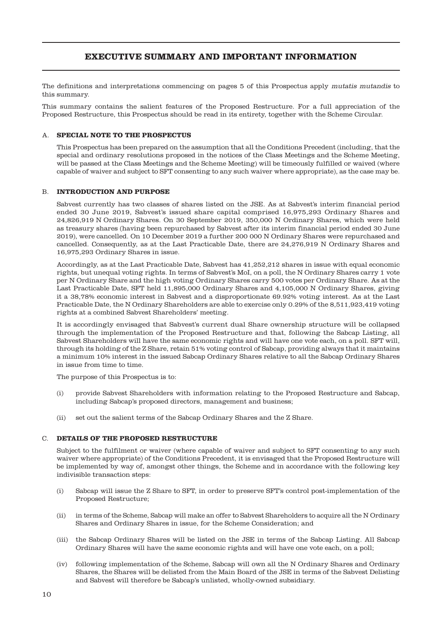# **EXECUTIVE SUMMARY AND IMPORTANT INFORMATION**

The definitions and interpretations commencing on pages 5 of this Prospectus apply mutatis mutandis to this summary.

This summary contains the salient features of the Proposed Restructure. For a full appreciation of the Proposed Restructure, this Prospectus should be read in its entirety, together with the Scheme Circular.

## A. **SPECIAL NOTE TO THE PROSPECTUS**

This Prospectus has been prepared on the assumption that all the Conditions Precedent (including, that the special and ordinary resolutions proposed in the notices of the Class Meetings and the Scheme Meeting, will be passed at the Class Meetings and the Scheme Meeting) will be timeously fulfilled or waived (where capable of waiver and subject to SFT consenting to any such waiver where appropriate), as the case may be.

## B. **INTRODUCTION AND PURPOSE**

Sabvest currently has two classes of shares listed on the JSE. As at Sabvest's interim financial period ended 30 June 2019, Sabvest's issued share capital comprised 16,975,293 Ordinary Shares and 24,826,919 N Ordinary Shares. On 30 September 2019, 350,000 N Ordinary Shares, which were held as treasury shares (having been repurchased by Sabvest after its interim financial period ended 30 June 2019), were cancelled. On 10 December 2019 a further 200 000 N Ordinary Shares were repurchased and cancelled. Consequently, as at the Last Practicable Date, there are 24,276,919 N Ordinary Shares and 16,975,293 Ordinary Shares in issue.

Accordingly, as at the Last Practicable Date, Sabvest has 41,252,212 shares in issue with equal economic rights, but unequal voting rights. In terms of Sabvest's MoI, on a poll, the N Ordinary Shares carry 1 vote per N Ordinary Share and the high voting Ordinary Shares carry 500 votes per Ordinary Share. As at the Last Practicable Date, SFT held 11,895,000 Ordinary Shares and 4,105,000 N Ordinary Shares, giving it a 38,78% economic interest in Sabvest and a disproportionate 69.92% voting interest. As at the Last Practicable Date, the N Ordinary Shareholders are able to exercise only 0.29% of the 8,511,923,419 voting rights at a combined Sabvest Shareholders' meeting.

It is accordingly envisaged that Sabvest's current dual Share ownership structure will be collapsed through the implementation of the Proposed Restructure and that, following the Sabcap Listing, all Sabvest Shareholders will have the same economic rights and will have one vote each, on a poll. SFT will, through its holding of the Z Share, retain 51% voting control of Sabcap, providing always that it maintains a minimum 10% interest in the issued Sabcap Ordinary Shares relative to all the Sabcap Ordinary Shares in issue from time to time.

The purpose of this Prospectus is to:

- (i) provide Sabvest Shareholders with information relating to the Proposed Restructure and Sabcap, including Sabcap's proposed directors, management and business;
- (ii) set out the salient terms of the Sabcap Ordinary Shares and the Z Share.

## C. **DETAILS OF THE PROPOSED RESTRUCTURE**

Subject to the fulfilment or waiver (where capable of waiver and subject to SFT consenting to any such waiver where appropriate) of the Conditions Precedent, it is envisaged that the Proposed Restructure will be implemented by way of, amongst other things, the Scheme and in accordance with the following key indivisible transaction steps:

- (i) Sabcap will issue the Z Share to SFT, in order to preserve SFT's control post-implementation of the Proposed Restructure;
- (ii) in terms of the Scheme, Sabcap will make an offer to Sabvest Shareholders to acquire all the N Ordinary Shares and Ordinary Shares in issue, for the Scheme Consideration; and
- (iii) the Sabcap Ordinary Shares will be listed on the JSE in terms of the Sabcap Listing. All Sabcap Ordinary Shares will have the same economic rights and will have one vote each, on a poll;
- (iv) following implementation of the Scheme, Sabcap will own all the N Ordinary Shares and Ordinary Shares, the Shares will be delisted from the Main Board of the JSE in terms of the Sabvest Delisting and Sabvest will therefore be Sabcap's unlisted, wholly-owned subsidiary.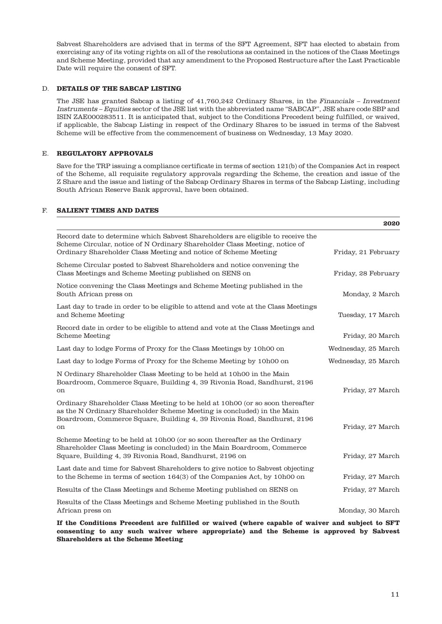Sabvest Shareholders are advised that in terms of the SFT Agreement, SFT has elected to abstain from exercising any of its voting rights on all of the resolutions as contained in the notices of the Class Meetings and Scheme Meeting, provided that any amendment to the Proposed Restructure after the Last Practicable Date will require the consent of SFT.

## D. **DETAILS OF THE SABCAP LISTING**

The JSE has granted Sabcap a listing of 41,760,242 Ordinary Shares, in the Financials – Investment Instruments – Equities sector of the JSE list with the abbreviated name "SABCAP", JSE share code SBP and ISIN ZAE000283511. It is anticipated that, subject to the Conditions Precedent being fulfilled, or waived, if applicable, the Sabcap Listing in respect of the Ordinary Shares to be issued in terms of the Sabvest Scheme will be effective from the commencement of business on Wednesday, 13 May 2020.

## E. **REGULATORY APPROVALS**

Save for the TRP issuing a compliance certificate in terms of section 121(b) of the Companies Act in respect of the Scheme, all requisite regulatory approvals regarding the Scheme, the creation and issue of the Z Share and the issue and listing of the Sabcap Ordinary Shares in terms of the Sabcap Listing, including South African Reserve Bank approval, have been obtained.

# F. **SALIENT TIMES AND DATES**

|                                                                                                                                                                                                                                           | 2020                |
|-------------------------------------------------------------------------------------------------------------------------------------------------------------------------------------------------------------------------------------------|---------------------|
| Record date to determine which Sabvest Shareholders are eligible to receive the<br>Scheme Circular, notice of N Ordinary Shareholder Class Meeting, notice of<br>Ordinary Shareholder Class Meeting and notice of Scheme Meeting          | Friday, 21 February |
| Scheme Circular posted to Sabvest Shareholders and notice convening the<br>Class Meetings and Scheme Meeting published on SENS on                                                                                                         | Friday, 28 February |
| Notice convening the Class Meetings and Scheme Meeting published in the<br>South African press on                                                                                                                                         | Monday, 2 March     |
| Last day to trade in order to be eligible to attend and vote at the Class Meetings<br>and Scheme Meeting                                                                                                                                  | Tuesday, 17 March   |
| Record date in order to be eligible to attend and vote at the Class Meetings and<br><b>Scheme Meeting</b>                                                                                                                                 | Friday, 20 March    |
| Last day to lodge Forms of Proxy for the Class Meetings by 10h00 on                                                                                                                                                                       | Wednesday, 25 March |
| Last day to lodge Forms of Proxy for the Scheme Meeting by 10h00 on                                                                                                                                                                       | Wednesday, 25 March |
| N Ordinary Shareholder Class Meeting to be held at 10h00 in the Main<br>Boardroom, Commerce Square, Building 4, 39 Rivonia Road, Sandhurst, 2196<br>on                                                                                    | Friday, 27 March    |
| Ordinary Shareholder Class Meeting to be held at 10h00 (or so soon thereafter<br>as the N Ordinary Shareholder Scheme Meeting is concluded) in the Main<br>Boardroom, Commerce Square, Building 4, 39 Rivonia Road, Sandhurst, 2196<br>on | Friday, 27 March    |
| Scheme Meeting to be held at 10 h00 (or so soon thereafter as the Ordinary<br>Shareholder Class Meeting is concluded) in the Main Boardroom, Commerce<br>Square, Building 4, 39 Rivonia Road, Sandhurst, 2196 on                          | Friday, 27 March    |
| Last date and time for Sabvest Shareholders to give notice to Sabvest objecting<br>to the Scheme in terms of section 164(3) of the Companies Act, by 10h00 on                                                                             | Friday, 27 March    |
| Results of the Class Meetings and Scheme Meeting published on SENS on                                                                                                                                                                     | Friday, 27 March    |
| Results of the Class Meetings and Scheme Meeting published in the South<br>African press on                                                                                                                                               | Monday, 30 March    |
| If the Conditions Precedent are fulfilled or waived (where canable of waiver and subject to SFT                                                                                                                                           |                     |

**If Precedent are fulfilled or waived (where capable of w consenting to any such waiver where appropriate) and the Scheme is approved by Sabvest Shareholders at the Scheme Meeting**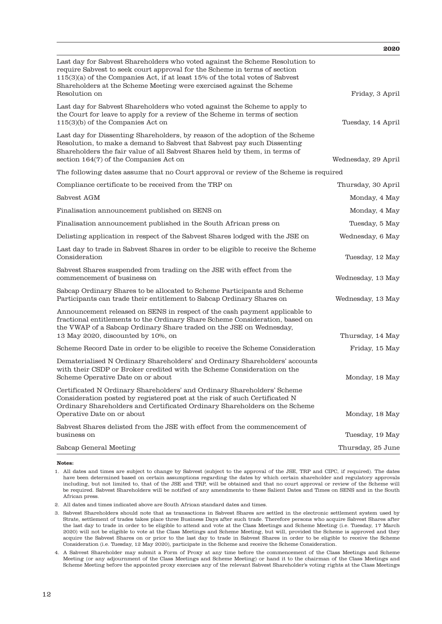|                                                                                                                                                                                                                                                                                                                    | 2020                |
|--------------------------------------------------------------------------------------------------------------------------------------------------------------------------------------------------------------------------------------------------------------------------------------------------------------------|---------------------|
| Last day for Sabvest Shareholders who voted against the Scheme Resolution to<br>require Sabvest to seek court approval for the Scheme in terms of section<br>115(3)(a) of the Companies Act, if at least 15% of the total votes of Sabvest<br>Shareholders at the Scheme Meeting were exercised against the Scheme |                     |
| Resolution on                                                                                                                                                                                                                                                                                                      | Friday, 3 April     |
| Last day for Sabvest Shareholders who voted against the Scheme to apply to<br>the Court for leave to apply for a review of the Scheme in terms of section<br>$115(3)(b)$ of the Companies Act on                                                                                                                   | Tuesday, 14 April   |
| Last day for Dissenting Shareholders, by reason of the adoption of the Scheme<br>Resolution, to make a demand to Sabvest that Sabvest pay such Dissenting<br>Shareholders the fair value of all Sabvest Shares held by them, in terms of<br>section 164(7) of the Companies Act on                                 | Wednesday, 29 April |
| The following dates assume that no Court approval or review of the Scheme is required                                                                                                                                                                                                                              |                     |
| Compliance certificate to be received from the TRP on                                                                                                                                                                                                                                                              | Thursday, 30 April  |
| Sabvest AGM                                                                                                                                                                                                                                                                                                        | Monday, 4 May       |
| Finalisation announcement published on SENS on                                                                                                                                                                                                                                                                     | Monday, 4 May       |
| Finalisation announcement published in the South African press on                                                                                                                                                                                                                                                  | Tuesday, 5 May      |
| Delisting application in respect of the Sabvest Shares lodged with the JSE on                                                                                                                                                                                                                                      | Wednesday, 6 May    |
| Last day to trade in Sabvest Shares in order to be eligible to receive the Scheme<br>Consideration                                                                                                                                                                                                                 | Tuesday, 12 May     |
| Sabvest Shares suspended from trading on the JSE with effect from the<br>commencement of business on                                                                                                                                                                                                               | Wednesday, 13 May   |
| Sabcap Ordinary Shares to be allocated to Scheme Participants and Scheme<br>Participants can trade their entitlement to Sabcap Ordinary Shares on                                                                                                                                                                  | Wednesday, 13 May   |
| Announcement released on SENS in respect of the cash payment applicable to<br>fractional entitlements to the Ordinary Share Scheme Consideration, based on<br>the VWAP of a Sabcap Ordinary Share traded on the JSE on Wednesday,                                                                                  |                     |
| 13 May 2020, discounted by 10%, on                                                                                                                                                                                                                                                                                 | Thursday, 14 May    |
| Scheme Record Date in order to be eligible to receive the Scheme Consideration                                                                                                                                                                                                                                     | Friday, 15 May      |
| Dematerialised N Ordinary Shareholders' and Ordinary Shareholders' accounts<br>with their CSDP or Broker credited with the Scheme Consideration on the<br>Scheme Operative Date on or about                                                                                                                        | Monday, 18 May      |
| Certificated N Ordinary Shareholders' and Ordinary Shareholders' Scheme<br>Consideration posted by registered post at the risk of such Certificated N<br>Ordinary Shareholders and Certificated Ordinary Shareholders on the Scheme<br>Operative Date on or about                                                  | Monday, 18 May      |
| Sabvest Shares delisted from the JSE with effect from the commencement of<br>business on                                                                                                                                                                                                                           | Tuesday, 19 May     |
| Sabcap General Meeting                                                                                                                                                                                                                                                                                             | Thursday, 25 June   |
|                                                                                                                                                                                                                                                                                                                    |                     |

**Notes:**

1. All dates and times are subject to change by Sabvest (subject to the approval of the JSE, TRP and CIPC, if required). The dates have been determined based on certain assumptions regarding the dates by which certain shareholder and regulatory approvals including, but not limited to, that of the JSE and TRP, will be obtained and that no court approval or review of the Scheme will be required. Sabvest Shareholders will be notified of any amendments to these Salient Dates and Times on SENS and in the South African press.

2. All dates and times indicated above are South African standard dates and times.

3. Sabvest Shareholders should note that as transactions in Sabvest Shares are settled in the electronic settlement system used by Strate, settlement of trades takes place three Business Days after such trade. Therefore persons who acquire Sabvest Shares after the last day to trade in order to be eligible to attend and vote at the Class Meetings and Scheme Meeting (i.e. Tuesday, 17 March 2020) will not be eligible to vote at the Class Meetings and Scheme Meeting, but will, provided the Scheme is approved and they acquire the Sabvest Shares on or prior to the last day to trade in Sabvest Shares in order to be eligible to receive the Scheme Consideration (i.e. Tuesday, 12 May 2020), participate in the Scheme and receive the Scheme Consideration.

4. A Sabvest Shareholder may submit a Form of Proxy at any time before the commencement of the Class Meetings and Scheme Meeting (or any adjournment of the Class Meetings and Scheme Meeting) or hand it to the chairman of the Class Meetings and Scheme Meeting before the appointed proxy exercises any of the relevant Sabvest Shareholder's voting rights at the Class Meetings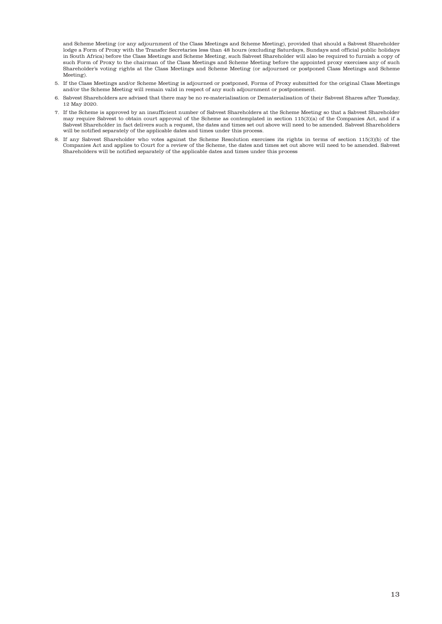and Scheme Meeting (or any adjournment of the Class Meetings and Scheme Meeting), provided that should a Sabvest Shareholder lodge a Form of Proxy with the Transfer Secretaries less than 48 hours (excluding Saturdays, Sundays and official public holidays in South Africa) before the Class Meetings and Scheme Meeting, such Sabvest Shareholder will also be required to furnish a copy of such Form of Proxy to the chairman of the Class Meetings and Scheme Meeting before the appointed proxy exercises any of such Shareholder's voting rights at the Class Meetings and Scheme Meeting (or adjourned or postponed Class Meetings and Scheme Meeting).

- 5. If the Class Meetings and/or Scheme Meeting is adjourned or postponed, Forms of Proxy submitted for the original Class Meetings and/or the Scheme Meeting will remain valid in respect of any such adjournment or postponement.
- 6. Sabvest Shareholders are advised that there may be no re-materialisation or Dematerialisation of their Sabvest Shares after Tuesday, 12 May 2020.
- 7. If the Scheme is approved by an insufficient number of Sabvest Shareholders at the Scheme Meeting so that a Sabvest Shareholder may require Sabvest to obtain court approval of the Scheme as contemplated in section 115(3)(a) of the Companies Act, and if a Sabvest Shareholder in fact delivers such a request, the dates and times set out above will need to be amended. Sabvest Shareholders will be notified separately of the applicable dates and times under this process.
- 8. If any Sabvest Shareholder who votes against the Scheme Resolution exercises its rights in terms of section 115(3)(b) of the Companies Act and applies to Court for a review of the Scheme, the dates and times set out above will need to be amended. Sabvest Shareholders will be notified separately of the applicable dates and times under this process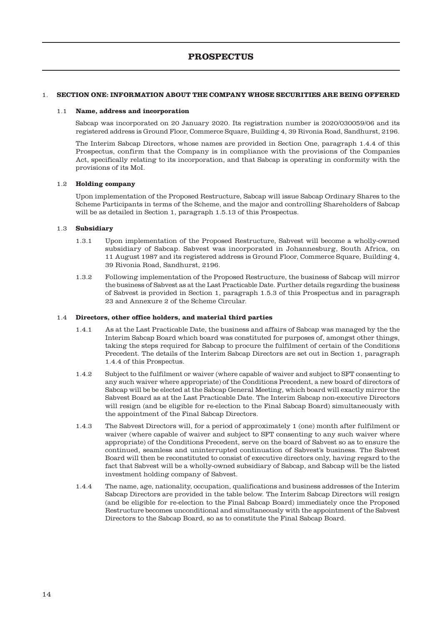# 1. **SECTION ONE: INFORMATION ABOUT THE COMPANY WHOSE SECURITIES ARE BEING OFFERED**

### 1.1 **Name, address and incorporation**

Sabcap was incorporated on 20 January 2020. Its registration number is 2020/030059/06 and its registered address is Ground Floor, Commerce Square, Building 4, 39 Rivonia Road, Sandhurst, 2196.

The Interim Sabcap Directors, whose names are provided in Section One, paragraph 1.4.4 of this Prospectus, confirm that the Company is in compliance with the provisions of the Companies Act, specifically relating to its incorporation, and that Sabcap is operating in conformity with the provisions of its MoI.

## 1.2 **Holding company**

Upon implementation of the Proposed Restructure, Sabcap will issue Sabcap Ordinary Shares to the Scheme Participants in terms of the Scheme, and the major and controlling Shareholders of Sabcap will be as detailed in Section 1, paragraph 1.5.13 of this Prospectus.

## 1.3 **Subsidiary**

- 1.3.1 Upon implementation of the Proposed Restructure, Sabvest will become a wholly-owned subsidiary of Sabcap. Sabvest was incorporated in Johannesburg, South Africa, on 11 August 1987 and its registered address is Ground Floor, Commerce Square, Building 4, 39 Rivonia Road, Sandhurst, 2196.
- 1.3.2 Following implementation of the Proposed Restructure, the business of Sabcap will mirror the business of Sabvest as at the Last Practicable Date. Further details regarding the business of Sabvest is provided in Section 1, paragraph 1.5.3 of this Prospectus and in paragraph 23 and Annexure 2 of the Scheme Circular.

## 1.4 **Directors, other office holders, and material third parties**

- 1.4.1 As at the Last Practicable Date, the business and affairs of Sabcap was managed by the the Interim Sabcap Board which board was constituted for purposes of, amongst other things, taking the steps required for Sabcap to procure the fulfilment of certain of the Conditions Precedent. The details of the Interim Sabcap Directors are set out in Section 1, paragraph 1.4.4 of this Prospectus.
- 1.4.2 Subject to the fulfilment or waiver (where capable of waiver and subject to SFT consenting to any such waiver where appropriate) of the Conditions Precedent, a new board of directors of Sabcap will be be elected at the Sabcap General Meeting, which board will exactly mirror the Sabvest Board as at the Last Practicable Date. The Interim Sabcap non-executive Directors will resign (and be eligible for re-election to the Final Sabcap Board) simultaneously with the appointment of the Final Sabcap Directors.
- 1.4.3 The Sabvest Directors will, for a period of approximately 1 (one) month after fulfilment or waiver (where capable of waiver and subject to SFT consenting to any such waiver where appropriate) of the Conditions Precedent, serve on the board of Sabvest so as to ensure the continued, seamless and uninterrupted continuation of Sabvest's business. The Sabvest Board will then be reconstituted to consist of executive directors only, having regard to the fact that Sabvest will be a wholly-owned subsidiary of Sabcap, and Sabcap will be the listed investment holding company of Sabvest.
- 1.4.4 The name, age, nationality, occupation, qualifications and business addresses of the Interim Sabcap Directors are provided in the table below. The Interim Sabcap Directors will resign (and be eligible for re-election to the Final Sabcap Board) immediately once the Proposed Restructure becomes unconditional and simultaneously with the appointment of the Sabvest Directors to the Sabcap Board, so as to constitute the Final Sabcap Board.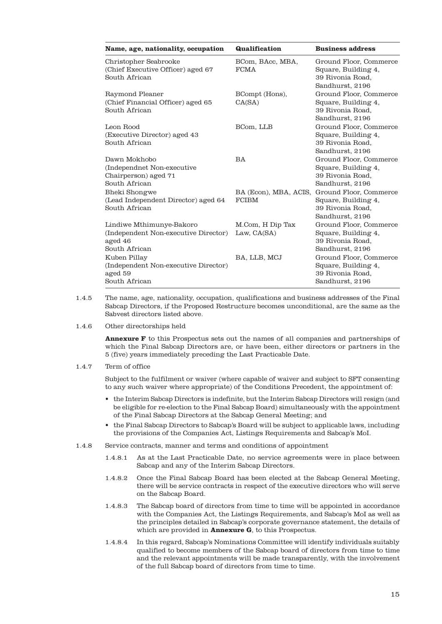| Name, age, nationality, occupation                                                           | <b>Qualification</b>                  | <b>Business address</b>                                                              |
|----------------------------------------------------------------------------------------------|---------------------------------------|--------------------------------------------------------------------------------------|
| Christopher Seabrooke<br>(Chief Executive Officer) aged 67<br>South African                  | BCom, BAcc, MBA,<br><b>FCMA</b>       | Ground Floor, Commerce<br>Square, Building 4,<br>39 Rivonia Road.<br>Sandhurst, 2196 |
| Raymond Pleaner<br>(Chief Financial Officer) aged 65<br>South African                        | BCompt (Hons),<br>CA(SA)              | Ground Floor, Commerce<br>Square, Building 4,<br>39 Rivonia Road.<br>Sandhurst, 2196 |
| Leon Rood<br>(Executive Director) aged 43<br>South African                                   | BCom, LLB                             | Ground Floor, Commerce<br>Square, Building 4,<br>39 Rivonia Road.<br>Sandhurst, 2196 |
| Dawn Mokhobo<br>(Independnet Non-executive)<br>Chairperson) aged 71<br>South African         | <b>BA</b>                             | Ground Floor, Commerce<br>Square, Building 4,<br>39 Rivonia Road,<br>Sandhurst, 2196 |
| <b>Bheki Shongwe</b><br>(Lead Independent Director) aged 64<br>South African                 | BA (Econ), MBA, ACIS,<br><b>FCIBM</b> | Ground Floor, Commerce<br>Square, Building 4,<br>39 Rivonia Road,<br>Sandhurst, 2196 |
| Lindiwe Mthimunye-Bakoro<br>(Independent Non-executive Director)<br>aged 46<br>South African | M.Com, H Dip Tax<br>Law, $CA(SA)$     | Ground Floor, Commerce<br>Square, Building 4,<br>39 Rivonia Road,<br>Sandhurst, 2196 |
| Kuben Pillay<br>(Independent Non-executive Director)<br>aged 59<br>South African             | BA, LLB, MCJ                          | Ground Floor, Commerce<br>Square, Building 4,<br>39 Rivonia Road,<br>Sandhurst, 2196 |

- 1.4.5 The name, age, nationality, occupation, qualifications and business addresses of the Final Sabcap Directors, if the Proposed Restructure becomes unconditional, are the same as the Sabvest directors listed above.
- 1.4.6 Other directorships held

**Annexure F** to this Prospectus sets out the names of all companies and partnerships of which the Final Sabcap Directors are, or have been, either directors or partners in the 5 (five) years immediately preceding the Last Practicable Date.

1.4.7 Term of office

Subject to the fulfilment or waiver (where capable of waiver and subject to SFT consenting to any such waiver where appropriate) of the Conditions Precedent, the appointment of:

- the Interim Sabcap Directors is indefinite, but the Interim Sabcap Directors will resign (and be eligible for re-election to the Final Sabcap Board) simultaneously with the appointment of the Final Sabcap Directors at the Sabcap General Meeting; and
- the Final Sabcap Directors to Sabcap's Board will be subject to applicable laws, including the provisions of the Companies Act, Listings Requirements and Sabcap's MoI.
- 1.4.8 Service contracts, manner and terms and conditions of appointment
	- 1.4.8.1 As at the Last Practicable Date, no service agreements were in place between Sabcap and any of the Interim Sabcap Directors.
	- 1.4.8.2 Once the Final Sabcap Board has been elected at the Sabcap General Meeting, there will be service contracts in respect of the executive directors who will serve on the Sabcap Board.
	- 1.4.8.3 The Sabcap board of directors from time to time will be appointed in accordance with the Companies Act, the Listings Requirements, and Sabcap's MoI as well as the principles detailed in Sabcap's corporate governance statement, the details of which are provided in **Annexure G**, to this Prospectus.
	- 1.4.8.4 In this regard, Sabcap's Nominations Committee will identify individuals suitably qualified to become members of the Sabcap board of directors from time to time and the relevant appointments will be made transparently, with the involvement of the full Sabcap board of directors from time to time.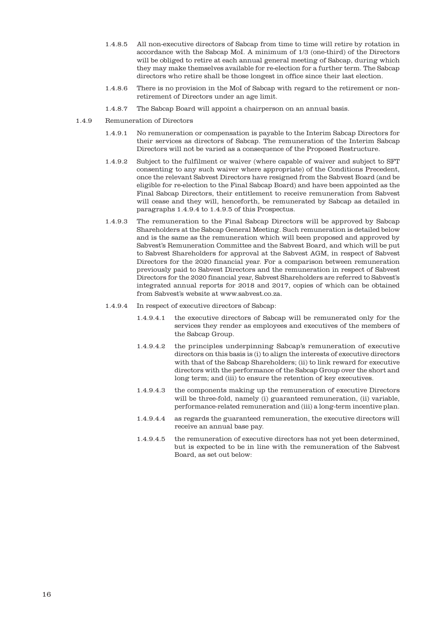- 1.4.8.5 All non-executive directors of Sabcap from time to time will retire by rotation in accordance with the Sabcap MoI. A minimum of 1/3 (one-third) of the Directors will be obliged to retire at each annual general meeting of Sabcap, during which they may make themselves available for re-election for a further term. The Sabcap directors who retire shall be those longest in office since their last election.
- 1.4.8.6 There is no provision in the MoI of Sabcap with regard to the retirement or nonretirement of Directors under an age limit.
- 1.4.8.7 The Sabcap Board will appoint a chairperson on an annual basis.
- 1.4.9 Remuneration of Directors
	- 1.4.9.1 No remuneration or compensation is payable to the Interim Sabcap Directors for their services as directors of Sabcap. The remuneration of the Interim Sabcap Directors will not be varied as a consequence of the Proposed Restructure.
	- 1.4.9.2 Subject to the fulfilment or waiver (where capable of waiver and subject to SFT consenting to any such waiver where appropriate) of the Conditions Precedent, once the relevant Sabvest Directors have resigned from the Sabvest Board (and be eligible for re-election to the Final Sabcap Board) and have been appointed as the Final Sabcap Directors, their entitlement to receive remuneration from Sabvest will cease and they will, henceforth, be remunerated by Sabcap as detailed in paragraphs 1.4.9.4 to 1.4.9.5 of this Prospectus.
	- 1.4.9.3 The remuneration to the Final Sabcap Directors will be approved by Sabcap Shareholders at the Sabcap General Meeting. Such remuneration is detailed below and is the same as the remuneration which will been proposed and approved by Sabvest's Remuneration Committee and the Sabvest Board, and which will be put to Sabvest Shareholders for approval at the Sabvest AGM, in respect of Sabvest Directors for the 2020 financial year. For a comparison between remuneration previously paid to Sabvest Directors and the remuneration in respect of Sabvest Directors for the 2020 financial year, Sabvest Shareholders are referred to Sabvest's integrated annual reports for 2018 and 2017, copies of which can be obtained from Sabvest's website at www.sabvest.co.za.
	- 1.4.9.4 In respect of executive directors of Sabcap:
		- 1.4.9.4.1 the executive directors of Sabcap will be remunerated only for the services they render as employees and executives of the members of the Sabcap Group.
		- 1.4.9.4.2 the principles underpinning Sabcap's remuneration of executive directors on this basis is (i) to align the interests of executive directors with that of the Sabcap Shareholders; (ii) to link reward for executive directors with the performance of the Sabcap Group over the short and long term; and (iii) to ensure the retention of key executives.
		- 1.4.9.4.3 the components making up the remuneration of executive Directors will be three-fold, namely (i) guaranteed remuneration, (ii) variable, performance-related remuneration and (iii) a long-term incentive plan.
		- 1.4.9.4.4 as regards the guaranteed remuneration, the executive directors will receive an annual base pay.
		- 1.4.9.4.5 the remuneration of executive directors has not yet been determined, but is expected to be in line with the remuneration of the Sabvest Board, as set out below: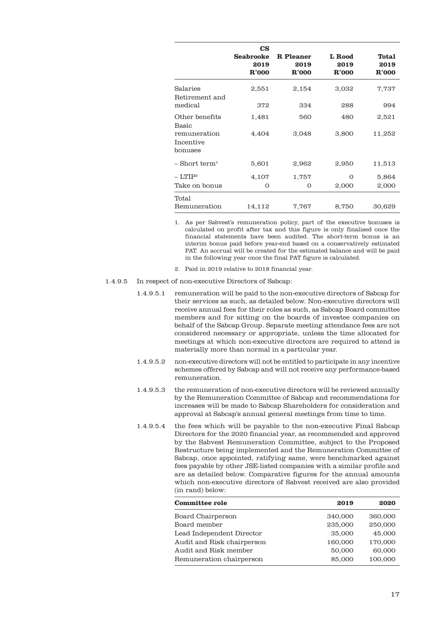|                                      | $\mathbf{CS}$<br><b>Seabrooke</b><br>2019<br>R'000 | <b>R</b> Pleaner<br>2019<br>R'000 | L Rood<br>2019<br>R'000 | <b>Total</b><br>2019<br>R'000 |
|--------------------------------------|----------------------------------------------------|-----------------------------------|-------------------------|-------------------------------|
| Salaries<br>Retirement and           | 2,551                                              | 2,154                             | 3,032                   | 7,737                         |
| medical                              | 372                                                | 334                               | 288                     | 994                           |
| Other benefits<br>Basic              | 1,481                                              | 560                               | 480                     | 2,521                         |
| remuneration<br>Incentive<br>bonuses | 4,404                                              | 3,048                             | 3,800                   | 11,252                        |
| $-$ Short term <sup>1</sup>          | 5,601                                              | 2,962                             | 2,950                   | 11,513                        |
| $-$ LTIP <sup>2</sup>                | 4,107                                              | 1,757                             | $\Omega$                | 5,864                         |
| Take on bonus                        | 0                                                  | 0                                 | 2,000                   | 2,000                         |
| Total<br>Remuneration                | 14,112                                             | 7,767                             | 8,750                   | 30,629                        |

1. As per Sabvest's remuneration policy, part of the executive bonuses is calculated on profit after tax and this figure is only finalised once the financial statements have been audited. The short-term bonus is an interim bonus paid before year-end based on a conservatively estimated PAT. An accrual will be created for the estimated balance and will be paid in the following year once the final PAT figure is calculated.

- 2. Paid in 2019 relative to 2018 financial year.
- 1.4.9.5 In respect of non-executive Directors of Sabcap:
	- 1.4.9.5.1 remuneration will be paid to the non-executive directors of Sabcap for their services as such, as detailed below. Non-executive directors will receive annual fees for their roles as such, as Sabcap Board committee members and for sitting on the boards of investee companies on behalf of the Sabcap Group. Separate meeting attendance fees are not considered necessary or appropriate, unless the time allocated for meetings at which non-executive directors are required to attend is materially more than normal in a particular year.
	- 1.4.9.5.2 non-executive directors will not be entitled to participate in any incentive schemes offered by Sabcap and will not receive any performance-based remuneration.
	- 1.4.9.5.3 the remuneration of non-executive directors will be reviewed annually by the Remuneration Committee of Sabcap and recommendations for increases will be made to Sabcap Shareholders for consideration and approval at Sabcap's annual general meetings from time to time.
	- 1.4.9.5.4 the fees which will be payable to the non-executive Final Sabcap Directors for the 2020 financial year, as recommended and approved by the Sabvest Remuneration Committee, subject to the Proposed Restructure being implemented and the Remuneration Committee of Sabcap, once appointed, ratifying same, were benchmarked against fees payable by other JSE-listed companies with a similar profile and are as detailed below. Comparative figures for the annual amounts which non-executive directors of Sabvest received are also provided (in rand) below:

| <b>Committee role</b>      | 2019    | 2020    |
|----------------------------|---------|---------|
| Board Chairperson          | 340,000 | 360,000 |
| Board member               | 235,000 | 250,000 |
| Lead Independent Director  | 35,000  | 45,000  |
| Audit and Risk chairperson | 160,000 | 170,000 |
| Audit and Risk member      | 50,000  | 60,000  |
| Remuneration chairperson   | 85,000  | 100,000 |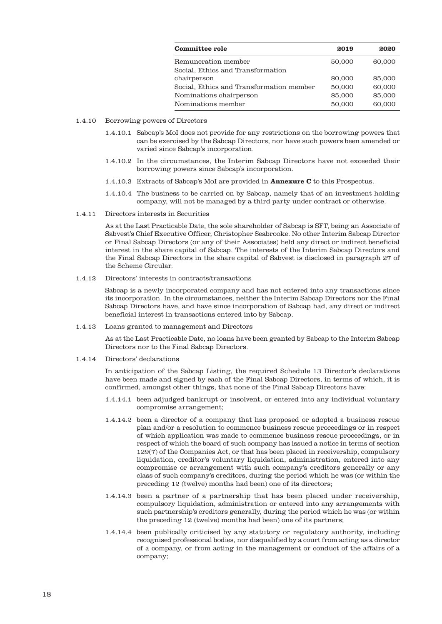| <b>Committee role</b>                    | 2019   | 2020   |
|------------------------------------------|--------|--------|
| Remuneration member                      | 50,000 | 60,000 |
| Social, Ethics and Transformation        |        |        |
| chairperson                              | 80,000 | 85,000 |
| Social, Ethics and Transformation member | 50,000 | 60,000 |
| Nominations chairperson                  | 85,000 | 85,000 |
| Nominations member                       | 50,000 | 60,000 |

- 1.4.10 Borrowing powers of Directors
	- 1.4.10.1 Sabcap's MoI does not provide for any restrictions on the borrowing powers that can be exercised by the Sabcap Directors, nor have such powers been amended or varied since Sabcap's incorporation.
	- 1.4.10.2 In the circumstances, the Interim Sabcap Directors have not exceeded their borrowing powers since Sabcap's incorporation.
	- 1.4.10.3 Extracts of Sabcap's MoI are provided in **Annexure C** to this Prospectus.
	- 1.4.10.4 The business to be carried on by Sabcap, namely that of an investment holding company, will not be managed by a third party under contract or otherwise.
- 1.4.11 Directors interests in Securities

As at the Last Practicable Date, the sole shareholder of Sabcap is SFT, being an Associate of Sabvest's Chief Executive Officer, Christopher Seabrooke. No other Interim Sabcap Director or Final Sabcap Directors (or any of their Associates) held any direct or indirect beneficial interest in the share capital of Sabcap. The interests of the Interim Sabcap Directors and the Final Sabcap Directors in the share capital of Sabvest is disclosed in paragraph 27 of the Scheme Circular.

1.4.12 Directors' interests in contracts/transactions

Sabcap is a newly incorporated company and has not entered into any transactions since its incorporation. In the circumstances, neither the Interim Sabcap Directors nor the Final Sabcap Directors have, and have since incorporation of Sabcap had, any direct or indirect beneficial interest in transactions entered into by Sabcap.

1.4.13 Loans granted to management and Directors

As at the Last Practicable Date, no loans have been granted by Sabcap to the Interim Sabcap Directors nor to the Final Sabcap Directors.

1.4.14 Directors' declarations

In anticipation of the Sabcap Listing, the required Schedule 13 Director's declarations have been made and signed by each of the Final Sabcap Directors, in terms of which, it is confirmed, amongst other things, that none of the Final Sabcap Directors have:

- 1.4.14.1 been adjudged bankrupt or insolvent, or entered into any individual voluntary compromise arrangement;
- 1.4.14.2 been a director of a company that has proposed or adopted a business rescue plan and/or a resolution to commence business rescue proceedings or in respect of which application was made to commence business rescue proceedings, or in respect of which the board of such company has issued a notice in terms of section 129(7) of the Companies Act, or that has been placed in receivership, compulsory liquidation, creditor's voluntary liquidation, administration, entered into any compromise or arrangement with such company's creditors generally or any class of such company's creditors, during the period which he was (or within the preceding 12 (twelve) months had been) one of its directors;
- 1.4.14.3 been a partner of a partnership that has been placed under receivership, compulsory liquidation, administration or entered into any arrangements with such partnership's creditors generally, during the period which he was (or within the preceding 12 (twelve) months had been) one of its partners;
- 1.4.14.4 been publically criticised by any statutory or regulatory authority, including recognised professional bodies, nor disqualified by a court from acting as a director of a company, or from acting in the management or conduct of the affairs of a company;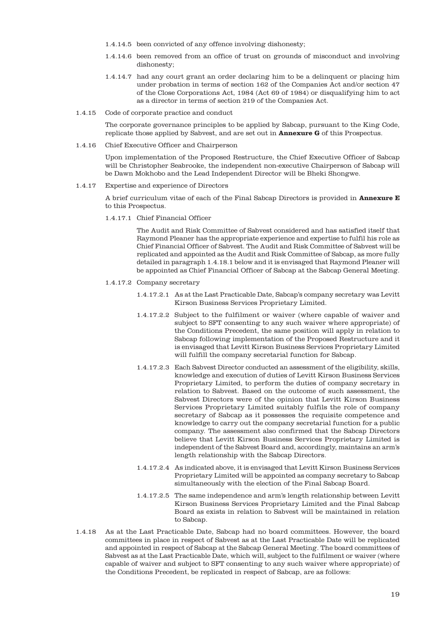- 1.4.14.5 been convicted of any offence involving dishonesty;
- 1.4.14.6 been removed from an office of trust on grounds of misconduct and involving dishonesty;
- 1.4.14.7 had any court grant an order declaring him to be a delinquent or placing him under probation in terms of section 162 of the Companies Act and/or section 47 of the Close Corporations Act, 1984 (Act 69 of 1984) or disqualifying him to act as a director in terms of section 219 of the Companies Act.
- 1.4.15 Code of corporate practice and conduct

The corporate governance principles to be applied by Sabcap, pursuant to the King Code, replicate those applied by Sabvest, and are set out in **Annexure G** of this Prospectus.

1.4.16 Chief Executive Officer and Chairperson

Upon implementation of the Proposed Restructure, the Chief Executive Officer of Sabcap will be Christopher Seabrooke, the independent non-executive Chairperson of Sabcap will be Dawn Mokhobo and the Lead Independent Director will be Bheki Shongwe.

1.4.17 Expertise and experience of Directors

A brief curriculum vitae of each of the Final Sabcap Directors is provided in **Annexure E** to this Prospectus.

1.4.17.1 Chief Financial Officer

The Audit and Risk Committee of Sabvest considered and has satisfied itself that Raymond Pleaner has the appropriate experience and expertise to fulfil his role as Chief Financial Officer of Sabvest. The Audit and Risk Committee of Sabvest will be replicated and appointed as the Audit and Risk Committee of Sabcap, as more fully detailed in paragraph 1.4.18.1 below and it is envisaged that Raymond Pleaner will be appointed as Chief Financial Officer of Sabcap at the Sabcap General Meeting.

- 1.4.17.2 Company secretary
	- 1.4.17.2.1 As at the Last Practicable Date, Sabcap's company secretary was Levitt Kirson Business Services Proprietary Limited.
	- 1.4.17.2.2 Subject to the fulfilment or waiver (where capable of waiver and subject to SFT consenting to any such waiver where appropriate) of the Conditions Precedent, the same position will apply in relation to Sabcap following implementation of the Proposed Restructure and it is envisaged that Levitt Kirson Business Services Proprietary Limited will fulfill the company secretarial function for Sabcap.
	- 1.4.17.2.3 Each Sabvest Director conducted an assessment of the eligibility, skills, knowledge and execution of duties of Levitt Kirson Business Services Proprietary Limited, to perform the duties of company secretary in relation to Sabvest. Based on the outcome of such assessment, the Sabvest Directors were of the opinion that Levitt Kirson Business Services Proprietary Limited suitably fulfils the role of company secretary of Sabcap as it possesses the requisite competence and knowledge to carry out the company secretarial function for a public company. The assessment also confirmed that the Sabcap Directors believe that Levitt Kirson Business Services Proprietary Limited is independent of the Sabvest Board and, accordingly, maintains an arm's length relationship with the Sabcap Directors.
	- 1.4.17.2.4 As indicated above, it is envisaged that Levitt Kirson Business Services Proprietary Limited will be appointed as company secretary to Sabcap simultaneously with the election of the Final Sabcap Board.
	- 1.4.17.2.5 The same independence and arm's length relationship between Levitt Kirson Business Services Proprietary Limited and the Final Sabcap Board as exists in relation to Sabvest will be maintained in relation to Sabcap.
- 1.4.18 As at the Last Practicable Date, Sabcap had no board committees. However, the board committees in place in respect of Sabvest as at the Last Practicable Date will be replicated and appointed in respect of Sabcap at the Sabcap General Meeting. The board committees of Sabvest as at the Last Practicable Date, which will, subject to the fulfilment or waiver (where capable of waiver and subject to SFT consenting to any such waiver where appropriate) of the Conditions Precedent, be replicated in respect of Sabcap, are as follows: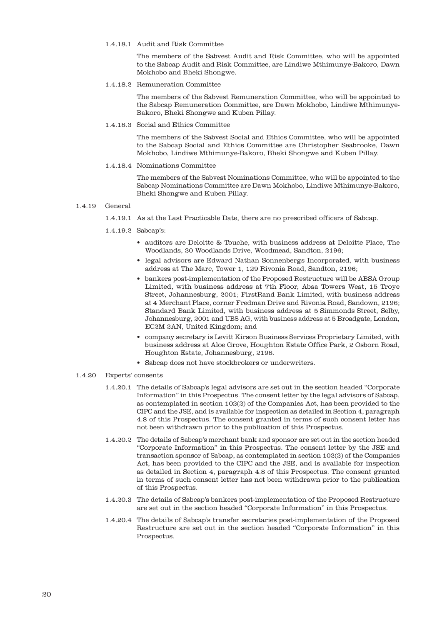## 1.4.18.1 Audit and Risk Committee

The members of the Sabvest Audit and Risk Committee, who will be appointed to the Sabcap Audit and Risk Committee, are Lindiwe Mthimunye-Bakoro, Dawn Mokhobo and Bheki Shongwe.

1.4.18.2 Remuneration Committee

The members of the Sabvest Remuneration Committee, who will be appointed to the Sabcap Remuneration Committee, are Dawn Mokhobo, Lindiwe Mthimunye-Bakoro, Bheki Shongwe and Kuben Pillay.

1.4.18.3 Social and Ethics Committee

The members of the Sabvest Social and Ethics Committee, who will be appointed to the Sabcap Social and Ethics Committee are Christopher Seabrooke, Dawn Mokhobo, Lindiwe Mthimunye-Bakoro, Bheki Shongwe and Kuben Pillay.

1.4.18.4 Nominations Committee

The members of the Sabvest Nominations Committee, who will be appointed to the Sabcap Nominations Committee are Dawn Mokhobo, Lindiwe Mthimunye-Bakoro, Bheki Shongwe and Kuben Pillay.

1.4.19 General

1.4.19.1 As at the Last Practicable Date, there are no prescribed officers of Sabcap.

- 1.4.19.2 Sabcap's:
	- auditors are Deloitte & Touche, with business address at Deloitte Place, The Woodlands, 20 Woodlands Drive, Woodmead, Sandton, 2196;
	- legal advisors are Edward Nathan Sonnenbergs Incorporated, with business address at The Marc, Tower 1, 129 Rivonia Road, Sandton, 2196;
	- bankers post-implementation of the Proposed Restructure will be ABSA Group Limited, with business address at 7th Floor, Absa Towers West, 15 Troye Street, Johannesburg, 2001; FirstRand Bank Limited, with business address at 4 Merchant Place, corner Fredman Drive and Rivonia Road, Sandown, 2196; Standard Bank Limited, with business address at 5 Simmonds Street, Selby, Johannesburg, 2001 and UBS AG, with business address at 5 Broadgate, London, EC2M 2AN, United Kingdom; and
	- company secretary is Levitt Kirson Business Services Proprietary Limited, with business address at Aloe Grove, Houghton Estate Office Park, 2 Osborn Road, Houghton Estate, Johannesburg, 2198.
	- Sabcap does not have stockbrokers or underwriters.
- 1.4.20 Experts' consents
	- 1.4.20.1 The details of Sabcap's legal advisors are set out in the section headed "Corporate Information" in this Prospectus. The consent letter by the legal advisors of Sabcap, as contemplated in section 102(2) of the Companies Act, has been provided to the CIPC and the JSE, and is available for inspection as detailed in Section 4, paragraph 4.8 of this Prospectus. The consent granted in terms of such consent letter has not been withdrawn prior to the publication of this Prospectus.
	- 1.4.20.2 The details of Sabcap's merchant bank and sponsor are set out in the section headed "Corporate Information" in this Prospectus. The consent letter by the JSE and transaction sponsor of Sabcap, as contemplated in section 102(2) of the Companies Act, has been provided to the CIPC and the JSE, and is available for inspection as detailed in Section 4, paragraph 4.8 of this Prospectus. The consent granted in terms of such consent letter has not been withdrawn prior to the publication of this Prospectus.
	- 1.4.20.3 The details of Sabcap's bankers post-implementation of the Proposed Restructure are set out in the section headed "Corporate Information" in this Prospectus.
	- 1.4.20.4 The details of Sabcap's transfer secretaries post-implementation of the Proposed Restructure are set out in the section headed "Corporate Information" in this Prospectus.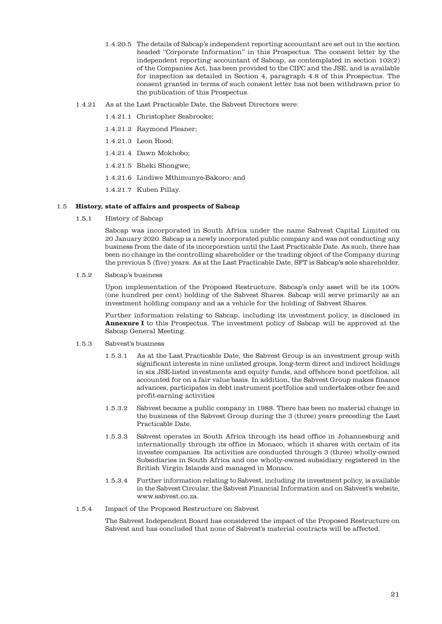- 1.4.20.5 The details of Sabcap's independent reporting accountant are set out in the section headed "Corporate Information" in this Prospectus. The consent letter by the independent reporting accountant of Sabcap, as contemplated in section 102(2) of the Companies Act, has been provided to the CIPC and the JSE, and is available for inspection as detailed in Section 4, paragraph 4.8 of this Prospectus. The consent granted in terms of such consent letter has not been withdrawn prior to the publication of this Prospectus.
- 1.4.21 As at the Last Practicable Date, the Sabvest Directors were:
	- 1.4.21.1 Christopher Seabrooke;
	- 1.4.21.2 Raymond Pleaner;
	- 1.4.21.3 Leon Rood;
	- 1.4.21.4 Dawn Mokhobo;
	- 1.4.21.5 Bheki Shongwe;
	- 1.4.21.6 Lindiwe Mthimunye-Bakoro; and
	- 1.4.21.7 Kuben Pillay.

#### 1.5 **History, state of affairs and prospects of Sabcap**

1.5.1 History of Sabcap

Sabcap was incorporated in South Africa under the name Sabvest Capital Limited on 20 January 2020. Sabcap is a newly incorporated public company and was not conducting any business from the date of its incorporation until the Last Practicable Date. As such, there has been no change in the controlling shareholder or the trading object of the Company during the previous 5 (five) years. As at the Last Practicable Date, SFT is Sabcap's sole shareholder.

1.5.2 Sabcap's business

Upon implementation of the Proposed Restructure, Sabcap's only asset will be its 100% (one hundred per cent) holding of the Sabvest Shares. Sabcap will serve primarily as an investment holding company and as a vehicle for the holding of Sabvest Shares.

Further information relating to Sabcap, including its investment policy, is disclosed in **Annexure I** to this Prospectus. The investment policy of Sabcap will be approved at the Sabcap General Meeting.

- 1.5.3 Sabvest's business
	- 1.5.3.1 As at the Last Practicable Date, the Sabvest Group is an investment group with significant interests in nine unlisted groups, long-term direct and indirect holdings in six JSE-listed investments and equity funds, and offshore bond portfolios, all accounted for on a fair value basis. In addition, the Sabvest Group makes finance advances, participates in debt instrument portfolios and undertakes other fee and profit-earning activities
	- 1.5.3.2 Sabvest became a public company in 1988. There has been no material change in the business of the Sabvest Group during the 3 (three) years preceding the Last Practicable Date.
	- 1.5.3.3 Sabvest operates in South Africa through its head office in Johannesburg and internationally through its office in Monaco, which it shares with certain of its investee companies. Its activities are conducted through 3 (three) wholly-owned Subsidiaries in South Africa and one wholly-owned subsidiary registered in the British Virgin Islands and managed in Monaco.
	- 1.5.3.4 Further information relating to Sabvest, including its investment policy, is available in the Sabvest Circular, the Sabvest Financial Information and on Sabvest's website, www.sabvest.co.za.
- 1.5.4 Impact of the Proposed Restructure on Sabvest

The Sabvest Independent Board has considered the impact of the Proposed Restructure on Sabvest and has concluded that none of Sabvest's material contracts will be affected.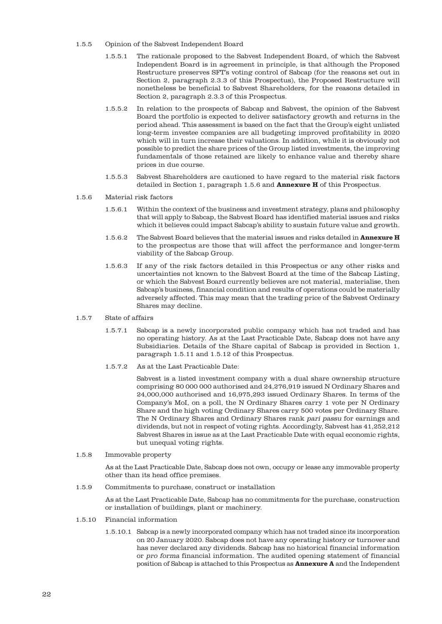- 1.5.5 Opinion of the Sabvest Independent Board
	- 1.5.5.1 The rationale proposed to the Sabvest Independent Board, of which the Sabvest Independent Board is in agreement in principle, is that although the Proposed Restructure preserves SFT's voting control of Sabcap (for the reasons set out in Section 2, paragraph 2.3.3 of this Prospectus), the Proposed Restructure will nonetheless be beneficial to Sabvest Shareholders, for the reasons detailed in Section 2, paragraph 2.3.3 of this Prospectus.
	- 1.5.5.2 In relation to the prospects of Sabcap and Sabvest, the opinion of the Sabvest Board the portfolio is expected to deliver satisfactory growth and returns in the period ahead. This assessment is based on the fact that the Group's eight unlisted long-term investee companies are all budgeting improved profitability in 2020 which will in turn increase their valuations. In addition, while it is obviously not possible to predict the share prices of the Group listed investments, the improving fundamentals of those retained are likely to enhance value and thereby share prices in due course.
	- 1.5.5.3 Sabvest Shareholders are cautioned to have regard to the material risk factors detailed in Section 1, paragraph 1.5.6 and **Annexure H** of this Prospectus.
- 1.5.6 Material risk factors
	- 1.5.6.1 Within the context of the business and investment strategy, plans and philosophy that will apply to Sabcap, the Sabvest Board has identified material issues and risks which it believes could impact Sabcap's ability to sustain future value and growth.
	- 1.5.6.2 The Sabvest Board believes that the material issues and risks detailed in **Annexure H** to the prospectus are those that will affect the performance and longer-term viability of the Sabcap Group.
	- 1.5.6.3 If any of the risk factors detailed in this Prospectus or any other risks and uncertainties not known to the Sabvest Board at the time of the Sabcap Listing, or which the Sabvest Board currently believes are not material, materialise, then Sabcap's business, financial condition and results of operations could be materially adversely affected. This may mean that the trading price of the Sabvest Ordinary Shares may decline.
- 1.5.7 State of affairs
	- 1.5.7.1 Sabcap is a newly incorporated public company which has not traded and has no operating history. As at the Last Practicable Date, Sabcap does not have any Subsidiaries. Details of the Share capital of Sabcap is provided in Section 1, paragraph 1.5.11 and 1.5.12 of this Prospectus.
	- 1.5.7.2 As at the Last Practicable Date:

Sabvest is a listed investment company with a dual share ownership structure comprising 80 000 000 authorised and 24,276,919 issued N Ordinary Shares and 24,000,000 authorised and 16,975,293 issued Ordinary Shares. In terms of the Company's MoI, on a poll, the N Ordinary Shares carry 1 vote per N Ordinary Share and the high voting Ordinary Shares carry 500 votes per Ordinary Share. The N Ordinary Shares and Ordinary Shares rank pari passu for earnings and dividends, but not in respect of voting rights. Accordingly, Sabvest has 41,252,212 Sabvest Shares in issue as at the Last Practicable Date with equal economic rights, but unequal voting rights.

1.5.8 Immovable property

As at the Last Practicable Date, Sabcap does not own, occupy or lease any immovable property other than its head office premises.

1.5.9 Commitments to purchase, construct or installation

As at the Last Practicable Date, Sabcap has no commitments for the purchase, construction or installation of buildings, plant or machinery.

- 1.5.10 Financial information
	- 1.5.10.1 Sabcap is a newly incorporated company which has not traded since its incorporation on 20 January 2020. Sabcap does not have any operating history or turnover and has never declared any dividends. Sabcap has no historical financial information or pro forma financial information. The audited opening statement of financial position of Sabcap is attached to this Prospectus as **Annexure A** and the Independent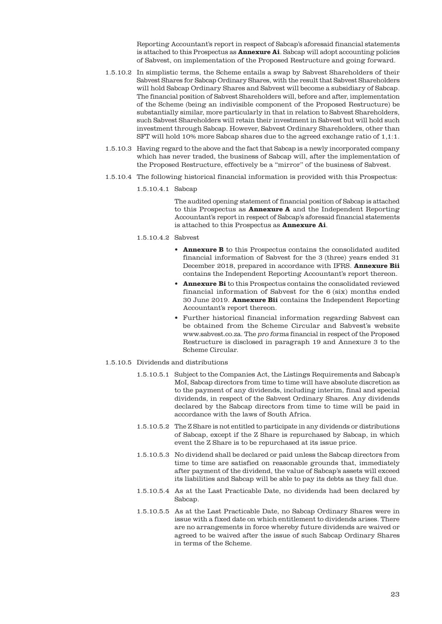Reporting Accountant's report in respect of Sabcap's aforesaid financial statements is attached to this Prospectus as **Annexure Ai**. Sabcap will adopt accounting policies of Sabvest, on implementation of the Proposed Restructure and going forward.

- 1.5.10.2 In simplistic terms, the Scheme entails a swap by Sabvest Shareholders of their Sabvest Shares for Sabcap Ordinary Shares, with the result that Sabvest Shareholders will hold Sabcap Ordinary Shares and Sabvest will become a subsidiary of Sabcap. The financial position of Sabvest Shareholders will, before and after, implementation of the Scheme (being an indivisible component of the Proposed Restructure) be substantially similar, more particularly in that in relation to Sabvest Shareholders, such Sabvest Shareholders will retain their investment in Sabvest but will hold such investment through Sabcap. However, Sabvest Ordinary Shareholders, other than SFT will hold 10% more Sabcap shares due to the agreed exchange ratio of 1,1:1.
- 1.5.10.3 Having regard to the above and the fact that Sabcap is a newly incorporated company which has never traded, the business of Sabcap will, after the implementation of the Proposed Restructure, effectively be a "mirror" of the business of Sabvest.
- 1.5.10.4 The following historical financial information is provided with this Prospectus:
	- 1.5.10.4.1 Sabcap

The audited opening statement of financial position of Sabcap is attached to this Prospectus as **Annexure A** and the Independent Reporting Accountant's report in respect of Sabcap's aforesaid financial statements is attached to this Prospectus as **Annexure Ai**.

- 1.5.10.4.2 Sabvest
	- **Annexure B** to this Prospectus contains the consolidated audited financial information of Sabvest for the 3 (three) years ended 31 December 2018, prepared in accordance with IFRS. **Annexure Bii** contains the Independent Reporting Accountant's report thereon.
	- **Annexure Bi** to this Prospectus contains the consolidated reviewed financial information of Sabvest for the 6 (six) months ended 30 June 2019. **Annexure Bii** contains the Independent Reporting Accountant's report thereon.
	- Further historical financial information regarding Sabvest can be obtained from the Scheme Circular and Sabvest's website www.sabvest.co.za. The pro forma financial in respect of the Proposed Restructure is disclosed in paragraph 19 and Annexure 3 to the Scheme Circular.
- 1.5.10.5 Dividends and distributions
	- 1.5.10.5.1 Subject to the Companies Act, the Listings Requirements and Sabcap's MoI, Sabcap directors from time to time will have absolute discretion as to the payment of any dividends, including interim, final and special dividends, in respect of the Sabvest Ordinary Shares. Any dividends declared by the Sabcap directors from time to time will be paid in accordance with the laws of South Africa.
	- 1.5.10.5.2 The Z Share is not entitled to participate in any dividends or distributions of Sabcap, except if the Z Share is repurchased by Sabcap, in which event the Z Share is to be repurchased at its issue price.
	- 1.5.10.5.3 No dividend shall be declared or paid unless the Sabcap directors from time to time are satisfied on reasonable grounds that, immediately after payment of the dividend, the value of Sabcap's assets will exceed its liabilities and Sabcap will be able to pay its debts as they fall due.
	- 1.5.10.5.4 As at the Last Practicable Date, no dividends had been declared by Sabcap.
	- 1.5.10.5.5 As at the Last Practicable Date, no Sabcap Ordinary Shares were in issue with a fixed date on which entitlement to dividends arises. There are no arrangements in force whereby future dividends are waived or agreed to be waived after the issue of such Sabcap Ordinary Shares in terms of the Scheme.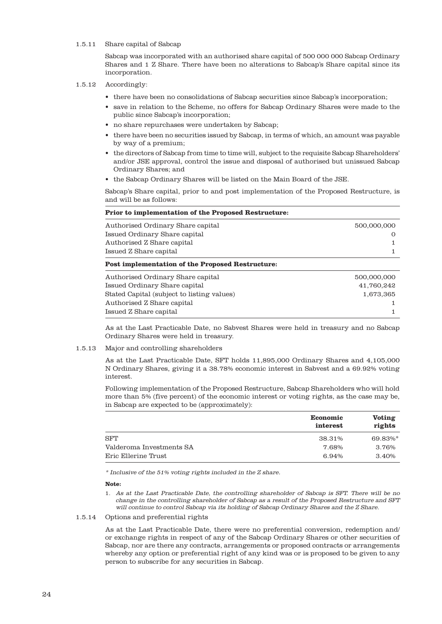## 1.5.11 Share capital of Sabcap

Sabcap was incorporated with an authorised share capital of 500 000 000 Sabcap Ordinary Shares and 1 Z Share. There have been no alterations to Sabcap's Share capital since its incorporation.

## 1.5.12 Accordingly:

- there have been no consolidations of Sabcap securities since Sabcap's incorporation;
- save in relation to the Scheme, no offers for Sabcap Ordinary Shares were made to the public since Sabcap's incorporation;
- no share repurchases were undertaken by Sabcap;
- there have been no securities issued by Sabcap, in terms of which, an amount was payable by way of a premium;
- the directors of Sabcap from time to time will, subject to the requisite Sabcap Shareholders' and/or JSE approval, control the issue and disposal of authorised but unissued Sabcap Ordinary Shares; and
- the Sabcap Ordinary Shares will be listed on the Main Board of the JSE.

Sabcap's Share capital, prior to and post implementation of the Proposed Restructure, is and will be as follows:

| <b>Prior to implementation of the Proposed Restructure:</b> |             |  |  |
|-------------------------------------------------------------|-------------|--|--|
| Authorised Ordinary Share capital                           | 500,000,000 |  |  |
| Issued Ordinary Share capital                               |             |  |  |
| Authorised Z Share capital                                  |             |  |  |
| Issued Z Share capital                                      |             |  |  |
| <b>Post implementation of the Proposed Restructure:</b>     |             |  |  |
| Authorised Ordinary Share capital                           | 500,000,000 |  |  |
| Issued Ordinary Share capital                               | 41,760,242  |  |  |
| Stated Capital (subject to listing values)                  | 1,673,365   |  |  |
| Authorised Z Share capital                                  |             |  |  |
| Issued Z Share capital                                      |             |  |  |

As at the Last Practicable Date, no Sabvest Shares were held in treasury and no Sabcap Ordinary Shares were held in treasury.

#### 1.5.13 Major and controlling shareholders

As at the Last Practicable Date, SFT holds 11,895,000 Ordinary Shares and 4,105,000 N Ordinary Shares, giving it a 38.78% economic interest in Sabvest and a 69.92% voting interest.

Following implementation of the Proposed Restructure, Sabcap Shareholders who will hold more than 5% (five percent) of the economic interest or voting rights, as the case may be, in Sabcap are expected to be (approximately):

|                          | <b>Economic</b><br>interest | Voting<br>rights |
|--------------------------|-----------------------------|------------------|
| <b>SFT</b>               | 38.31%                      | 69.83%*          |
| Valderoma Investments SA | 7.68%                       | 3.76%            |
| Eric Ellerine Trust      | 6.94%                       | 3.40%            |

\* Inclusive of the 51% voting rights included in the Z share.

#### **Note:**

1. As at the Last Practicable Date, the controlling shareholder of Sabcap is SFT. There will be no change in the controlling shareholder of Sabcap as a result of the Proposed Restructure and SFT will continue to control Sabcap via its holding of Sabcap Ordinary Shares and the Z Share.

#### 1.5.14 Options and preferential rights

As at the Last Practicable Date, there were no preferential conversion, redemption and/ or exchange rights in respect of any of the Sabcap Ordinary Shares or other securities of Sabcap, nor are there any contracts, arrangements or proposed contracts or arrangements whereby any option or preferential right of any kind was or is proposed to be given to any person to subscribe for any securities in Sabcap.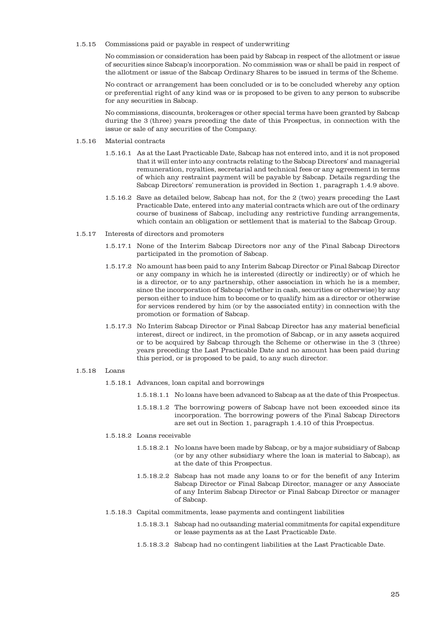1.5.15 Commissions paid or payable in respect of underwriting

No commission or consideration has been paid by Sabcap in respect of the allotment or issue of securities since Sabcap's incorporation. No commission was or shall be paid in respect of the allotment or issue of the Sabcap Ordinary Shares to be issued in terms of the Scheme.

No contract or arrangement has been concluded or is to be concluded whereby any option or preferential right of any kind was or is proposed to be given to any person to subscribe for any securities in Sabcap.

No commissions, discounts, brokerages or other special terms have been granted by Sabcap during the 3 (three) years preceding the date of this Prospectus, in connection with the issue or sale of any securities of the Company.

- 1.5.16 Material contracts
	- 1.5.16.1 As at the Last Practicable Date, Sabcap has not entered into, and it is not proposed that it will enter into any contracts relating to the Sabcap Directors' and managerial remuneration, royalties, secretarial and technical fees or any agreement in terms of which any restraint payment will be payable by Sabcap. Details regarding the Sabcap Directors' remuneration is provided in Section 1, paragraph 1.4.9 above.
	- 1.5.16.2 Save as detailed below, Sabcap has not, for the 2 (two) years preceding the Last Practicable Date, entered into any material contracts which are out of the ordinary course of business of Sabcap, including any restrictive funding arrangements, which contain an obligation or settlement that is material to the Sabcap Group.
- 1.5.17 Interests of directors and promoters
	- 1.5.17.1 None of the Interim Sabcap Directors nor any of the Final Sabcap Directors participated in the promotion of Sabcap.
	- 1.5.17.2 No amount has been paid to any Interim Sabcap Director or Final Sabcap Director or any company in which he is interested (directly or indirectly) or of which he is a director, or to any partnership, other association in which he is a member, since the incorporation of Sabcap (whether in cash, securities or otherwise) by any person either to induce him to become or to qualify him as a director or otherwise for services rendered by him (or by the associated entity) in connection with the promotion or formation of Sabcap.
	- 1.5.17.3 No Interim Sabcap Director or Final Sabcap Director has any material beneficial interest, direct or indirect, in the promotion of Sabcap, or in any assets acquired or to be acquired by Sabcap through the Scheme or otherwise in the 3 (three) years preceding the Last Practicable Date and no amount has been paid during this period, or is proposed to be paid, to any such director.

## 1.5.18 Loans

- 1.5.18.1 Advances, loan capital and borrowings
	- 1.5.18.1.1 No loans have been advanced to Sabcap as at the date of this Prospectus.
	- 1.5.18.1.2 The borrowing powers of Sabcap have not been exceeded since its incorporation. The borrowing powers of the Final Sabcap Directors are set out in Section 1, paragraph 1.4.10 of this Prospectus.
- 1.5.18.2 Loans receivable
	- 1.5.18.2.1 No loans have been made by Sabcap, or by a major subsidiary of Sabcap (or by any other subsidiary where the loan is material to Sabcap), as at the date of this Prospectus.
	- 1.5.18.2.2 Sabcap has not made any loans to or for the benefit of any Interim Sabcap Director or Final Sabcap Director, manager or any Associate of any Interim Sabcap Director or Final Sabcap Director or manager of Sabcap.
- 1.5.18.3 Capital commitments, lease payments and contingent liabilities
	- 1.5.18.3.1 Sabcap had no outsanding material commitments for capital expenditure or lease payments as at the Last Practicable Date.
	- 1.5.18.3.2 Sabcap had no contingent liabilities at the Last Practicable Date.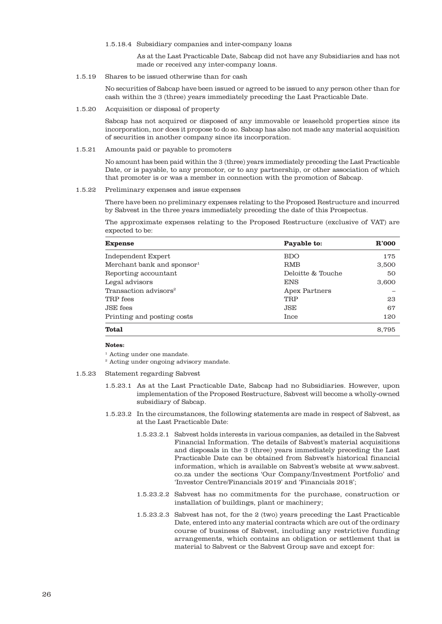1.5.18.4 Subsidiary companies and inter-company loans

As at the Last Practicable Date, Sabcap did not have any Subsidiaries and has not made or received any inter-company loans.

1.5.19 Shares to be issued otherwise than for cash

No securities of Sabcap have been issued or agreed to be issued to any person other than for cash within the 3 (three) years immediately preceding the Last Practicable Date.

1.5.20 Acquisition or disposal of property

Sabcap has not acquired or disposed of any immovable or leasehold properties since its incorporation, nor does it propose to do so. Sabcap has also not made any material acquisition of securities in another company since its incorporation.

1.5.21 Amounts paid or payable to promoters

No amount has been paid within the 3 (three) years immediately preceding the Last Practicable Date, or is payable, to any promotor, or to any partnership, or other association of which that promoter is or was a member in connection with the promotion of Sabcap.

1.5.22 Preliminary expenses and issue expenses

There have been no preliminary expenses relating to the Proposed Restructure and incurred by Sabvest in the three years immediately preceding the date of this Prospectus.

The approximate expenses relating to the Proposed Restructure (exclusive of VAT) are expected to be:

| <b>Expense</b>                         | Payable to:       | R'000 |
|----------------------------------------|-------------------|-------|
| Independent Expert                     | <b>BDO</b>        | 175   |
| Merchant bank and sponsor <sup>1</sup> | RMB               | 3,500 |
| Reporting accountant                   | Deloitte & Touche | 50    |
| Legal advisors                         | <b>ENS</b>        | 3,600 |
| Transaction advisors <sup>2</sup>      | Apex Partners     |       |
| TRP fees                               | <b>TRP</b>        | 23    |
| JSE fees                               | JSE               | 67    |
| Printing and posting costs             | Ince              | 120   |
| <b>Total</b>                           |                   | 8.795 |

#### **Notes:**

<sup>1</sup> Acting under one mandate.

<sup>2</sup> Acting under ongoing advisory mandate.

- 1.5.23 Statement regarding Sabvest
	- 1.5.23.1 As at the Last Practicable Date, Sabcap had no Subsidiaries. However, upon implementation of the Proposed Restructure, Sabvest will become a wholly-owned subsidiary of Sabcap.
	- 1.5.23.2 In the circumstances, the following statements are made in respect of Sabvest, as at the Last Practicable Date:
		- 1.5.23.2.1 Sabvest holds interests in various companies, as detailed in the Sabvest Financial Information. The details of Sabvest's material acquisitions and disposals in the 3 (three) years immediately preceding the Last Practicable Date can be obtained from Sabvest's historical financial information, which is available on Sabvest's website at www.sabvest. co.za under the sections 'Our Company/Investment Portfolio' and 'Investor Centre/Financials 2019' and 'Financials 2018';
		- 1.5.23.2.2 Sabvest has no commitments for the purchase, construction or installation of buildings, plant or machinery;
		- 1.5.23.2.3 Sabvest has not, for the 2 (two) years preceding the Last Practicable Date, entered into any material contracts which are out of the ordinary course of business of Sabvest, including any restrictive funding arrangements, which contains an obligation or settlement that is material to Sabvest or the Sabvest Group save and except for: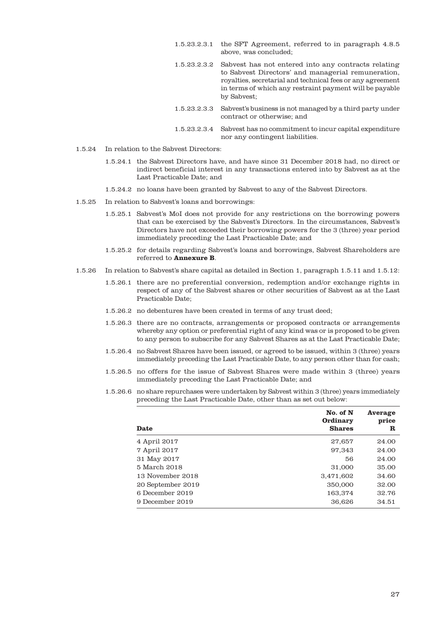- 1.5.23.2.3.1 the SFT Agreement, referred to in paragraph 4.8.5 above, was concluded;
- 1.5.23.2.3.2 Sabvest has not entered into any contracts relating to Sabvest Directors' and managerial remuneration, royalties, secretarial and technical fees or any agreement in terms of which any restraint payment will be payable by Sabvest;
- 1.5.23.2.3.3 Sabvest's business is not managed by a third party under contract or otherwise; and
- 1.5.23.2.3.4 Sabvest has no commitment to incur capital expenditure nor any contingent liabilities.
- 1.5.24 In relation to the Sabvest Directors:
	- 1.5.24.1 the Sabvest Directors have, and have since 31 December 2018 had, no direct or indirect beneficial interest in any transactions entered into by Sabvest as at the Last Practicable Date; and
	- 1.5.24.2 no loans have been granted by Sabvest to any of the Sabvest Directors.
- 1.5.25 In relation to Sabvest's loans and borrowings:
	- 1.5.25.1 Sabvest's MoI does not provide for any restrictions on the borrowing powers that can be exercised by the Sabvest's Directors. In the circumstances, Sabvest's Directors have not exceeded their borrowing powers for the 3 (three) year period immediately preceding the Last Practicable Date; and
	- 1.5.25.2 for details regarding Sabvest's loans and borrowings, Sabvest Shareholders are referred to **Annexure B**.
- 1.5.26 In relation to Sabvest's share capital as detailed in Section 1, paragraph 1.5.11 and 1.5.12:
	- 1.5.26.1 there are no preferential conversion, redemption and/or exchange rights in respect of any of the Sabvest shares or other securities of Sabvest as at the Last Practicable Date;
	- 1.5.26.2 no debentures have been created in terms of any trust deed;
	- 1.5.26.3 there are no contracts, arrangements or proposed contracts or arrangements whereby any option or preferential right of any kind was or is proposed to be given to any person to subscribe for any Sabvest Shares as at the Last Practicable Date;
	- 1.5.26.4 no Sabvest Shares have been issued, or agreed to be issued, within 3 (three) years immediately preceding the Last Practicable Date, to any person other than for cash;
	- 1.5.26.5 no offers for the issue of Sabvest Shares were made within 3 (three) years immediately preceding the Last Practicable Date; and
	- 1.5.26.6 no share repurchases were undertaken by Sabvest within 3 (three) years immediately preceding the Last Practicable Date, other than as set out below:

| Date              | No. of N<br><b>Ordinary</b><br><b>Shares</b> | Average<br>price<br>R |
|-------------------|----------------------------------------------|-----------------------|
| 4 April 2017      | 27,657                                       | 24.00                 |
| 7 April 2017      | 97,343                                       | 24.00                 |
| 31 May 2017       | 56                                           | 24.00                 |
| 5 March 2018      | 31,000                                       | 35.00                 |
| 13 November 2018  | 3,471,602                                    | 34.60                 |
| 20 September 2019 | 350,000                                      | 32.00                 |
| 6 December 2019   | 163,374                                      | 32.76                 |
| 9 December 2019   | 36,626                                       | 34.51                 |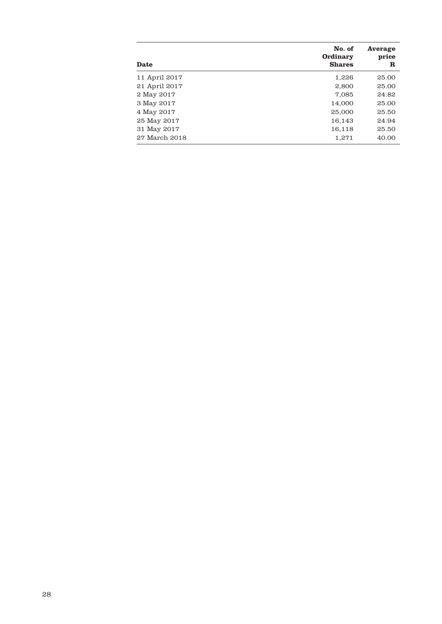| Date          | No. of<br><b>Ordinary</b><br><b>Shares</b> | Average<br>price<br>R |
|---------------|--------------------------------------------|-----------------------|
| 11 April 2017 | 1,226                                      | 25.00                 |
| 21 April 2017 | 2,800                                      | 25.00                 |
| 2 May 2017    | 7,085                                      | 24.82                 |
| 3 May 2017    | 14,000                                     | 25.00                 |
| 4 May 2017    | 25,000                                     | 25.50                 |
| 25 May 2017   | 16,143                                     | 24.94                 |
| 31 May 2017   | 16,118                                     | 25.50                 |
| 27 March 2018 | 1,271                                      | 40.00                 |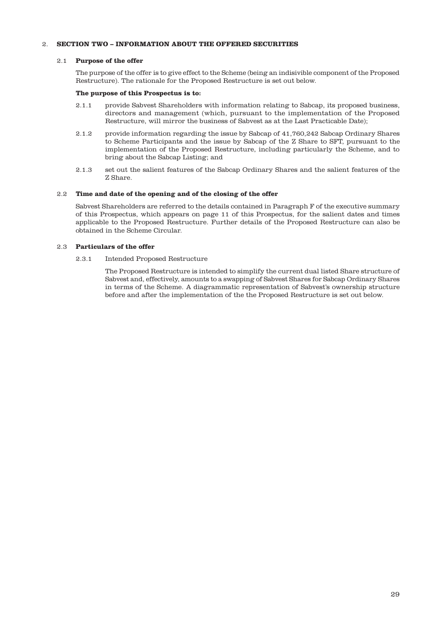# 2. **SECTION TWO – INFORMATION ABOUT THE OFFERED SECURITIES**

#### 2.1 **Purpose of the offer**

The purpose of the offer is to give effect to the Scheme (being an indisivible component of the Proposed Restructure). The rationale for the Proposed Restructure is set out below.

## **The purpose of this Prospectus is to:**

- 2.1.1 provide Sabvest Shareholders with information relating to Sabcap, its proposed business, directors and management (which, pursuant to the implementation of the Proposed Restructure, will mirror the business of Sabvest as at the Last Practicable Date);
- 2.1.2 provide information regarding the issue by Sabcap of 41,760,242 Sabcap Ordinary Shares to Scheme Participants and the issue by Sabcap of the Z Share to SFT, pursuant to the implementation of the Proposed Restructure, including particularly the Scheme, and to bring about the Sabcap Listing; and
- 2.1.3 set out the salient features of the Sabcap Ordinary Shares and the salient features of the Z Share.

## 2.2 **Time and date of the opening and of the closing of the offer**

Sabvest Shareholders are referred to the details contained in Paragraph F of the executive summary of this Prospectus, which appears on page 11 of this Prospectus, for the salient dates and times applicable to the Proposed Restructure. Further details of the Proposed Restructure can also be obtained in the Scheme Circular.

## 2.3 **Particulars of the offer**

## 2.3.1 Intended Proposed Restructure

The Proposed Restructure is intended to simplify the current dual listed Share structure of Sabvest and, effectively, amounts to a swapping of Sabvest Shares for Sabcap Ordinary Shares in terms of the Scheme. A diagrammatic representation of Sabvest's ownership structure before and after the implementation of the the Proposed Restructure is set out below.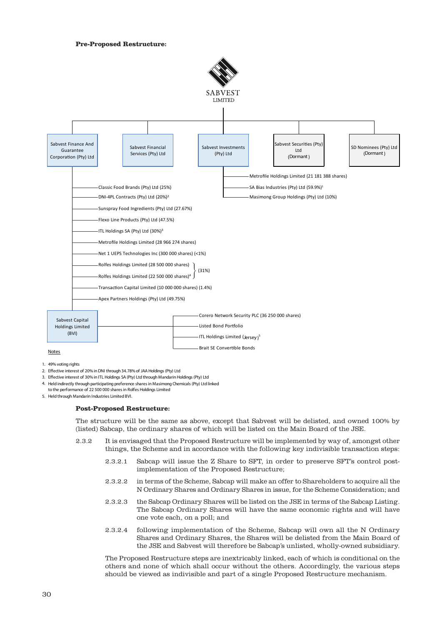#### **Pre-Proposed Restructure:**





- 1. 49%voting rights
- 2. Effective interest of 20% in DNI through 34.78% of JAA Holdings (Pty) Ltd
- 3. Effective interest of 30% in ITL Holdings SA (Pty) Ltd through Mandarin Holdings (Pty) Ltd
- 4. Held indirectly through participating preference shares in Masimong Chemicals (Pty) Ltd linked
- 5. Held through Mandarin Industries Limited BVI. to the performance of 22 500 000 shares in Rolfes Holdings Limited

#### **Post-Proposed Restructure:**

The structure will be the same as above, except that Sabvest will be delisted, and owned 100% by (listed) Sabcap, the ordinary shares of which will be listed on the Main Board of the JSE.

- 2.3.2 It is envisaged that the Proposed Restructure will be implemented by way of, amongst other things, the Scheme and in accordance with the following key indivisible transaction steps:
	- 2.3.2.1 Sabcap will issue the Z Share to SFT, in order to preserve SFT's control postimplementation of the Proposed Restructure;
	- 2.3.2.2 in terms of the Scheme, Sabcap will make an offer to Shareholders to acquire all the N Ordinary Shares and Ordinary Shares in issue, for the Scheme Consideration; and
	- 2.3.2.3 the Sabcap Ordinary Shares will be listed on the JSE in terms of the Sabcap Listing. The Sabcap Ordinary Shares will have the same economic rights and will have one vote each, on a poll; and
	- 2.3.2.4 following implementation of the Scheme, Sabcap will own all the N Ordinary Shares and Ordinary Shares, the Shares will be delisted from the Main Board of the JSE and Sabvest will therefore be Sabcap's unlisted, wholly-owned subsidiary.

The Proposed Restructure steps are inextricably linked, each of which is conditional on the others and none of which shall occur without the others. Accordingly, the various steps should be viewed as indivisible and part of a single Proposed Restructure mechanism.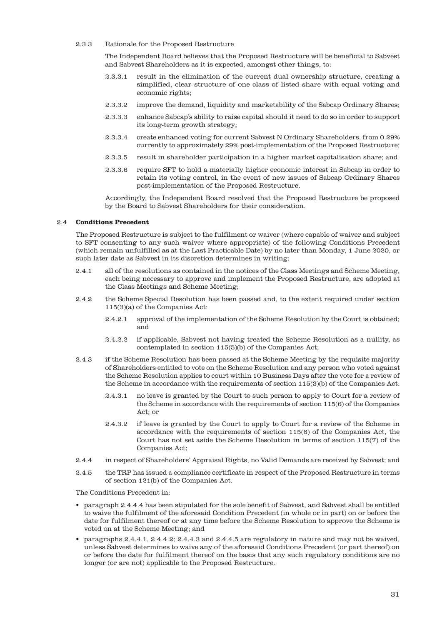2.3.3 Rationale for the Proposed Restructure

The Independent Board believes that the Proposed Restructure will be beneficial to Sabvest and Sabvest Shareholders as it is expected, amongst other things, to:

- 2.3.3.1 result in the elimination of the current dual ownership structure, creating a simplified, clear structure of one class of listed share with equal voting and economic rights;
- 2.3.3.2 improve the demand, liquidity and marketability of the Sabcap Ordinary Shares;
- 2.3.3.3 enhance Sabcap's ability to raise capital should it need to do so in order to support its long-term growth strategy;
- 2.3.3.4 create enhanced voting for current Sabvest N Ordinary Shareholders, from 0.29% currently to approximately 29% post-implementation of the Proposed Restructure;
- 2.3.3.5 result in shareholder participation in a higher market capitalisation share; and
- 2.3.3.6 require SFT to hold a materially higher economic interest in Sabcap in order to retain its voting control, in the event of new issues of Sabcap Ordinary Shares post-implementation of the Proposed Restructure.

Accordingly, the Independent Board resolved that the Proposed Restructure be proposed by the Board to Sabvest Shareholders for their consideration.

## 2.4 **Conditions Precedent**

The Proposed Restructure is subject to the fulfilment or waiver (where capable of waiver and subject to SFT consenting to any such waiver where appropriate) of the following Conditions Precedent (which remain unfulfilled as at the Last Practicable Date) by no later than Monday, 1 June 2020, or such later date as Sabvest in its discretion determines in writing:

- 2.4.1 all of the resolutions as contained in the notices of the Class Meetings and Scheme Meeting, each being necessary to approve and implement the Proposed Restructure, are adopted at the Class Meetings and Scheme Meeting;
- 2.4.2 the Scheme Special Resolution has been passed and, to the extent required under section 115(3)(a) of the Companies Act:
	- 2.4.2.1 approval of the implementation of the Scheme Resolution by the Court is obtained; and
	- 2.4.2.2 if applicable, Sabvest not having treated the Scheme Resolution as a nullity, as contemplated in section 115(5)(b) of the Companies Act;
- 2.4.3 if the Scheme Resolution has been passed at the Scheme Meeting by the requisite majority of Shareholders entitled to vote on the Scheme Resolution and any person who voted against the Scheme Resolution applies to court within 10 Business Days after the vote for a review of the Scheme in accordance with the requirements of section 115(3)(b) of the Companies Act:
	- 2.4.3.1 no leave is granted by the Court to such person to apply to Court for a review of the Scheme in accordance with the requirements of section 115(6) of the Companies Act; or
	- 2.4.3.2 if leave is granted by the Court to apply to Court for a review of the Scheme in accordance with the requirements of section 115(6) of the Companies Act, the Court has not set aside the Scheme Resolution in terms of section 115(7) of the Companies Act;
- 2.4.4 in respect of Shareholders' Appraisal Rights, no Valid Demands are received by Sabvest; and
- 2.4.5 the TRP has issued a compliance certificate in respect of the Proposed Restructure in terms of section 121(b) of the Companies Act.

The Conditions Precedent in:

- paragraph 2.4.4.4 has been stipulated for the sole benefit of Sabvest, and Sabvest shall be entitled to waive the fulfilment of the aforesaid Condition Precedent (in whole or in part) on or before the date for fulfilment thereof or at any time before the Scheme Resolution to approve the Scheme is voted on at the Scheme Meeting; and
- paragraphs 2.4.4.1, 2.4.4.2; 2.4.4.3 and 2.4.4.5 are regulatory in nature and may not be waived, unless Sabvest determines to waive any of the aforesaid Conditions Precedent (or part thereof) on or before the date for fulfilment thereof on the basis that any such regulatory conditions are no longer (or are not) applicable to the Proposed Restructure.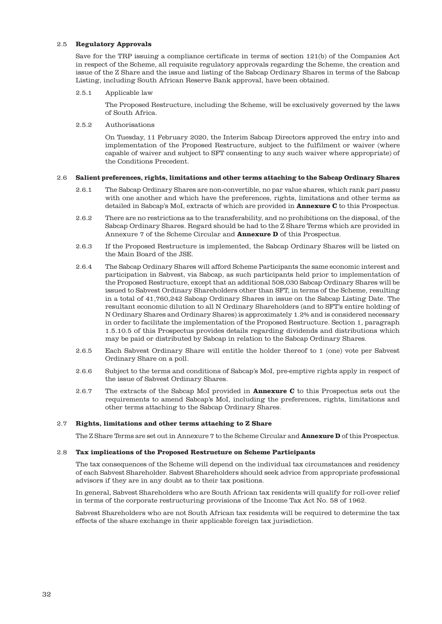## 2.5 **Regulatory Approvals**

Save for the TRP issuing a compliance certificate in terms of section 121(b) of the Companies Act in respect of the Scheme, all requisite regulatory approvals regarding the Scheme, the creation and issue of the Z Share and the issue and listing of the Sabcap Ordinary Shares in terms of the Sabcap Listing, including South African Reserve Bank approval, have been obtained.

### 2.5.1 Applicable law

The Proposed Restructure, including the Scheme, will be exclusively governed by the laws of South Africa.

2.5.2 Authorisations

On Tuesday, 11 February 2020, the Interim Sabcap Directors approved the entry into and implementation of the Proposed Restructure, subject to the fulfilment or waiver (where capable of waiver and subject to SFT consenting to any such waiver where appropriate) of the Conditions Precedent.

#### 2.6 **Salient preferences, rights, limitations and other terms attaching to the Sabcap Ordinary Shares**

- 2.6.1 The Sabcap Ordinary Shares are non-convertible, no par value shares, which rank pari passu with one another and which have the preferences, rights, limitations and other terms as detailed in Sabcap's MoI, extracts of which are provided in **Annexure C** to this Prospectus.
- 2.6.2 There are no restrictions as to the transferability, and no prohibitions on the disposal, of the Sabcap Ordinary Shares. Regard should be had to the Z Share Terms which are provided in Annexure 7 of the Scheme Circular and **Annexure D** of this Prospectus.
- 2.6.3 If the Proposed Restructure is implemented, the Sabcap Ordinary Shares will be listed on the Main Board of the JSE.
- 2.6.4 The Sabcap Ordinary Shares will afford Scheme Participants the same economic interest and participation in Sabvest, via Sabcap, as such participants held prior to implementation of the Proposed Restructure, except that an additional 508,030 Sabcap Ordinary Shares will be issued to Sabvest Ordinary Shareholders other than SFT, in terms of the Scheme, resulting in a total of 41,760,242 Sabcap Ordinary Shares in issue on the Sabcap Listing Date. The resultant economic dilution to all N Ordinary Shareholders (and to SFT's entire holding of N Ordinary Shares and Ordinary Shares) is approximately 1.2% and is considered necessary in order to facilitate the implementation of the Proposed Restructure. Section 1, paragraph 1.5.10.5 of this Prospectus provides details regarding dividends and distributions which may be paid or distributed by Sabcap in relation to the Sabcap Ordinary Shares.
- 2.6.5 Each Sabvest Ordinary Share will entitle the holder thereof to 1 (one) vote per Sabvest Ordinary Share on a poll.
- 2.6.6 Subject to the terms and conditions of Sabcap's MoI, pre-emptive rights apply in respect of the issue of Sabvest Ordinary Shares.
- 2.6.7 The extracts of the Sabcap MoI provided in **Annexure C** to this Prospectus sets out the requirements to amend Sabcap's MoI, including the preferences, rights, limitations and other terms attaching to the Sabcap Ordinary Shares.

## 2.7 **Rights, limitations and other terms attaching to Z Share**

The Z Share Terms are set out in Annexure 7 to the Scheme Circular and **Annexure D** of this Prospectus.

#### 2.8 **Tax implications of the Proposed Restructure on Scheme Participants**

The tax consequences of the Scheme will depend on the individual tax circumstances and residency of each Sabvest Shareholder. Sabvest Shareholders should seek advice from appropriate professional advisors if they are in any doubt as to their tax positions.

In general, Sabvest Shareholders who are South African tax residents will qualify for roll-over relief in terms of the corporate restructuring provisions of the Income Tax Act No. 58 of 1962.

Sabvest Shareholders who are not South African tax residents will be required to determine the tax effects of the share exchange in their applicable foreign tax jurisdiction.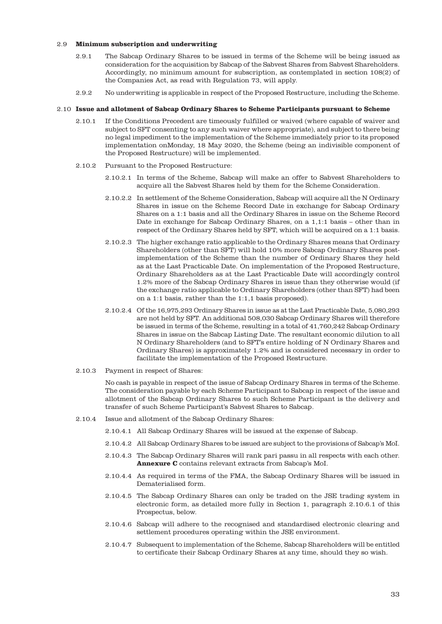### 2.9 **Minimum subscription and underwriting**

- 2.9.1 The Sabcap Ordinary Shares to be issued in terms of the Scheme will be being issued as consideration for the acquisition by Sabcap of the Sabvest Shares from Sabvest Shareholders. Accordingly, no minimum amount for subscription, as contemplated in section 108(2) of the Companies Act, as read with Regulation 73, will apply.
- 2.9.2 No underwriting is applicable in respect of the Proposed Restructure, including the Scheme.

#### 2.10 **Issue and allotment of Sabcap Ordinary Shares to Scheme Participants pursuant to Scheme**

- 2.10.1 If the Conditions Precedent are timeously fulfilled or waived (where capable of waiver and subject to SFT consenting to any such waiver where appropriate), and subject to there being no legal impediment to the implementation of the Scheme immediately prior to its proposed implementation onMonday, 18 May 2020, the Scheme (being an indivisible component of the Proposed Restructure) will be implemented.
- 2.10.2 Pursuant to the Proposed Restructure:
	- 2.10.2.1 In terms of the Scheme, Sabcap will make an offer to Sabvest Shareholders to acquire all the Sabvest Shares held by them for the Scheme Consideration.
	- 2.10.2.2 In settlement of the Scheme Consideration, Sabcap will acquire all the N Ordinary Shares in issue on the Scheme Record Date in exchange for Sabcap Ordinary Shares on a 1:1 basis and all the Ordinary Shares in issue on the Scheme Record Date in exchange for Sabcap Ordinary Shares, on a 1,1:1 basis – other than in respect of the Ordinary Shares held by SFT, which will be acquired on a 1:1 basis.
	- 2.10.2.3 The higher exchange ratio applicable to the Ordinary Shares means that Ordinary Shareholders (other than SFT) will hold 10% more Sabcap Ordinary Shares postimplementation of the Scheme than the number of Ordinary Shares they held as at the Last Practicable Date. On implementation of the Proposed Restructure, Ordinary Shareholders as at the Last Practicable Date will accordingly control 1.2% more of the Sabcap Ordinary Shares in issue than they otherwise would (if the exchange ratio applicable to Ordinary Shareholders (other than SFT) had been on a 1:1 basis, rather than the 1:1,1 basis proposed).
	- 2.10.2.4 Of the 16,975,293 Ordinary Shares in issue as at the Last Practicable Date, 5,080,293 are not held by SFT. An additional 508,030 Sabcap Ordinary Shares will therefore be issued in terms of the Scheme, resulting in a total of 41,760,242 Sabcap Ordinary Shares in issue on the Sabcap Listing Date. The resultant economic dilution to all N Ordinary Shareholders (and to SFT's entire holding of N Ordinary Shares and Ordinary Shares) is approximately 1.2% and is considered necessary in order to facilitate the implementation of the Proposed Restructure.
- 2.10.3 Payment in respect of Shares:

No cash is payable in respect of the issue of Sabcap Ordinary Shares in terms of the Scheme. The consideration payable by each Scheme Participant to Sabcap in respect of the issue and allotment of the Sabcap Ordinary Shares to such Scheme Participant is the delivery and transfer of such Scheme Participant's Sabvest Shares to Sabcap.

- 2.10.4 Issue and allotment of the Sabcap Ordinary Shares:
	- 2.10.4.1 All Sabcap Ordinary Shares will be issued at the expense of Sabcap.
	- 2.10.4.2 All Sabcap Ordinary Shares to be issued are subject to the provisions of Sabcap's MoI.
	- 2.10.4.3 The Sabcap Ordinary Shares will rank pari passu in all respects with each other. **Annexure C** contains relevant extracts from Sabcap's MoI.
	- 2.10.4.4 As required in terms of the FMA, the Sabcap Ordinary Shares will be issued in Dematerialised form.
	- 2.10.4.5 The Sabcap Ordinary Shares can only be traded on the JSE trading system in electronic form, as detailed more fully in Section 1, paragraph 2.10.6.1 of this Prospectus, below.
	- 2.10.4.6 Sabcap will adhere to the recognised and standardised electronic clearing and settlement procedures operating within the JSE environment.
	- 2.10.4.7 Subsequent to implementation of the Scheme, Sabcap Shareholders will be entitled to certificate their Sabcap Ordinary Shares at any time, should they so wish.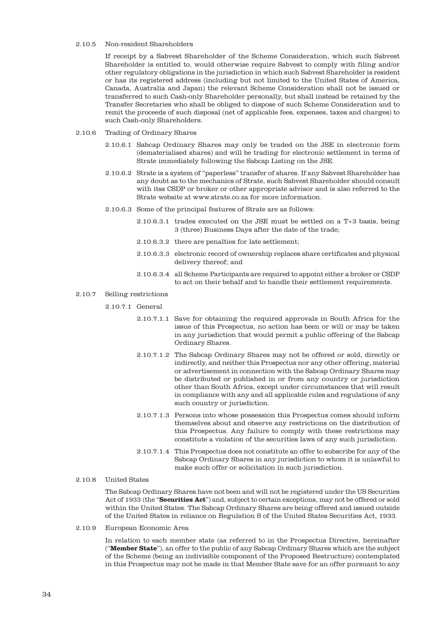# 2.10.5 Non-resident Shareholders

If receipt by a Sabvest Shareholder of the Scheme Consideration, which such Sabvest Shareholder is entitled to, would otherwise require Sabvest to comply with filing and/or other regulatory obligations in the jurisdiction in which such Sabvest Shareholder is resident or has its registered address (including but not limited to the United States of America, Canada, Australia and Japan) the relevant Scheme Consideration shall not be issued or transferred to such Cash-only Shareholder personally, but shall instead be retained by the Transfer Secretaries who shall be obliged to dispose of such Scheme Consideration and to remit the proceeds of such disposal (net of applicable fees, expenses, taxes and charges) to such Cash-only Shareholders.

- 2.10.6 Trading of Ordinary Shares
	- 2.10.6.1 Sabcap Ordinary Shares may only be traded on the JSE in electronic form (dematerialised shares) and will be trading for electronic settlement in terms of Strate immediately following the Sabcap Listing on the JSE.
	- 2.10.6.2 Strate is a system of "paperless" transfer of shares. If any Sabvest Shareholder has any doubt as to the mechanics of Strate, such Sabvest Shareholder should consult with itss CSDP or broker or other appropriate advisor and is also referred to the Strate website at www.strate.co.za for more information.
	- 2.10.6.3 Some of the principal features of Strate are as follows:
		- 2.10.6.3.1 trades executed on the JSE must be settled on a T+3 basis, being 3 (three) Business Days after the date of the trade;
		- 2.10.6.3.2 there are penalties for late settlement;
		- 2.10.6.3.3 electronic record of ownership replaces share certificates and physical delivery thereof; and
		- 2.10.6.3.4 all Scheme Participants are required to appoint either a broker or CSDP to act on their behalf and to handle their settlement requirements.

#### 2.10.7 Selling restrictions

2.10.7.1 General

- 2.10.7.1.1 Save for obtaining the required approvals in South Africa for the issue of this Prospectus, no action has been or will or may be taken in any jurisdiction that would permit a public offering of the Sabcap Ordinary Shares.
- 2.10.7.1.2 The Sabcap Ordinary Shares may not be offered or sold, directly or indirectly, and neither this Prospectus nor any other offering, material or advertisement in connection with the Sabcap Ordinary Shares may be distributed or published in or from any country or jurisdiction other than South Africa, except under circumstances that will result in compliance with any and all applicable rules and regulations of any such country or jurisdiction.
- 2.10.7.1.3 Persons into whose possession this Prospectus comes should inform themselves about and observe any restrictions on the distribution of this Prospectus. Any failure to comply with these restrictions may constitute a violation of the securities laws of any such jurisdiction.
- 2.10.7.1.4 This Prospectus does not constitute an offer to subscribe for any of the Sabcap Ordinary Shares in any jurisdiction to whom it is unlawful to make such offer or solicitation in such jurisdiction.
- 2.10.8 United States

The Sabcap Ordinary Shares have not been and will not be registered under the US Securities Act of 1933 (the "**Securities Act**") and, subject to certain exceptions, may not be offered or sold within the United States. The Sabcap Ordinary Shares are being offered and issued outside of the United States in reliance on Regulation S of the United States Securities Act, 1933.

2.10.9 European Economic Area

In relation to each member state (as referred to in the Prospectus Directive, hereinafter ("**Member State**"), an offer to the public of any Sabcap Ordinary Shares which are the subject of the Scheme (being an indivisible component of the Proposed Restructure) contemplated in this Prospectus may not be made in that Member State save for an offer pursuant to any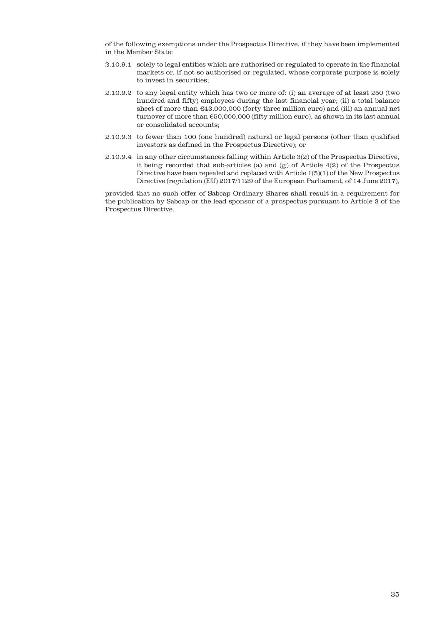of the following exemptions under the Prospectus Directive, if they have been implemented in the Member State:

- 2.10.9.1 solely to legal entities which are authorised or regulated to operate in the financial markets or, if not so authorised or regulated, whose corporate purpose is solely to invest in securities;
- 2.10.9.2 to any legal entity which has two or more of: (i) an average of at least 250 (two hundred and fifty) employees during the last financial year; (ii) a total balance sheet of more than  $€43,000,000$  (forty three million euro) and (iii) an annual net turnover of more than €50,000,000 (fifty million euro), as shown in its last annual or consolidated accounts;
- 2.10.9.3 to fewer than 100 (one hundred) natural or legal persons (other than qualified investors as defined in the Prospectus Directive); or
- 2.10.9.4 in any other circumstances falling within Article 3(2) of the Prospectus Directive, it being recorded that sub-articles (a) and (g) of Article 4(2) of the Prospectus Directive have been repealed and replaced with Article 1(5)(1) of the New Prospectus Directive (regulation (EU) 2017/1129 of the European Parliament, of 14 June 2017),

provided that no such offer of Sabcap Ordinary Shares shall result in a requirement for the publication by Sabcap or the lead sponsor of a prospectus pursuant to Article 3 of the Prospectus Directive.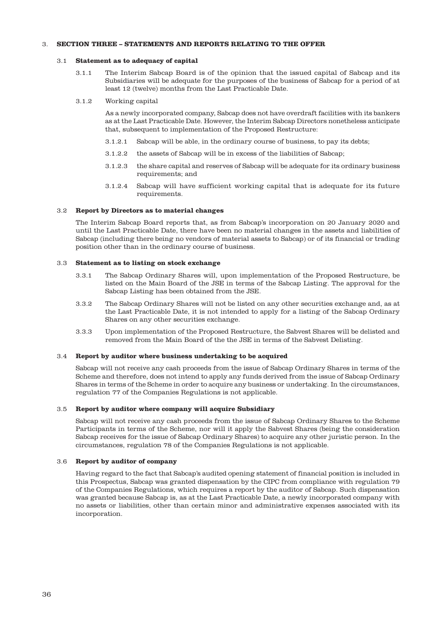## 3. **SECTION THREE – STATEMENTS AND REPORTS RELATING TO THE OFFER**

#### 3.1 **Statement as to adequacy of capital**

- 3.1.1 The Interim Sabcap Board is of the opinion that the issued capital of Sabcap and its Subsidiaries will be adequate for the purposes of the business of Sabcap for a period of at least 12 (twelve) months from the Last Practicable Date.
- 3.1.2 Working capital

As a newly incorporated company, Sabcap does not have overdraft facilities with its bankers as at the Last Practicable Date. However, the Interim Sabcap Directors nonetheless anticipate that, subsequent to implementation of the Proposed Restructure:

- 3.1.2.1 Sabcap will be able, in the ordinary course of business, to pay its debts;
- 3.1.2.2 the assets of Sabcap will be in excess of the liabilities of Sabcap;
- 3.1.2.3 the share capital and reserves of Sabcap will be adequate for its ordinary business requirements; and
- 3.1.2.4 Sabcap will have sufficient working capital that is adequate for its future requirements.

#### 3.2 **Report by Directors as to material changes**

The Interim Sabcap Board reports that, as from Sabcap's incorporation on 20 January 2020 and until the Last Practicable Date, there have been no material changes in the assets and liabilities of Sabcap (including there being no vendors of material assets to Sabcap) or of its financial or trading position other than in the ordinary course of business.

#### 3.3 **Statement as to listing on stock exchange**

- 3.3.1 The Sabcap Ordinary Shares will, upon implementation of the Proposed Restructure, be listed on the Main Board of the JSE in terms of the Sabcap Listing. The approval for the Sabcap Listing has been obtained from the JSE.
- 3.3.2 The Sabcap Ordinary Shares will not be listed on any other securities exchange and, as at the Last Practicable Date, it is not intended to apply for a listing of the Sabcap Ordinary Shares on any other securities exchange.
- 3.3.3 Upon implementation of the Proposed Restructure, the Sabvest Shares will be delisted and removed from the Main Board of the the JSE in terms of the Sabvest Delisting.

#### 3.4 **Report by auditor where business undertaking to be acquired**

Sabcap will not receive any cash proceeds from the issue of Sabcap Ordinary Shares in terms of the Scheme and therefore, does not intend to apply any funds derived from the issue of Sabcap Ordinary Shares in terms of the Scheme in order to acquire any business or undertaking. In the circumstances, regulation 77 of the Companies Regulations is not applicable.

#### 3.5 **Report by auditor where company will acquire Subsidiary**

Sabcap will not receive any cash proceeds from the issue of Sabcap Ordinary Shares to the Scheme Participants in terms of the Scheme, nor will it apply the Sabvest Shares (being the consideration Sabcap receives for the issue of Sabcap Ordinary Shares) to acquire any other juristic person. In the circumstances, regulation 78 of the Companies Regulations is not applicable.

#### 3.6 **Report by auditor of company**

Having regard to the fact that Sabcap's audited opening statement of financial position is included in this Prospectus, Sabcap was granted dispensation by the CIPC from compliance with regulation 79 of the Companies Regulations, which requires a report by the auditor of Sabcap. Such dispensation was granted because Sabcap is, as at the Last Practicable Date, a newly incorporated company with no assets or liabilities, other than certain minor and administrative expenses associated with its incorporation.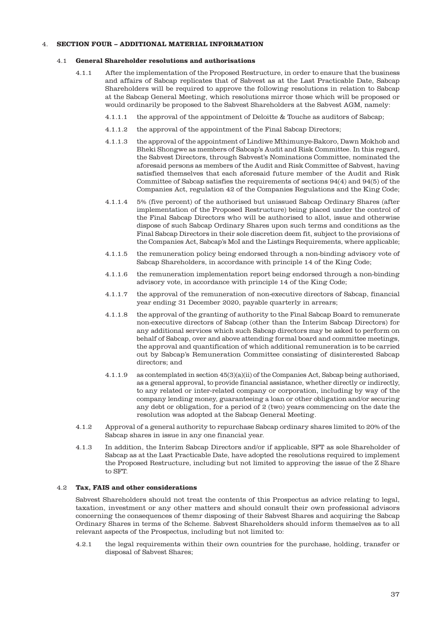## 4. **SECTION FOUR – ADDITIONAL MATERIAL INFORMATION**

#### 4.1 **General Shareholder resolutions and authorisations**

- 4.1.1 After the implementation of the Proposed Restructure, in order to ensure that the business and affairs of Sabcap replicates that of Sabvest as at the Last Practicable Date, Sabcap Shareholders will be required to approve the following resolutions in relation to Sabcap at the Sabcap General Meeting, which resolutions mirror those which will be proposed or would ordinarily be proposed to the Sabvest Shareholders at the Sabvest AGM, namely:
	- 4.1.1.1 the approval of the appointment of Deloitte & Touche as auditors of Sabcap;
	- 4.1.1.2 the approval of the appointment of the Final Sabcap Directors;
	- 4.1.1.3 the approval of the appointment of Lindiwe Mthimunye-Bakoro, Dawn Mokhob and Bheki Shongwe as members of Sabcap's Audit and Risk Committee. In this regard, the Sabvest Directors, through Sabvest's Nominations Committee, nominated the aforesaid persons as members of the Audit and Risk Committee of Sabvest, having satisfied themselves that each aforesaid future member of the Audit and Risk Committee of Sabcap satisfies the requirements of sections 94(4) and 94(5) of the Companies Act, regulation 42 of the Companies Regulations and the King Code;
	- 4.1.1.4 5% (five percent) of the authorised but unissued Sabcap Ordinary Shares (after implementation of the Proposed Restructure) being placed under the control of the Final Sabcap Directors who will be authorised to allot, issue and otherwise dispose of such Sabcap Ordinary Shares upon such terms and conditions as the Final Sabcap Directors in their sole discretion deem fit, subject to the provisions of the Companies Act, Sabcap's MoI and the Listings Requirements, where applicable;
	- 4.1.1.5 the remuneration policy being endorsed through a non-binding advisory vote of Sabcap Shareholders, in accordance with principle 14 of the King Code;
	- 4.1.1.6 the remuneration implementation report being endorsed through a non-binding advisory vote, in accordance with principle 14 of the King Code;
	- 4.1.1.7 the approval of the remuneration of non-executive directors of Sabcap, financial year ending 31 December 2020, payable quarterly in arrears;
	- 4.1.1.8 the approval of the granting of authority to the Final Sabcap Board to remunerate non-executive directors of Sabcap (other than the Interim Sabcap Directors) for any additional services which such Sabcap directors may be asked to perform on behalf of Sabcap, over and above attending formal board and committee meetings, the approval and quantification of which additional remuneration is to be carried out by Sabcap's Remuneration Committee consisting of disinterested Sabcap directors; and
	- 4.1.1.9 as contemplated in section 45(3)(a)(ii) of the Companies Act, Sabcap being authorised, as a general approval, to provide financial assistance, whether directly or indirectly, to any related or inter-related company or corporation, including by way of the company lending money, guaranteeing a loan or other obligation and/or securing any debt or obligation, for a period of 2 (two) years commencing on the date the resolution was adopted at the Sabcap General Meeting.
- 4.1.2 Approval of a general authority to repurchase Sabcap ordinary shares limited to 20% of the Sabcap shares in issue in any one financial year.
- 4.1.3 In addition, the Interim Sabcap Directors and/or if applicable, SFT as sole Shareholder of Sabcap as at the Last Practicable Date, have adopted the resolutions required to implement the Proposed Restructure, including but not limited to approving the issue of the Z Share to SFT.

#### 4.2 **Tax, FAIS and other considerations**

Sabvest Shareholders should not treat the contents of this Prospectus as advice relating to legal, taxation, investment or any other matters and should consult their own professional advisors concerning the consequences of themr disposing of their Sabvest Shares and acquiring the Sabcap Ordinary Shares in terms of the Scheme. Sabvest Shareholders should inform themselves as to all relevant aspects of the Prospectus, including but not limited to:

4.2.1 the legal requirements within their own countries for the purchase, holding, transfer or disposal of Sabvest Shares;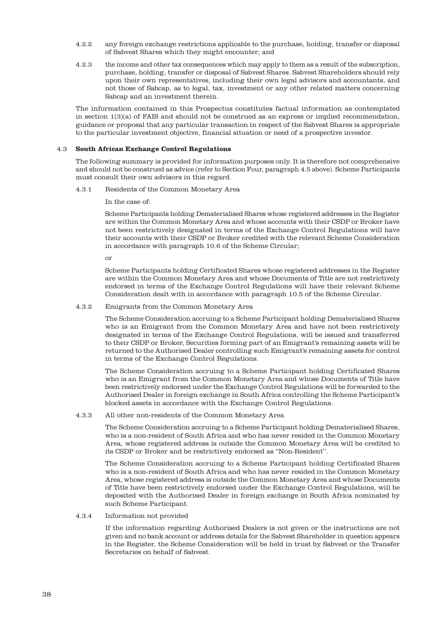- 4.2.2 any foreign exchange restrictions applicable to the purchase, holding, transfer or disposal of Sabvest Shares which they might encounter; and
- 4.2.3 the income and other tax consequences which may apply to them as a result of the subscription, purchase, holding, transfer or disposal of Sabvest Shares. Sabvest Shareholders should rely upon their own representatives, including their own legal advisors and accountants, and not those of Sabcap, as to legal, tax, investment or any other related matters concerning Sabcap and an investment therein.

The information contained in this Prospectus constitutes factual information as contemplated in section 1(3)(a) of FAIS and should not be construed as an express or implied recommendation, guidance or proposal that any particular transaction in respect of the Sabvest Shares is appropriate to the particular investment objective, financial situation or need of a prospective investor.

## 4.3 **South African Exchange Control Regulations**

The following summary is provided for information purposes only. It is therefore not comprehensive and should not be construed as advice (refer to Section Four, paragraph 4.5 above). Scheme Participants must consult their own advisors in this regard.

4.3.1 Residents of the Common Monetary Area

In the case of:

Scheme Participants holding Dematerialised Shares whose registered addresses in the Register are within the Common Monetary Area and whose accounts with their CSDP or Broker have not been restrictively designated in terms of the Exchange Control Regulations will have their accounts with their CSDP or Broker credited with the relevant Scheme Consideration in accordance with paragraph 10.6 of the Scheme Circular;

or

Scheme Participants holding Certificated Shares whose registered addresses in the Register are within the Common Monetary Area and whose Documents of Title are not restrictively endorsed in terms of the Exchange Control Regulations will have their relevant Scheme Consideration dealt with in accordance with paragraph 10.5 of the Scheme Circular.

## 4.3.2 Emigrants from the Common Monetary Area

The Scheme Consideration accruing to a Scheme Participant holding Dematerialised Shares who is an Emigrant from the Common Monetary Area and have not been restrictively designated in terms of the Exchange Control Regulations, will be issued and transferred to their CSDP or Broker, Securities forming part of an Emigrant's remaining assets will be returned to the Authorised Dealer controlling such Emigrant's remaining assets for control in terms of the Exchange Control Regulations.

The Scheme Consideration accruing to a Scheme Participant holding Certificated Shares who is an Emigrant from the Common Monetary Area and whose Documents of Title have been restrictively endorsed under the Exchange Control Regulations will be forwarded to the Authorised Dealer in foreign exchange in South Africa controlling the Scheme Participant's blocked assets in accordance with the Exchange Control Regulations.

#### 4.3.3 All other non-residents of the Common Monetary Area

The Scheme Consideration accruing to a Scheme Participant holding Dematerialised Shares, who is a non-resident of South Africa and who has never resided in the Common Monetary Area, whose registered address is outside the Common Monetary Area will be credited to its CSDP or Broker and be restrictively endorsed as "Non-Resident".

The Scheme Consideration accruing to a Scheme Participant holding Certificated Shares who is a non-resident of South Africa and who has never resided in the Common Monetary Area, whose registered address is outside the Common Monetary Area and whose Documents of Title have been restrictively endorsed under the Exchange Control Regulations, will be deposited with the Authorised Dealer in foreign exchange in South Africa nominated by such Scheme Participant.

## 4.3.4 Information not provided

If the information regarding Authorised Dealers is not given or the instructions are not given and no bank account or address details for the Sabvest Shareholder in question appears in the Register, the Scheme Consideration will be held in trust by Sabvest or the Transfer Secretaries on behalf of Sabvest.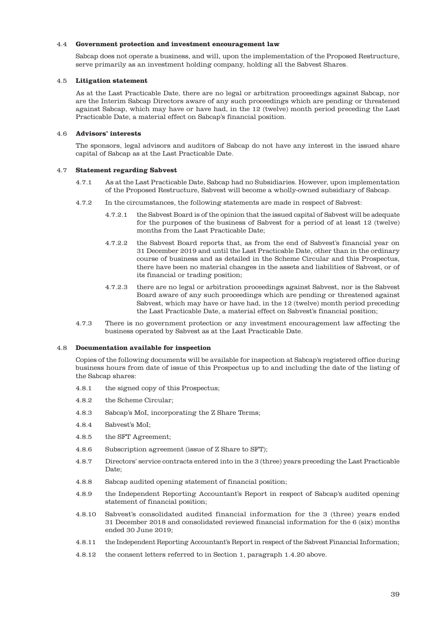#### 4.4 **Government protection and investment encouragement law**

Sabcap does not operate a business, and will, upon the implementation of the Proposed Restructure, serve primarily as an investment holding company, holding all the Sabvest Shares.

#### 4.5 **Litigation statement**

As at the Last Practicable Date, there are no legal or arbitration proceedings against Sabcap, nor are the Interim Sabcap Directors aware of any such proceedings which are pending or threatened against Sabcap, which may have or have had, in the 12 (twelve) month period preceding the Last Practicable Date, a material effect on Sabcap's financial position.

#### 4.6 **Advisors' interests**

The sponsors, legal advisors and auditors of Sabcap do not have any interest in the issued share capital of Sabcap as at the Last Practicable Date.

#### 4.7 **Statement regarding Sabvest**

- 4.7.1 As at the Last Practicable Date, Sabcap had no Subsidiaries. However, upon implementation of the Proposed Restructure, Sabvest will become a wholly-owned subsidiary of Sabcap.
- 4.7.2 In the circumstances, the following statements are made in respect of Sabvest:
	- 4.7.2.1 the Sabvest Board is of the opinion that the issued capital of Sabvest will be adequate for the purposes of the business of Sabvest for a period of at least 12 (twelve) months from the Last Practicable Date;
	- 4.7.2.2 the Sabvest Board reports that, as from the end of Sabvest's financial year on 31 December 2019 and until the Last Practicable Date, other than in the ordinary course of business and as detailed in the Scheme Circular and this Prospectus, there have been no material changes in the assets and liabilities of Sabvest, or of its financial or trading position;
	- 4.7.2.3 there are no legal or arbitration proceedings against Sabvest, nor is the Sabvest Board aware of any such proceedings which are pending or threatened against Sabvest, which may have or have had, in the 12 (twelve) month period preceding the Last Practicable Date, a material effect on Sabvest's financial position;
- 4.7.3 There is no government protection or any investment encouragement law affecting the business operated by Sabvest as at the Last Practicable Date.

#### 4.8 **Documentation available for inspection**

Copies of the following documents will be available for inspection at Sabcap's registered office during business hours from date of issue of this Prospectus up to and including the date of the listing of the Sabcap shares:

- 4.8.1 the signed copy of this Prospectus;
- 4.8.2 the Scheme Circular;
- 4.8.3 Sabcap's MoI, incorporating the Z Share Terms;
- 4.8.4 Sabvest's MoI;
- 4.8.5 the SFT Agreement;
- 4.8.6 Subscription agreement (issue of Z Share to SFT);
- 4.8.7 Directors' service contracts entered into in the 3 (three) years preceding the Last Practicable Date;
- 4.8.8 Sabcap audited opening statement of financial position;
- 4.8.9 the Independent Reporting Accountant's Report in respect of Sabcap's audited opening statement of financial position;
- 4.8.10 Sabvest's consolidated audited financial information for the 3 (three) years ended 31 December 2018 and consolidated reviewed financial information for the 6 (six) months ended 30 June 2019;
- 4.8.11 the Independent Reporting Accountant's Report in respect of the Sabvest Financial Information;
- 4.8.12 the consent letters referred to in Section 1, paragraph 1.4.20 above.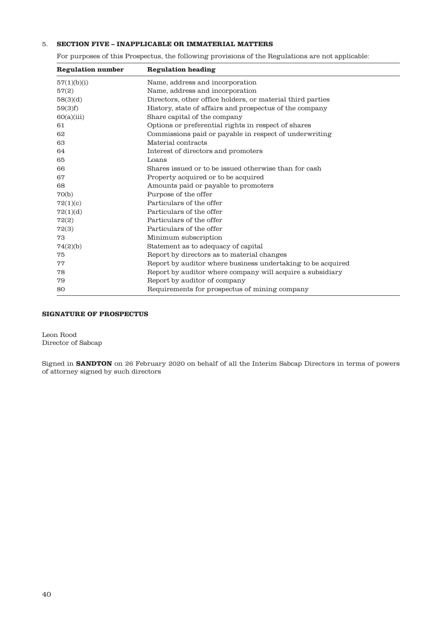## 5. **SECTION FIVE – INAPPLICABLE OR IMMATERIAL MATTERS**

For purposes of this Prospectus, the following provisions of the Regulations are not applicable:

| <b>Regulation number</b> | <b>Regulation heading</b>                                   |
|--------------------------|-------------------------------------------------------------|
| 57(1)(b)(i)              | Name, address and incorporation                             |
| 57(2)                    | Name, address and incorporation                             |
| 58(3)(d)                 | Directors, other office holders, or material third parties  |
| 59(3)f                   | History, state of affairs and prospectus of the company     |
| 60(a)(iii)               | Share capital of the company                                |
| 61                       | Options or preferential rights in respect of shares         |
| 62                       | Commissions paid or payable in respect of underwriting      |
| 63                       | Material contracts                                          |
| 64                       | Interest of directors and promoters                         |
| 65                       | Loans                                                       |
| 66                       | Shares issued or to be issued otherwise than for cash       |
| 67                       | Property acquired or to be acquired                         |
| 68                       | Amounts paid or payable to promoters                        |
| 70(b)                    | Purpose of the offer                                        |
| 72(1)(c)                 | Particulars of the offer                                    |
| 72(1)(d)                 | Particulars of the offer                                    |
| 72(2)                    | Particulars of the offer                                    |
| 72(3)                    | Particulars of the offer                                    |
| 73                       | Minimum subscription                                        |
| 74(2)(b)                 | Statement as to adequacy of capital                         |
| 75                       | Report by directors as to material changes                  |
| 77                       | Report by auditor where business undertaking to be acquired |
| 78                       | Report by auditor where company will acquire a subsidiary   |
| 79                       | Report by auditor of company                                |
| 80                       | Requirements for prospectus of mining company               |

## **SIGNATURE OF PROSPECTUS**

Leon Rood Director of Sabcap

Signed in **SANDTON** on 26 February 2020 on behalf of all the Interim Sabcap Directors in terms of powers of attorney signed by such directors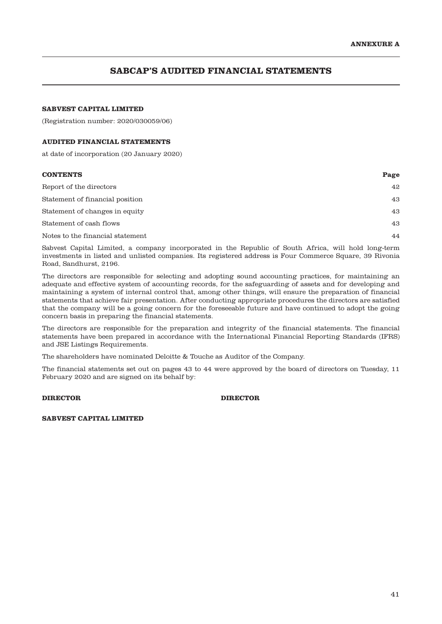# **SABCAP'S AUDITED FINANCIAL STATEMENTS**

## **SABVEST CAPITAL LIMITED**

(Registration number: 2020/030059/06)

#### **AUDITED FINANCIAL STATEMENTS**

at date of incorporation (20 January 2020)

| <b>CONTENTS</b>                  | Page |
|----------------------------------|------|
| Report of the directors          | 42   |
| Statement of financial position  | 43   |
| Statement of changes in equity   | 43   |
| Statement of cash flows          | 43   |
| Notes to the financial statement | 44   |

Sabvest Capital Limited, a company incorporated in the Republic of South Africa, will hold long-term investments in listed and unlisted companies. Its registered address is Four Commerce Square, 39 Rivonia Road, Sandhurst, 2196.

The directors are responsible for selecting and adopting sound accounting practices, for maintaining an adequate and effective system of accounting records, for the safeguarding of assets and for developing and maintaining a system of internal control that, among other things, will ensure the preparation of financial statements that achieve fair presentation. After conducting appropriate procedures the directors are satisfied that the company will be a going concern for the foreseeable future and have continued to adopt the going concern basis in preparing the financial statements.

The directors are responsible for the preparation and integrity of the financial statements. The financial statements have been prepared in accordance with the International Financial Reporting Standards (IFRS) and JSE Listings Requirements.

The shareholders have nominated Deloitte & Touche as Auditor of the Company.

The financial statements set out on pages 43 to 44 were approved by the board of directors on Tuesday, 11 February 2020 and are signed on its behalf by:

## **DIRECTOR DIRECTOR**

**SABVEST CAPITAL LIMITED**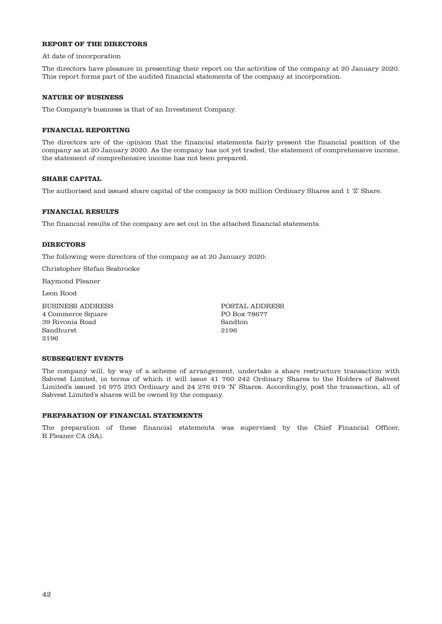## **REPORT OF THE DIRECTORS**

At date of incorporation

The directors have pleasure in presenting their report on the activities of the company at 20 January 2020. This report forms part of the audited financial statements of the company at incorporation.

#### **NATURE OF BUSINESS**

The Company's business is that of an Investment Company.

## **FINANCIAL REPORTING**

The directors are of the opinion that the financial statements fairly present the financial position of the company as at 20 January 2020. As the company has not yet traded, the statement of comprehensive income, the statement of comprehensive income has not been prepared.

#### **SHARE CAPITAL**

The authorised and issued share capital of the company is 500 million Ordinary Shares and 1 'Z' Share.

#### **FINANCIAL RESULTS**

The financial results of the company are set out in the attached financial statements.

#### **DIRECTORS**

The following were directors of the company as at 20 January 2020:

Christopher Stefan Seabrooke

Raymond Pleaner

Leon Rood

BUSINESS ADDRESS 4 Commerce Square 39 Rivonia Road Sandhurst 2196

POSTAL ADDRESS PO Box 78677 Sandton 2196

#### **SUBSEQUENT EVENTS**

The company will, by way of a scheme of arrangement, undertake a share restructure transaction with Sabvest Limited, in terms of which it will issue 41 760 242 Ordinary Shares to the Holders of Sabvest Limited's issued 16 975 293 Ordinary and 24 276 919 'N' Shares. Accordingly, post the transaction, all of Sabvest Limited's shares will be owned by the company.

#### **PREPARATION OF FINANCIAL STATEMENTS**

The preparation of these financial statements was supervised by the Chief Financial Officer, R Pleaner CA (SA).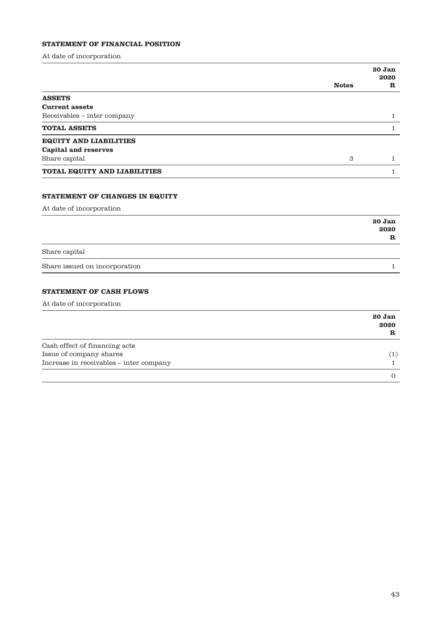# **STATEMENT OF FINANCIAL POSITION**

At date of incorporation

|                                       |              | 20 Jan<br>2020              |
|---------------------------------------|--------------|-----------------------------|
|                                       | <b>Notes</b> | ${\bf R}$                   |
| <b>ASSETS</b>                         |              |                             |
| <b>Current assets</b>                 |              |                             |
| Receivables - inter company           |              | 1                           |
| <b>TOTAL ASSETS</b>                   |              | 1                           |
| <b>EQUITY AND LIABILITIES</b>         |              |                             |
| <b>Capital and reserves</b>           |              |                             |
| Share capital                         | 3            | 1                           |
| <b>TOTAL EQUITY AND LIABILITIES</b>   |              | 1                           |
| <b>STATEMENT OF CHANGES IN EQUITY</b> |              |                             |
| At date of incorporation              |              |                             |
|                                       |              | 20 Jan<br>2020<br>${\bf R}$ |
| Share capital                         |              |                             |
| Share issued on incorporation         |              | 1                           |

# **STATEMENT OF CASH FLOWS**

At date of incorporation

|                                         | 20 Jan<br>2020<br>${\bf R}$ |
|-----------------------------------------|-----------------------------|
| Cash effect of financing acts           |                             |
| Issue of company shares                 | $\left(1\right)$            |
| Increase in receivables - inter company |                             |
|                                         |                             |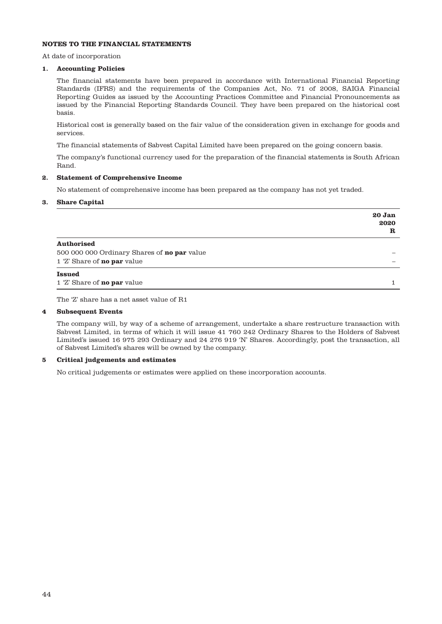## **NOTES TO THE FINANCIAL STATEMENTS**

At date of incorporation

# **1. Accounting Policies**

The financial statements have been prepared in accordance with International Financial Reporting Standards (IFRS) and the requirements of the Companies Act, No. 71 of 2008, SAIGA Financial Reporting Guides as issued by the Accounting Practices Committee and Financial Pronouncements as issued by the Financial Reporting Standards Council. They have been prepared on the historical cost basis.

Historical cost is generally based on the fair value of the consideration given in exchange for goods and services.

The financial statements of Sabvest Capital Limited have been prepared on the going concern basis.

The company's functional currency used for the preparation of the financial statements is South African Rand.

#### **2. Statement of Comprehensive Income**

No statement of comprehensive income has been prepared as the company has not yet traded.

#### **3. Share Capital**

|                                             | 20 Jan<br>2020<br>R |
|---------------------------------------------|---------------------|
| <b>Authorised</b>                           |                     |
| 500 000 000 Ordinary Shares of no par value |                     |
| 1 'Z' Share of <b>no par</b> value          |                     |
| <b>Issued</b>                               |                     |
| 1 'Z' Share of <b>no par</b> value          |                     |

The 'Z' share has a net asset value of R1

#### **4 Subsequent Events**

The company will, by way of a scheme of arrangement, undertake a share restructure transaction with Sabvest Limited, in terms of which it will issue 41 760 242 Ordinary Shares to the Holders of Sabvest Limited's issued 16 975 293 Ordinary and 24 276 919 'N' Shares. Accordingly, post the transaction, all of Sabvest Limited's shares will be owned by the company.

#### **5 Critical judgements and estimates**

No critical judgements or estimates were applied on these incorporation accounts.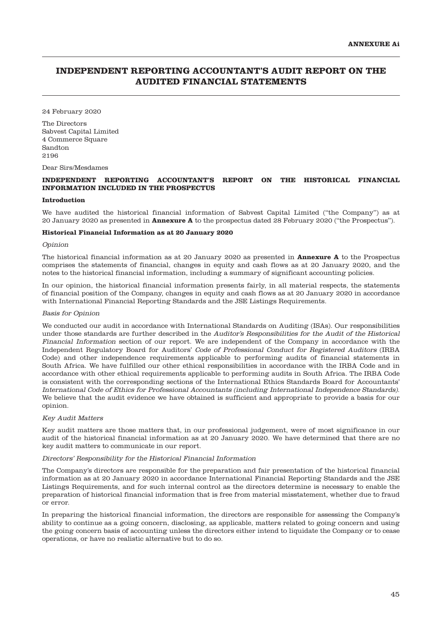# **INDEPENDENT REPORTING ACCOUNTANT'S AUDIT REPORT ON THE AUDITED FINANCIAL STATEMENTS**

24 February 2020

The Directors Sabvest Capital Limited 4 Commerce Square Sandton 2196

Dear Sirs/Mesdames

## **INDEPENDENT REPORTING ACCOUNTANT'S REPORT ON THE HISTORICAL FINANCIAL INFORMATION INCLUDED IN THE PROSPECTUS**

#### **Introduction**

We have audited the historical financial information of Sabvest Capital Limited ("the Company") as at 20 January 2020 as presented in **Annexure A** to the prospectus dated 28 February 2020 ("the Prospectus").

#### **Historical Financial Information as at 20 January 2020**

#### Opinion

The historical financial information as at 20 January 2020 as presented in **Annexure A** to the Prospectus comprises the statements of financial, changes in equity and cash flows as at 20 January 2020, and the notes to the historical financial information, including a summary of significant accounting policies.

In our opinion, the historical financial information presents fairly, in all material respects, the statements of financial position of the Company, changes in equity and cash flows as at 20 January 2020 in accordance with International Financial Reporting Standards and the JSE Listings Requirements.

#### Basis for Opinion

We conducted our audit in accordance with International Standards on Auditing (ISAs). Our responsibilities under those standards are further described in the Auditor's Responsibilities for the Audit of the Historical Financial Information section of our report. We are independent of the Company in accordance with the Independent Regulatory Board for Auditors' Code of Professional Conduct for Registered Auditors (IRBA Code) and other independence requirements applicable to performing audits of financial statements in South Africa. We have fulfilled our other ethical responsibilities in accordance with the IRBA Code and in accordance with other ethical requirements applicable to performing audits in South Africa. The IRBA Code is consistent with the corresponding sections of the International Ethics Standards Board for Accountants' International Code of Ethics for Professional Accountants (including International Independence Standards). We believe that the audit evidence we have obtained is sufficient and appropriate to provide a basis for our opinion.

#### Key Audit Matters

Key audit matters are those matters that, in our professional judgement, were of most significance in our audit of the historical financial information as at 20 January 2020. We have determined that there are no key audit matters to communicate in our report.

#### Directors' Responsibility for the Historical Financial Information

The Company's directors are responsible for the preparation and fair presentation of the historical financial information as at 20 January 2020 in accordance International Financial Reporting Standards and the JSE Listings Requirements, and for such internal control as the directors determine is necessary to enable the preparation of historical financial information that is free from material misstatement, whether due to fraud or error.

In preparing the historical financial information, the directors are responsible for assessing the Company's ability to continue as a going concern, disclosing, as applicable, matters related to going concern and using the going concern basis of accounting unless the directors either intend to liquidate the Company or to cease operations, or have no realistic alternative but to do so.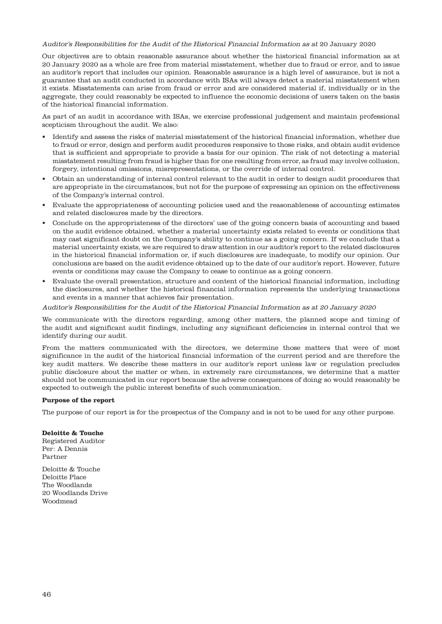Auditor's Responsibilities for the Audit of the Historical Financial Information as at 20 January 2020

Our objectives are to obtain reasonable assurance about whether the historical financial information as at 20 January 2020 as a whole are free from material misstatement, whether due to fraud or error, and to issue an auditor's report that includes our opinion. Reasonable assurance is a high level of assurance, but is not a guarantee that an audit conducted in accordance with ISAs will always detect a material misstatement when it exists. Misstatements can arise from fraud or error and are considered material if, individually or in the aggregate, they could reasonably be expected to influence the economic decisions of users taken on the basis of the historical financial information.

As part of an audit in accordance with ISAs, we exercise professional judgement and maintain professional scepticism throughout the audit. We also:

- Identify and assess the risks of material misstatement of the historical financial information, whether due to fraud or error, design and perform audit procedures responsive to those risks, and obtain audit evidence that is sufficient and appropriate to provide a basis for our opinion. The risk of not detecting a material misstatement resulting from fraud is higher than for one resulting from error, as fraud may involve collusion, forgery, intentional omissions, misrepresentations, or the override of internal control.
- Obtain an understanding of internal control relevant to the audit in order to design audit procedures that are appropriate in the circumstances, but not for the purpose of expressing an opinion on the effectiveness of the Company's internal control.
- Evaluate the appropriateness of accounting policies used and the reasonableness of accounting estimates and related disclosures made by the directors.
- Conclude on the appropriateness of the directors' use of the going concern basis of accounting and based on the audit evidence obtained, whether a material uncertainty exists related to events or conditions that may cast significant doubt on the Company's ability to continue as a going concern. If we conclude that a material uncertainty exists, we are required to draw attention in our auditor's report to the related disclosures in the historical financial information or, if such disclosures are inadequate, to modify our opinion. Our conclusions are based on the audit evidence obtained up to the date of our auditor's report. However, future events or conditions may cause the Company to cease to continue as a going concern.
- Evaluate the overall presentation, structure and content of the historical financial information, including the disclosures, and whether the historical financial information represents the underlying transactions and events in a manner that achieves fair presentation.

Auditor's Responsibilities for the Audit of the Historical Financial Information as at 20 January 2020

We communicate with the directors regarding, among other matters, the planned scope and timing of the audit and significant audit findings, including any significant deficiencies in internal control that we identify during our audit.

From the matters communicated with the directors, we determine those matters that were of most significance in the audit of the historical financial information of the current period and are therefore the key audit matters. We describe these matters in our auditor's report unless law or regulation precludes public disclosure about the matter or when, in extremely rare circumstances, we determine that a matter should not be communicated in our report because the adverse consequences of doing so would reasonably be expected to outweigh the public interest benefits of such communication.

## **Purpose of the report**

The purpose of our report is for the prospectus of the Company and is not to be used for any other purpose.

#### **Deloitte & Touche**

Registered Auditor Per: A Dennis Partner

Deloitte & Touche Deloitte Place The Woodlands 20 Woodlands Drive Woodmead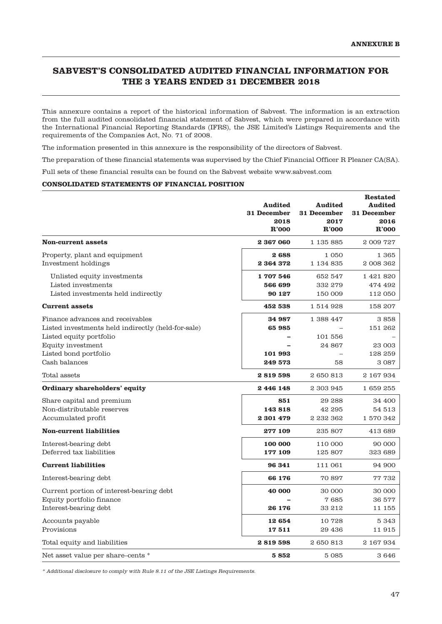# **SABVEST'S CONSOLIDATED AUDITED FINANCIAL INFORMATION FOR THE 3 YEARS ENDED 31 DECEMBER 2018**

This annexure contains a report of the historical information of Sabvest. The information is an extraction from the full audited consolidated financial statement of Sabvest, which were prepared in accordance with the International Financial Reporting Standards (IFRS), the JSE Limited's Listings Requirements and the requirements of the Companies Act, No. 71 of 2008.

The information presented in this annexure is the responsibility of the directors of Sabvest.

The preparation of these financial statements was supervised by the Chief Financial Officer R Pleaner CA(SA).

Full sets of these financial results can be found on the Sabvest website www.sabvest.com

## **CONSOLIDATED STATEMENTS OF FINANCIAL POSITION**

|                                                                                                                                                                                  | Audited<br>31 December<br>2018<br>R'000 | Audited<br>31 December<br>2017<br>R'000                          | <b>Restated</b><br>Audited<br>31 December<br>2016<br>R'000 |
|----------------------------------------------------------------------------------------------------------------------------------------------------------------------------------|-----------------------------------------|------------------------------------------------------------------|------------------------------------------------------------|
| <b>Non-current assets</b>                                                                                                                                                        | 2 367 060                               | 1 1 3 5 8 8 5                                                    | 2 009 727                                                  |
| Property, plant and equipment<br>Investment holdings                                                                                                                             | 2688<br>2 364 372                       | 1 0 5 0<br>1 1 3 4 8 3 5                                         | 1 3 6 5<br>2 008 362                                       |
| Unlisted equity investments<br>Listed investments<br>Listed investments held indirectly                                                                                          | 1707546<br>566 699<br>90 127            | 652 547<br>332 279<br>150 009                                    | 1 421 820<br>474 492<br>112 050                            |
| <b>Current assets</b>                                                                                                                                                            | 452 538                                 | 1 514 928                                                        | 158 207                                                    |
| Finance advances and receivables<br>Listed investments held indirectly (held-for-sale)<br>Listed equity portfolio<br>Equity investment<br>Listed bond portfolio<br>Cash balances | 34 987<br>65985<br>101 993<br>249 573   | 1 388 447<br>101 556<br>24 867<br>$\overline{\phantom{0}}$<br>58 | 3858<br>151 262<br>23 003<br>128 259<br>3 0 8 7            |
| Total assets                                                                                                                                                                     | 2819598                                 | 2650813                                                          | 2 167 934                                                  |
| <b>Ordinary shareholders' equity</b>                                                                                                                                             | 2446148                                 | 2 303 945                                                        | 1 659 255                                                  |
| Share capital and premium<br>Non-distributable reserves<br>Accumulated profit                                                                                                    | 851<br>143818<br>2 301 479              | 29 288<br>42 295<br>2 232 362                                    | 34 400<br>54 513<br>1 570 342                              |
| <b>Non-current liabilities</b>                                                                                                                                                   | 277 109                                 | 235 807                                                          | 413 689                                                    |
| Interest-bearing debt<br>Deferred tax liabilities                                                                                                                                | 100 000<br>177 109                      | 110 000<br>125 807                                               | 90 000<br>323 689                                          |
| <b>Current liabilities</b>                                                                                                                                                       | 96 341                                  | 111 061                                                          | 94 900                                                     |
| Interest-bearing debt                                                                                                                                                            | 66 176                                  | 70 897                                                           | 77 732                                                     |
| Current portion of interest-bearing debt<br>Equity portfolio finance<br>Interest-bearing debt                                                                                    | 40 000<br>26 176                        | 30 000<br>7685<br>33 212                                         | 30 000<br>36 577<br>11 155                                 |
| Accounts payable<br>Provisions                                                                                                                                                   | 12654<br>17511                          | 10728<br>29 436                                                  | 5 3 4 3<br>11915                                           |
| Total equity and liabilities                                                                                                                                                     | 2819598                                 | 2650813                                                          | 2 167 934                                                  |
| Net asset value per share-cents *                                                                                                                                                | 5852                                    | 5 0 8 5                                                          | 3646                                                       |

\* Additional disclosure to comply with Rule 8.11 of the JSE Listings Requirements.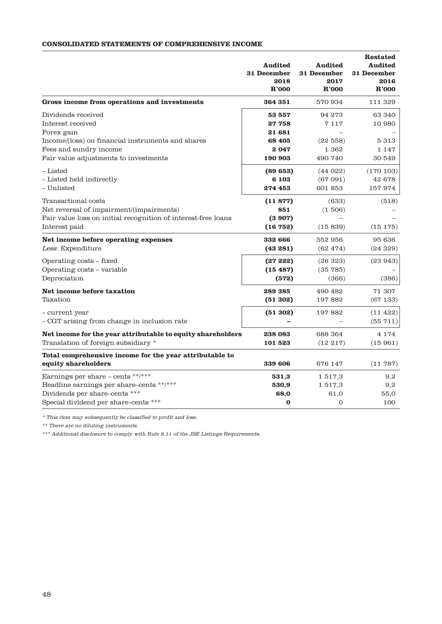## **CONSOLIDATED STATEMENTS OF COMPREHENSIVE INCOME**

|                                                                                                                                                          | <b>Audited</b><br>31 December<br>2018<br>R'000 | <b>Audited</b><br>31 December<br>2017<br>R'000 | <b>Restated</b><br><b>Audited</b><br>31 December<br>2016<br>R'000 |
|----------------------------------------------------------------------------------------------------------------------------------------------------------|------------------------------------------------|------------------------------------------------|-------------------------------------------------------------------|
| Gross income from operations and investments                                                                                                             | 364 351                                        | 570 934                                        | 111 329                                                           |
| Dividends received<br>Interest received                                                                                                                  | 53 557<br>27758                                | 94 273<br>7117                                 | 63 340<br>10 980                                                  |
| Forex gain<br>Income/(loss) on financial instruments and shares<br>Fees and sundry income<br>Fair value adjustments to investments                       | 21 681<br>68 405<br>2047<br>190 903            | (22558)<br>1 362<br>490 740                    | 5 3 1 3<br>1 147<br>30 549                                        |
| - Listed<br>- Listed held indirectly<br>– Unlisted                                                                                                       | (89653)<br>6 1 0 3<br>274 453                  | (44022)<br>(67091)<br>601 853                  | (170103)<br>42 678<br>157974                                      |
| Transactional costs<br>Net reversal of impairment/(impairments)<br>Fair value loss on initial recognition of interest-free loans<br>Interest paid        | (11877)<br>851<br>(3907)<br>(16752)            | (633)<br>(1506)<br>(15839)                     | (518)<br>(15175)                                                  |
| Net income before operating expenses<br>Less: Expenditure                                                                                                | 332 666<br>(43281)                             | 552 956<br>(62474)                             | 95 636<br>(24329)                                                 |
| Operating costs - fixed<br>Operating costs - variable<br>Depreciation                                                                                    | (2722)<br>(15487)<br>(572)                     | (26323)<br>(35785)<br>(366)                    | (23943)<br>(386)                                                  |
| Net income before taxation<br>Taxation                                                                                                                   | 289 385<br>(51302)                             | 490 482<br>197882                              | 71 307<br>(67133)                                                 |
| - current year<br>- CGT arising from change in inclusion rate                                                                                            | (51302)                                        | 197882                                         | (11 422)<br>(55711)                                               |
| Net income for the year attributable to equity shareholders<br>Translation of foreign subsidiary *                                                       | 238 083<br>101 523                             | 688 364<br>(12217)                             | 4 1 7 4<br>(15961)                                                |
| Total comprehensive income for the year attributable to<br>equity shareholders                                                                           | 339 606                                        | 676 147                                        | (11787)                                                           |
| Earnings per share $-$ cents **/***<br>Headline earnings per share-cents **/***<br>Dividends per share-cents ***<br>Special dividend per share-cents *** | 531,3<br>530,9<br>68,0<br>0                    | 1 517,3<br>1 517,3<br>61,0<br>O                | 9,2<br>9,2<br>55,0<br>100                                         |

 $^\ast$  This item may subsequently be classified to profit and loss.

\*\* There are no diluting instruments.

\*\*\* Additional disclosure to comply with Rule 8.11 of the JSE Listings Requirements.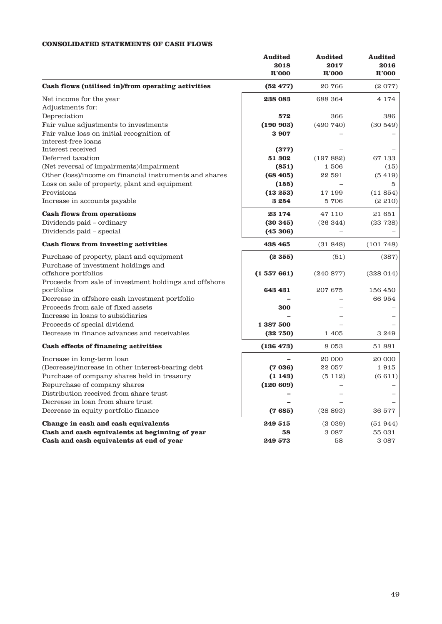# **CONSOLIDATED STATEMENTS OF CASH FLOWS**

|                                                         | Audited<br>2018<br>R'000 | <b>Audited</b><br>2017<br>R'000 | <b>Audited</b><br>2016<br>R'000 |
|---------------------------------------------------------|--------------------------|---------------------------------|---------------------------------|
| Cash flows (utilised in)/from operating activities      | (52 477)                 | 20766                           | (2077)                          |
| Net income for the year                                 | 238 083                  | 688 364                         | 4 1 7 4                         |
| Adjustments for:                                        |                          |                                 |                                 |
| Depreciation                                            | 572                      | 366                             | 386                             |
| Fair value adjustments to investments                   | (190903)                 | (490740)                        | (30549)                         |
| Fair value loss on initial recognition of               | 3 907                    |                                 |                                 |
| interest-free loans                                     |                          |                                 |                                 |
| Interest received                                       | (377)                    |                                 |                                 |
| Deferred taxation                                       | 51 302                   | (197882)                        | 67 133                          |
| (Net reversal of impairments)/impairment                | (851)                    | 1506                            | (15)                            |
| Other (loss)/income on financial instruments and shares | (68, 405)                | 22 591                          | (5419)                          |
| Loss on sale of property, plant and equipment           | (155)                    |                                 | 5                               |
| Provisions                                              | (13253)                  | 17 199                          | (11854)                         |
| Increase in accounts payable                            | 3 254                    | 5706                            | (2 210)                         |
| <b>Cash flows from operations</b>                       | 23 174                   | 47 110                          | 21 651                          |
| Dividends paid - ordinary                               | (30345)                  | (26344)                         | (23 728)                        |
| Dividends paid - special                                | (45306)                  |                                 |                                 |
| Cash flows from investing activities                    | 438 465                  | (31848)                         | (101748)                        |
| Purchase of property, plant and equipment               | (2355)                   | (51)                            | (387)                           |
| Purchase of investment holdings and                     |                          |                                 |                                 |
| offshore portfolios                                     | (1557661)                | (240 877)                       | (328014)                        |
| Proceeds from sale of investment holdings and offshore  |                          |                                 |                                 |
| portfolios                                              | 643 431                  | 207 675                         | 156 450                         |
| Decrease in offshore cash investment portfolio          |                          |                                 | 66 954                          |
| Proceeds from sale of fixed assets                      | 300                      |                                 |                                 |
| Increase in loans to subsidiaries                       |                          |                                 |                                 |
| Proceeds of special dividend                            | 1 387 500                |                                 |                                 |
| Decrease in finance advances and receivables            | (32750)                  | 1 4 0 5                         | 3 249                           |
| Cash effects of financing activities                    | (136 473)                | 8 0 5 3                         | 51 881                          |
| Increase in long-term loan                              |                          | 20 000                          | 20 000                          |
| (Decrease)/increase in other interest-bearing debt      | (7036)                   | 22 057                          | 1915                            |
| Purchase of company shares held in treasury             | (1143)                   | (5112)                          | (6611)                          |
| Repurchase of company shares                            | (120 609)                |                                 |                                 |
| Distribution received from share trust                  |                          |                                 |                                 |
| Decrease in loan from share trust                       |                          |                                 |                                 |
| Decrease in equity portfolio finance                    | (7685)                   | (28892)                         | 36 577                          |
| Change in cash and cash equivalents                     | 249 515                  | (3029)                          | (51944)                         |
| Cash and cash equivalents at beginning of year          | 58                       | 3 0 8 7                         | 55 031                          |
| Cash and cash equivalents at end of year                | 249 573                  | 58                              | 3 0 8 7                         |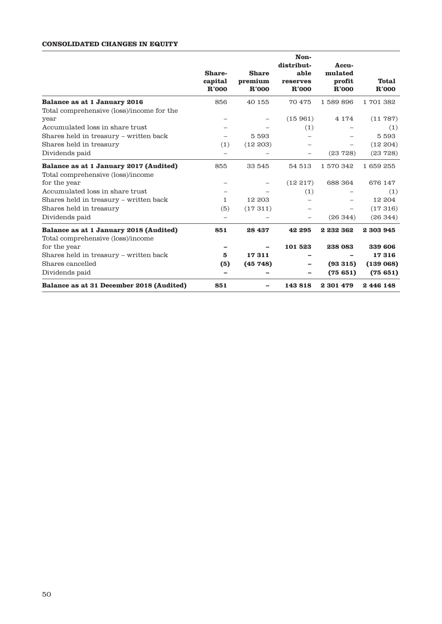## **CONSOLIDATED CHANGES IN EQUITY**

|                                           | Share-<br>capital<br>R'000 | <b>Share</b><br>premium<br>R'000 | Non-<br>distribut-<br>able<br>reserves<br>R'000 | Accu-<br>mulated<br>profit<br>R'000 | <b>Total</b><br>R'000 |
|-------------------------------------------|----------------------------|----------------------------------|-------------------------------------------------|-------------------------------------|-----------------------|
| Balance as at 1 January 2016              | 856                        | 40 155                           | 70 475                                          | 1589896                             | 1701382               |
| Total comprehensive (loss)/income for the |                            |                                  |                                                 |                                     |                       |
| year                                      | $\overline{\phantom{0}}$   |                                  | (15961)                                         | 4 1 7 4                             | (11787)               |
| Accumulated loss in share trust           |                            |                                  | (1)                                             |                                     | (1)                   |
| Shares held in treasury – written back    |                            | 5 5 9 3                          |                                                 |                                     | 5 5 9 3               |
| Shares held in treasury                   | (1)                        | (12 203)                         |                                                 |                                     | (12, 204)             |
| Dividends paid                            | $\overline{\phantom{0}}$   |                                  |                                                 | (23728)                             | (23728)               |
| Balance as at 1 January 2017 (Audited)    | 855                        | 33 545                           | 54 513                                          | 1570342                             | 1659255               |
| Total comprehensive (loss)/income         |                            |                                  |                                                 |                                     |                       |
| for the year                              |                            |                                  | (12217)                                         | 688 364                             | 676 147               |
| Accumulated loss in share trust           |                            |                                  | (1)                                             |                                     | (1)                   |
| Shares held in treasury – written back    | 1                          | 12 203                           |                                                 |                                     | 12 204                |
| Shares held in treasury                   | (5)                        | (17311)                          | —                                               |                                     | (17316)               |
| Dividends paid                            | $\overline{\phantom{0}}$   |                                  |                                                 | (26344)                             | (26344)               |
| Balance as at 1 January 2018 (Audited)    | 851                        | 28 437                           | 42 295                                          | 2 232 362                           | 2 303 945             |
| Total comprehensive (loss)/income         |                            |                                  |                                                 |                                     |                       |
| for the year                              |                            |                                  | 101 523                                         | 238 083                             | 339 606               |
| Shares held in treasury - written back    | 5                          | 17311                            |                                                 |                                     | 17316                 |
| Shares cancelled                          | (5)                        | (45748)                          |                                                 | (93315)                             | (139068)              |
| Dividends paid                            |                            |                                  |                                                 | (75651)                             | (75651)               |
| Balance as at 31 December 2018 (Audited)  | 851                        |                                  | 143818                                          | 2 301 479                           | 2446148               |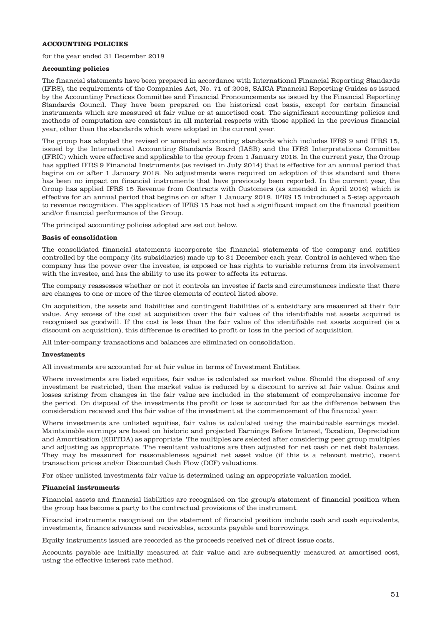## **ACCOUNTING POLICIES**

for the year ended 31 December 2018

### **Accounting policies**

The financial statements have been prepared in accordance with International Financial Reporting Standards (IFRS), the requirements of the Companies Act, No. 71 of 2008, SAICA Financial Reporting Guides as issued by the Accounting Practices Committee and Financial Pronouncements as issued by the Financial Reporting Standards Council. They have been prepared on the historical cost basis, except for certain financial instruments which are measured at fair value or at amortised cost. The significant accounting policies and methods of computation are consistent in all material respects with those applied in the previous financial year, other than the standards which were adopted in the current year.

The group has adopted the revised or amended accounting standards which includes IFRS 9 and IFRS 15, issued by the International Accounting Standards Board (IASB) and the IFRS Interpretations Committee (IFRIC) which were effective and applicable to the group from 1 January 2018. In the current year, the Group has applied IFRS 9 Financial Instruments (as revised in July 2014) that is effective for an annual period that begins on or after 1 January 2018. No adjustments were required on adoption of this standard and there has been no impact on financial instruments that have previously been reported. In the current year, the Group has applied IFRS 15 Revenue from Contracts with Customers (as amended in April 2016) which is effective for an annual period that begins on or after 1 January 2018. IFRS 15 introduced a 5-step approach to revenue recognition. The application of IFRS 15 has not had a significant impact on the financial position and/or financial performance of the Group.

The principal accounting policies adopted are set out below.

#### **Basis of consolidation**

The consolidated financial statements incorporate the financial statements of the company and entities controlled by the company (its subsidiaries) made up to 31 December each year. Control is achieved when the company has the power over the investee, is exposed or has rights to variable returns from its involvement with the investee, and has the ability to use its power to affects its returns.

The company reassesses whether or not it controls an investee if facts and circumstances indicate that there are changes to one or more of the three elements of control listed above.

On acquisition, the assets and liabilities and contingent liabilities of a subsidiary are measured at their fair value. Any excess of the cost at acquisition over the fair values of the identifiable net assets acquired is recognised as goodwill. If the cost is less than the fair value of the identifiable net assets acquired (ie a discount on acquisition), this difference is credited to profit or loss in the period of acquisition.

All inter-company transactions and balances are eliminated on consolidation.

#### **Investments**

All investments are accounted for at fair value in terms of Investment Entities.

Where investments are listed equities, fair value is calculated as market value. Should the disposal of any investment be restricted, then the market value is reduced by a discount to arrive at fair value. Gains and losses arising from changes in the fair value are included in the statement of comprehensive income for the period. On disposal of the investments the profit or loss is accounted for as the difference between the consideration received and the fair value of the investment at the commencement of the financial year.

Where investments are unlisted equities, fair value is calculated using the maintainable earnings model. Maintainable earnings are based on historic and projected Earnings Before Interest, Taxation, Depreciation and Amortisation (EBITDA) as appropriate. The multiples are selected after considering peer group multiples and adjusting as appropriate. The resultant valuations are then adjusted for net cash or net debt balances. They may be measured for reasonableness against net asset value (if this is a relevant metric), recent transaction prices and/or Discounted Cash Flow (DCF) valuations.

For other unlisted investments fair value is determined using an appropriate valuation model.

#### **Financial instruments**

Financial assets and financial liabilities are recognised on the group's statement of financial position when the group has become a party to the contractual provisions of the instrument.

Financial instruments recognised on the statement of financial position include cash and cash equivalents, investments, finance advances and receivables, accounts payable and borrowings.

Equity instruments issued are recorded as the proceeds received net of direct issue costs.

Accounts payable are initially measured at fair value and are subsequently measured at amortised cost, using the effective interest rate method.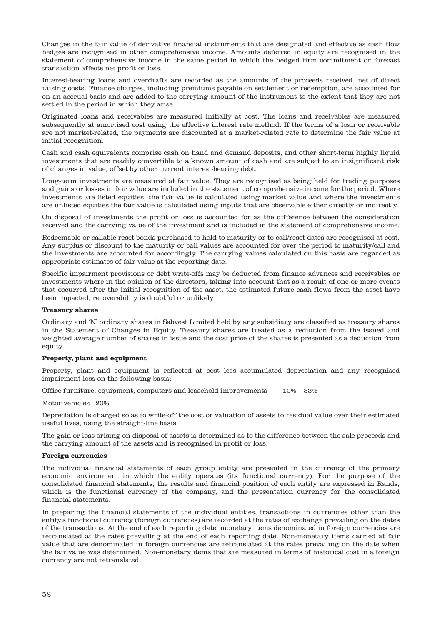Changes in the fair value of derivative financial instruments that are designated and effective as cash flow hedges are recognised in other comprehensive income. Amounts deferred in equity are recognised in the statement of comprehensive income in the same period in which the hedged firm commitment or forecast transaction affects net profit or loss.

Interest-bearing loans and overdrafts are recorded as the amounts of the proceeds received, net of direct raising costs. Finance charges, including premiums payable on settlement or redemption, are accounted for on an accrual basis and are added to the carrying amount of the instrument to the extent that they are not settled in the period in which they arise.

Originated loans and receivables are measured initially at cost. The loans and receivables are measured subsequently at amortised cost using the effective interest rate method. If the terms of a loan or receivable are not market-related, the payments are discounted at a market-related rate to determine the fair value at initial recognition.

Cash and cash equivalents comprise cash on hand and demand deposits, and other short-term highly liquid investments that are readily convertible to a known amount of cash and are subject to an insignificant risk of changes in value, offset by other current interest-bearing debt.

Long-term investments are measured at fair value. They are recognised as being held for trading purposes and gains or losses in fair value are included in the statement of comprehensive income for the period. Where investments are listed equities, the fair value is calculated using market value and where the investments are unlisted equities the fair value is calculated using inputs that are observable either directly or indirectly.

On disposal of investments the profit or loss is accounted for as the difference between the consideration received and the carrying value of the investment and is included in the statement of comprehensive income.

Redeemable or callable reset bonds purchased to hold to maturity or to call/reset dates are recognised at cost. Any surplus or discount to the maturity or call values are accounted for over the period to maturity/call and the investments are accounted for accordingly. The carrying values calculated on this basis are regarded as appropriate estimates of fair value at the reporting date.

Specific impairment provisions or debt write-offs may be deducted from finance advances and receivables or investments where in the opinion of the directors, taking into account that as a result of one or more events that occurred after the initial recognition of the asset, the estimated future cash flows from the asset have been impacted, recoverability is doubtful or unlikely.

#### **Treasury shares**

Ordinary and 'N' ordinary shares in Sabvest Limited held by any subsidiary are classified as treasury shares in the Statement of Changes in Equity. Treasury shares are treated as a reduction from the issued and weighted average number of shares in issue and the cost price of the shares is presented as a deduction from equity.

#### **Property, plant and equipment**

Property, plant and equipment is reflected at cost less accumulated depreciation and any recognised impairment loss on the following basis:

Office furniture, equipment, computers and leasehold improvements 10% – 33%

Motor vehicles 20%

Depreciation is charged so as to write-off the cost or valuation of assets to residual value over their estimated useful lives, using the straight-line basis.

The gain or loss arising on disposal of assets is determined as to the difference between the sale proceeds and the carrying amount of the assets and is recognised in profit or loss.

#### **Foreign currencies**

The individual financial statements of each group entity are presented in the currency of the primary economic environment in which the entity operates (its functional currency). For the purpose of the consolidated financial statements, the results and financial position of each entity are expressed in Rands, which is the functional currency of the company, and the presentation currency for the consolidated financial statements.

In preparing the financial statements of the individual entities, transactions in currencies other than the entity's functional currency (foreign currencies) are recorded at the rates of exchange prevailing on the dates of the transactions. At the end of each reporting date, monetary items denominated in foreign currencies are retranslated at the rates prevailing at the end of each reporting date. Non-monetary items carried at fair value that are denominated in foreign currencies are retranslated at the rates prevailing on the date when the fair value was determined. Non-monetary items that are measured in terms of historical cost in a foreign currency are not retranslated.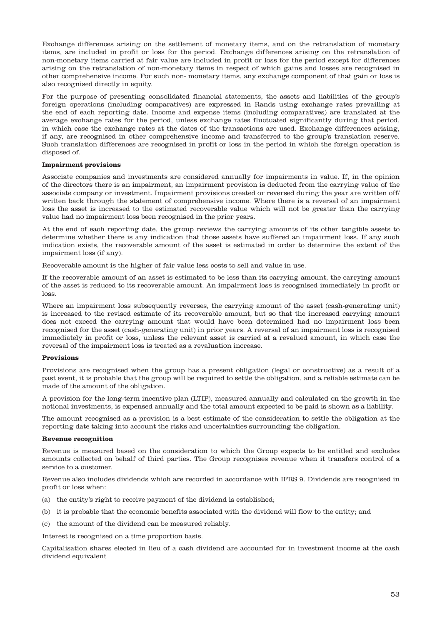Exchange differences arising on the settlement of monetary items, and on the retranslation of monetary items, are included in profit or loss for the period. Exchange differences arising on the retranslation of non-monetary items carried at fair value are included in profit or loss for the period except for differences arising on the retranslation of non-monetary items in respect of which gains and losses are recognised in other comprehensive income. For such non- monetary items, any exchange component of that gain or loss is also recognised directly in equity.

For the purpose of presenting consolidated financial statements, the assets and liabilities of the group's foreign operations (including comparatives) are expressed in Rands using exchange rates prevailing at the end of each reporting date. Income and expense items (including comparatives) are translated at the average exchange rates for the period, unless exchange rates fluctuated significantly during that period, in which case the exchange rates at the dates of the transactions are used. Exchange differences arising, if any, are recognised in other comprehensive income and transferred to the group's translation reserve. Such translation differences are recognised in profit or loss in the period in which the foreign operation is disposed of.

#### **Impairment provisions**

Associate companies and investments are considered annually for impairments in value. If, in the opinion of the directors there is an impairment, an impairment provision is deducted from the carrying value of the associate company or investment. Impairment provisions created or reversed during the year are written off/ written back through the statement of comprehensive income. Where there is a reversal of an impairment loss the asset is increased to the estimated recoverable value which will not be greater than the carrying value had no impairment loss been recognised in the prior years.

At the end of each reporting date, the group reviews the carrying amounts of its other tangible assets to determine whether there is any indication that those assets have suffered an impairment loss. If any such indication exists, the recoverable amount of the asset is estimated in order to determine the extent of the impairment loss (if any).

Recoverable amount is the higher of fair value less costs to sell and value in use.

If the recoverable amount of an asset is estimated to be less than its carrying amount, the carrying amount of the asset is reduced to its recoverable amount. An impairment loss is recognised immediately in profit or loss.

Where an impairment loss subsequently reverses, the carrying amount of the asset (cash-generating unit) is increased to the revised estimate of its recoverable amount, but so that the increased carrying amount does not exceed the carrying amount that would have been determined had no impairment loss been recognised for the asset (cash-generating unit) in prior years. A reversal of an impairment loss is recognised immediately in profit or loss, unless the relevant asset is carried at a revalued amount, in which case the reversal of the impairment loss is treated as a revaluation increase.

#### **Provisions**

Provisions are recognised when the group has a present obligation (legal or constructive) as a result of a past event, it is probable that the group will be required to settle the obligation, and a reliable estimate can be made of the amount of the obligation.

A provision for the long-term incentive plan (LTIP), measured annually and calculated on the growth in the notional investments, is expensed annually and the total amount expected to be paid is shown as a liability.

The amount recognised as a provision is a best estimate of the consideration to settle the obligation at the reporting date taking into account the risks and uncertainties surrounding the obligation.

#### **Revenue recognition**

Revenue is measured based on the consideration to which the Group expects to be entitled and excludes amounts collected on behalf of third parties. The Group recognises revenue when it transfers control of a service to a customer.

Revenue also includes dividends which are recorded in accordance with IFRS 9. Dividends are recognised in profit or loss when:

- (a) the entity's right to receive payment of the dividend is established;
- (b) it is probable that the economic benefits associated with the dividend will flow to the entity; and
- (c) the amount of the dividend can be measured reliably.

Interest is recognised on a time proportion basis.

Capitalisation shares elected in lieu of a cash dividend are accounted for in investment income at the cash dividend equivalent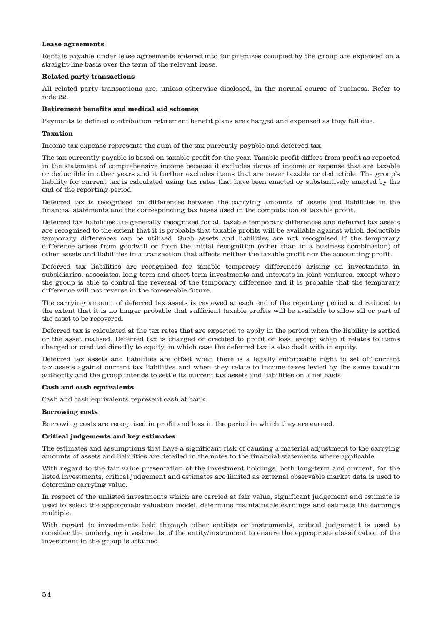#### **Lease agreements**

Rentals payable under lease agreements entered into for premises occupied by the group are expensed on a straight-line basis over the term of the relevant lease.

#### **Related party transactions**

All related party transactions are, unless otherwise disclosed, in the normal course of business. Refer to note 22.

## **Retirement benefits and medical aid schemes**

Payments to defined contribution retirement benefit plans are charged and expensed as they fall due.

#### **Taxation**

Income tax expense represents the sum of the tax currently payable and deferred tax.

The tax currently payable is based on taxable profit for the year. Taxable profit differs from profit as reported in the statement of comprehensive income because it excludes items of income or expense that are taxable or deductible in other years and it further excludes items that are never taxable or deductible. The group's liability for current tax is calculated using tax rates that have been enacted or substantively enacted by the end of the reporting period.

Deferred tax is recognised on differences between the carrying amounts of assets and liabilities in the financial statements and the corresponding tax bases used in the computation of taxable profit.

Deferred tax liabilities are generally recognised for all taxable temporary differences and deferred tax assets are recognised to the extent that it is probable that taxable profits will be available against which deductible temporary differences can be utilised. Such assets and liabilities are not recognised if the temporary difference arises from goodwill or from the initial recognition (other than in a business combination) of other assets and liabilities in a transaction that affects neither the taxable profit nor the accounting profit.

Deferred tax liabilities are recognised for taxable temporary differences arising on investments in subsidiaries, associates, long-term and short-term investments and interests in joint ventures, except where the group is able to control the reversal of the temporary difference and it is probable that the temporary difference will not reverse in the foreseeable future.

The carrying amount of deferred tax assets is reviewed at each end of the reporting period and reduced to the extent that it is no longer probable that sufficient taxable profits will be available to allow all or part of the asset to be recovered.

Deferred tax is calculated at the tax rates that are expected to apply in the period when the liability is settled or the asset realised. Deferred tax is charged or credited to profit or loss, except when it relates to items charged or credited directly to equity, in which case the deferred tax is also dealt with in equity.

Deferred tax assets and liabilities are offset when there is a legally enforceable right to set off current tax assets against current tax liabilities and when they relate to income taxes levied by the same taxation authority and the group intends to settle its current tax assets and liabilities on a net basis.

#### **Cash and cash equivalents**

Cash and cash equivalents represent cash at bank.

#### **Borrowing costs**

Borrowing costs are recognised in profit and loss in the period in which they are earned.

#### **Critical judgements and key estimates**

The estimates and assumptions that have a significant risk of causing a material adjustment to the carrying amounts of assets and liabilities are detailed in the notes to the financial statements where applicable.

With regard to the fair value presentation of the investment holdings, both long-term and current, for the listed investments, critical judgement and estimates are limited as external observable market data is used to determine carrying value.

In respect of the unlisted investments which are carried at fair value, significant judgement and estimate is used to select the appropriate valuation model, determine maintainable earnings and estimate the earnings multiple.

With regard to investments held through other entities or instruments, critical judgement is used to consider the underlying investments of the entity/instrument to ensure the appropriate classification of the investment in the group is attained.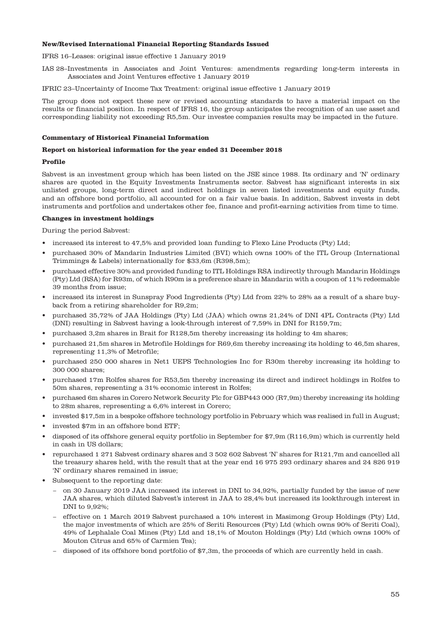### **New/Revised International Financial Reporting Standards Issued**

IFRS 16–Leases: original issue effective 1 January 2019

- IAS 28–Investments in Associates and Joint Ventures: amendments regarding long-term interests in Associates and Joint Ventures effective 1 January 2019
- IFRIC 23–Uncertainty of Income Tax Treatment: original issue effective 1 January 2019

The group does not expect these new or revised accounting standards to have a material impact on the results or financial position. In respect of IFRS 16, the group anticipates the recognition of an use asset and corresponding liability not exceeding R5,5m. Our investee companies results may be impacted in the future.

#### **Commentary of Historical Financial Information**

#### **Report on historical information for the year ended 31 December 2018**

#### **Profile**

Sabvest is an investment group which has been listed on the JSE since 1988. Its ordinary and 'N' ordinary shares are quoted in the Equity Investments Instruments sector. Sabvest has significant interests in six unlisted groups, long-term direct and indirect holdings in seven listed investments and equity funds, and an offshore bond portfolio, all accounted for on a fair value basis. In addition, Sabvest invests in debt instruments and portfolios and undertakes other fee, finance and profit-earning activities from time to time.

## **Changes in investment holdings**

During the period Sabvest:

- increased its interest to 47,5% and provided loan funding to Flexo Line Products (Pty) Ltd;
- purchased 30% of Mandarin Industries Limited (BVI) which owns 100% of the ITL Group (International Trimmings & Labels) internationally for \$33,6m (R398,5m);
- purchased effective 30% and provided funding to ITL Holdings RSA indirectly through Mandarin Holdings (Pty) Ltd (RSA) for R93m, of which R90m is a preference share in Mandarin with a coupon of 11% redeemable 39 months from issue;
- increased its interest in Sunspray Food Ingredients (Pty) Ltd from 22% to 28% as a result of a share buyback from a retiring shareholder for R9,2m;
- purchased 35,72% of JAA Holdings (Pty) Ltd (JAA) which owns 21,24% of DNI 4PL Contracts (Pty) Ltd (DNI) resulting in Sabvest having a look-through interest of 7,59% in DNI for R159,7m;
- purchased 3,2m shares in Brait for R128,5m thereby increasing its holding to 4m shares;
- purchased 21,5m shares in Metrofile Holdings for R69,6m thereby increasing its holding to 46,5m shares, representing 11,3% of Metrofile;
- purchased 250 000 shares in Net1 UEPS Technologies Inc for R30m thereby increasing its holding to 300 000 shares;
- purchased 17m Rolfes shares for R53,5m thereby increasing its direct and indirect holdings in Rolfes to 50m shares, representing a 31% economic interest in Rolfes;
- purchased 6m shares in Corero Network Security Plc for GBP443 000 (R7,9m) thereby increasing its holding to 28m shares, representing a 6,6% interest in Corero;
- invested \$17,5m in a bespoke offshore technology portfolio in February which was realised in full in August;
- invested \$7m in an offshore bond ETF;
- disposed of its offshore general equity portfolio in September for \$7,9m (R116,9m) which is currently held in cash in US dollars;
- repurchased 1 271 Sabvest ordinary shares and 3 502 602 Sabvest 'N' shares for R121,7m and cancelled all the treasury shares held, with the result that at the year end 16 975 293 ordinary shares and 24 826 919 'N' ordinary shares remained in issue;
- Subsequent to the reporting date:
	- − on 30 January 2019 JAA increased its interest in DNI to 34,92%, partially funded by the issue of new JAA shares, which diluted Sabvest's interest in JAA to 28,4% but increased its lookthrough interest in DNI to 9,92%;
	- − effective on 1 March 2019 Sabvest purchased a 10% interest in Masimong Group Holdings (Pty) Ltd, the major investments of which are 25% of Seriti Resources (Pty) Ltd (which owns 90% of Seriti Coal), 49% of Lephalale Coal Mines (Pty) Ltd and 18,1% of Mouton Holdings (Pty) Ltd (which owns 100% of Mouton Citrus and 65% of Carmien Tea);
	- − disposed of its offshore bond portfolio of \$7,3m, the proceeds of which are currently held in cash.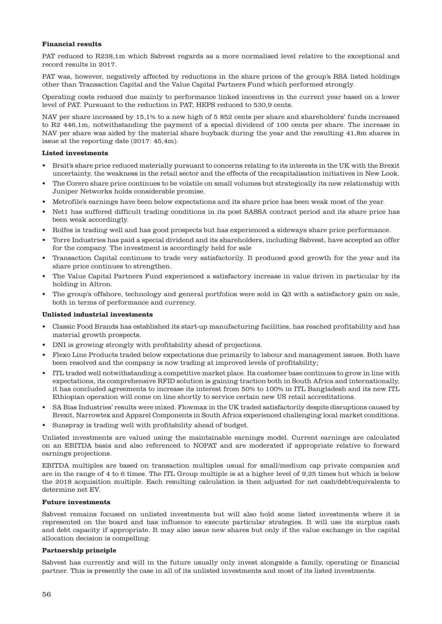## **Financial results**

PAT reduced to R238,1m which Sabvest regards as a more normalised level relative to the exceptional and record results in 2017.

PAT was, however, negatively affected by reductions in the share prices of the group's RSA listed holdings other than Transaction Capital and the Value Capital Partners Fund which performed strongly.

Operating costs reduced due mainly to performance linked incentives in the current year based on a lower level of PAT. Pursuant to the reduction in PAT, HEPS reduced to 530,9 cents.

NAV per share increased by 15,1% to a new high of 5 852 cents per share and shareholders' funds increased to R2 446,1m, notwithstanding the payment of a special dividend of 100 cents per share. The increase in NAV per share was aided by the material share buyback during the year and the resulting 41,8m shares in issue at the reporting date (2017: 45,4m).

## **Listed investments**

- Brait's share price reduced materially pursuant to concerns relating to its interests in the UK with the Brexit uncertainty, the weakness in the retail sector and the effects of the recapitalisation initiatives in New Look.
- The Corero share price continues to be volatile on small volumes but strategically its new relationship with Juniper Networks holds considerable promise.
- Metrofile's earnings have been below expectations and its share price has been weak most of the year.
- Net1 has suffered difficult trading conditions in its post SASSA contract period and its share price has been weak accordingly.
- Rolfes is trading well and has good prospects but has experienced a sideways share price performance.
- Torre Industries has paid a special dividend and its shareholders, including Sabvest, have accepted an offer for the company. The investment is accordingly held for sale
- Transaction Capital continues to trade very satisfactorily. It produced good growth for the year and its share price continues to strengthen.
- The Value Capital Partners Fund experienced a satisfactory increase in value driven in particular by its holding in Altron.
- The group's offshore, technology and general portfolios were sold in Q3 with a satisfactory gain on sale, both in terms of performance and currency.

## **Unlisted industrial investments**

- Classic Food Brands has established its start-up manufacturing facilities, has reached profitability and has material growth prospects.
- DNI is growing strongly with profitability ahead of projections.
- Flexo Line Products traded below expectations due primarily to labour and management issues. Both have been resolved and the company is now trading at improved levels of profitability;
- ITL traded well notwithstanding a competitive market place. Its customer base continues to grow in line with expectations, its comprehensive RFID solution is gaining traction both in South Africa and internationally, it has concluded agreements to increase its interest from 50% to 100% in ITL Bangladesh and its new ITL Ethiopian operation will come on line shortly to service certain new US retail accreditations.
- SA Bias Industries' results were mixed. Flowmax in the UK traded satisfactorily despite disruptions caused by Brexit, Narrowtex and Apparel Components in South Africa experienced challenging local market conditions.
- Sunspray is trading well with profitability ahead of budget.

Unlisted investments are valued using the maintainable earnings model. Current earnings are calculated on an EBITDA basis and also referenced to NOPAT and are moderated if appropriate relative to forward earnings projections.

EBITDA multiples are based on transaction multiples usual for small/medium cap private companies and are in the range of 4 to 6 times. The ITL Group multiple is at a higher level of 9,25 times but which is below the 2018 acquisition multiple. Each resulting calculation is then adjusted for net cash/debt/equivalents to determine net EV.

#### **Future investments**

Sabvest remains focused on unlisted investments but will also hold some listed investments where it is represented on the board and has influence to execute particular strategies. It will use its surplus cash and debt capacity if appropriate. It may also issue new shares but only if the value exchange in the capital allocation decision is compelling.

#### **Partnership principle**

Sabvest has currently and will in the future usually only invest alongside a family, operating or financial partner. This is presently the case in all of its unlisted investments and most of its listed investments.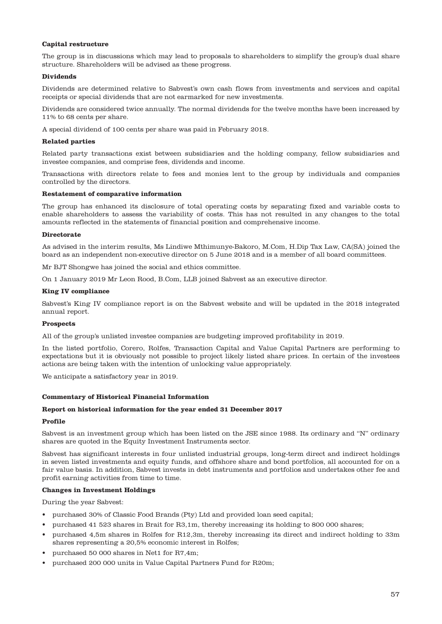## **Capital restructure**

The group is in discussions which may lead to proposals to shareholders to simplify the group's dual share structure. Shareholders will be advised as these progress.

### **Dividends**

Dividends are determined relative to Sabvest's own cash flows from investments and services and capital receipts or special dividends that are not earmarked for new investments.

Dividends are considered twice annually. The normal dividends for the twelve months have been increased by 11% to 68 cents per share.

A special dividend of 100 cents per share was paid in February 2018.

#### **Related parties**

Related party transactions exist between subsidiaries and the holding company, fellow subsidiaries and investee companies, and comprise fees, dividends and income.

Transactions with directors relate to fees and monies lent to the group by individuals and companies controlled by the directors.

## **Restatement of comparative information**

The group has enhanced its disclosure of total operating costs by separating fixed and variable costs to enable shareholders to assess the variability of costs. This has not resulted in any changes to the total amounts reflected in the statements of financial position and comprehensive income.

#### **Directorate**

As advised in the interim results, Ms Lindiwe Mthimunye-Bakoro, M.Com, H.Dip Tax Law, CA(SA) joined the board as an independent non-executive director on 5 June 2018 and is a member of all board committees.

Mr BJT Shongwe has joined the social and ethics committee.

On 1 January 2019 Mr Leon Rood, B.Com, LLB joined Sabvest as an executive director.

#### **King IV compliance**

Sabvest's King IV compliance report is on the Sabvest website and will be updated in the 2018 integrated annual report.

#### **Prospects**

All of the group's unlisted investee companies are budgeting improved profitability in 2019.

In the listed portfolio, Corero, Rolfes, Transaction Capital and Value Capital Partners are performing to expectations but it is obviously not possible to project likely listed share prices. In certain of the investees actions are being taken with the intention of unlocking value appropriately.

We anticipate a satisfactory year in 2019.

#### **Commentary of Historical Financial Information**

#### **Report on historical information for the year ended 31 December 2017**

#### **Profile**

Sabvest is an investment group which has been listed on the JSE since 1988. Its ordinary and "N" ordinary shares are quoted in the Equity Investment Instruments sector.

Sabvest has significant interests in four unlisted industrial groups, long-term direct and indirect holdings in seven listed investments and equity funds, and offshore share and bond portfolios, all accounted for on a fair value basis. In addition, Sabvest invests in debt instruments and portfolios and undertakes other fee and profit earning activities from time to time.

#### **Changes in Investment Holdings**

During the year Sabvest:

- purchased 30% of Classic Food Brands (Pty) Ltd and provided loan seed capital;
- purchased 41 523 shares in Brait for R3,1m, thereby increasing its holding to 800 000 shares;
- purchased 4,5m shares in Rolfes for R12,3m, thereby increasing its direct and indirect holding to 33m shares representing a 20,5% economic interest in Rolfes;
- purchased 50 000 shares in Net1 for R7,4m;
- purchased 200 000 units in Value Capital Partners Fund for R20m;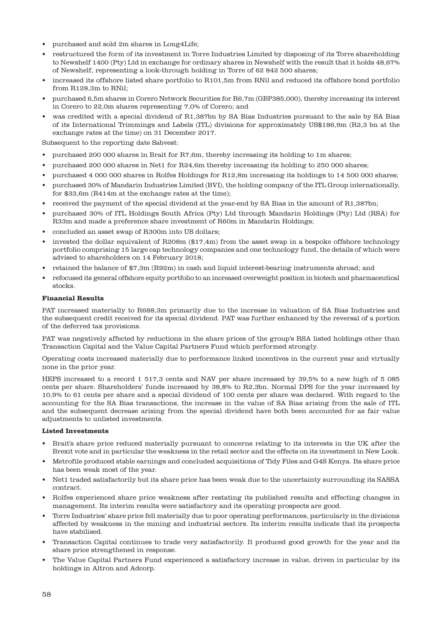- purchased and sold 2m shares in Long4Life;
- restructured the form of its investment in Torre Industries Limited by disposing of its Torre shareholding to Newshelf 1400 (Pty) Ltd in exchange for ordinary shares in Newshelf with the result that it holds 48,67% of Newshelf, representing a look-through holding in Torre of 62 842 500 shares;
- increased its offshore listed share portfolio to R101,5m from RNil and reduced its offshore bond portfolio from R128,3m to RNil;
- purchased 6,5m shares in Corero Network Securities for R6,7m (GBP385,000), thereby increasing its interest in Corero to 22,0m shares representing 7,0% of Corero; and
- was credited with a special dividend of R1,387bn by SA Bias Industries pursuant to the sale by SA Bias of its International Trimmings and Labels (ITL) divisions for approximately US\$186,9m (R2,3 bn at the exchange rates at the time) on 31 December 2017.

Subsequent to the reporting date Sabvest:

- purchased 200 000 shares in Brait for R7,6m, thereby increasing its holding to 1m shares;
- purchased 200 000 shares in Net1 for R24,6m thereby increasing its holding to 250 000 shares;
- purchased 4 000 000 shares in Rolfes Holdings for R12,8m increasing its holdings to 14 500 000 shares;
- purchased 30% of Mandarin Industries Limited (BVI), the holding company of the ITL Group internationally, for \$33,6m (R414m at the exchange rates at the time);
- received the payment of the special dividend at the year-end by SA Bias in the amount of R1,387bn;
- purchased 30% of ITL Holdings South Africa (Pty) Ltd through Mandarin Holdings (Pty) Ltd (RSA) for R33m and made a preference share investment of R60m in Mandarin Holdings;
- concluded an asset swap of R300m into US dollars;
- invested the dollar equivalent of R208m (\$17,4m) from the asset swap in a bespoke offshore technology portfolio comprising 15 large cap technology companies and one technology fund, the details of which were advised to shareholders on 14 February 2018;
- retained the balance of \$7,3m (R92m) in cash and liquid interest-bearing instruments abroad; and
- refocused its general offshore equity portfolio to an increased overweight position in biotech and pharmaceutical stocks.

#### **Financial Results**

PAT increased materially to R688,3m primarily due to the increase in valuation of SA Bias Industries and the subsequent credit received for its special dividend. PAT was further enhanced by the reversal of a portion of the deferred tax provisions.

PAT was negatively affected by reductions in the share prices of the group's RSA listed holdings other than Transaction Capital and the Value Capital Partners Fund which performed strongly.

Operating costs increased materially due to performance linked incentives in the current year and virtually none in the prior year.

HEPS increased to a record 1 517,3 cents and NAV per share increased by 39,5% to a new high of 5 085 cents per share. Shareholders' funds increased by 38,8% to R2,3bn. Normal DPS for the year increased by 10,9% to 61 cents per share and a special dividend of 100 cents per share was declared. With regard to the accounting for the SA Bias transactions, the increase in the value of SA Bias arising from the sale of ITL and the subsequent decrease arising from the special dividend have both been accounted for as fair value adjustments to unlisted investments.

#### **Listed Investments**

- Brait's share price reduced materially pursuant to concerns relating to its interests in the UK after the Brexit vote and in particular the weakness in the retail sector and the effects on its investment in New Look.
- Metrofile produced stable earnings and concluded acquisitions of Tidy Files and G4S Kenya. Its share price has been weak most of the year.
- Net1 traded satisfactorily but its share price has been weak due to the uncertainty surrounding its SASSA contract.
- Rolfes experienced share price weakness after restating its published results and effecting changes in management. Its interim results were satisfactory and its operating prospects are good.
- Torre Industries' share price fell materially due to poor operating performances, particularly in the divisions affected by weakness in the mining and industrial sectors. Its interim results indicate that its prospects have stabilised.
- Transaction Capital continues to trade very satisfactorily. It produced good growth for the year and its share price strengthened in response.
- The Value Capital Partners Fund experienced a satisfactory increase in value, driven in particular by its holdings in Altron and Adcorp.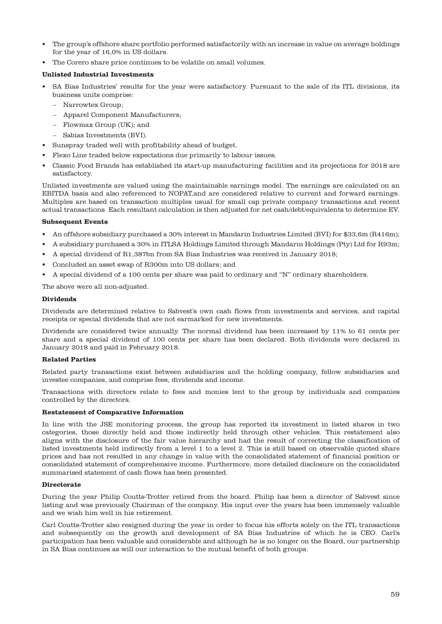- The group's offshore share portfolio performed satisfactorily with an increase in value on average holdings for the year of 16,0% in US dollars.
- The Corero share price continues to be volatile on small volumes.

## **Unlisted Industrial Investments**

- SA Bias Industries' results for the year were satisfactory. Pursuant to the sale of its ITL divisions, its business units comprise:
	- − Narrowtex Group;
	- − Apparel Component Manufacturers;
	- − Flowmax Group (UK); and
	- − Sabias Investments (BVI).
- Sunspray traded well with profitability ahead of budget.
- Flexo Line traded below expectations due primarily to labour issues.
- Classic Food Brands has established its start-up manufacturing facilities and its projections for 2018 are satisfactory.

Unlisted investments are valued using the maintainable earnings model. The earnings are calculated on an EBITDA basis and also referenced to NOPAT,and are considered relative to current and forward earnings. Multiples are based on transaction multiples usual for small cap private company transactions and recent actual transactions. Each resultant calculation is then adjusted for net cash/debt/equivalents to determine EV.

#### **Subsequent Events**

- An offshore subsidiary purchased a 30% interest in Mandarin Industries Limited (BVI) for \$33,6m (R416m);
- A subsidiary purchased a 30% in ITLSA Holdings Limited through Mandarin Holdings (Pty) Ltd for R93m;
- A special dividend of R1,387bn from SA Bias Industries was received in January 2018;
- Concluded an asset swap of R300m into US dollars; and
- A special dividend of a 100 cents per share was paid to ordinary and "N" ordinary shareholders.

The above were all non-adjusted.

#### **Dividends**

Dividends are determined relative to Sabvest's own cash flows from investments and services, and capital receipts or special dividends that are not earmarked for new investments.

Dividends are considered twice annually. The normal dividend has been increased by 11% to 61 cents per share and a special dividend of 100 cents per share has been declared. Both dividends were declared in January 2018 and paid in February 2018.

#### **Related Parties**

Related party transactions exist between subsidiaries and the holding company, fellow subsidiaries and investee companies, and comprise fees, dividends and income.

Transactions with directors relate to fees and monies lent to the group by individuals and companies controlled by the directors.

## **Restatement of Comparative Information**

In line with the JSE monitoring process, the group has reported its investment in listed shares in two categories, those directly held and those indirectly held through other vehicles. This restatement also aligns with the disclosure of the fair value hierarchy and had the result of correcting the classification of listed investments held indirectly from a level 1 to a level 2. This is still based on observable quoted share prices and has not resulted in any change in value with the consolidated statement of financial position or consolidated statement of comprehensive income. Furthermore, more detailed disclosure on the consolidated summarised statement of cash flows has been presented.

#### **Directorate**

During the year Philip Coutts-Trotter retired from the board. Philip has been a director of Sabvest since listing and was previously Chairman of the company. His input over the years has been immensely valuable and we wish him well in his retirement.

Carl Coutts-Trotter also resigned during the year in order to focus his efforts solely on the ITL transactions and subsequently on the growth and development of SA Bias Industries of which he is CEO. Carl's participation has been valuable and considerable and although he is no longer on the Board, our partnership in SA Bias continues as will our interaction to the mutual benefit of both groups.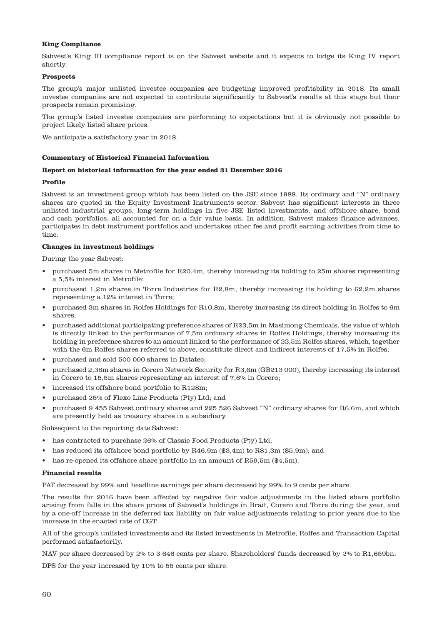### **King Compliance**

Sabvest's King III compliance report is on the Sabvest website and it expects to lodge its King IV report shortly.

#### **Prospects**

The group's major unlisted investee companies are budgeting improved profitability in 2018. Its small investee companies are not expected to contribute significantly to Sabvest's results at this stage but their prospects remain promising.

The group's listed investee companies are performing to expectations but it is obviously not possible to project likely listed share prices.

We anticipate a satisfactory year in 2018.

#### **Commentary of Historical Financial Information**

#### **Report on historical information for the year ended 31 December 2016**

#### **Profile**

Sabvest is an investment group which has been listed on the JSE since 1988. Its ordinary and "N" ordinary shares are quoted in the Equity Investment Instruments sector. Sabvest has significant interests in three unlisted industrial groups, long-term holdings in five JSE listed investments, and offshore share, bond and cash portfolios, all accounted for on a fair value basis. In addition, Sabvest makes finance advances, participates in debt instrument portfolios and undertakes other fee and profit earning activities from time to time.

#### **Changes in investment holdings**

During the year Sabvest:

- purchased 5m shares in Metrofile for R20,4m, thereby increasing its holding to 25m shares representing a 5,5% interest in Metrofile;
- purchased 1,2m shares in Torre Industries for R2,8m, thereby increasing its holding to 62,2m shares representing a 12% interest in Torre;
- purchased 3m shares in Rolfes Holdings for R10,8m, thereby increasing its direct holding in Rolfes to 6m shares;
- purchased additional participating preference shares of R23,5m in Masimong Chemicals, the value of which is directly linked to the performance of 7,5m ordinary shares in Rolfes Holdings, thereby increasing its holding in preference shares to an amount linked to the performance of 22,5m Rolfes shares, which, together with the 6m Rolfes shares referred to above, constitute direct and indirect interests of 17,5% in Rolfes;
- purchased and sold 500 000 shares in Datatec;
- purchased 2,38m shares in Corero Network Security for R3,6m (GB213 000), thereby increasing its interest in Corero to 15,5m shares representing an interest of 7,6% in Corero;
- increased its offshore bond portfolio to R128m;
- purchased 25% of Flexo Line Products (Pty) Ltd; and
- purchased 9 455 Sabvest ordinary shares and 225 526 Sabvest "N" ordinary shares for R6,6m, and which are presently held as treasury shares in a subsidiary.

Subsequent to the reporting date Sabvest:

- has contracted to purchase 26% of Classic Food Products (Pty) Ltd;
- has reduced its offshore bond portfolio by R46,9m (\$3,4m) to R81,3m (\$5,9m); and
- has re-opened its offshore share portfolio in an amount of R59,5m (\$4,5m).

#### **Financial results**

PAT decreased by 99% and headline earnings per share decreased by 99% to 9 cents per share.

The results for 2016 have been affected by negative fair value adjustments in the listed share portfolio arising from falls in the share prices of Sabvest's holdings in Brait, Corero and Torre during the year, and by a one-off increase in the deferred tax liability on fair value adjustments relating to prior years due to the increase in the enacted rate of CGT.

All of the group's unlisted investments and its listed investments in Metrofile, Rolfes and Transaction Capital performed satisfactorily.

NAV per share decreased by 2% to 3 646 cents per share. Shareholders' funds decreased by 2% to R1,659bn.

DPS for the year increased by 10% to 55 cents per share.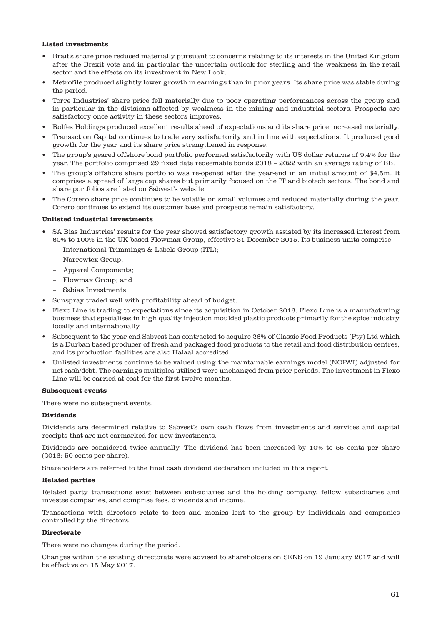## **Listed investments**

- Brait's share price reduced materially pursuant to concerns relating to its interests in the United Kingdom after the Brexit vote and in particular the uncertain outlook for sterling and the weakness in the retail sector and the effects on its investment in New Look.
- Metrofile produced slightly lower growth in earnings than in prior years. Its share price was stable during the period.
- Torre Industries' share price fell materially due to poor operating performances across the group and in particular in the divisions affected by weakness in the mining and industrial sectors. Prospects are satisfactory once activity in these sectors improves.
- Rolfes Holdings produced excellent results ahead of expectations and its share price increased materially.
- Transaction Capital continues to trade very satisfactorily and in line with expectations. It produced good growth for the year and its share price strengthened in response.
- The group's geared offshore bond portfolio performed satisfactorily with US dollar returns of 9,4% for the year. The portfolio comprised 29 fixed date redeemable bonds 2018 – 2022 with an average rating of BB.
- The group's offshore share portfolio was re-opened after the year-end in an initial amount of \$4,5m. It comprises a spread of large cap shares but primarily focused on the IT and biotech sectors. The bond and share portfolios are listed on Sabvest's website.
- The Corero share price continues to be volatile on small volumes and reduced materially during the year. Corero continues to extend its customer base and prospects remain satisfactory.

#### **Unlisted industrial investments**

- SA Bias Industries' results for the year showed satisfactory growth assisted by its increased interest from 60% to 100% in the UK based Flowmax Group, effective 31 December 2015. Its business units comprise:
	- − International Trimmings & Labels Group (ITL);
	- − Narrowtex Group;
	- − Apparel Components;
	- − Flowmax Group; and
	- − Sabias Investments.
- Sunspray traded well with profitability ahead of budget.
- Flexo Line is trading to expectations since its acquisition in October 2016. Flexo Line is a manufacturing business that specialises in high quality injection moulded plastic products primarily for the spice industry locally and internationally.
- Subsequent to the year-end Sabvest has contracted to acquire 26% of Classic Food Products (Pty) Ltd which is a Durban based producer of fresh and packaged food products to the retail and food distribution centres, and its production facilities are also Halaal accredited.
- Unlisted investments continue to be valued using the maintainable earnings model (NOPAT) adjusted for net cash/debt. The earnings multiples utilised were unchanged from prior periods. The investment in Flexo Line will be carried at cost for the first twelve months.

#### **Subsequent events**

There were no subsequent events.

#### **Dividends**

Dividends are determined relative to Sabvest's own cash flows from investments and services and capital receipts that are not earmarked for new investments.

Dividends are considered twice annually. The dividend has been increased by 10% to 55 cents per share (2016: 50 cents per share).

Shareholders are referred to the final cash dividend declaration included in this report.

#### **Related parties**

Related party transactions exist between subsidiaries and the holding company, fellow subsidiaries and investee companies, and comprise fees, dividends and income.

Transactions with directors relate to fees and monies lent to the group by individuals and companies controlled by the directors.

## **Directorate**

There were no changes during the period.

Changes within the existing directorate were advised to shareholders on SENS on 19 January 2017 and will be effective on 15 May 2017.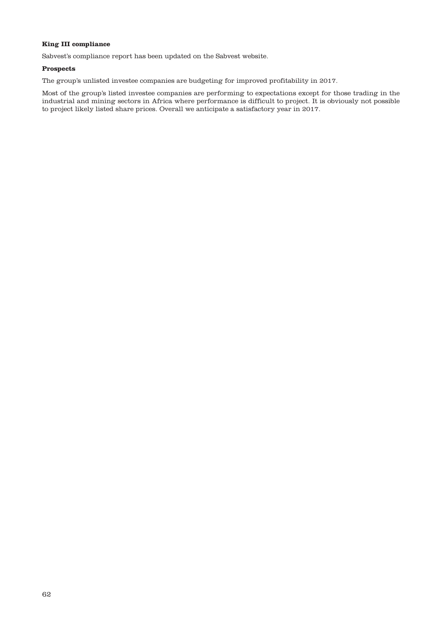## **King III compliance**

Sabvest's compliance report has been updated on the Sabvest website.

## **Prospects**

The group's unlisted investee companies are budgeting for improved profitability in 2017.

Most of the group's listed investee companies are performing to expectations except for those trading in the industrial and mining sectors in Africa where performance is difficult to project. It is obviously not possible to project likely listed share prices. Overall we anticipate a satisfactory year in 2017.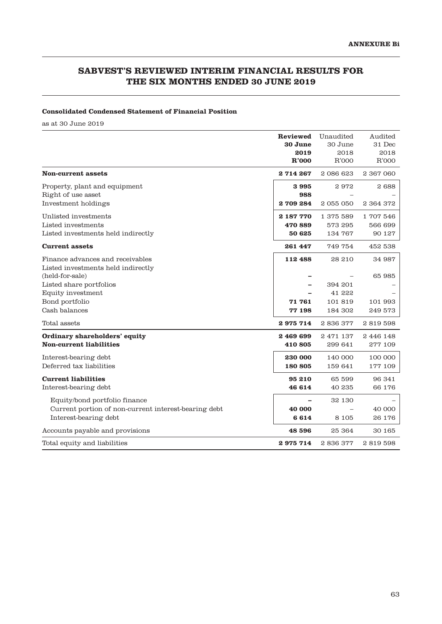# **SABVEST'S REVIEWED INTERIM FINANCIAL RESULTS FOR THE SIX MONTHS ENDED 30 JUNE 2019**

## **Consolidated Condensed Statement of Financial Position**

as at 30 June 2019

|                                                                                       | Reviewed<br>30 June<br>2019<br>R'000 | Unaudited<br>30 June<br>2018<br>R'000 | Audited<br>31 Dec<br>2018<br>R'000 |
|---------------------------------------------------------------------------------------|--------------------------------------|---------------------------------------|------------------------------------|
| <b>Non-current assets</b>                                                             | 2714267                              | 2086623                               | 2 367 060                          |
| Property, plant and equipment<br>Right of use asset<br>Investment holdings            | 3995<br>988<br>2709284               | 2972<br>2055050                       | 2688<br>2 364 372                  |
| Unlisted investments<br>Listed investments<br>Listed investments held indirectly      | 2 187 770<br>470 889<br>50 625       | 1 375 589<br>573 295<br>134 767       | 1707546<br>566 699<br>90 127       |
| <b>Current assets</b>                                                                 | 261 447                              | 749 754                               | 452 538                            |
| Finance advances and receivables<br>Listed investments held indirectly                | 112 488                              | 28 210                                | 34 987                             |
| (held-for-sale)                                                                       |                                      |                                       | 65985                              |
| Listed share portfolios<br>Equity investment                                          |                                      | 394 201<br>41 222                     |                                    |
| Bond portfolio                                                                        | 71 761                               | 101819                                | 101 993                            |
| Cash balances                                                                         | 77 198                               | 184 302                               | 249 573                            |
| Total assets                                                                          | 2975714                              | 2836377                               | 2819598                            |
| Ordinary shareholders' equity<br><b>Non-current liabilities</b>                       | 2469699<br>410 805                   | 2 471 137<br>299 641                  | 2 446 148<br>277 109               |
| Interest-bearing debt<br>Deferred tax liabilities                                     | 230 000<br>180 805                   | 140 000<br>159 641                    | 100 000<br>177 109                 |
| <b>Current liabilities</b><br>Interest-bearing debt                                   | 95 210<br>46 614                     | 65 599<br>40 235                      | 96 341<br>66 176                   |
| Equity/bond portfolio finance<br>Current portion of non-current interest-bearing debt | 40 000                               | 32 130                                | 40 000                             |
| Interest-bearing debt                                                                 | 6614                                 | 8 1 0 5                               | 26 176                             |
| Accounts payable and provisions                                                       | 48 596                               | 25 364                                | 30 165                             |
| Total equity and liabilities                                                          | 2975714                              | 2836377                               | 2819598                            |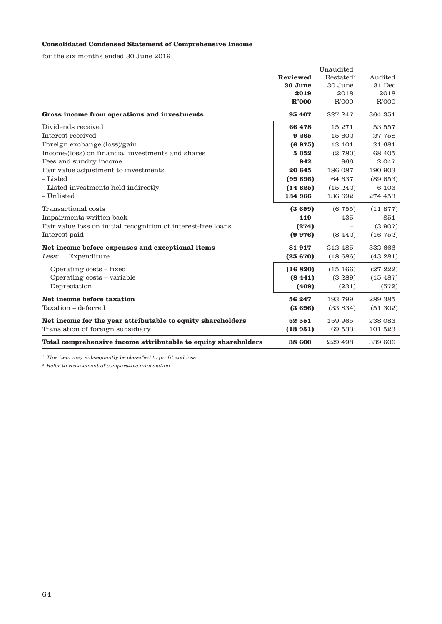# **Consolidated Condensed Statement of Comprehensive Income**

for the six months ended 30 June 2019

|                                                                | <b>Reviewed</b> | Restated <sup>2</sup> | Audited  |
|----------------------------------------------------------------|-----------------|-----------------------|----------|
|                                                                | 30 June         | 30 June               | 31 Dec   |
|                                                                | 2019            | 2018                  | 2018     |
|                                                                | R'000           | R'000                 | R'000    |
| Gross income from operations and investments                   | 95 407          | 227 247               | 364 351  |
| Dividends received                                             | 66 478          | 15 271                | 53 557   |
| Interest received                                              | 9265            | 15 602                | 27758    |
| Foreign exchange (loss)/gain                                   | (6975)          | 12 101                | 21 681   |
| Income/(loss) on financial investments and shares              | 5052            | (2780)                | 68 405   |
| Fees and sundry income                                         | 942             | 966                   | 2047     |
| Fair value adjustment to investments                           | 20 645          | 186 087               | 190 903  |
| - Listed                                                       | (99696)         | 64 637                | (89653)  |
| - Listed investments held indirectly                           | (14625)         | (15, 242)             | 6 1 0 3  |
| - Unlisted                                                     | 134 966         | 136 692               | 274 453  |
| Transactional costs                                            | (3659)          | (6755)                | (11877)  |
| Impairments written back                                       | 419             | 435                   | 851      |
| Fair value loss on initial recognition of interest-free loans  | (274)           |                       | (3907)   |
| Interest paid                                                  | (9976)          | (8442)                | (16752)  |
| Net income before expenses and exceptional items               | 81917           | 212 485               | 332 666  |
| Expenditure<br>Less:                                           | (25670)         | (18686)               | (43281)  |
| Operating costs - fixed                                        | (16820)         | (15166)               | (2722)   |
| Operating costs – variable                                     | (8441)          | (3, 289)              | (15 487) |
| Depreciation                                                   | (409)           | (231)                 | (572)    |
| Net income before taxation                                     | 56 247          | 193799                | 289 385  |
| Taxation - deferred                                            | (3696)          | (33834)               | (51 302) |
| Net income for the year attributable to equity shareholders    | 52 551          | 159 965               | 238 083  |
| Translation of foreign subsidiary <sup>1</sup>                 | (13951)         | 69 533                | 101 523  |
| Total comprehensive income attributable to equity shareholders | 38 600          | 229 498               | 339 606  |

 $^{\rm 1}$  This item may subsequently be classified to profit and loss

 $\,^2$  Refer to restatement of comparative information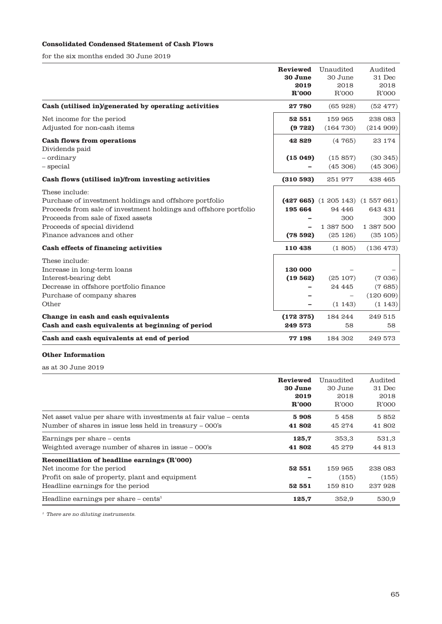# **Consolidated Condensed Statement of Cash Flows**

for the six months ended 30 June 2019

|                                                                  | Reviewed | Unaudited              | Audited   |
|------------------------------------------------------------------|----------|------------------------|-----------|
|                                                                  | 30 June  | 30 June                | 31 Dec    |
|                                                                  | 2019     | 2018                   | 2018      |
|                                                                  | R'000    | R'000                  | R'000     |
| Cash (utilised in)/generated by operating activities             | 27780    | (65928)                | (52 477)  |
| Net income for the period                                        | 52 551   | 159 965                | 238 083   |
| Adjusted for non-cash items                                      | (9722)   | (164 730)              | (214909)  |
| <b>Cash flows from operations</b>                                | 42829    | (4765)                 | 23 174    |
| Dividends paid                                                   |          |                        |           |
| - ordinary                                                       | (15049)  | (15857)                | (30345)   |
| - special                                                        |          | (45306)                | (45306)   |
| Cash flows (utilised in)/from investing activities               | (310593) | 251 977                | 438 465   |
| These include:                                                   |          |                        |           |
| Purchase of investment holdings and offshore portfolio           |          | $(427665)$ $(1205143)$ | (1557661) |
| Proceeds from sale of investment holdings and offshore portfolio | 195 664  | 94 446                 | 643 431   |
| Proceeds from sale of fixed assets                               |          | 300                    | 300       |
| Proceeds of special dividend                                     |          | 1 387 500              | 1 387 500 |
| Finance advances and other                                       | (78592)  | (25126)                | (35105)   |
| Cash effects of financing activities                             | 110 438  | (1, 805)               | (136 473) |
| These include:                                                   |          |                        |           |
| Increase in long-term loans                                      | 130 000  |                        |           |
| Interest-bearing debt                                            | (19562)  | (25107)                | (7036)    |
| Decrease in offshore portfolio finance                           |          | 24 4 4 5               | (7685)    |
| Purchase of company shares                                       |          |                        | (120609)  |
| Other                                                            |          | (1143)                 | (1143)    |
| Change in cash and cash equivalents                              | (172375) | 184 244                | 249 515   |
| Cash and cash equivalents at beginning of period                 | 249 573  | 58                     | 58        |
| Cash and cash equivalents at end of period                       | 77 198   | 184 302                | 249 573   |

## **Other Information**

as at 30 June 2019

|                                                                                                                                                                 | Reviewed         | Unaudited                  | Audited                    |
|-----------------------------------------------------------------------------------------------------------------------------------------------------------------|------------------|----------------------------|----------------------------|
|                                                                                                                                                                 | 30 June          | 30 June                    | 31 Dec                     |
|                                                                                                                                                                 | 2019             | 2018                       | 2018                       |
|                                                                                                                                                                 | R'000            | R'000                      | R'000                      |
| Net asset value per share with investments at fair value – cents                                                                                                | 5908             | 5458                       | 5852                       |
| Number of shares in issue less held in treasury – 000's                                                                                                         | 41 802           | 45 274                     | 41802                      |
| Earnings per share – cents                                                                                                                                      | 125.7            | 353.3                      | 531,3                      |
| Weighted average number of shares in issue - 000's                                                                                                              | 41 802           | 45 279                     | 44 813                     |
| Reconciliation of headline earnings (R'000)<br>Net income for the period<br>Profit on sale of property, plant and equipment<br>Headline earnings for the period | 52 551<br>52 551 | 159 965<br>(155)<br>159810 | 238 083<br>(155)<br>237928 |
| Headline earnings per share $-\text{ cents}^1$                                                                                                                  | 125,7            | 352,9                      | 530,9                      |

 $^\mathrm{1}$  There are no diluting instruments.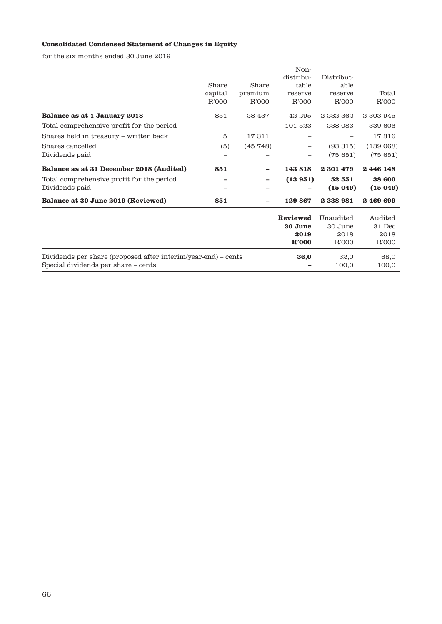# **Consolidated Condensed Statement of Changes in Equity**

for the six months ended 30 June 2019

|                                                               | Share<br>capital<br>R'000 | Share<br>premium<br>R'000 | Non-<br>distribu-<br>table<br>reserve<br>R'000 | Distribut-<br>able<br>reserve<br>R'000 | Total<br>R'000 |
|---------------------------------------------------------------|---------------------------|---------------------------|------------------------------------------------|----------------------------------------|----------------|
| Balance as at 1 January 2018                                  | 851                       | 28 437                    | 42 295                                         | 2 232 362                              | 2 303 945      |
| Total comprehensive profit for the period                     | -                         |                           | 101 523                                        | 238 083                                | 339 606        |
| Shares held in treasury - written back                        | 5                         | 17311                     |                                                |                                        | 17316          |
| Shares cancelled                                              | (5)                       | (45748)                   |                                                | (93315)                                | (139068)       |
| Dividends paid                                                |                           |                           |                                                | (75651)                                | (75651)        |
| Balance as at 31 December 2018 (Audited)                      | 851                       |                           | 143818                                         | 2 301 479                              | 2446148        |
| Total comprehensive profit for the period                     |                           |                           | (13951)                                        | 52 551                                 | 38 600         |
| Dividends paid                                                |                           |                           |                                                | (15049)                                | (15049)        |
| Balance at 30 June 2019 (Reviewed)                            | 851                       |                           | 129 867                                        | 2338981                                | 2469699        |
|                                                               |                           |                           | Reviewed                                       | Unaudited                              | Audited        |
|                                                               |                           |                           | 30 June                                        | 30 June                                | 31 Dec         |
|                                                               |                           |                           | 2019                                           | 2018                                   | 2018           |
|                                                               |                           |                           | R'000                                          | R'000                                  | R'000          |
| Dividends per share (proposed after interim/year-end) – cents |                           |                           | 36,0                                           | 32,0                                   | 68,0           |
| Special dividends per share – cents                           |                           |                           |                                                | 100,0                                  | 100,0          |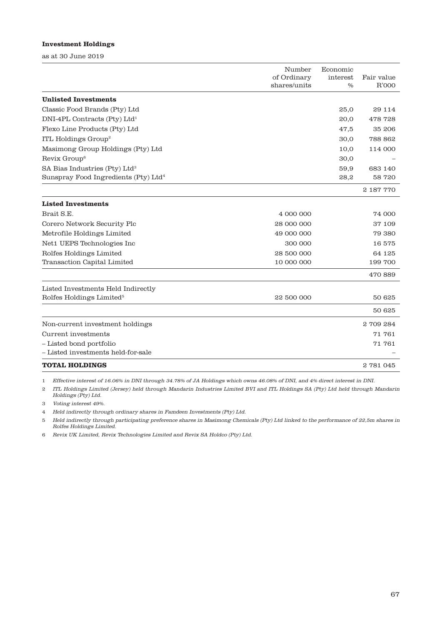## **Investment Holdings**

as at 30 June 2019

|                                                  | Number<br>of Ordinary<br>shares/units | Economic<br>interest<br>$\%$ | Fair value<br>R'000 |
|--------------------------------------------------|---------------------------------------|------------------------------|---------------------|
| <b>Unlisted Investments</b>                      |                                       |                              |                     |
| Classic Food Brands (Pty) Ltd                    |                                       | 25,0                         | 29 114              |
| $DNI-4PL$ Contracts (Pty) $Ltd1$                 |                                       | 20,0                         | 478 728             |
| Flexo Line Products (Pty) Ltd                    |                                       | 47,5                         | 35 206              |
| ITL Holdings Group <sup>2</sup>                  |                                       | 30,0                         | 788 862             |
| Masimong Group Holdings (Pty) Ltd                |                                       | 10,0                         | 114 000             |
| Revix Group <sup>6</sup>                         |                                       | 30,0                         |                     |
| SA Bias Industries (Pty) Ltd <sup>3</sup>        |                                       | 59,9                         | 683 140             |
| Sunspray Food Ingredients (Pty) Ltd <sup>4</sup> |                                       | 28,2                         | 58 720              |
|                                                  |                                       |                              | 2 187 770           |
| <b>Listed Investments</b>                        |                                       |                              |                     |
| Brait S.E.                                       | 4 000 000                             |                              | 74 000              |
| Corero Network Security Plc                      | 28 000 000                            |                              | 37 109              |
| Metrofile Holdings Limited                       | 49 000 000                            |                              | 79 380              |
| Net1 UEPS Technologies Inc                       | 300 000                               |                              | 16 575              |
| Rolfes Holdings Limited                          | 28 500 000                            |                              | 64 125              |
| Transaction Capital Limited                      | 10 000 000                            |                              | 199 700             |
|                                                  |                                       |                              | 470 889             |
| Listed Investments Held Indirectly               |                                       |                              |                     |
| Rolfes Holdings Limited <sup>5</sup>             | 22 500 000                            |                              | 50 625              |
|                                                  |                                       |                              | 50 625              |
| Non-current investment holdings                  |                                       |                              | 2709284             |
| Current investments                              |                                       |                              | 71 761              |
| - Listed bond portfolio                          |                                       |                              | 71 761              |
| - Listed investments held-for-sale               |                                       |                              |                     |
| <b>TOTAL HOLDINGS</b>                            |                                       |                              | 2781045             |

1 Effective interest of 16.06% in DNI through 34.78% of JA Holdings which owns 46.08% of DNI, and 4% direct interest in DNI.

2 ITL Holdings Limited (Jersey) held through Mandarin Industries Limited BVI and ITL Holdings SA (Pty) Ltd held through Mandarin Holdings (Pty) Ltd.

3 Voting interest 49%.

4 Held indirectly through ordinary shares in Famdeen Investments (Pty) Ltd.

5 Held indirectly through participating preference shares in Masimong Chemicals (Pty) Ltd linked to the performance of 22,5m shares in Rolfes Holdings Limited.

6 Revix UK Limited, Revix Technologies Limited and Revix SA Holdco (Pty) Ltd.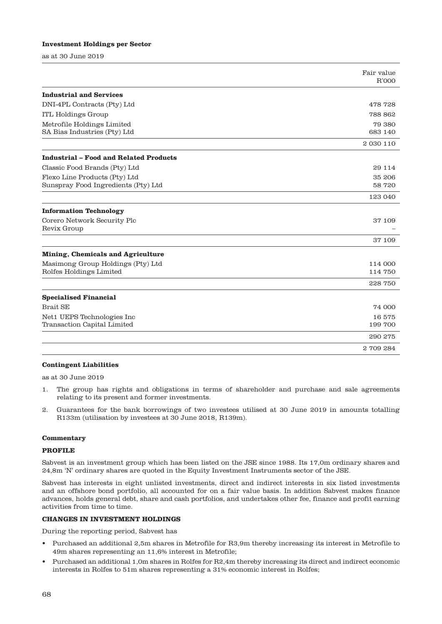#### **Investment Holdings per Sector**

as at 30 June 2019

|                                                                      | Fair value         |
|----------------------------------------------------------------------|--------------------|
|                                                                      | R'000              |
| <b>Industrial and Services</b>                                       |                    |
| DNI-4PL Contracts (Pty) Ltd                                          | 478728             |
| <b>ITL Holdings Group</b>                                            | 788 862            |
| Metrofile Holdings Limited<br>SA Bias Industries (Pty) Ltd           | 79 380<br>683 140  |
|                                                                      | 2 0 30 1 10        |
| <b>Industrial - Food and Related Products</b>                        |                    |
| Classic Food Brands (Pty) Ltd                                        | 29 114             |
| Flexo Line Products (Pty) Ltd<br>Sunspray Food Ingredients (Pty) Ltd | 35 206<br>58 720   |
|                                                                      | 123 040            |
| <b>Information Technology</b>                                        |                    |
| Corero Network Security Plc<br>Revix Group                           | 37 109             |
|                                                                      | 37 109             |
| Mining, Chemicals and Agriculture                                    |                    |
| Masimong Group Holdings (Pty) Ltd<br>Rolfes Holdings Limited         | 114 000<br>114 750 |
|                                                                      | 228 750            |
| <b>Specialised Financial</b>                                         |                    |
| <b>Brait SE</b>                                                      | 74 000             |
| Net1 UEPS Technologies Inc<br>Transaction Capital Limited            | 16575<br>199 700   |
|                                                                      | 290 275            |
|                                                                      | 2709284            |

#### **Contingent Liabilities**

as at 30 June 2019

- 1. The group has rights and obligations in terms of shareholder and purchase and sale agreements relating to its present and former investments.
- 2. Guarantees for the bank borrowings of two investees utilised at 30 June 2019 in amounts totalling R133m (utilisation by investees at 30 June 2018, R139m).

#### **Commentary**

#### **PROFILE**

Sabvest is an investment group which has been listed on the JSE since 1988. Its 17,0m ordinary shares and 24,8m 'N' ordinary shares are quoted in the Equity Investment Instruments sector of the JSE.

Sabvest has interests in eight unlisted investments, direct and indirect interests in six listed investments and an offshore bond portfolio, all accounted for on a fair value basis. In addition Sabvest makes finance advances, holds general debt, share and cash portfolios, and undertakes other fee, finance and profit earning activities from time to time.

#### **CHANGES IN INVESTMENT HOLDINGS**

During the reporting period, Sabvest has

- Purchased an additional 2,5m shares in Metrofile for R3,9m thereby increasing its interest in Metrofile to 49m shares representing an 11,6% interest in Metrofile;
- Purchased an additional 1,0m shares in Rolfes for R2,4m thereby increasing its direct and indirect economic interests in Rolfes to 51m shares representing a 31% economic interest in Rolfes;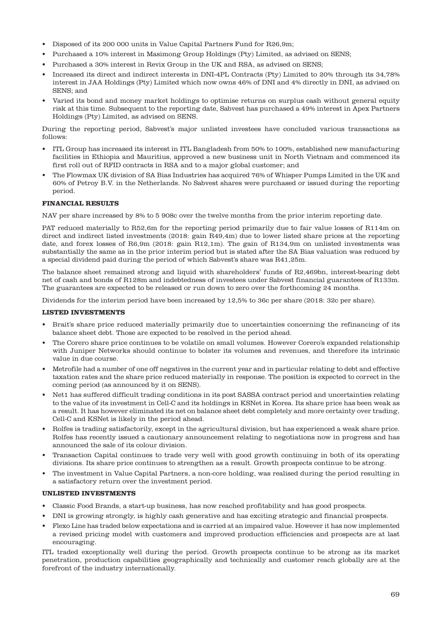- Disposed of its 200 000 units in Value Capital Partners Fund for R26,9m;
- Purchased a 10% interest in Masimong Group Holdings (Pty) Limited, as advised on SENS;
- Purchased a 30% interest in Revix Group in the UK and RSA, as advised on SENS;
- Increased its direct and indirect interests in DNI-4PL Contracts (Pty) Limited to 20% through its 34,78% interest in JAA Holdings (Pty) Limited which now owns 46% of DNI and 4% directly in DNI, as advised on SENS; and
- Varied its bond and money market holdings to optimise returns on surplus cash without general equity risk at this time. Subsequent to the reporting date, Sabvest has purchased a 49% interest in Apex Partners Holdings (Pty) Limited, as advised on SENS.

During the reporting period, Sabvest's major unlisted investees have concluded various transactions as follows:

- ITL Group has increased its interest in ITL Bangladesh from 50% to 100%, established new manufacturing facilities in Ethiopia and Mauritius, approved a new business unit in North Vietnam and commenced its first roll out of RFID contracts in RSA and to a major global customer; and
- The Flowmax UK division of SA Bias Industries has acquired 76% of Whisper Pumps Limited in the UK and 60% of Petroy B.V. in the Netherlands. No Sabvest shares were purchased or issued during the reporting period.

## **FINANCIAL RESULTS**

NAV per share increased by 8% to 5 908c over the twelve months from the prior interim reporting date.

PAT reduced materially to R52,6m for the reporting period primarily due to fair value losses of R114m on direct and indirect listed investments (2018: gain R49,4m) due to lower listed share prices at the reporting date, and forex losses of R6,9m (2018: gain R12,1m). The gain of R134,9m on unlisted investments was substantially the same as in the prior interim period but is stated after the SA Bias valuation was reduced by a special dividend paid during the period of which Sabvest's share was R41,25m.

The balance sheet remained strong and liquid with shareholders' funds of R2,469bn, interest-bearing debt net of cash and bonds of R128m and indebtedness of investees under Sabvest financial guarantees of R133m. The guarantees are expected to be released or run down to zero over the forthcoming 24 months.

Dividends for the interim period have been increased by 12,5% to 36c per share (2018: 32c per share).

## **LISTED INVESTMENTS**

- Brait's share price reduced materially primarily due to uncertainties concerning the refinancing of its balance sheet debt. Those are expected to be resolved in the period ahead.
- The Corero share price continues to be volatile on small volumes. However Corero's expanded relationship with Juniper Networks should continue to bolster its volumes and revenues, and therefore its intrinsic value in due course.
- Metrofile had a number of one off negatives in the current year and in particular relating to debt and effective taxation rates and the share price reduced materially in response. The position is expected to correct in the coming period (as announced by it on SENS).
- Net1 has suffered difficult trading conditions in its post SASSA contract period and uncertainties relating to the value of its investment in Cell-C and its holdings in KSNet in Korea. Its share price has been weak as a result. It has however eliminated its net on balance sheet debt completely and more certainty over trading, Cell-C and KSNet is likely in the period ahead.
- Rolfes is trading satisfactorily, except in the agricultural division, but has experienced a weak share price. Rolfes has recently issued a cautionary announcement relating to negotiations now in progress and has announced the sale of its colour division.
- Transaction Capital continues to trade very well with good growth continuing in both of its operating divisions. Its share price continues to strengthen as a result. Growth prospects continue to be strong.
- The investment in Value Capital Partners, a non-core holding, was realised during the period resulting in a satisfactory return over the investment period.

## **UNLISTED INVESTMENTS**

- Classic Food Brands, a start-up business, has now reached profitability and has good prospects.
- DNI is growing strongly, is highly cash generative and has exciting strategic and financial prospects.
- Flexo Line has traded below expectations and is carried at an impaired value. However it has now implemented a revised pricing model with customers and improved production efficiencies and prospects are at last encouraging.

ITL traded exceptionally well during the period. Growth prospects continue to be strong as its market penetration, production capabilities geographically and technically and customer reach globally are at the forefront of the industry internationally.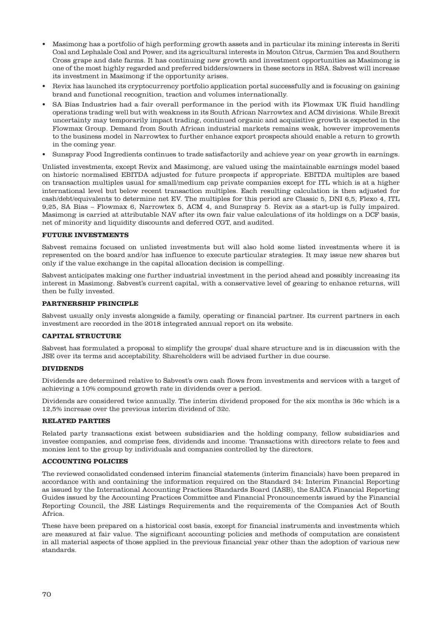- Masimong has a portfolio of high performing growth assets and in particular its mining interests in Seriti Coal and Lephalale Coal and Power, and its agricultural interests in Mouton Citrus, Carmien Tea and Southern Cross grape and date farms. It has continuing new growth and investment opportunities as Masimong is one of the most highly regarded and preferred bidders/owners in these sectors in RSA. Sabvest will increase its investment in Masimong if the opportunity arises.
- Revix has launched its cryptocurrency portfolio application portal successfully and is focusing on gaining brand and functional recognition, traction and volumes internationally.
- SA Bias Industries had a fair overall performance in the period with its Flowmax UK fluid handling operations trading well but with weakness in its South African Narrowtex and ACM divisions. While Brexit uncertainty may temporarily impact trading, continued organic and acquisitive growth is expected in the Flowmax Group. Demand from South African industrial markets remains weak, however improvements to the business model in Narrowtex to further enhance export prospects should enable a return to growth in the coming year.
- Sunspray Food Ingredients continues to trade satisfactorily and achieve year on year growth in earnings.

Unlisted investments, except Revix and Masimong, are valued using the maintainable earnings model based on historic normalised EBITDA adjusted for future prospects if appropriate. EBITDA multiples are based on transaction multiples usual for small/medium cap private companies except for ITL which is at a higher international level but below recent transaction multiples. Each resulting calculation is then adjusted for cash/debt/equivalents to determine net EV. The multiples for this period are Classic 5, DNI 6,5, Flexo 4, ITL 9,25, SA Bias – Flowmax 6, Narrowtex 5, ACM 4, and Sunspray 5. Revix as a start-up is fully impaired. Masimong is carried at attributable NAV after its own fair value calculations of its holdings on a DCF basis, net of minority and liquidity discounts and deferred CGT, and audited.

#### **FUTURE INVESTMENTS**

Sabvest remains focused on unlisted investments but will also hold some listed investments where it is represented on the board and/or has influence to execute particular strategies. It may issue new shares but only if the value exchange in the capital allocation decision is compelling.

Sabvest anticipates making one further industrial investment in the period ahead and possibly increasing its interest in Masimong. Sabvest's current capital, with a conservative level of gearing to enhance returns, will then be fully invested.

## **PARTNERSHIP PRINCIPLE**

Sabvest usually only invests alongside a family, operating or financial partner. Its current partners in each investment are recorded in the 2018 integrated annual report on its website.

#### **CAPITAL STRUCTURE**

Sabvest has formulated a proposal to simplify the groups' dual share structure and is in discussion with the JSE over its terms and acceptability. Shareholders will be advised further in due course.

## **DIVIDENDS**

Dividends are determined relative to Sabvest's own cash flows from investments and services with a target of achieving a 10% compound growth rate in dividends over a period.

Dividends are considered twice annually. The interim dividend proposed for the six months is 36c which is a 12,5% increase over the previous interim dividend of 32c.

#### **RELATED PARTIES**

Related party transactions exist between subsidiaries and the holding company, fellow subsidiaries and investee companies, and comprise fees, dividends and income. Transactions with directors relate to fees and monies lent to the group by individuals and companies controlled by the directors.

#### **ACCOUNTING POLICIES**

The reviewed consolidated condensed interim financial statements (interim financials) have been prepared in accordance with and containing the information required on the Standard 34: Interim Financial Reporting as issued by the International Accounting Practices Standards Board (IASB), the SAICA Financial Reporting Guides issued by the Accounting Practices Committee and Financial Pronouncements issued by the Financial Reporting Council, the JSE Listings Requirements and the requirements of the Companies Act of South Africa.

These have been prepared on a historical cost basis, except for financial instruments and investments which are measured at fair value. The significant accounting policies and methods of computation are consistent in all material aspects of those applied in the previous financial year other than the adoption of various new standards.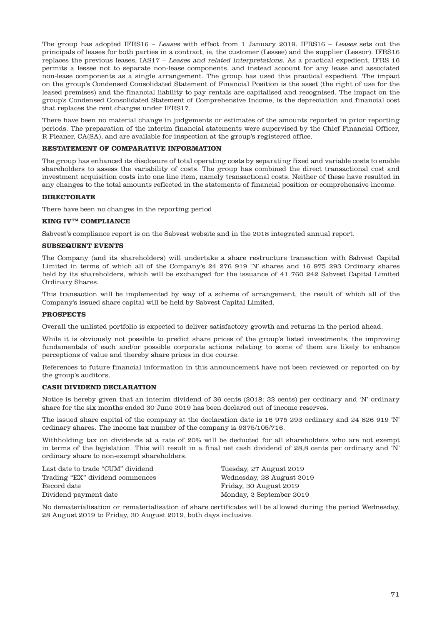The group has adopted IFRS16 – Leases with effect from 1 January 2019. IFRS16 – Leases sets out the principals of leases for both parties in a contract, ie, the customer (Lessee) and the supplier (Lessor). IFRS16 replaces the previous leases, IAS17 – Leases and related interpretations. As a practical expedient, IFRS 16 permits a lessee not to separate non-lease components, and instead account for any lease and associated non-lease components as a single arrangement. The group has used this practical expedient. The impact on the group's Condensed Consolidated Statement of Financial Position is the asset (the right of use for the leased premises) and the financial liability to pay rentals are capitalised and recognised. The impact on the group's Condensed Consolidated Statement of Comprehensive Income, is the depreciation and financial cost that replaces the rent charges under IFRS17.

There have been no material change in judgements or estimates of the amounts reported in prior reporting periods. The preparation of the interim financial statements were supervised by the Chief Financial Officer, R Pleaner, CA(SA), and are available for inspection at the group's registered office.

## **RESTATEMENT OF COMPARATIVE INFORMATION**

The group has enhanced its disclosure of total operating costs by separating fixed and variable costs to enable shareholders to assess the variability of costs. The group has combined the direct transactional cost and investment acquisition costs into one line item, namely transactional costs. Neither of these have resulted in any changes to the total amounts reflected in the statements of financial position or comprehensive income.

## **DIRECTORATE**

There have been no changes in the reporting period

## **KING IVTM COMPLIANCE**

Sabvest's compliance report is on the Sabvest website and in the 2018 integrated annual report.

## **SUBSEQUENT EVENTS**

The Company (and its shareholders) will undertake a share restructure transaction with Sabvest Capital Limited in terms of which all of the Company's 24 276 919 'N' shares and 16 975 293 Ordinary shares held by its shareholders, which will be exchanged for the issuance of 41 760 242 Sabvest Capital Limited Ordinary Shares.

This transaction will be implemented by way of a scheme of arrangement, the result of which all of the Company's issued share capital will be held by Sabvest Capital Limited.

## **PROSPECTS**

Overall the unlisted portfolio is expected to deliver satisfactory growth and returns in the period ahead.

While it is obviously not possible to predict share prices of the group's listed investments, the improving fundamentals of each and/or possible corporate actions relating to some of them are likely to enhance perceptions of value and thereby share prices in due course.

References to future financial information in this announcement have not been reviewed or reported on by the group's auditors.

## **CASH DIVIDEND DECLARATION**

Notice is hereby given that an interim dividend of 36 cents (2018: 32 cents) per ordinary and 'N' ordinary share for the six months ended 30 June 2019 has been declared out of income reserves.

The issued share capital of the company at the declaration date is 16 975 293 ordinary and 24 826 919 'N' ordinary shares. The income tax number of the company is 9375/105/716.

Withholding tax on dividends at a rate of 20% will be deducted for all shareholders who are not exempt in terms of the legislation. This will result in a final net cash dividend of 28,8 cents per ordinary and 'N' ordinary share to non-exempt shareholders.

| Last date to trade "CUM" dividend | Tuesday, 27 August 2019   |
|-----------------------------------|---------------------------|
| Trading "EX" dividend commences   | Wednesday, 28 August 2019 |
| Record date                       | Friday, 30 August 2019    |
| Dividend payment date             | Monday, 2 September 2019  |

No dematerialisation or rematerialisation of share certificates will be allowed during the period Wednesday, 28 August 2019 to Friday, 30 August 2019, both days inclusive.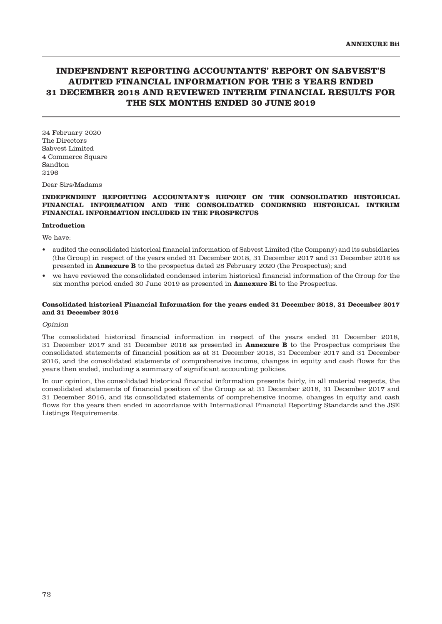# **INDEPENDENT REPORTING ACCOUNTANTS' REPORT ON SABVEST'S AUDITED FINANCIAL INFORMATION FOR THE 3 YEARS ENDED 31 DECEMBER 2018 AND REVIEWED INTERIM FINANCIAL RESULTS FOR THE SIX MONTHS ENDED 30 JUNE 2019**

24 February 2020 The Directors Sabvest Limited 4 Commerce Square Sandton 2196

Dear Sirs/Madams

#### **INDEPENDENT REPORTING ACCOUNTANT'S REPORT ON THE CONSOLIDATED HISTORICAL FINANCIAL INFORMATION AND THE CONSOLIDATED CONDENSED HISTORICAL INTERIM FINANCIAL INFORMATION INCLUDED IN THE PROSPECTUS**

#### **Introduction**

We have:

- audited the consolidated historical financial information of Sabvest Limited (the Company) and its subsidiaries (the Group) in respect of the years ended 31 December 2018, 31 December 2017 and 31 December 2016 as presented in **Annexure B** to the prospectus dated 28 February 2020 (the Prospectus); and
- we have reviewed the consolidated condensed interim historical financial information of the Group for the six months period ended 30 June 2019 as presented in **Annexure Bi** to the Prospectus.

#### **Consolidated historical Financial Information for the years ended 31 December 2018, 31 December 2017 and 31 December 2016**

#### Opinion

The consolidated historical financial information in respect of the years ended 31 December 2018, 31 December 2017 and 31 December 2016 as presented in **Annexure B** to the Prospectus comprises the consolidated statements of financial position as at 31 December 2018, 31 December 2017 and 31 December 2016, and the consolidated statements of comprehensive income, changes in equity and cash flows for the years then ended, including a summary of significant accounting policies.

In our opinion, the consolidated historical financial information presents fairly, in all material respects, the consolidated statements of financial position of the Group as at 31 December 2018, 31 December 2017 and 31 December 2016, and its consolidated statements of comprehensive income, changes in equity and cash flows for the years then ended in accordance with International Financial Reporting Standards and the JSE Listings Requirements.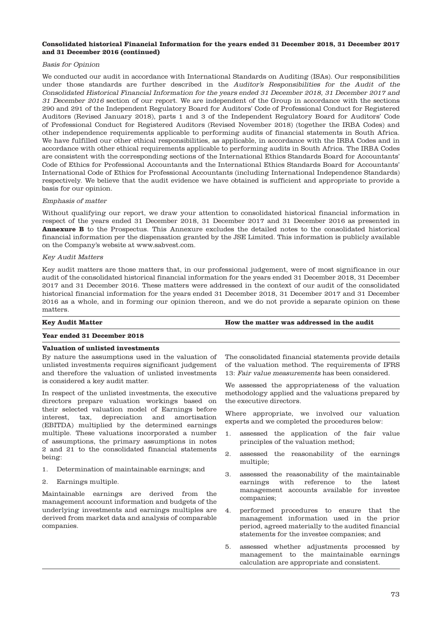#### **Consolidated historical Financial Information for the years ended 31 December 2018, 31 December 2017 and 31 December 2016 (continued)**

#### Basis for Opinion

We conducted our audit in accordance with International Standards on Auditing (ISAs). Our responsibilities under those standards are further described in the Auditor's Responsibilities for the Audit of the Consolidated Historical Financial Information for the years ended 31 December 2018, 31 December 2017 and 31 December 2016 section of our report. We are independent of the Group in accordance with the sections 290 and 291 of the Independent Regulatory Board for Auditors' Code of Professional Conduct for Registered Auditors (Revised January 2018), parts 1 and 3 of the Independent Regulatory Board for Auditors' Code of Professional Conduct for Registered Auditors (Revised November 2018) (together the IRBA Codes) and other independence requirements applicable to performing audits of financial statements in South Africa. We have fulfilled our other ethical responsibilities, as applicable, in accordance with the IRBA Codes and in accordance with other ethical requirements applicable to performing audits in South Africa. The IRBA Codes are consistent with the corresponding sections of the International Ethics Standards Board for Accountants' Code of Ethics for Professional Accountants and the International Ethics Standards Board for Accountants' International Code of Ethics for Professional Accountants (including International Independence Standards) respectively. We believe that the audit evidence we have obtained is sufficient and appropriate to provide a basis for our opinion.

#### Emphasis of matter

Without qualifying our report, we draw your attention to consolidated historical financial information in respect of the years ended 31 December 2018, 31 December 2017 and 31 December 2016 as presented in **Annexure B** to the Prospectus. This Annexure excludes the detailed notes to the consolidated historical financial information per the dispensation granted by the JSE Limited. This information is publicly available on the Company's website at www.sabvest.com.

#### Key Audit Matters

Key audit matters are those matters that, in our professional judgement, were of most significance in our audit of the consolidated historical financial information for the years ended 31 December 2018, 31 December 2017 and 31 December 2016. These matters were addressed in the context of our audit of the consolidated historical financial information for the years ended 31 December 2018, 31 December 2017 and 31 December 2016 as a whole, and in forming our opinion thereon, and we do not provide a separate opinion on these matters.

**Key Audit Matter How the matter was addressed in the audit** 

## **Year ended 31 December 2018**

## **Valuation of unlisted investments**

By nature the assumptions used in the valuation of unlisted investments requires significant judgement and therefore the valuation of unlisted investments is considered a key audit matter.

In respect of the unlisted investments, the executive directors prepare valuation workings based on their selected valuation model of Earnings before interest, tax, depreciation and amortisation (EBITDA) multiplied by the determined earnings multiple. These valuations incorporated a number of assumptions, the primary assumptions in notes 2 and 21 to the consolidated financial statements being:

- 1. Determination of maintainable earnings; and
- 2. Earnings multiple.

Maintainable earnings are derived from the management account information and budgets of the underlying investments and earnings multiples are derived from market data and analysis of comparable companies.

The consolidated financial statements provide details of the valuation method. The requirements of IFRS 13: Fair value measurements has been considered.

We assessed the appropriateness of the valuation methodology applied and the valuations prepared by the executive directors.

Where appropriate, we involved our valuation experts and we completed the procedures below:

- 1. assessed the application of the fair value principles of the valuation method;
- 2. assessed the reasonability of the earnings multiple;
- 3. assessed the reasonability of the maintainable earnings with reference to the latest management accounts available for investee companies;
- 4. performed procedures to ensure that the management information used in the prior period, agreed materially to the audited financial statements for the investee companies; and
- 5. assessed whether adjustments processed by management to the maintainable earnings calculation are appropriate and consistent.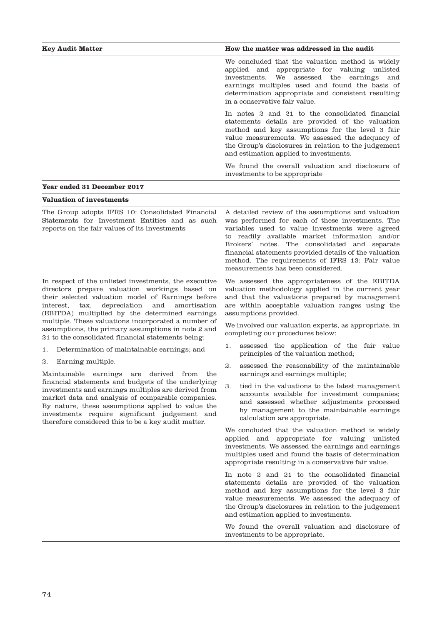| <b>Key Audit Matter</b>     | How the matter was addressed in the audit                                                                                                                                                                                                                                                                   |  |
|-----------------------------|-------------------------------------------------------------------------------------------------------------------------------------------------------------------------------------------------------------------------------------------------------------------------------------------------------------|--|
|                             | We concluded that the valuation method is widely<br>applied and appropriate for valuing unlisted<br>investments. We assessed the earnings<br>and<br>earnings multiples used and found the basis of<br>determination appropriate and consistent resulting<br>in a conservative fair value.                   |  |
|                             | In notes 2 and 21 to the consolidated financial<br>statements details are provided of the valuation<br>method and key assumptions for the level 3 fair<br>value measurements. We assessed the adequacy of<br>the Group's disclosures in relation to the judgement<br>and estimation applied to investments. |  |
|                             | We found the overall valuation and disclosure of<br>investments to be appropriate.                                                                                                                                                                                                                          |  |
| Year ended 31 December 2017 |                                                                                                                                                                                                                                                                                                             |  |

## **Valuation of investments**

The Group adopts IFRS 10: Consolidated Financial Statements for Investment Entities and as such reports on the fair values of its investments

In respect of the unlisted investments, the executive directors prepare valuation workings based on their selected valuation model of Earnings before interest, tax, depreciation and amortisation (EBITDA) multiplied by the determined earnings multiple. These valuations incorporated a number of assumptions, the primary assumptions in note 2 and 21 to the consolidated financial statements being:

- 1. Determination of maintainable earnings; and
- 2. Earning multiple.

Maintainable earnings are derived from the financial statements and budgets of the underlying investments and earnings multiples are derived from market data and analysis of comparable companies. By nature, these assumptions applied to value the investments require significant judgement and therefore considered this to be a key audit matter.

A detailed review of the assumptions and valuation was performed for each of these investments. The variables used to value investments were agreed to readily available market information and/or Brokers' notes. The consolidated and separate financial statements provided details of the valuation method. The requirements of IFRS 13: Fair value measurements has been considered.

We assessed the appropriateness of the EBITDA valuation methodology applied in the current year and that the valuations prepared by management are within acceptable valuation ranges using the assumptions provided.

We involved our valuation experts, as appropriate, in completing our procedures below:

- 1. assessed the application of the fair value principles of the valuation method;
- 2. assessed the reasonability of the maintainable earnings and earnings multiple;
- 3. tied in the valuations to the latest management accounts available for investment companies; and assessed whether adjustments processed by management to the maintainable earnings calculation are appropriate.

We concluded that the valuation method is widely applied and appropriate for valuing unlisted investments. We assessed the earnings and earnings multiples used and found the basis of determination appropriate resulting in a conservative fair value.

In note 2 and 21 to the consolidated financial statements details are provided of the valuation method and key assumptions for the level 3 fair value measurements. We assessed the adequacy of the Group's disclosures in relation to the judgement and estimation applied to investments.

We found the overall valuation and disclosure of investments to be appropriate.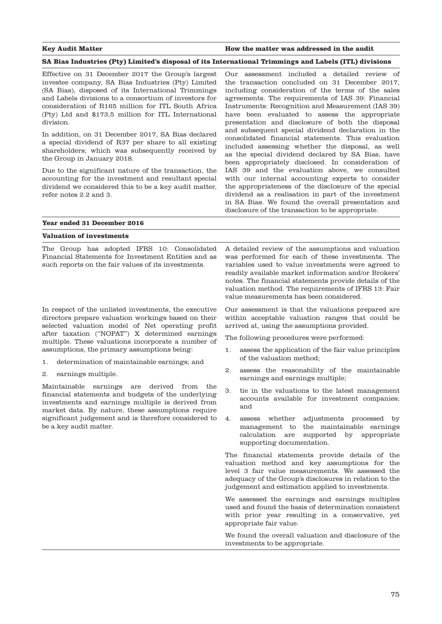#### **Key Audit Matter How the matter was addressed in the audit**

#### **SA Bias Industries (Pty) Limited's disposal of its International Trimmings and Labels (ITL) divisions**

Effective on 31 December 2017 the Group's largest investee company, SA Bias Industries (Pty) Limited (SA Bias), disposed of its International Trimmings and Labels divisions to a consortium of investors for consideration of R165 million for ITL South Africa (Pty) Ltd and \$173,5 million for ITL International division.

In addition, on 31 December 2017, SA Bias declared a special dividend of R37 per share to all existing shareholders; which was subsequently received by the Group in January 2018.

Due to the significant nature of the transaction, the accounting for the investment and resultant special dividend we considered this to be a key audit matter, refer notes 2.2 and 3.

## Our assessment included a detailed review of the transaction concluded on 31 December 2017, including consideration of the terms of the sales agreements. The requirements of IAS 39: Financial Instruments: Recognition and Measurement (IAS 39) have been evaluated to assess the appropriate presentation and disclosure of both the disposal and subsequent special dividend declaration in the consolidated financial statements. This evaluation included assessing whether the disposal, as well as the special dividend declared by SA Bias, have been appropriately disclosed. In consideration of IAS 39 and the evaluation above, we consulted with our internal accounting experts to consider the appropriateness of the disclosure of the special dividend as a realisation in part of the investment in SA Bias. We found the overall presentation and disclosure of the transaction to be appropriate.

## **Year ended 31 December 2016**

#### **Valuation of investments**

The Group has adopted IFRS 10: Consolidated Financial Statements for Investment Entities and as such reports on the fair values of its investments.

In respect of the unlisted investments, the executive directors prepare valuation workings based on their selected valuation model of Net operating profit after taxation ("NOPAT") X determined earnings multiple. These valuations incorporate a number of assumptions, the primary assumptions being:

- 1. determination of maintainable earnings; and
- 2. earnings multiple.

Maintainable earnings are derived from the financial statements and budgets of the underlying investments and earnings multiple is derived from market data. By nature, these assumptions require significant judgement and is therefore considered to be a key audit matter.

A detailed review of the assumptions and valuation was performed for each of these investments. The variables used to value investments were agreed to readily available market information and/or Brokers' notes. The financial statements provide details of the valuation method. The requirements of IFRS 13: Fair value measurements has been considered.

Our assessment is that the valuations prepared are within acceptable valuation ranges that could be arrived at, using the assumptions provided.

The following procedures were performed:

- 1. assess the application of the fair value principles of the valuation method;
- 2. assess the reasonability of the maintainable earnings and earnings multiple;
- 3. tie in the valuations to the latest management accounts available for investment companies; and
- 4. assess whether adjustments processed by management to the maintainable earnings calculation are supported by appropriate supporting documentation.

The financial statements provide details of the valuation method and key assumptions for the level 3 fair value measurements. We assessed the adequacy of the Group's disclosures in relation to the judgement and estimation applied to investments.

We assessed the earnings and earnings multiples used and found the basis of determination consistent with prior year resulting in a conservative, yet appropriate fair value.

We found the overall valuation and disclosure of the investments to be appropriate.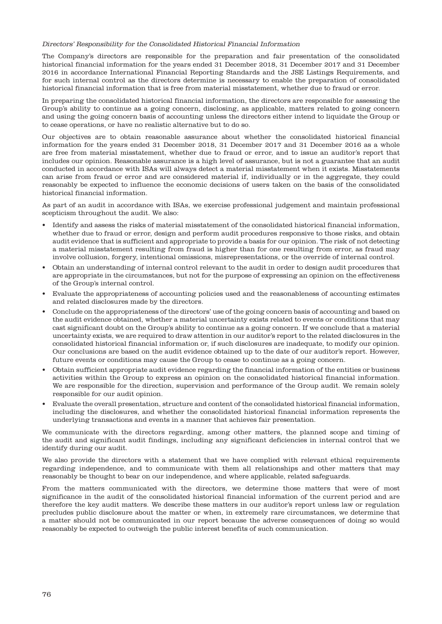#### Directors' Responsibility for the Consolidated Historical Financial Information

The Company's directors are responsible for the preparation and fair presentation of the consolidated historical financial information for the years ended 31 December 2018, 31 December 2017 and 31 December 2016 in accordance International Financial Reporting Standards and the JSE Listings Requirements, and for such internal control as the directors determine is necessary to enable the preparation of consolidated historical financial information that is free from material misstatement, whether due to fraud or error.

In preparing the consolidated historical financial information, the directors are responsible for assessing the Group's ability to continue as a going concern, disclosing, as applicable, matters related to going concern and using the going concern basis of accounting unless the directors either intend to liquidate the Group or to cease operations, or have no realistic alternative but to do so.

Our objectives are to obtain reasonable assurance about whether the consolidated historical financial information for the years ended 31 December 2018, 31 December 2017 and 31 December 2016 as a whole are free from material misstatement, whether due to fraud or error, and to issue an auditor's report that includes our opinion. Reasonable assurance is a high level of assurance, but is not a guarantee that an audit conducted in accordance with ISAs will always detect a material misstatement when it exists. Misstatements can arise from fraud or error and are considered material if, individually or in the aggregate, they could reasonably be expected to influence the economic decisions of users taken on the basis of the consolidated historical financial information.

As part of an audit in accordance with ISAs, we exercise professional judgement and maintain professional scepticism throughout the audit. We also:

- Identify and assess the risks of material misstatement of the consolidated historical financial information, whether due to fraud or error, design and perform audit procedures responsive to those risks, and obtain audit evidence that is sufficient and appropriate to provide a basis for our opinion. The risk of not detecting a material misstatement resulting from fraud is higher than for one resulting from error, as fraud may involve collusion, forgery, intentional omissions, misrepresentations, or the override of internal control.
- Obtain an understanding of internal control relevant to the audit in order to design audit procedures that are appropriate in the circumstances, but not for the purpose of expressing an opinion on the effectiveness of the Group's internal control.
- Evaluate the appropriateness of accounting policies used and the reasonableness of accounting estimates and related disclosures made by the directors.
- Conclude on the appropriateness of the directors' use of the going concern basis of accounting and based on the audit evidence obtained, whether a material uncertainty exists related to events or conditions that may cast significant doubt on the Group's ability to continue as a going concern. If we conclude that a material uncertainty exists, we are required to draw attention in our auditor's report to the related disclosures in the consolidated historical financial information or, if such disclosures are inadequate, to modify our opinion. Our conclusions are based on the audit evidence obtained up to the date of our auditor's report. However, future events or conditions may cause the Group to cease to continue as a going concern.
- Obtain sufficient appropriate audit evidence regarding the financial information of the entities or business activities within the Group to express an opinion on the consolidated historical financial information. We are responsible for the direction, supervision and performance of the Group audit. We remain solely responsible for our audit opinion.
- Evaluate the overall presentation, structure and content of the consolidated historical financial information, including the disclosures, and whether the consolidated historical financial information represents the underlying transactions and events in a manner that achieves fair presentation.

We communicate with the directors regarding, among other matters, the planned scope and timing of the audit and significant audit findings, including any significant deficiencies in internal control that we identify during our audit.

We also provide the directors with a statement that we have complied with relevant ethical requirements regarding independence, and to communicate with them all relationships and other matters that may reasonably be thought to bear on our independence, and where applicable, related safeguards.

From the matters communicated with the directors, we determine those matters that were of most significance in the audit of the consolidated historical financial information of the current period and are therefore the key audit matters. We describe these matters in our auditor's report unless law or regulation precludes public disclosure about the matter or when, in extremely rare circumstances, we determine that a matter should not be communicated in our report because the adverse consequences of doing so would reasonably be expected to outweigh the public interest benefits of such communication.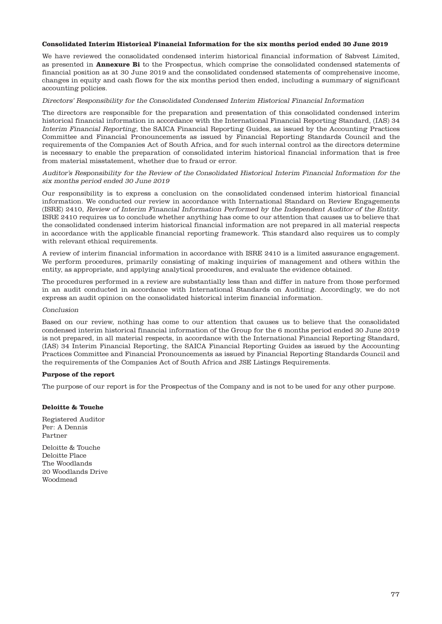## **Consolidated Interim Historical Financial Information for the six months period ended 30 June 2019**

We have reviewed the consolidated condensed interim historical financial information of Sabvest Limited, as presented in **Annexure Bi** to the Prospectus, which comprise the consolidated condensed statements of financial position as at 30 June 2019 and the consolidated condensed statements of comprehensive income, changes in equity and cash flows for the six months period then ended, including a summary of significant accounting policies.

## Directors' Responsibility for the Consolidated Condensed Interim Historical Financial Information

The directors are responsible for the preparation and presentation of this consolidated condensed interim historical financial information in accordance with the International Financial Reporting Standard, (IAS) 34 Interim Financial Reporting, the SAICA Financial Reporting Guides, as issued by the Accounting Practices Committee and Financial Pronouncements as issued by Financial Reporting Standards Council and the requirements of the Companies Act of South Africa, and for such internal control as the directors determine is necessary to enable the preparation of consolidated interim historical financial information that is free from material misstatement, whether due to fraud or error.

## Auditor's Responsibility for the Review of the Consolidated Historical Interim Financial Information for the six months period ended 30 June 2019

Our responsibility is to express a conclusion on the consolidated condensed interim historical financial information. We conducted our review in accordance with International Standard on Review Engagements (ISRE) 2410, Review of Interim Financial Information Performed by the Independent Auditor of the Entity. ISRE 2410 requires us to conclude whether anything has come to our attention that causes us to believe that the consolidated condensed interim historical financial information are not prepared in all material respects in accordance with the applicable financial reporting framework. This standard also requires us to comply with relevant ethical requirements.

A review of interim financial information in accordance with ISRE 2410 is a limited assurance engagement. We perform procedures, primarily consisting of making inquiries of management and others within the entity, as appropriate, and applying analytical procedures, and evaluate the evidence obtained.

The procedures performed in a review are substantially less than and differ in nature from those performed in an audit conducted in accordance with International Standards on Auditing. Accordingly, we do not express an audit opinion on the consolidated historical interim financial information.

## Conclusion

Based on our review, nothing has come to our attention that causes us to believe that the consolidated condensed interim historical financial information of the Group for the 6 months period ended 30 June 2019 is not prepared, in all material respects, in accordance with the International Financial Reporting Standard, (IAS) 34 Interim Financial Reporting, the SAICA Financial Reporting Guides as issued by the Accounting Practices Committee and Financial Pronouncements as issued by Financial Reporting Standards Council and the requirements of the Companies Act of South Africa and JSE Listings Requirements.

## **Purpose of the report**

The purpose of our report is for the Prospectus of the Company and is not to be used for any other purpose.

## **Deloitte & Touche**

Registered Auditor Per: A Dennis Partner

Deloitte & Touche Deloitte Place The Woodlands 20 Woodlands Drive Woodmead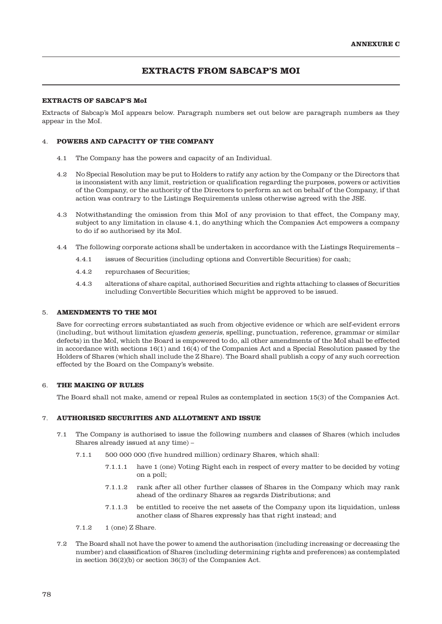# **EXTRACTS FROM SABCAP'S MOI**

## **EXTRACTS OF SABCAP'S MoI**

Extracts of Sabcap's MoI appears below. Paragraph numbers set out below are paragraph numbers as they appear in the MoI.

## 4. **POWERS AND CAPACITY OF THE COMPANY**

- 4.1 The Company has the powers and capacity of an Individual.
- 4.2 No Special Resolution may be put to Holders to ratify any action by the Company or the Directors that is inconsistent with any limit, restriction or qualification regarding the purposes, powers or activities of the Company, or the authority of the Directors to perform an act on behalf of the Company, if that action was contrary to the Listings Requirements unless otherwise agreed with the JSE.
- 4.3 Notwithstanding the omission from this MoI of any provision to that effect, the Company may, subject to any limitation in clause 4.1, do anything which the Companies Act empowers a company to do if so authorised by its MoI.
- 4.4 The following corporate actions shall be undertaken in accordance with the Listings Requirements
	- 4.4.1 issues of Securities (including options and Convertible Securities) for cash;
	- 4.4.2 repurchases of Securities;
	- 4.4.3 alterations of share capital, authorised Securities and rights attaching to classes of Securities including Convertible Securities which might be approved to be issued.

#### 5. **AMENDMENTS TO THE MOI**

Save for correcting errors substantiated as such from objective evidence or which are self-evident errors (including, but without limitation ejusdem generis, spelling, punctuation, reference, grammar or similar defects) in the MoI, which the Board is empowered to do, all other amendments of the MoI shall be effected in accordance with sections 16(1) and 16(4) of the Companies Act and a Special Resolution passed by the Holders of Shares (which shall include the Z Share). The Board shall publish a copy of any such correction effected by the Board on the Company's website.

## 6. **THE MAKING OF RULES**

The Board shall not make, amend or repeal Rules as contemplated in section 15(3) of the Companies Act.

## 7. **AUTHORISED SECURITIES AND ALLOTMENT AND ISSUE**

- 7.1 The Company is authorised to issue the following numbers and classes of Shares (which includes Shares already issued at any time) –
	- 7.1.1 500 000 000 (five hundred million) ordinary Shares, which shall:
		- 7.1.1.1 have 1 (one) Voting Right each in respect of every matter to be decided by voting on a poll;
		- 7.1.1.2 rank after all other further classes of Shares in the Company which may rank ahead of the ordinary Shares as regards Distributions; and
		- 7.1.1.3 be entitled to receive the net assets of the Company upon its liquidation, unless another class of Shares expressly has that right instead; and
	- 7.1.2 1 (one) Z Share.
- 7.2 The Board shall not have the power to amend the authorisation (including increasing or decreasing the number) and classification of Shares (including determining rights and preferences) as contemplated in section 36(2)(b) or section 36(3) of the Companies Act.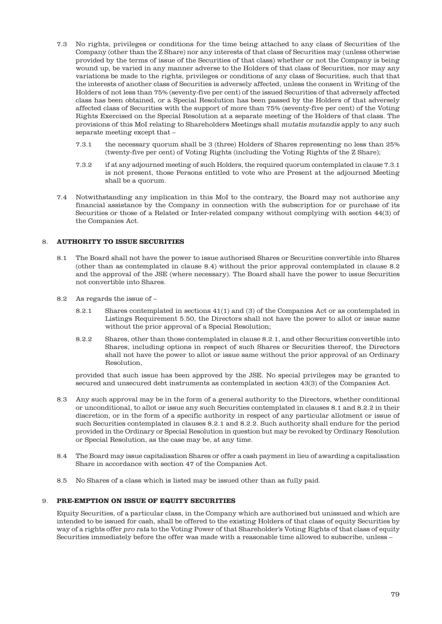- 7.3 No rights, privileges or conditions for the time being attached to any class of Securities of the Company (other than the Z Share) nor any interests of that class of Securities may (unless otherwise provided by the terms of issue of the Securities of that class) whether or not the Company is being wound up, be varied in any manner adverse to the Holders of that class of Securities, nor may any variations be made to the rights, privileges or conditions of any class of Securities, such that that the interests of another class of Securities is adversely affected, unless the consent in Writing of the Holders of not less than 75% (seventy-five per cent) of the issued Securities of that adversely affected class has been obtained, or a Special Resolution has been passed by the Holders of that adversely affected class of Securities with the support of more than 75% (seventy-five per cent) of the Voting Rights Exercised on the Special Resolution at a separate meeting of the Holders of that class. The provisions of this MoI relating to Shareholders Meetings shall mutatis mutandis apply to any such separate meeting except that –
	- 7.3.1 the necessary quorum shall be 3 (three) Holders of Shares representing no less than 25% (twenty-five per cent) of Voting Rights (including the Voting Rights of the Z Share);
	- 7.3.2 if at any adjourned meeting of such Holders, the required quorum contemplated in clause 7.3.1 is not present, those Persons entitled to vote who are Present at the adjourned Meeting shall be a quorum.
- 7.4 Notwithstanding any implication in this MoI to the contrary, the Board may not authorise any financial assistance by the Company in connection with the subscription for or purchase of its Securities or those of a Related or Inter-related company without complying with section 44(3) of the Companies Act.

## 8. **AUTHORITY TO ISSUE SECURITIES**

- 8.1 The Board shall not have the power to issue authorised Shares or Securities convertible into Shares (other than as contemplated in clause 8.4) without the prior approval contemplated in clause 8.2 and the approval of the JSE (where necessary). The Board shall have the power to issue Securities not convertible into Shares.
- 8.2 As regards the issue of
	- 8.2.1 Shares contemplated in sections 41(1) and (3) of the Companies Act or as contemplated in Listings Requirement 5.50, the Directors shall not have the power to allot or issue same without the prior approval of a Special Resolution;
	- 8.2.2 Shares, other than those contemplated in clause 8.2.1, and other Securities convertible into Shares, including options in respect of such Shares or Securities thereof, the Directors shall not have the power to allot or issue same without the prior approval of an Ordinary Resolution,

provided that such issue has been approved by the JSE. No special privileges may be granted to secured and unsecured debt instruments as contemplated in section 43(3) of the Companies Act.

- 8.3 Any such approval may be in the form of a general authority to the Directors, whether conditional or unconditional, to allot or issue any such Securities contemplated in clauses 8.1 and 8.2.2 in their discretion, or in the form of a specific authority in respect of any particular allotment or issue of such Securities contemplated in clauses 8.2.1 and 8.2.2. Such authority shall endure for the period provided in the Ordinary or Special Resolution in question but may be revoked by Ordinary Resolution or Special Resolution, as the case may be, at any time.
- 8.4 The Board may issue capitalisation Shares or offer a cash payment in lieu of awarding a capitalisation Share in accordance with section 47 of the Companies Act.
- 8.5 No Shares of a class which is listed may be issued other than as fully paid.

## 9. **PRE-EMPTION ON ISSUE OF EQUITY SECURITIES**

Equity Securities, of a particular class, in the Company which are authorised but unissued and which are intended to be issued for cash, shall be offered to the existing Holders of that class of equity Securities by way of a rights offer pro rata to the Voting Power of that Shareholder's Voting Rights of that class of equity Securities immediately before the offer was made with a reasonable time allowed to subscribe, unless –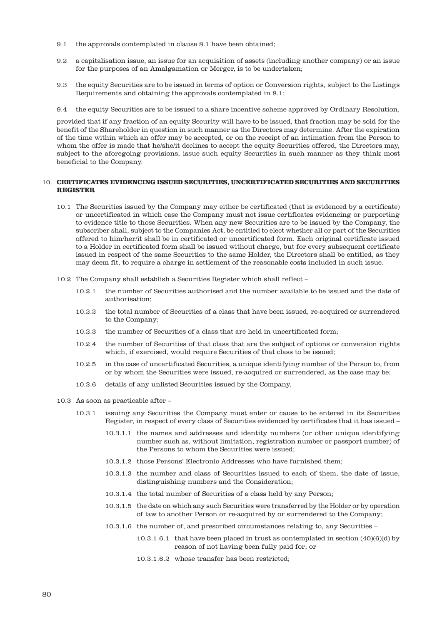- 9.1 the approvals contemplated in clause 8.1 have been obtained;
- 9.2 a capitalisation issue, an issue for an acquisition of assets (including another company) or an issue for the purposes of an Amalgamation or Merger, is to be undertaken;
- 9.3 the equity Securities are to be issued in terms of option or Conversion rights, subject to the Listings Requirements and obtaining the approvals contemplated in 8.1;
- 9.4 the equity Securities are to be issued to a share incentive scheme approved by Ordinary Resolution,

provided that if any fraction of an equity Security will have to be issued, that fraction may be sold for the benefit of the Shareholder in question in such manner as the Directors may determine. After the expiration of the time within which an offer may be accepted, or on the receipt of an intimation from the Person to whom the offer is made that he/she/it declines to accept the equity Securities offered, the Directors may, subject to the aforegoing provisions, issue such equity Securities in such manner as they think most beneficial to the Company.

## 10. **CERTIFICATES EVIDENCING ISSUED SECURITIES, UNCERTIFICATED SECURITIES AND SECURITIES REGISTER**

- 10.1 The Securities issued by the Company may either be certificated (that is evidenced by a certificate) or uncertificated in which case the Company must not issue certificates evidencing or purporting to evidence title to those Securities. When any new Securities are to be issued by the Company, the subscriber shall, subject to the Companies Act, be entitled to elect whether all or part of the Securities offered to him/her/it shall be in certificated or uncertificated form. Each original certificate issued to a Holder in certificated form shall be issued without charge, but for every subsequent certificate issued in respect of the same Securities to the same Holder, the Directors shall be entitled, as they may deem fit, to require a charge in settlement of the reasonable costs included in such issue.
- 10.2 The Company shall establish a Securities Register which shall reflect
	- 10.2.1 the number of Securities authorised and the number available to be issued and the date of authorisation;
	- 10.2.2 the total number of Securities of a class that have been issued, re-acquired or surrendered to the Company;
	- 10.2.3 the number of Securities of a class that are held in uncertificated form;
	- 10.2.4 the number of Securities of that class that are the subject of options or conversion rights which, if exercised, would require Securities of that class to be issued;
	- 10.2.5 in the case of uncertificated Securities, a unique identifying number of the Person to, from or by whom the Securities were issued, re-acquired or surrendered, as the case may be;
	- 10.2.6 details of any unlisted Securities issued by the Company.
- 10.3 As soon as practicable after
	- 10.3.1 issuing any Securities the Company must enter or cause to be entered in its Securities Register, in respect of every class of Securities evidenced by certificates that it has issued –
		- 10.3.1.1 the names and addresses and identity numbers (or other unique identifying number such as, without limitation, registration number or passport number) of the Persons to whom the Securities were issued;
		- 10.3.1.2 those Persons' Electronic Addresses who have furnished them;
		- 10.3.1.3 the number and class of Securities issued to each of them, the date of issue, distinguishing numbers and the Consideration;
		- 10.3.1.4 the total number of Securities of a class held by any Person;
		- 10.3.1.5 the date on which any such Securities were transferred by the Holder or by operation of law to another Person or re-acquired by or surrendered to the Company;
		- 10.3.1.6 the number of, and prescribed circumstances relating to, any Securities
			- 10.3.1.6.1 that have been placed in trust as contemplated in section (40)(6)(d) by reason of not having been fully paid for; or
			- 10.3.1.6.2 whose transfer has been restricted;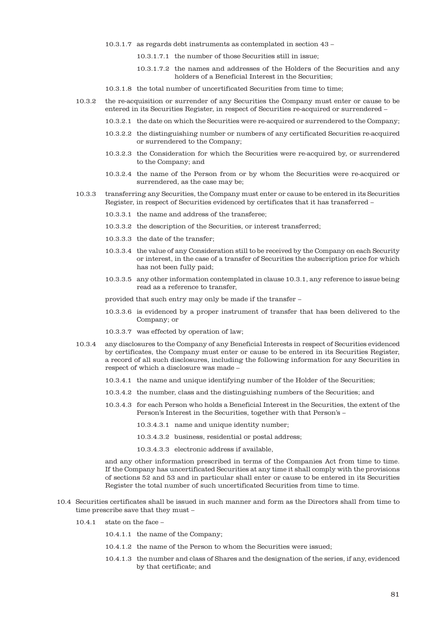- 10.3.1.7 as regards debt instruments as contemplated in section 43
	- 10.3.1.7.1 the number of those Securities still in issue;
	- 10.3.1.7.2 the names and addresses of the Holders of the Securities and any holders of a Beneficial Interest in the Securities;
- 10.3.1.8 the total number of uncertificated Securities from time to time;
- 10.3.2 the re-acquisition or surrender of any Securities the Company must enter or cause to be entered in its Securities Register, in respect of Securities re-acquired or surrendered –
	- 10.3.2.1 the date on which the Securities were re-acquired or surrendered to the Company;
	- 10.3.2.2 the distinguishing number or numbers of any certificated Securities re-acquired or surrendered to the Company;
	- 10.3.2.3 the Consideration for which the Securities were re-acquired by, or surrendered to the Company; and
	- 10.3.2.4 the name of the Person from or by whom the Securities were re-acquired or surrendered, as the case may be;
- 10.3.3 transferring any Securities, the Company must enter or cause to be entered in its Securities Register, in respect of Securities evidenced by certificates that it has transferred –
	- 10.3.3.1 the name and address of the transferee;
	- 10.3.3.2 the description of the Securities, or interest transferred;
	- 10.3.3.3 the date of the transfer;
	- 10.3.3.4 the value of any Consideration still to be received by the Company on each Security or interest, in the case of a transfer of Securities the subscription price for which has not been fully paid;
	- 10.3.3.5 any other information contemplated in clause 10.3.1, any reference to issue being read as a reference to transfer,
	- provided that such entry may only be made if the transfer –
	- 10.3.3.6 is evidenced by a proper instrument of transfer that has been delivered to the Company; or
	- 10.3.3.7 was effected by operation of law;
- 10.3.4 any disclosures to the Company of any Beneficial Interests in respect of Securities evidenced by certificates, the Company must enter or cause to be entered in its Securities Register, a record of all such disclosures, including the following information for any Securities in respect of which a disclosure was made –
	- 10.3.4.1 the name and unique identifying number of the Holder of the Securities;
	- 10.3.4.2 the number, class and the distinguishing numbers of the Securities; and
	- 10.3.4.3 for each Person who holds a Beneficial Interest in the Securities, the extent of the Person's Interest in the Securities, together with that Person's –
		- 10.3.4.3.1 name and unique identity number;
		- 10.3.4.3.2 business, residential or postal address;
		- 10.3.4.3.3 electronic address if available,

and any other information prescribed in terms of the Companies Act from time to time. If the Company has uncertificated Securities at any time it shall comply with the provisions of sections 52 and 53 and in particular shall enter or cause to be entered in its Securities Register the total number of such uncertificated Securities from time to time.

- 10.4 Securities certificates shall be issued in such manner and form as the Directors shall from time to time prescribe save that they must –
	- 10.4.1 state on the face
		- 10.4.1.1 the name of the Company;
		- 10.4.1.2 the name of the Person to whom the Securities were issued;
		- 10.4.1.3 the number and class of Shares and the designation of the series, if any, evidenced by that certificate; and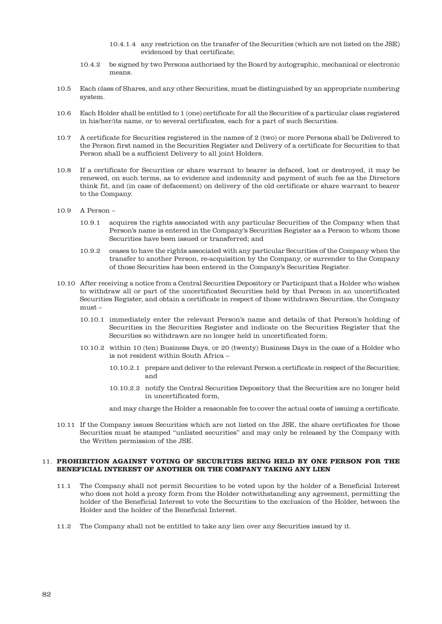- 10.4.1.4 any restriction on the transfer of the Securities (which are not listed on the JSE) evidenced by that certificate;
- 10.4.2 be signed by two Persons authorised by the Board by autographic, mechanical or electronic means.
- 10.5 Each class of Shares, and any other Securities, must be distinguished by an appropriate numbering system.
- 10.6 Each Holder shall be entitled to 1 (one) certificate for all the Securities of a particular class registered in his/her/its name, or to several certificates, each for a part of such Securities.
- 10.7 A certificate for Securities registered in the names of 2 (two) or more Persons shall be Delivered to the Person first named in the Securities Register and Delivery of a certificate for Securities to that Person shall be a sufficient Delivery to all joint Holders.
- 10.8 If a certificate for Securities or share warrant to bearer is defaced, lost or destroyed, it may be renewed, on such terms, as to evidence and indemnity and payment of such fee as the Directors think fit, and (in case of defacement) on delivery of the old certificate or share warrant to bearer to the Company.
- 10.9 A Person
	- 10.9.1 acquires the rights associated with any particular Securities of the Company when that Person's name is entered in the Company's Securities Register as a Person to whom those Securities have been issued or transferred; and
	- 10.9.2 ceases to have the rights associated with any particular Securities of the Company when the transfer to another Person, re-acquisition by the Company, or surrender to the Company of those Securities has been entered in the Company's Securities Register.
- 10.10 After receiving a notice from a Central Securities Depository or Participant that a Holder who wishes to withdraw all or part of the uncertificated Securities held by that Person in an uncertificated Securities Register, and obtain a certificate in respect of those withdrawn Securities, the Company must –
	- 10.10.1 immediately enter the relevant Person's name and details of that Person's holding of Securities in the Securities Register and indicate on the Securities Register that the Securities so withdrawn are no longer held in uncertificated form;
	- 10.10.2 within 10 (ten) Business Days, or 20 (twenty) Business Days in the case of a Holder who is not resident within South Africa –
		- 10.10.2.1 prepare and deliver to the relevant Person a certificate in respect of the Securities; and
		- 10.10.2.2 notify the Central Securities Depository that the Securities are no longer held in uncertificated form,

and may charge the Holder a reasonable fee to cover the actual costs of issuing a certificate.

10.11 If the Company issues Securities which are not listed on the JSE, the share certificates for those Securities must be stamped "unlisted securities" and may only be released by the Company with the Written permission of the JSE.

## 11. **PROHIBITION AGAINST VOTING OF SECURITIES BEING HELD BY ONE PERSON FOR THE BENEFICIAL INTEREST OF ANOTHER OR THE COMPANY TAKING ANY LIEN**

- 11.1 The Company shall not permit Securities to be voted upon by the holder of a Beneficial Interest who does not hold a proxy form from the Holder notwithstanding any agreement, permitting the holder of the Beneficial Interest to vote the Securities to the exclusion of the Holder, between the Holder and the holder of the Beneficial Interest.
- 11.2 The Company shall not be entitled to take any lien over any Securities issued by it.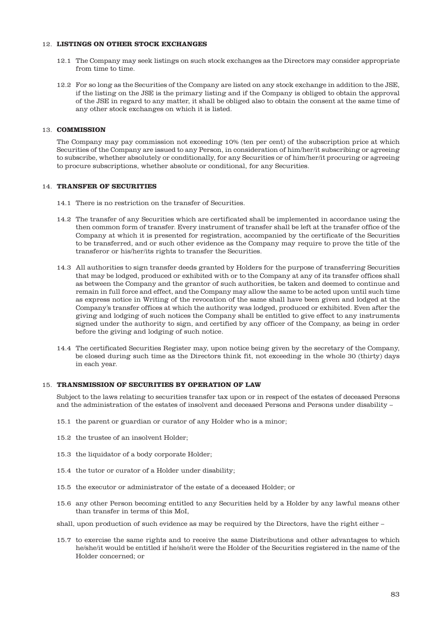## 12. **LISTINGS ON OTHER STOCK EXCHANGES**

- 12.1 The Company may seek listings on such stock exchanges as the Directors may consider appropriate from time to time.
- 12.2 For so long as the Securities of the Company are listed on any stock exchange in addition to the JSE, if the listing on the JSE is the primary listing and if the Company is obliged to obtain the approval of the JSE in regard to any matter, it shall be obliged also to obtain the consent at the same time of any other stock exchanges on which it is listed.

## 13. **COMMISSION**

The Company may pay commission not exceeding 10% (ten per cent) of the subscription price at which Securities of the Company are issued to any Person, in consideration of him/her/it subscribing or agreeing to subscribe, whether absolutely or conditionally, for any Securities or of him/her/it procuring or agreeing to procure subscriptions, whether absolute or conditional, for any Securities.

#### 14. **TRANSFER OF SECURITIES**

- 14.1 There is no restriction on the transfer of Securities.
- 14.2 The transfer of any Securities which are certificated shall be implemented in accordance using the then common form of transfer. Every instrument of transfer shall be left at the transfer office of the Company at which it is presented for registration, accompanied by the certificate of the Securities to be transferred, and or such other evidence as the Company may require to prove the title of the transferor or his/her/its rights to transfer the Securities.
- 14.3 All authorities to sign transfer deeds granted by Holders for the purpose of transferring Securities that may be lodged, produced or exhibited with or to the Company at any of its transfer offices shall as between the Company and the grantor of such authorities, be taken and deemed to continue and remain in full force and effect, and the Company may allow the same to be acted upon until such time as express notice in Writing of the revocation of the same shall have been given and lodged at the Company's transfer offices at which the authority was lodged, produced or exhibited. Even after the giving and lodging of such notices the Company shall be entitled to give effect to any instruments signed under the authority to sign, and certified by any officer of the Company, as being in order before the giving and lodging of such notice.
- 14.4 The certificated Securities Register may, upon notice being given by the secretary of the Company, be closed during such time as the Directors think fit, not exceeding in the whole 30 (thirty) days in each year.

## 15. **TRANSMISSION OF SECURITIES BY OPERATION OF LAW**

Subject to the laws relating to securities transfer tax upon or in respect of the estates of deceased Persons and the administration of the estates of insolvent and deceased Persons and Persons under disability –

- 15.1 the parent or guardian or curator of any Holder who is a minor;
- 15.2 the trustee of an insolvent Holder;
- 15.3 the liquidator of a body corporate Holder;
- 15.4 the tutor or curator of a Holder under disability;
- 15.5 the executor or administrator of the estate of a deceased Holder; or
- 15.6 any other Person becoming entitled to any Securities held by a Holder by any lawful means other than transfer in terms of this MoI,

shall, upon production of such evidence as may be required by the Directors, have the right either –

15.7 to exercise the same rights and to receive the same Distributions and other advantages to which he/she/it would be entitled if he/she/it were the Holder of the Securities registered in the name of the Holder concerned; or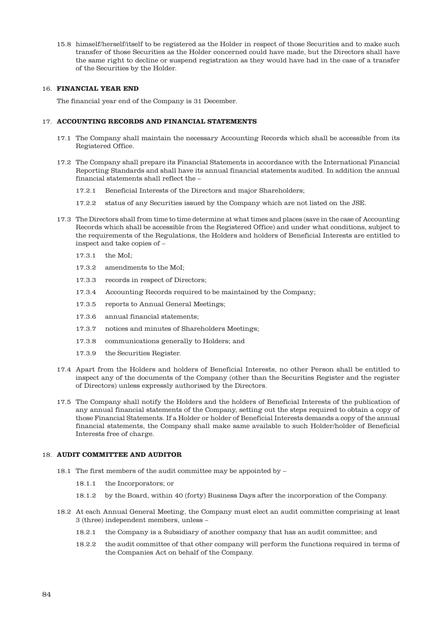15.8 himself/herself/itself to be registered as the Holder in respect of those Securities and to make such transfer of those Securities as the Holder concerned could have made, but the Directors shall have the same right to decline or suspend registration as they would have had in the case of a transfer of the Securities by the Holder.

#### 16. **FINANCIAL YEAR END**

The financial year end of the Company is 31 December.

## 17. **ACCOUNTING RECORDS AND FINANCIAL STATEMENTS**

- 17.1 The Company shall maintain the necessary Accounting Records which shall be accessible from its Registered Office.
- 17.2 The Company shall prepare its Financial Statements in accordance with the International Financial Reporting Standards and shall have its annual financial statements audited. In addition the annual financial statements shall reflect the –
	- 17.2.1 Beneficial Interests of the Directors and major Shareholders;
	- 17.2.2 status of any Securities issued by the Company which are not listed on the JSE.
- 17.3 The Directors shall from time to time determine at what times and places (save in the case of Accounting Records which shall be accessible from the Registered Office) and under what conditions, subject to the requirements of the Regulations, the Holders and holders of Beneficial Interests are entitled to inspect and take copies of –
	- 17.3.1 the MoI;
	- 17.3.2 amendments to the MoI;
	- 17.3.3 records in respect of Directors;
	- 17.3.4 Accounting Records required to be maintained by the Company;
	- 17.3.5 reports to Annual General Meetings;
	- 17.3.6 annual financial statements;
	- 17.3.7 notices and minutes of Shareholders Meetings;
	- 17.3.8 communications generally to Holders; and
	- 17.3.9 the Securities Register.
- 17.4 Apart from the Holders and holders of Beneficial Interests, no other Person shall be entitled to inspect any of the documents of the Company (other than the Securities Register and the register of Directors) unless expressly authorised by the Directors.
- 17.5 The Company shall notify the Holders and the holders of Beneficial Interests of the publication of any annual financial statements of the Company, setting out the steps required to obtain a copy of those Financial Statements. If a Holder or holder of Beneficial Interests demands a copy of the annual financial statements, the Company shall make same available to such Holder/holder of Beneficial Interests free of charge.

## 18. **AUDIT COMMITTEE AND AUDITOR**

- 18.1 The first members of the audit committee may be appointed by
	- 18.1.1 the Incorporators; or
	- 18.1.2 by the Board, within 40 (forty) Business Days after the incorporation of the Company.
- 18.2 At each Annual General Meeting, the Company must elect an audit committee comprising at least 3 (three) independent members, unless –
	- 18.2.1 the Company is a Subsidiary of another company that has an audit committee; and
	- 18.2.2 the audit committee of that other company will perform the functions required in terms of the Companies Act on behalf of the Company.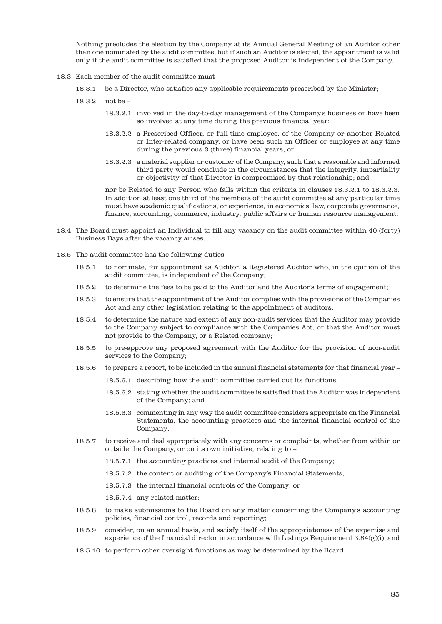Nothing precludes the election by the Company at its Annual General Meeting of an Auditor other than one nominated by the audit committee, but if such an Auditor is elected, the appointment is valid only if the audit committee is satisfied that the proposed Auditor is independent of the Company.

- 18.3 Each member of the audit committee must
	- 18.3.1 be a Director, who satisfies any applicable requirements prescribed by the Minister;
	- 18.3.2 not be
		- 18.3.2.1 involved in the day-to-day management of the Company's business or have been so involved at any time during the previous financial year;
		- 18.3.2.2 a Prescribed Officer, or full-time employee, of the Company or another Related or Inter-related company, or have been such an Officer or employee at any time during the previous 3 (three) financial years; or
		- 18.3.2.3 a material supplier or customer of the Company, such that a reasonable and informed third party would conclude in the circumstances that the integrity, impartiality or objectivity of that Director is compromised by that relationship; and

nor be Related to any Person who falls within the criteria in clauses 18.3.2.1 to 18.3.2.3. In addition at least one third of the members of the audit committee at any particular time must have academic qualifications, or experience, in economics, law, corporate governance, finance, accounting, commerce, industry, public affairs or human resource management.

- 18.4 The Board must appoint an Individual to fill any vacancy on the audit committee within 40 (forty) Business Days after the vacancy arises.
- 18.5 The audit committee has the following duties
	- 18.5.1 to nominate, for appointment as Auditor, a Registered Auditor who, in the opinion of the audit committee, is independent of the Company;
	- 18.5.2 to determine the fees to be paid to the Auditor and the Auditor's terms of engagement;
	- 18.5.3 to ensure that the appointment of the Auditor complies with the provisions of the Companies Act and any other legislation relating to the appointment of auditors;
	- 18.5.4 to determine the nature and extent of any non-audit services that the Auditor may provide to the Company subject to compliance with the Companies Act, or that the Auditor must not provide to the Company, or a Related company;
	- 18.5.5 to pre-approve any proposed agreement with the Auditor for the provision of non-audit services to the Company;
	- 18.5.6 to prepare a report, to be included in the annual financial statements for that financial year
		- 18.5.6.1 describing how the audit committee carried out its functions;
		- 18.5.6.2 stating whether the audit committee is satisfied that the Auditor was independent of the Company; and
		- 18.5.6.3 commenting in any way the audit committee considers appropriate on the Financial Statements, the accounting practices and the internal financial control of the Company;
	- 18.5.7 to receive and deal appropriately with any concerns or complaints, whether from within or outside the Company, or on its own initiative, relating to –
		- 18.5.7.1 the accounting practices and internal audit of the Company;
		- 18.5.7.2 the content or auditing of the Company's Financial Statements;
		- 18.5.7.3 the internal financial controls of the Company; or
		- 18.5.7.4 any related matter;
	- 18.5.8 to make submissions to the Board on any matter concerning the Company's accounting policies, financial control, records and reporting;
	- 18.5.9 consider, on an annual basis, and satisfy itself of the appropriateness of the expertise and experience of the financial director in accordance with Listings Requirement  $3.84(g)(i)$ ; and
	- 18.5.10 to perform other oversight functions as may be determined by the Board.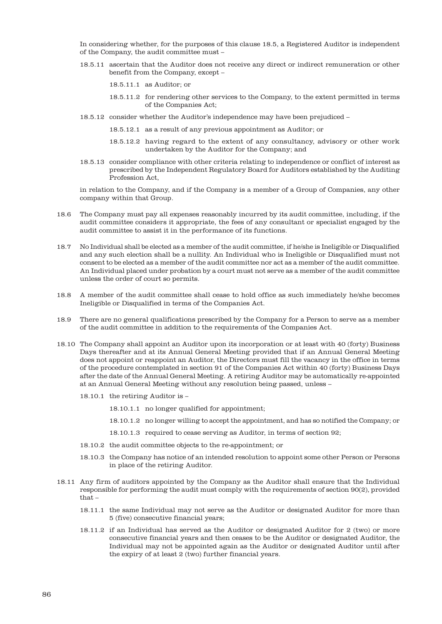In considering whether, for the purposes of this clause 18.5, a Registered Auditor is independent of the Company, the audit committee must –

- 18.5.11 ascertain that the Auditor does not receive any direct or indirect remuneration or other benefit from the Company, except –
	- 18.5.11.1 as Auditor; or
	- 18.5.11.2 for rendering other services to the Company, to the extent permitted in terms of the Companies Act;
- 18.5.12 consider whether the Auditor's independence may have been prejudiced
	- 18.5.12.1 as a result of any previous appointment as Auditor; or
	- 18.5.12.2 having regard to the extent of any consultancy, advisory or other work undertaken by the Auditor for the Company; and
- 18.5.13 consider compliance with other criteria relating to independence or conflict of interest as prescribed by the Independent Regulatory Board for Auditors established by the Auditing Profession Act,

in relation to the Company, and if the Company is a member of a Group of Companies, any other company within that Group.

- 18.6 The Company must pay all expenses reasonably incurred by its audit committee, including, if the audit committee considers it appropriate, the fees of any consultant or specialist engaged by the audit committee to assist it in the performance of its functions.
- 18.7 No Individual shall be elected as a member of the audit committee, if he/she is Ineligible or Disqualified and any such election shall be a nullity. An Individual who is Ineligible or Disqualified must not consent to be elected as a member of the audit committee nor act as a member of the audit committee. An Individual placed under probation by a court must not serve as a member of the audit committee unless the order of court so permits.
- 18.8 A member of the audit committee shall cease to hold office as such immediately he/she becomes Ineligible or Disqualified in terms of the Companies Act.
- 18.9 There are no general qualifications prescribed by the Company for a Person to serve as a member of the audit committee in addition to the requirements of the Companies Act.
- 18.10 The Company shall appoint an Auditor upon its incorporation or at least with 40 (forty) Business Days thereafter and at its Annual General Meeting provided that if an Annual General Meeting does not appoint or reappoint an Auditor, the Directors must fill the vacancy in the office in terms of the procedure contemplated in section 91 of the Companies Act within 40 (forty) Business Days after the date of the Annual General Meeting. A retiring Auditor may be automatically re-appointed at an Annual General Meeting without any resolution being passed, unless –
	- 18.10.1 the retiring Auditor is
		- 18.10.1.1 no longer qualified for appointment;
		- 18.10.1.2 no longer willing to accept the appointment, and has so notified the Company; or
		- 18.10.1.3 required to cease serving as Auditor, in terms of section 92;
	- 18.10.2 the audit committee objects to the re-appointment; or
	- 18.10.3 the Company has notice of an intended resolution to appoint some other Person or Persons in place of the retiring Auditor.
- 18.11 Any firm of auditors appointed by the Company as the Auditor shall ensure that the Individual responsible for performing the audit must comply with the requirements of section 90(2), provided that –
	- 18.11.1 the same Individual may not serve as the Auditor or designated Auditor for more than 5 (five) consecutive financial years;
	- 18.11.2 if an Individual has served as the Auditor or designated Auditor for 2 (two) or more consecutive financial years and then ceases to be the Auditor or designated Auditor, the Individual may not be appointed again as the Auditor or designated Auditor until after the expiry of at least 2 (two) further financial years.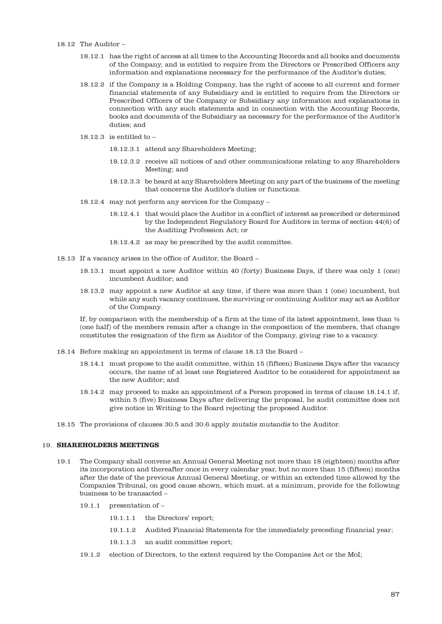## 18.12 The Auditor –

- 18.12.1 has the right of access at all times to the Accounting Records and all books and documents of the Company, and is entitled to require from the Directors or Prescribed Officers any information and explanations necessary for the performance of the Auditor's duties;
- 18.12.2 if the Company is a Holding Company, has the right of access to all current and former financial statements of any Subsidiary and is entitled to require from the Directors or Prescribed Officers of the Company or Subsidiary any information and explanations in connection with any such statements and in connection with the Accounting Records, books and documents of the Subsidiary as necessary for the performance of the Auditor's duties; and
- 18.12.3 is entitled to  $-$ 
	- 18.12.3.1 attend any Shareholders Meeting;
	- 18.12.3.2 receive all notices of and other communications relating to any Shareholders Meeting; and
	- 18.12.3.3 be heard at any Shareholders Meeting on any part of the business of the meeting that concerns the Auditor's duties or functions.
- 18.12.4 may not perform any services for the Company
	- 18.12.4.1 that would place the Auditor in a conflict of interest as prescribed or determined by the Independent Regulatory Board for Auditors in terms of section 44(6) of the Auditing Profession Act; or
	- 18.12.4.2 as may be prescribed by the audit committee.
- 18.13 If a vacancy arises in the office of Auditor, the Board
	- 18.13.1 must appoint a new Auditor within 40 (forty) Business Days, if there was only 1 (one) incumbent Auditor; and
	- 18.13.2 may appoint a new Auditor at any time, if there was more than 1 (one) incumbent, but while any such vacancy continues, the surviving or continuing Auditor may act as Auditor of the Company.

If, by comparison with the membership of a firm at the time of its latest appointment, less than  $\frac{1}{2}$ (one half) of the members remain after a change in the composition of the members, that change constitutes the resignation of the firm as Auditor of the Company, giving rise to a vacancy.

- 18.14 Before making an appointment in terms of clause 18.13 the Board
	- 18.14.1 must propose to the audit committee, within 15 (fifteen) Business Days after the vacancy occurs, the name of at least one Registered Auditor to be considered for appointment as the new Auditor; and
	- 18.14.2 may proceed to make an appointment of a Person proposed in terms of clause 18.14.1 if, within 5 (five) Business Days after delivering the proposal, he audit committee does not give notice in Writing to the Board rejecting the proposed Auditor.
- 18.15 The provisions of clauses 30.5 and 30.6 apply mutatis mutandis to the Auditor.

#### 19. **SHAREHOLDERS MEETINGS**

- 19.1 The Company shall convene an Annual General Meeting not more than 18 (eighteen) months after its incorporation and thereafter once in every calendar year, but no more than 15 (fifteen) months after the date of the previous Annual General Meeting, or within an extended time allowed by the Companies Tribunal, on good cause shown, which must, at a minimum, provide for the following business to be transacted –
	- 19.1.1 presentation of
		- 19.1.1.1 the Directors' report;
		- 19.1.1.2 Audited Financial Statements for the immediately preceding financial year;
		- 19.1.1.3 an audit committee report;
	- 19.1.2 election of Directors, to the extent required by the Companies Act or the MoI;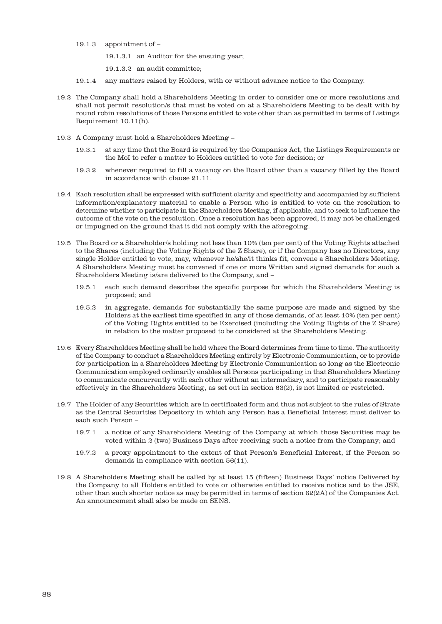19.1.3 appointment of –

19.1.3.1 an Auditor for the ensuing year;

19.1.3.2 an audit committee;

- 19.1.4 any matters raised by Holders, with or without advance notice to the Company.
- 19.2 The Company shall hold a Shareholders Meeting in order to consider one or more resolutions and shall not permit resolution/s that must be voted on at a Shareholders Meeting to be dealt with by round robin resolutions of those Persons entitled to vote other than as permitted in terms of Listings Requirement 10.11(h).
- 19.3 A Company must hold a Shareholders Meeting
	- 19.3.1 at any time that the Board is required by the Companies Act, the Listings Requirements or the MoI to refer a matter to Holders entitled to vote for decision; or
	- 19.3.2 whenever required to fill a vacancy on the Board other than a vacancy filled by the Board in accordance with clause 21.11.
- 19.4 Each resolution shall be expressed with sufficient clarity and specificity and accompanied by sufficient information/explanatory material to enable a Person who is entitled to vote on the resolution to determine whether to participate in the Shareholders Meeting, if applicable, and to seek to influence the outcome of the vote on the resolution. Once a resolution has been approved, it may not be challenged or impugned on the ground that it did not comply with the aforegoing.
- 19.5 The Board or a Shareholder/s holding not less than 10% (ten per cent) of the Voting Rights attached to the Shares (including the Voting Rights of the Z Share), or if the Company has no Directors, any single Holder entitled to vote, may, whenever he/she/it thinks fit, convene a Shareholders Meeting. A Shareholders Meeting must be convened if one or more Written and signed demands for such a Shareholders Meeting is/are delivered to the Company, and –
	- 19.5.1 each such demand describes the specific purpose for which the Shareholders Meeting is proposed; and
	- 19.5.2 in aggregate, demands for substantially the same purpose are made and signed by the Holders at the earliest time specified in any of those demands, of at least 10% (ten per cent) of the Voting Rights entitled to be Exercised (including the Voting Rights of the Z Share) in relation to the matter proposed to be considered at the Shareholders Meeting.
- 19.6 Every Shareholders Meeting shall be held where the Board determines from time to time. The authority of the Company to conduct a Shareholders Meeting entirely by Electronic Communication, or to provide for participation in a Shareholders Meeting by Electronic Communication so long as the Electronic Communication employed ordinarily enables all Persons participating in that Shareholders Meeting to communicate concurrently with each other without an intermediary, and to participate reasonably effectively in the Shareholders Meeting, as set out in section 63(2), is not limited or restricted.
- 19.7 The Holder of any Securities which are in certificated form and thus not subject to the rules of Strate as the Central Securities Depository in which any Person has a Beneficial Interest must deliver to each such Person –
	- 19.7.1 a notice of any Shareholders Meeting of the Company at which those Securities may be voted within 2 (two) Business Days after receiving such a notice from the Company; and
	- 19.7.2 a proxy appointment to the extent of that Person's Beneficial Interest, if the Person so demands in compliance with section 56(11).
- 19.8 A Shareholders Meeting shall be called by at least 15 (fifteen) Business Days' notice Delivered by the Company to all Holders entitled to vote or otherwise entitled to receive notice and to the JSE, other than such shorter notice as may be permitted in terms of section 62(2A) of the Companies Act. An announcement shall also be made on SENS.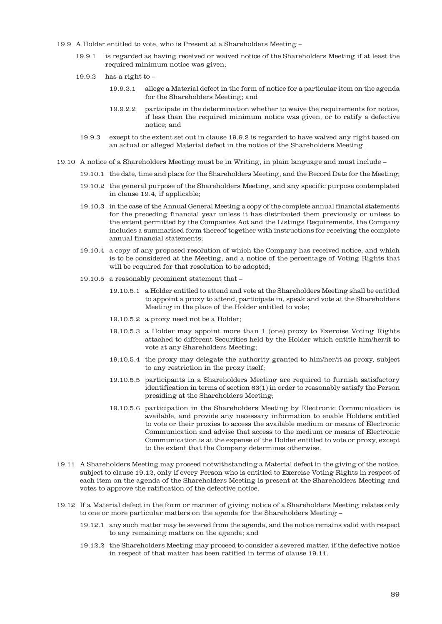- 19.9 A Holder entitled to vote, who is Present at a Shareholders Meeting
	- 19.9.1 is regarded as having received or waived notice of the Shareholders Meeting if at least the required minimum notice was given;
	- 19.9.2 has a right to
		- 19.9.2.1 allege a Material defect in the form of notice for a particular item on the agenda for the Shareholders Meeting; and
		- 19.9.2.2 participate in the determination whether to waive the requirements for notice, if less than the required minimum notice was given, or to ratify a defective notice; and
		- 19.9.3 except to the extent set out in clause 19.9.2 is regarded to have waived any right based on an actual or alleged Material defect in the notice of the Shareholders Meeting.
- 19.10 A notice of a Shareholders Meeting must be in Writing, in plain language and must include
	- 19.10.1 the date, time and place for the Shareholders Meeting, and the Record Date for the Meeting;
	- 19.10.2 the general purpose of the Shareholders Meeting, and any specific purpose contemplated in clause 19.4, if applicable;
	- 19.10.3 in the case of the Annual General Meeting a copy of the complete annual financial statements for the preceding financial year unless it has distributed them previously or unless to the extent permitted by the Companies Act and the Listings Requirements, the Company includes a summarised form thereof together with instructions for receiving the complete annual financial statements;
	- 19.10.4 a copy of any proposed resolution of which the Company has received notice, and which is to be considered at the Meeting, and a notice of the percentage of Voting Rights that will be required for that resolution to be adopted;
	- 19.10.5 a reasonably prominent statement that
		- 19.10.5.1 a Holder entitled to attend and vote at the Shareholders Meeting shall be entitled to appoint a proxy to attend, participate in, speak and vote at the Shareholders Meeting in the place of the Holder entitled to vote;
		- 19.10.5.2 a proxy need not be a Holder;
		- 19.10.5.3 a Holder may appoint more than 1 (one) proxy to Exercise Voting Rights attached to different Securities held by the Holder which entitle him/her/it to vote at any Shareholders Meeting;
		- 19.10.5.4 the proxy may delegate the authority granted to him/her/it as proxy, subject to any restriction in the proxy itself;
		- 19.10.5.5 participants in a Shareholders Meeting are required to furnish satisfactory identification in terms of section 63(1) in order to reasonably satisfy the Person presiding at the Shareholders Meeting;
		- 19.10.5.6 participation in the Shareholders Meeting by Electronic Communication is available, and provide any necessary information to enable Holders entitled to vote or their proxies to access the available medium or means of Electronic Communication and advise that access to the medium or means of Electronic Communication is at the expense of the Holder entitled to vote or proxy, except to the extent that the Company determines otherwise.
- 19.11 A Shareholders Meeting may proceed notwithstanding a Material defect in the giving of the notice, subject to clause 19.12, only if every Person who is entitled to Exercise Voting Rights in respect of each item on the agenda of the Shareholders Meeting is present at the Shareholders Meeting and votes to approve the ratification of the defective notice.
- 19.12 If a Material defect in the form or manner of giving notice of a Shareholders Meeting relates only to one or more particular matters on the agenda for the Shareholders Meeting –
	- 19.12.1 any such matter may be severed from the agenda, and the notice remains valid with respect to any remaining matters on the agenda; and
	- 19.12.2 the Shareholders Meeting may proceed to consider a severed matter, if the defective notice in respect of that matter has been ratified in terms of clause 19.11.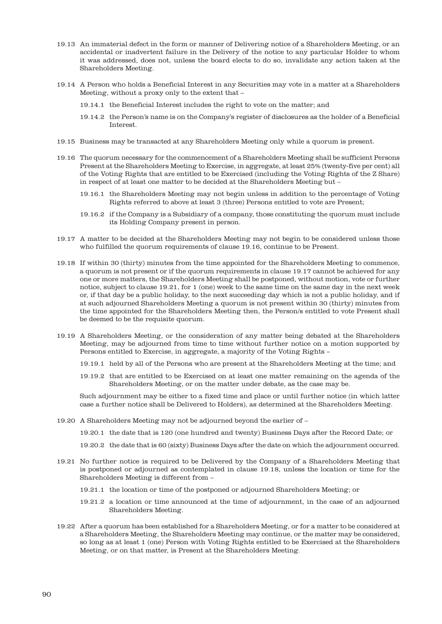- 19.13 An immaterial defect in the form or manner of Delivering notice of a Shareholders Meeting, or an accidental or inadvertent failure in the Delivery of the notice to any particular Holder to whom it was addressed, does not, unless the board elects to do so, invalidate any action taken at the Shareholders Meeting.
- 19.14 A Person who holds a Beneficial Interest in any Securities may vote in a matter at a Shareholders Meeting, without a proxy only to the extent that –
	- 19.14.1 the Beneficial Interest includes the right to vote on the matter; and
	- 19.14.2 the Person's name is on the Company's register of disclosures as the holder of a Beneficial Interest.
- 19.15 Business may be transacted at any Shareholders Meeting only while a quorum is present.
- 19.16 The quorum necessary for the commencement of a Shareholders Meeting shall be sufficient Persons Present at the Shareholders Meeting to Exercise, in aggregate, at least 25% (twenty-five per cent) all of the Voting Rights that are entitled to be Exercised (including the Voting Rights of the Z Share) in respect of at least one matter to be decided at the Shareholders Meeting but –
	- 19.16.1 the Shareholders Meeting may not begin unless in addition to the percentage of Voting Rights referred to above at least 3 (three) Persons entitled to vote are Present;
	- 19.16.2 if the Company is a Subsidiary of a company, those constituting the quorum must include its Holding Company present in person.
- 19.17 A matter to be decided at the Shareholders Meeting may not begin to be considered unless those who fulfilled the quorum requirements of clause 19.16, continue to be Present.
- 19.18 If within 30 (thirty) minutes from the time appointed for the Shareholders Meeting to commence, a quorum is not present or if the quorum requirements in clause 19.17 cannot be achieved for any one or more matters, the Shareholders Meeting shall be postponed, without motion, vote or further notice, subject to clause 19.21, for 1 (one) week to the same time on the same day in the next week or, if that day be a public holiday, to the next succeeding day which is not a public holiday, and if at such adjourned Shareholders Meeting a quorum is not present within 30 (thirty) minutes from the time appointed for the Shareholders Meeting then, the Person/s entitled to vote Present shall be deemed to be the requisite quorum.
- 19.19 A Shareholders Meeting, or the consideration of any matter being debated at the Shareholders Meeting, may be adjourned from time to time without further notice on a motion supported by Persons entitled to Exercise, in aggregate, a majority of the Voting Rights –
	- 19.19.1 held by all of the Persons who are present at the Shareholders Meeting at the time; and
	- 19.19.2 that are entitled to be Exercised on at least one matter remaining on the agenda of the Shareholders Meeting, or on the matter under debate, as the case may be.

Such adjournment may be either to a fixed time and place or until further notice (in which latter case a further notice shall be Delivered to Holders), as determined at the Shareholders Meeting.

19.20 A Shareholders Meeting may not be adjourned beyond the earlier of –

19.20.1 the date that is 120 (one hundred and twenty) Business Days after the Record Date; or

19.20.2 the date that is 60 (sixty) Business Days after the date on which the adjournment occurred.

- 19.21 No further notice is required to be Delivered by the Company of a Shareholders Meeting that is postponed or adjourned as contemplated in clause 19.18, unless the location or time for the Shareholders Meeting is different from –
	- 19.21.1 the location or time of the postponed or adjourned Shareholders Meeting; or
	- 19.21.2 a location or time announced at the time of adjournment, in the case of an adjourned Shareholders Meeting.
- 19.22 After a quorum has been established for a Shareholders Meeting, or for a matter to be considered at a Shareholders Meeting, the Shareholders Meeting may continue, or the matter may be considered, so long as at least 1 (one) Person with Voting Rights entitled to be Exercised at the Shareholders Meeting, or on that matter, is Present at the Shareholders Meeting.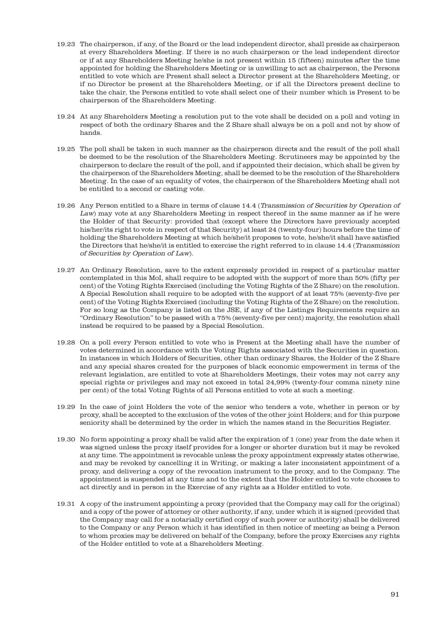- 19.23 The chairperson, if any, of the Board or the lead independent director, shall preside as chairperson at every Shareholders Meeting. If there is no such chairperson or the lead independent director or if at any Shareholders Meeting he/she is not present within 15 (fifteen) minutes after the time appointed for holding the Shareholders Meeting or is unwilling to act as chairperson, the Persons entitled to vote which are Present shall select a Director present at the Shareholders Meeting, or if no Director be present at the Shareholders Meeting, or if all the Directors present decline to take the chair, the Persons entitled to vote shall select one of their number which is Present to be chairperson of the Shareholders Meeting.
- 19.24 At any Shareholders Meeting a resolution put to the vote shall be decided on a poll and voting in respect of both the ordinary Shares and the Z Share shall always be on a poll and not by show of hands.
- 19.25 The poll shall be taken in such manner as the chairperson directs and the result of the poll shall be deemed to be the resolution of the Shareholders Meeting. Scrutineers may be appointed by the chairperson to declare the result of the poll, and if appointed their decision, which shall be given by the chairperson of the Shareholders Meeting, shall be deemed to be the resolution of the Shareholders Meeting. In the case of an equality of votes, the chairperson of the Shareholders Meeting shall not be entitled to a second or casting vote.
- 19.26 Any Person entitled to a Share in terms of clause 14.4 (Transmission of Securities by Operation of Law) may vote at any Shareholders Meeting in respect thereof in the same manner as if he were the Holder of that Security: provided that (except where the Directors have previously accepted his/her/its right to vote in respect of that Security) at least 24 (twenty-four) hours before the time of holding the Shareholders Meeting at which he/she/it proposes to vote, he/she/it shall have satisfied the Directors that he/she/it is entitled to exercise the right referred to in clause 14.4 (Transmission of Securities by Operation of Law).
- 19.27 An Ordinary Resolution, save to the extent expressly provided in respect of a particular matter contemplated in this MoI, shall require to be adopted with the support of more than 50% (fifty per cent) of the Voting Rights Exercised (including the Voting Rights of the Z Share) on the resolution. A Special Resolution shall require to be adopted with the support of at least 75% (seventy-five per cent) of the Voting Rights Exercised (including the Voting Rights of the Z Share) on the resolution. For so long as the Company is listed on the JSE, if any of the Listings Requirements require an "Ordinary Resolution" to be passed with a 75% (seventy-five per cent) majority, the resolution shall instead be required to be passed by a Special Resolution.
- 19.28 On a poll every Person entitled to vote who is Present at the Meeting shall have the number of votes determined in accordance with the Voting Rights associated with the Securities in question. In instances in which Holders of Securities, other than ordinary Shares, the Holder of the Z Share and any special shares created for the purposes of black economic empowerment in terms of the relevant legislation, are entitled to vote at Shareholders Meetings, their votes may not carry any special rights or privileges and may not exceed in total 24,99% (twenty-four comma ninety nine per cent) of the total Voting Rights of all Persons entitled to vote at such a meeting.
- 19.29 In the case of joint Holders the vote of the senior who tenders a vote, whether in person or by proxy, shall be accepted to the exclusion of the votes of the other joint Holders; and for this purpose seniority shall be determined by the order in which the names stand in the Securities Register.
- 19.30 No form appointing a proxy shall be valid after the expiration of 1 (one) year from the date when it was signed unless the proxy itself provides for a longer or shorter duration but it may be revoked at any time. The appointment is revocable unless the proxy appointment expressly states otherwise, and may be revoked by cancelling it in Writing, or making a later inconsistent appointment of a proxy, and delivering a copy of the revocation instrument to the proxy, and to the Company. The appointment is suspended at any time and to the extent that the Holder entitled to vote chooses to act directly and in person in the Exercise of any rights as a Holder entitled to vote.
- 19.31 A copy of the instrument appointing a proxy (provided that the Company may call for the original) and a copy of the power of attorney or other authority, if any, under which it is signed (provided that the Company may call for a notarially certified copy of such power or authority) shall be delivered to the Company or any Person which it has identified in then notice of meeting as being a Person to whom proxies may be delivered on behalf of the Company, before the proxy Exercises any rights of the Holder entitled to vote at a Shareholders Meeting.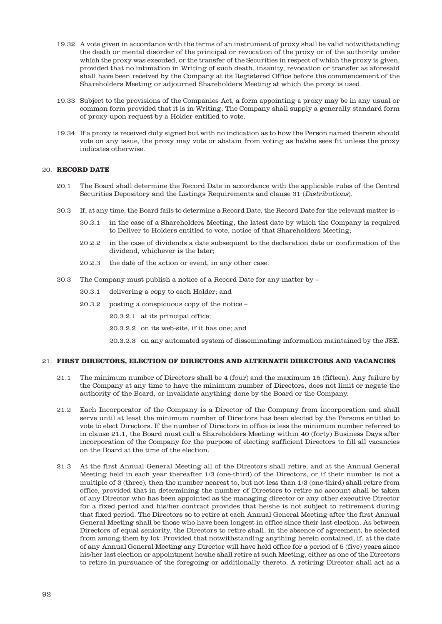- 19.32 A vote given in accordance with the terms of an instrument of proxy shall be valid notwithstanding the death or mental disorder of the principal or revocation of the proxy or of the authority under which the proxy was executed, or the transfer of the Securities in respect of which the proxy is given, provided that no intimation in Writing of such death, insanity, revocation or transfer as aforesaid shall have been received by the Company at its Registered Office before the commencement of the Shareholders Meeting or adjourned Shareholders Meeting at which the proxy is used.
- 19.33 Subject to the provisions of the Companies Act, a form appointing a proxy may be in any usual or common form provided that it is in Writing. The Company shall supply a generally standard form of proxy upon request by a Holder entitled to vote.
- 19.34 If a proxy is received duly signed but with no indication as to how the Person named therein should vote on any issue, the proxy may vote or abstain from voting as he/she sees fit unless the proxy indicates otherwise.

## 20. **RECORD DATE**

- 20.1 The Board shall determine the Record Date in accordance with the applicable rules of the Central Securities Depository and the Listings Requirements and clause 31 (Distributions).
- 20.2 If, at any time, the Board fails to determine a Record Date, the Record Date for the relevant matter is
	- 20.2.1 in the case of a Shareholders Meeting, the latest date by which the Company is required to Deliver to Holders entitled to vote, notice of that Shareholders Meeting;
	- 20.2.2 in the case of dividends a date subsequent to the declaration date or confirmation of the dividend, whichever is the later;
	- 20.2.3 the date of the action or event, in any other case.
- 20.3 The Company must publish a notice of a Record Date for any matter by
	- 20.3.1 delivering a copy to each Holder; and
	- 20.3.2 posting a conspicuous copy of the notice
		- 20.3.2.1 at its principal office;
		- 20.3.2.2 on its web-site, if it has one; and

20.3.2.3 on any automated system of disseminating information maintained by the JSE.

## 21. **FIRST DIRECTORS, ELECTION OF DIRECTORS AND ALTERNATE DIRECTORS AND VACANCIES**

- 21.1 The minimum number of Directors shall be 4 (four) and the maximum 15 (fifteen). Any failure by the Company at any time to have the minimum number of Directors, does not limit or negate the authority of the Board, or invalidate anything done by the Board or the Company.
- 21.2 Each Incorporator of the Company is a Director of the Company from incorporation and shall serve until at least the minimum number of Directors has been elected by the Persons entitled to vote to elect Directors. If the number of Directors in office is less the minimum number referred to in clause 21.1, the Board must call a Shareholders Meeting within 40 (forty) Business Days after incorporation of the Company for the purpose of electing sufficient Directors to fill all vacancies on the Board at the time of the election.
- 21.3 At the first Annual General Meeting all of the Directors shall retire, and at the Annual General Meeting held in each year thereafter 1/3 (one-third) of the Directors, or if their number is not a multiple of 3 (three), then the number nearest to, but not less than 1/3 (one-third) shall retire from office, provided that in determining the number of Directors to retire no account shall be taken of any Director who has been appointed as the managing director or any other executive Director for a fixed period and his/her contract provides that he/she is not subject to retirement during that fixed period. The Directors so to retire at each Annual General Meeting after the first Annual General Meeting shall be those who have been longest in office since their last election. As between Directors of equal seniority, the Directors to retire shall, in the absence of agreement, be selected from among them by lot: Provided that notwithstanding anything herein contained, if, at the date of any Annual General Meeting any Director will have held office for a period of 5 (five) years since his/her last election or appointment he/she shall retire at such Meeting, either as one of the Directors to retire in pursuance of the foregoing or additionally thereto. A retiring Director shall act as a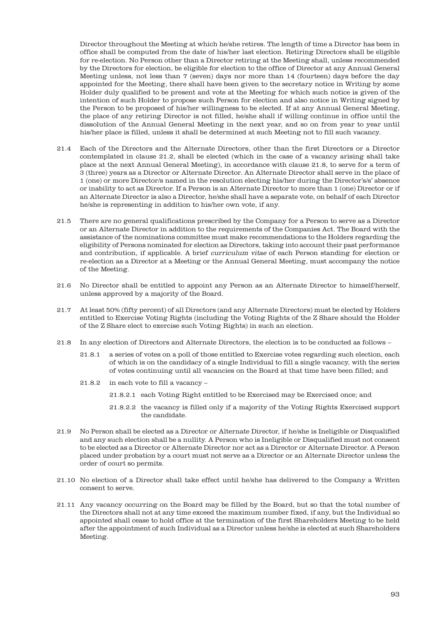Director throughout the Meeting at which he/she retires. The length of time a Director has been in office shall be computed from the date of his/her last election. Retiring Directors shall be eligible for re-election. No Person other than a Director retiring at the Meeting shall, unless recommended by the Directors for election, be eligible for election to the office of Director at any Annual General Meeting unless, not less than 7 (seven) days nor more than 14 (fourteen) days before the day appointed for the Meeting, there shall have been given to the secretary notice in Writing by some Holder duly qualified to be present and vote at the Meeting for which such notice is given of the intention of such Holder to propose such Person for election and also notice in Writing signed by the Person to be proposed of his/her willingness to be elected. If at any Annual General Meeting, the place of any retiring Director is not filled, he/she shall if willing continue in office until the dissolution of the Annual General Meeting in the next year, and so on from year to year until his/her place is filled, unless it shall be determined at such Meeting not to fill such vacancy.

- 21.4 Each of the Directors and the Alternate Directors, other than the first Directors or a Director contemplated in clause 21.2, shall be elected (which in the case of a vacancy arising shall take place at the next Annual General Meeting), in accordance with clause 21.8, to serve for a term of 3 (three) years as a Director or Alternate Director. An Alternate Director shall serve in the place of 1 (one) or more Director/s named in the resolution electing his/her during the Director's/s' absence or inability to act as Director. If a Person is an Alternate Director to more than 1 (one) Director or if an Alternate Director is also a Director, he/she shall have a separate vote, on behalf of each Director he/she is representing in addition to his/her own vote, if any.
- 21.5 There are no general qualifications prescribed by the Company for a Person to serve as a Director or an Alternate Director in addition to the requirements of the Companies Act. The Board with the assistance of the nominations committee must make recommendations to the Holders regarding the eligibility of Persons nominated for election as Directors, taking into account their past performance and contribution, if applicable. A brief curriculum vitae of each Person standing for election or re-election as a Director at a Meeting or the Annual General Meeting, must accompany the notice of the Meeting.
- 21.6 No Director shall be entitled to appoint any Person as an Alternate Director to himself/herself, unless approved by a majority of the Board.
- 21.7 At least 50% (fifty percent) of all Directors (and any Alternate Directors) must be elected by Holders entitled to Exercise Voting Rights (including the Voting Rights of the Z Share should the Holder of the Z Share elect to exercise such Voting Rights) in such an election.
- 21.8 In any election of Directors and Alternate Directors, the election is to be conducted as follows
	- 21.8.1 a series of votes on a poll of those entitled to Exercise votes regarding such election, each of which is on the candidacy of a single Individual to fill a single vacancy, with the series of votes continuing until all vacancies on the Board at that time have been filled; and
	- 21.8.2 in each vote to fill a vacancy
		- 21.8.2.1 each Voting Right entitled to be Exercised may be Exercised once; and
		- 21.8.2.2 the vacancy is filled only if a majority of the Voting Rights Exercised support the candidate.
- 21.9 No Person shall be elected as a Director or Alternate Director, if he/she is Ineligible or Disqualified and any such election shall be a nullity. A Person who is Ineligible or Disqualified must not consent to be elected as a Director or Alternate Director nor act as a Director or Alternate Director. A Person placed under probation by a court must not serve as a Director or an Alternate Director unless the order of court so permits.
- 21.10 No election of a Director shall take effect until he/she has delivered to the Company a Written consent to serve.
- 21.11 Any vacancy occurring on the Board may be filled by the Board, but so that the total number of the Directors shall not at any time exceed the maximum number fixed, if any, but the Individual so appointed shall cease to hold office at the termination of the first Shareholders Meeting to be held after the appointment of such Individual as a Director unless he/she is elected at such Shareholders Meeting.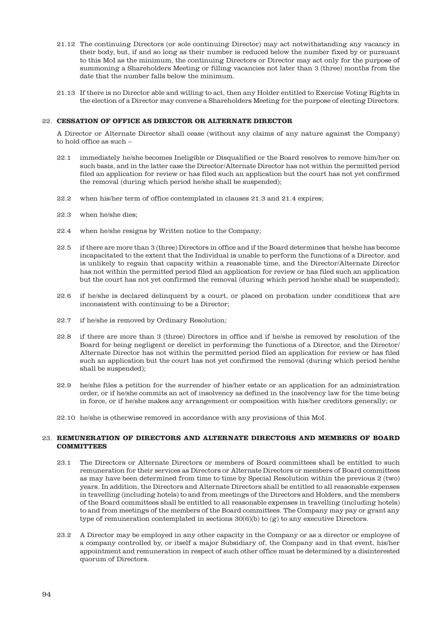- 21.12 The continuing Directors (or sole continuing Director) may act notwithstanding any vacancy in their body, but, if and so long as their number is reduced below the number fixed by or pursuant to this MoI as the minimum, the continuing Directors or Director may act only for the purpose of summoning a Shareholders Meeting or filling vacancies not later than 3 (three) months from the date that the number falls below the minimum.
- 21.13 If there is no Director able and willing to act, then any Holder entitled to Exercise Voting Rights in the election of a Director may convene a Shareholders Meeting for the purpose of electing Directors.

#### 22. **CESSATION OF OFFICE AS DIRECTOR OR ALTERNATE DIRECTOR**

A Director or Alternate Director shall cease (without any claims of any nature against the Company) to hold office as such –

- 22.1 immediately he/she becomes Ineligible or Disqualified or the Board resolves to remove him/her on such basis, and in the latter case the Director/Alternate Director has not within the permitted period filed an application for review or has filed such an application but the court has not yet confirmed the removal (during which period he/she shall be suspended);
- 22.2 when his/her term of office contemplated in clauses 21.3 and 21.4 expires;
- 22.3 when he/she dies;
- 22.4 when he/she resigns by Written notice to the Company;
- 22.5 if there are more than 3 (three) Directors in office and if the Board determines that he/she has become incapacitated to the extent that the Individual is unable to perform the functions of a Director, and is unlikely to regain that capacity within a reasonable time, and the Director/Alternate Director has not within the permitted period filed an application for review or has filed such an application but the court has not yet confirmed the removal (during which period he/she shall be suspended);
- 22.6 if he/she is declared delinquent by a court, or placed on probation under conditions that are inconsistent with continuing to be a Director;
- 22.7 if he/she is removed by Ordinary Resolution;
- 22.8 if there are more than 3 (three) Directors in office and if he/she is removed by resolution of the Board for being negligent or derelict in performing the functions of a Director, and the Director/ Alternate Director has not within the permitted period filed an application for review or has filed such an application but the court has not yet confirmed the removal (during which period he/she shall be suspended);
- 22.9 he/she files a petition for the surrender of his/her estate or an application for an administration order, or if he/she commits an act of insolvency as defined in the insolvency law for the time being in force, or if he/she makes any arrangement or composition with his/her creditors generally; or
- 22.10 he/she is otherwise removed in accordance with any provisions of this MoI.

## 23. **REMUNERATION OF DIRECTORS AND ALTERNATE DIRECTORS AND MEMBERS OF BOARD COMMITTEES**

- 23.1 The Directors or Alternate Directors or members of Board committees shall be entitled to such remuneration for their services as Directors or Alternate Directors or members of Board committees as may have been determined from time to time by Special Resolution within the previous 2 (two) years. In addition, the Directors and Alternate Directors shall be entitled to all reasonable expenses in travelling (including hotels) to and from meetings of the Directors and Holders, and the members of the Board committees shall be entitled to all reasonable expenses in travelling (including hotels) to and from meetings of the members of the Board committees. The Company may pay or grant any type of remuneration contemplated in sections  $30(6)(b)$  to  $(g)$  to any executive Directors.
- 23.2 A Director may be employed in any other capacity in the Company or as a director or employee of a company controlled by, or itself a major Subsidiary of, the Company and in that event, his/her appointment and remuneration in respect of such other office must be determined by a disinterested quorum of Directors.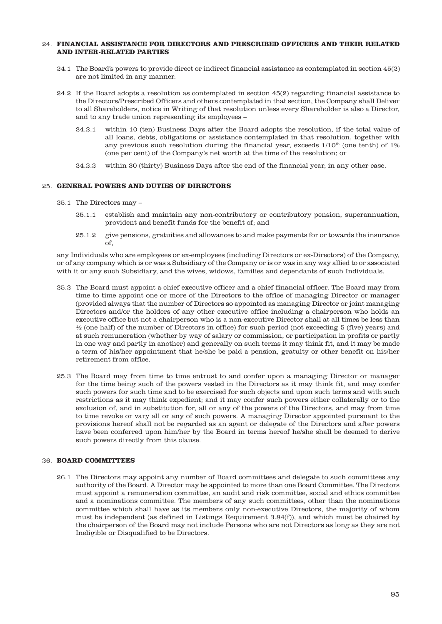## 24. **FINANCIAL ASSISTANCE FOR DIRECTORS AND PRESCRIBED OFFICERS AND THEIR RELATED AND INTER-RELATED PARTIES**

- 24.1 The Board's powers to provide direct or indirect financial assistance as contemplated in section 45(2) are not limited in any manner.
- 24.2 If the Board adopts a resolution as contemplated in section 45(2) regarding financial assistance to the Directors/Prescribed Officers and others contemplated in that section, the Company shall Deliver to all Shareholders, notice in Writing of that resolution unless every Shareholder is also a Director, and to any trade union representing its employees –
	- 24.2.1 within 10 (ten) Business Days after the Board adopts the resolution, if the total value of all loans, debts, obligations or assistance contemplated in that resolution, together with any previous such resolution during the financial year, exceeds  $1/10<sup>th</sup>$  (one tenth) of 1% (one per cent) of the Company's net worth at the time of the resolution; or
	- 24.2.2 within 30 (thirty) Business Days after the end of the financial year, in any other case.

## 25. **GENERAL POWERS AND DUTIES OF DIRECTORS**

- 25.1 The Directors may
	- 25.1.1 establish and maintain any non-contributory or contributory pension, superannuation, provident and benefit funds for the benefit of; and
	- 25.1.2 give pensions, gratuities and allowances to and make payments for or towards the insurance of,

any Individuals who are employees or ex-employees (including Directors or ex-Directors) of the Company, or of any company which is or was a Subsidiary of the Company or is or was in any way allied to or associated with it or any such Subsidiary, and the wives, widows, families and dependants of such Individuals.

- 25.2 The Board must appoint a chief executive officer and a chief financial officer. The Board may from time to time appoint one or more of the Directors to the office of managing Director or manager (provided always that the number of Directors so appointed as managing Director or joint managing Directors and/or the holders of any other executive office including a chairperson who holds an executive office but not a chairperson who is a non-executive Director shall at all times be less than ½ (one half) of the number of Directors in office) for such period (not exceeding 5 (five) years) and at such remuneration (whether by way of salary or commission, or participation in profits or partly in one way and partly in another) and generally on such terms it may think fit, and it may be made a term of his/her appointment that he/she be paid a pension, gratuity or other benefit on his/her retirement from office.
- 25.3 The Board may from time to time entrust to and confer upon a managing Director or manager for the time being such of the powers vested in the Directors as it may think fit, and may confer such powers for such time and to be exercised for such objects and upon such terms and with such restrictions as it may think expedient; and it may confer such powers either collaterally or to the exclusion of, and in substitution for, all or any of the powers of the Directors, and may from time to time revoke or vary all or any of such powers. A managing Director appointed pursuant to the provisions hereof shall not be regarded as an agent or delegate of the Directors and after powers have been conferred upon him/her by the Board in terms hereof he/she shall be deemed to derive such powers directly from this clause.

## 26. **BOARD COMMITTEES**

26.1 The Directors may appoint any number of Board committees and delegate to such committees any authority of the Board. A Director may be appointed to more than one Board Committee. The Directors must appoint a remuneration committee, an audit and risk committee, social and ethics committee and a nominations committee. The members of any such committees, other than the nominations committee which shall have as its members only non-executive Directors, the majority of whom must be independent (as defined in Listings Requirement 3.84(f)), and which must be chaired by the chairperson of the Board may not include Persons who are not Directors as long as they are not Ineligible or Disqualified to be Directors.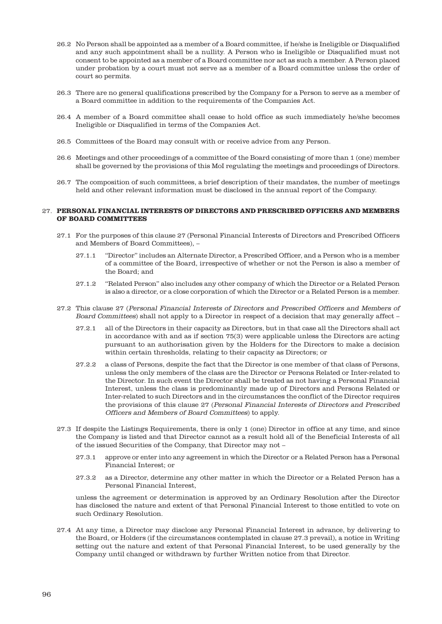- 26.2 No Person shall be appointed as a member of a Board committee, if he/she is Ineligible or Disqualified and any such appointment shall be a nullity. A Person who is Ineligible or Disqualified must not consent to be appointed as a member of a Board committee nor act as such a member. A Person placed under probation by a court must not serve as a member of a Board committee unless the order of court so permits.
- 26.3 There are no general qualifications prescribed by the Company for a Person to serve as a member of a Board committee in addition to the requirements of the Companies Act.
- 26.4 A member of a Board committee shall cease to hold office as such immediately he/she becomes Ineligible or Disqualified in terms of the Companies Act.
- 26.5 Committees of the Board may consult with or receive advice from any Person.
- 26.6 Meetings and other proceedings of a committee of the Board consisting of more than 1 (one) member shall be governed by the provisions of this MoI regulating the meetings and proceedings of Directors.
- 26.7 The composition of such committees, a brief description of their mandates, the number of meetings held and other relevant information must be disclosed in the annual report of the Company.

#### 27. **PERSONAL FINANCIAL INTERESTS OF DIRECTORS AND PRESCRIBED OFFICERS AND MEMBERS OF BOARD COMMITTEES**

- 27.1 For the purposes of this clause 27 (Personal Financial Interests of Directors and Prescribed Officers and Members of Board Committees), –
	- 27.1.1 "Director" includes an Alternate Director, a Prescribed Officer, and a Person who is a member of a committee of the Board, irrespective of whether or not the Person is also a member of the Board; and
	- 27.1.2 "Related Person" also includes any other company of which the Director or a Related Person is also a director, or a close corporation of which the Director or a Related Person is a member.
- 27.2 This clause 27 (Personal Financial Interests of Directors and Prescribed Officers and Members of Board Committees) shall not apply to a Director in respect of a decision that may generally affect –
	- 27.2.1 all of the Directors in their capacity as Directors, but in that case all the Directors shall act in accordance with and as if section 75(3) were applicable unless the Directors are acting pursuant to an authorisation given by the Holders for the Directors to make a decision within certain thresholds, relating to their capacity as Directors; or
	- 27.2.2 a class of Persons, despite the fact that the Director is one member of that class of Persons, unless the only members of the class are the Director or Persons Related or Inter-related to the Director. In such event the Director shall be treated as not having a Personal Financial Interest, unless the class is predominantly made up of Directors and Persons Related or Inter-related to such Directors and in the circumstances the conflict of the Director requires the provisions of this clause 27 (Personal Financial Interests of Directors and Prescribed Officers and Members of Board Committees) to apply.
- 27.3 If despite the Listings Requirements, there is only 1 (one) Director in office at any time, and since the Company is listed and that Director cannot as a result hold all of the Beneficial Interests of all of the issued Securities of the Company, that Director may not –
	- 27.3.1 approve or enter into any agreement in which the Director or a Related Person has a Personal Financial Interest; or
	- 27.3.2 as a Director, determine any other matter in which the Director or a Related Person has a Personal Financial Interest,

unless the agreement or determination is approved by an Ordinary Resolution after the Director has disclosed the nature and extent of that Personal Financial Interest to those entitled to vote on such Ordinary Resolution.

27.4 At any time, a Director may disclose any Personal Financial Interest in advance, by delivering to the Board, or Holders (if the circumstances contemplated in clause 27.3 prevail), a notice in Writing setting out the nature and extent of that Personal Financial Interest, to be used generally by the Company until changed or withdrawn by further Written notice from that Director.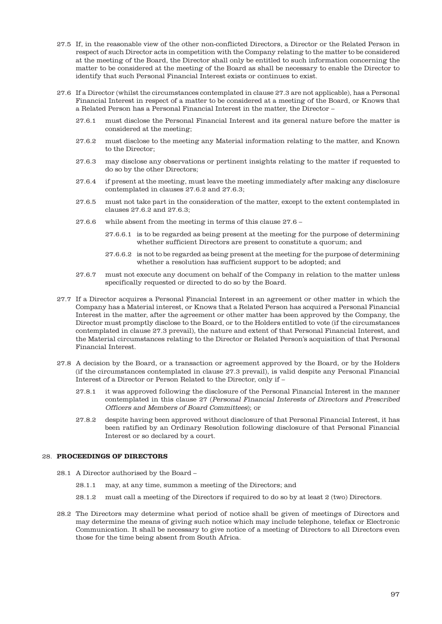- 27.5 If, in the reasonable view of the other non-conflicted Directors, a Director or the Related Person in respect of such Director acts in competition with the Company relating to the matter to be considered at the meeting of the Board, the Director shall only be entitled to such information concerning the matter to be considered at the meeting of the Board as shall be necessary to enable the Director to identify that such Personal Financial Interest exists or continues to exist.
- 27.6 If a Director (whilst the circumstances contemplated in clause 27.3 are not applicable), has a Personal Financial Interest in respect of a matter to be considered at a meeting of the Board, or Knows that a Related Person has a Personal Financial Interest in the matter, the Director –
	- 27.6.1 must disclose the Personal Financial Interest and its general nature before the matter is considered at the meeting;
	- 27.6.2 must disclose to the meeting any Material information relating to the matter, and Known to the Director;
	- 27.6.3 may disclose any observations or pertinent insights relating to the matter if requested to do so by the other Directors;
	- 27.6.4 if present at the meeting, must leave the meeting immediately after making any disclosure contemplated in clauses 27.6.2 and 27.6.3;
	- 27.6.5 must not take part in the consideration of the matter, except to the extent contemplated in clauses 27.6.2 and 27.6.3;
	- 27.6.6 while absent from the meeting in terms of this clause 27.6
		- 27.6.6.1 is to be regarded as being present at the meeting for the purpose of determining whether sufficient Directors are present to constitute a quorum; and
		- 27.6.6.2 is not to be regarded as being present at the meeting for the purpose of determining whether a resolution has sufficient support to be adopted; and
	- 27.6.7 must not execute any document on behalf of the Company in relation to the matter unless specifically requested or directed to do so by the Board.
- 27.7 If a Director acquires a Personal Financial Interest in an agreement or other matter in which the Company has a Material interest, or Knows that a Related Person has acquired a Personal Financial Interest in the matter, after the agreement or other matter has been approved by the Company, the Director must promptly disclose to the Board, or to the Holders entitled to vote (if the circumstances contemplated in clause 27.3 prevail), the nature and extent of that Personal Financial Interest, and the Material circumstances relating to the Director or Related Person's acquisition of that Personal Financial Interest.
- 27.8 A decision by the Board, or a transaction or agreement approved by the Board, or by the Holders (if the circumstances contemplated in clause 27.3 prevail), is valid despite any Personal Financial Interest of a Director or Person Related to the Director, only if –
	- 27.8.1 it was approved following the disclosure of the Personal Financial Interest in the manner contemplated in this clause 27 (Personal Financial Interests of Directors and Prescribed Officers and Members of Board Committees); or
	- 27.8.2 despite having been approved without disclosure of that Personal Financial Interest, it has been ratified by an Ordinary Resolution following disclosure of that Personal Financial Interest or so declared by a court.

## 28. **PROCEEDINGS OF DIRECTORS**

- 28.1 A Director authorised by the Board
	- 28.1.1 may, at any time, summon a meeting of the Directors; and
	- 28.1.2 must call a meeting of the Directors if required to do so by at least 2 (two) Directors.
- 28.2 The Directors may determine what period of notice shall be given of meetings of Directors and may determine the means of giving such notice which may include telephone, telefax or Electronic Communication. It shall be necessary to give notice of a meeting of Directors to all Directors even those for the time being absent from South Africa.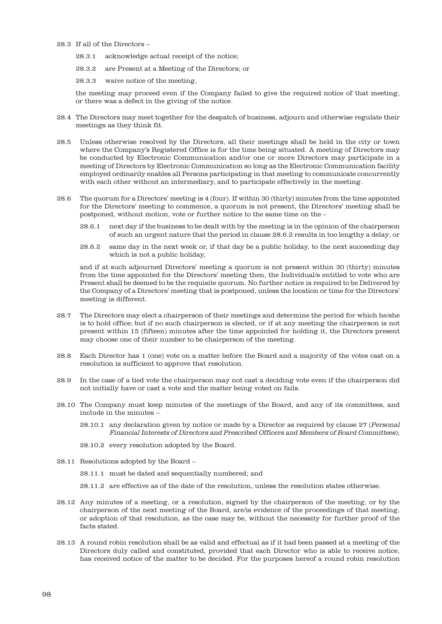## 28.3 If all of the Directors –

- 28.3.1 acknowledge actual receipt of the notice;
- 28.3.2 are Present at a Meeting of the Directors; or
- 28.3.3 waive notice of the meeting,

the meeting may proceed even if the Company failed to give the required notice of that meeting, or there was a defect in the giving of the notice.

- 28.4 The Directors may meet together for the despatch of business, adjourn and otherwise regulate their meetings as they think fit.
- 28.5 Unless otherwise resolved by the Directors, all their meetings shall be held in the city or town where the Company's Registered Office is for the time being situated. A meeting of Directors may be conducted by Electronic Communication and/or one or more Directors may participate in a meeting of Directors by Electronic Communication so long as the Electronic Communication facility employed ordinarily enables all Persons participating in that meeting to communicate concurrently with each other without an intermediary, and to participate effectively in the meeting.
- 28.6 The quorum for a Directors' meeting is 4 (four). If within 30 (thirty) minutes from the time appointed for the Directors' meeting to commence, a quorum is not present, the Directors' meeting shall be postponed, without motion, vote or further notice to the same time on the –
	- 28.6.1 next day if the business to be dealt with by the meeting is in the opinion of the chairperson of such an urgent nature that the period in clause 28.6.2 results in too lengthy a delay; or
	- 28.6.2 same day in the next week or, if that day be a public holiday, to the next succeeding day which is not a public holiday,

and if at such adjourned Directors' meeting a quorum is not present within 30 (thirty) minutes from the time appointed for the Directors' meeting then, the Individual/s entitled to vote who are Present shall be deemed to be the requisite quorum. No further notice is required to be Delivered by the Company of a Directors' meeting that is postponed, unless the location or time for the Directors' meeting is different.

- 28.7 The Directors may elect a chairperson of their meetings and determine the period for which he/she is to hold office; but if no such chairperson is elected, or if at any meeting the chairperson is not present within 15 (fifteen) minutes after the time appointed for holding it, the Directors present may choose one of their number to be chairperson of the meeting.
- 28.8 Each Director has 1 (one) vote on a matter before the Board and a majority of the votes cast on a resolution is sufficient to approve that resolution.
- 28.9 In the case of a tied vote the chairperson may not cast a deciding vote even if the chairperson did not initially have or cast a vote and the matter being voted on fails.
- 28.10 The Company must keep minutes of the meetings of the Board, and any of its committees, and include in the minutes –
	- 28.10.1 any declaration given by notice or made by a Director as required by clause 27 (Personal Financial Interests of Directors and Prescribed Officers and Members of Board Committees);
	- 28.10.2 every resolution adopted by the Board.
- 28.11 Resolutions adopted by the Board
	- 28.11.1 must be dated and sequentially numbered; and
	- 28.11.2 are effective as of the date of the resolution, unless the resolution states otherwise.
- 28.12 Any minutes of a meeting, or a resolution, signed by the chairperson of the meeting, or by the chairperson of the next meeting of the Board, are/is evidence of the proceedings of that meeting, or adoption of that resolution, as the case may be, without the necessity for further proof of the facts stated.
- 28.13 A round robin resolution shall be as valid and effectual as if it had been passed at a meeting of the Directors duly called and constituted, provided that each Director who is able to receive notice, has received notice of the matter to be decided. For the purposes hereof a round robin resolution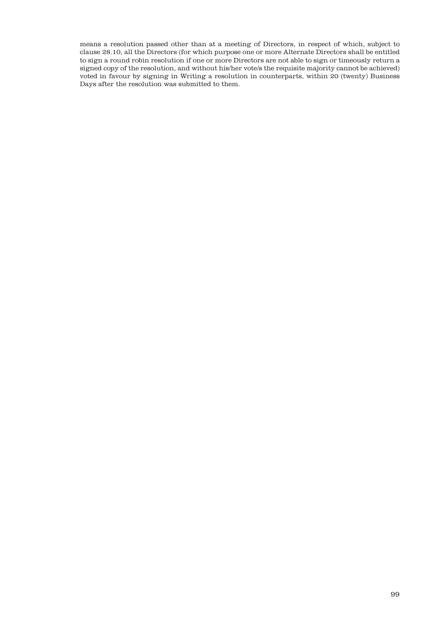means a resolution passed other than at a meeting of Directors, in respect of which, subject to clause 28.10, all the Directors (for which purpose one or more Alternate Directors shall be entitled to sign a round robin resolution if one or more Directors are not able to sign or timeously return a signed copy of the resolution, and without his/her vote/s the requisite majority cannot be achieved) voted in favour by signing in Writing a resolution in counterparts, within 20 (twenty) Business Days after the resolution was submitted to them.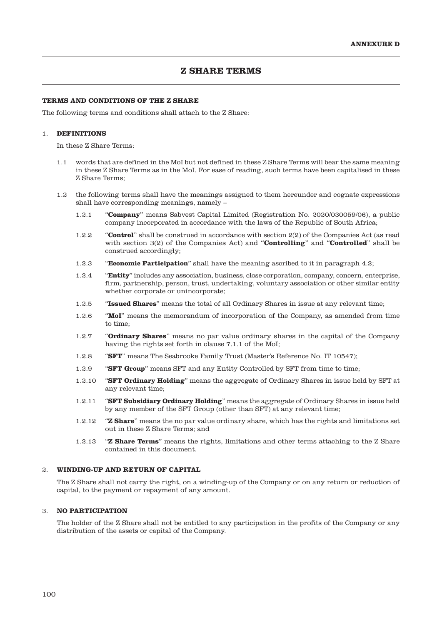# **Z SHARE TERMS**

## **TERMS AND CONDITIONS OF THE Z SHARE**

The following terms and conditions shall attach to the Z Share:

#### 1. **DEFINITIONS**

In these Z Share Terms:

- 1.1 words that are defined in the MoI but not defined in these Z Share Terms will bear the same meaning in these Z Share Terms as in the MoI. For ease of reading, such terms have been capitalised in these Z Share Terms;
- 1.2 the following terms shall have the meanings assigned to them hereunder and cognate expressions shall have corresponding meanings, namely –
	- 1.2.1 "**Company**" means Sabvest Capital Limited (Registration No. 2020/030059/06), a public company incorporated in accordance with the laws of the Republic of South Africa;
	- 1.2.2 "**Control**" shall be construed in accordance with section 2(2) of the Companies Act (as read with section 3(2) of the Companies Act) and "**Controlling**" and "**Controlled**" shall be construed accordingly;
	- 1.2.3 "**Economic Participation**" shall have the meaning ascribed to it in paragraph 4.2;
	- 1.2.4 "**Entity**" includes any association, business, close corporation, company, concern, enterprise, firm, partnership, person, trust, undertaking, voluntary association or other similar entity whether corporate or unincorporate;
	- 1.2.5 "**Issued Shares**" means the total of all Ordinary Shares in issue at any relevant time;
	- 1.2.6 "**MoI**" means the memorandum of incorporation of the Company, as amended from time to time;
	- 1.2.7 "**Ordinary Shares**" means no par value ordinary shares in the capital of the Company having the rights set forth in clause 7.1.1 of the MoI;
	- 1.2.8 "**SFT**" means The Seabrooke Family Trust (Master's Reference No. IT 10547);
	- 1.2.9 **"SFT Group**" means SFT and any Entity Controlled by SFT from time to time;
	- 1.2.10 "**SFT Ordinary Holding**" means the aggregate of Ordinary Shares in issue held by SFT at any relevant time;
	- 1.2.11 "**SFT Subsidiary Ordinary Holding**" means the aggregate of Ordinary Shares in issue held by any member of the SFT Group (other than SFT) at any relevant time;
	- 1.2.12 "**Z Share**" means the no par value ordinary share, which has the rights and limitations set out in these Z Share Terms; and
	- 1.2.13 "**Z Share Terms**" means the rights, limitations and other terms attaching to the Z Share contained in this document.

#### 2. **WINDING-UP AND RETURN OF CAPITAL**

The Z Share shall not carry the right, on a winding-up of the Company or on any return or reduction of capital, to the payment or repayment of any amount.

### 3. **NO PARTICIPATION**

The holder of the Z Share shall not be entitled to any participation in the profits of the Company or any distribution of the assets or capital of the Company.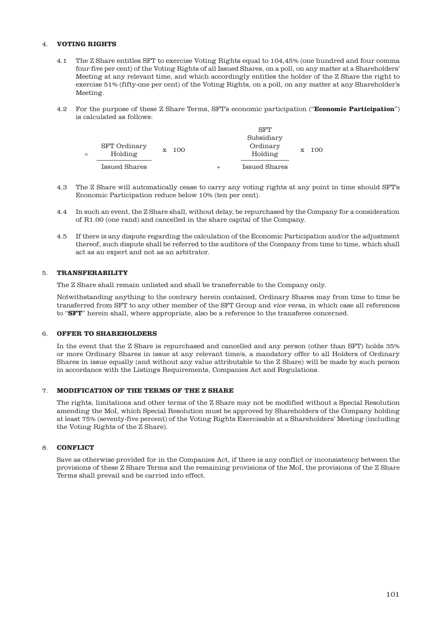## 4. **VOTING RIGHTS**

- 4.1 The Z Share entitles SFT to exercise Voting Rights equal to 104,45% (one hundred and four comma four five per cent) of the Voting Rights of all Issued Shares, on a poll, on any matter at a Shareholders' Meeting at any relevant time, and which accordingly entitles the holder of the Z Share the right to exercise 51% (fifty-one per cent) of the Voting Rights, on a poll, on any matter at any Shareholder's Meeting.
- 4.2 For the purpose of these Z Share Terms, SFT's economic participation ("**Economic Participation**") is calculated as follows:

| <b>SFT</b> Ordinary |       | <b>SFT</b><br>Subsidiary<br>Ordinary |                  |  |
|---------------------|-------|--------------------------------------|------------------|--|
| Holding             | x 100 | Holding                              | $\mathrm{x}$ 100 |  |
| Issued Shares       |       | <b>Issued Shares</b>                 |                  |  |

- 4.3 The Z Share will automatically cease to carry any voting rights at any point in time should SFT's Economic Participation reduce below 10% (ten per cent).
- 4.4 In such an event, the Z Share shall, without delay, be repurchased by the Company for a consideration of R1.00 (one rand) and cancelled in the share capital of the Company.
- 4.5 If there is any dispute regarding the calculation of the Economic Participation and/or the adjustment thereof, such dispute shall be referred to the auditors of the Company from time to time, which shall act as an expert and not as an arbitrator.

## 5. **TRANSFERABILITY**

The Z Share shall remain unlisted and shall be transferrable to the Company only.

Notwithstanding anything to the contrary herein contained, Ordinary Shares may from time to time be transferred from SFT to any other member of the SFT Group and vice versa, in which case all references to "**SFT**" herein shall, where appropriate, also be a reference to the transferee concerned.

## 6. **OFFER TO SHAREHOLDERS**

In the event that the Z Share is repurchased and cancelled and any person (other than SFT) holds 35% or more Ordinary Shares in issue at any relevant time/s, a mandatory offer to all Holders of Ordinary Shares in issue equally (and without any value attributable to the Z Share) will be made by such person in accordance with the Listings Requirements, Companies Act and Regulations.

## 7. **MODIFICATION OF THE TERMS OF THE Z SHARE**

The rights, limitations and other terms of the Z Share may not be modified without a Special Resolution amending the MoI, which Special Resolution must be approved by Shareholders of the Company holding at least 75% (seventy-five percent) of the Voting Rights Exercisable at a Shareholders' Meeting (including the Voting Rights of the Z Share).

## 8. **CONFLICT**

Save as otherwise provided for in the Companies Act, if there is any conflict or inconsistency between the provisions of these Z Share Terms and the remaining provisions of the MoI, the provisions of the Z Share Terms shall prevail and be carried into effect.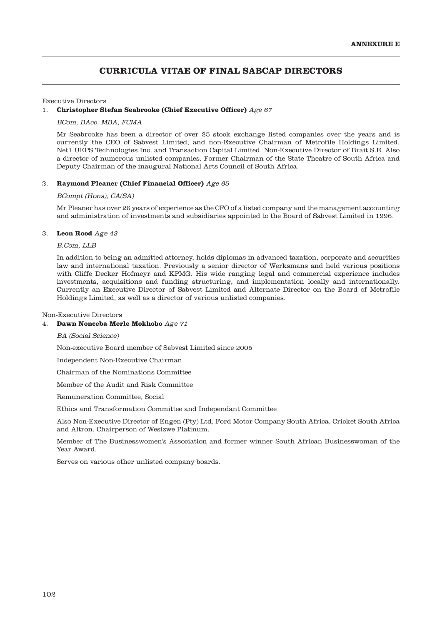# **CURRICULA VITAE OF FINAL SABCAP DIRECTORS**

#### Executive Directors

#### 1. **Christopher Stefan Seabrooke (Chief Executive Officer)** Age 67

#### BCom, BAcc, MBA, FCMA

Mr Seabrooke has been a director of over 25 stock exchange listed companies over the years and is currently the CEO of Sabvest Limited, and non-Executive Chairman of Metrofile Holdings Limited, Net1 UEPS Technologies Inc. and Transaction Capital Limited. Non-Executive Director of Brait S.E. Also a director of numerous unlisted companies. Former Chairman of the State Theatre of South Africa and Deputy Chairman of the inaugural National Arts Council of South Africa.

#### 2. **Raymond Pleaner (Chief Financial Officer)** Age 65

#### BCompt (Hons), CA(SA)

Mr Pleaner has over 26 years of experience as the CFO of a listed company and the management accounting and administration of investments and subsidiaries appointed to the Board of Sabvest Limited in 1996.

#### 3. **Leon Rood** Age 43

#### B.Com, LLB

In addition to being an admitted attorney, holds diplomas in advanced taxation, corporate and securities law and international taxation. Previously a senior director of Werksmans and held various positions with Cliffe Decker Hofmeyr and KPMG. His wide ranging legal and commercial experience includes investments, acquisitions and funding structuring, and implementation locally and internationally. Currently an Executive Director of Sabvest Limited and Alternate Director on the Board of Metrofile Holdings Limited, as well as a director of various unlisted companies.

#### Non-Executive Directors

## 4. **Dawn Nonceba Merle Mokhobo** Age 71

BA (Social Science)

Non-executive Board member of Sabvest Limited since 2005

Independent Non-Executive Chairman

Chairman of the Nominations Committee

Member of the Audit and Risk Committee

Remuneration Committee, Social

Ethics and Transformation Committee and Independant Committee

Also Non-Executive Director of Engen (Pty) Ltd, Ford Motor Company South Africa, Cricket South Africa and Altron. Chairperson of Wesizwe Platinum.

Member of The Businesswomen's Association and former winner South African Businesswoman of the Year Award.

Serves on various other unlisted company boards.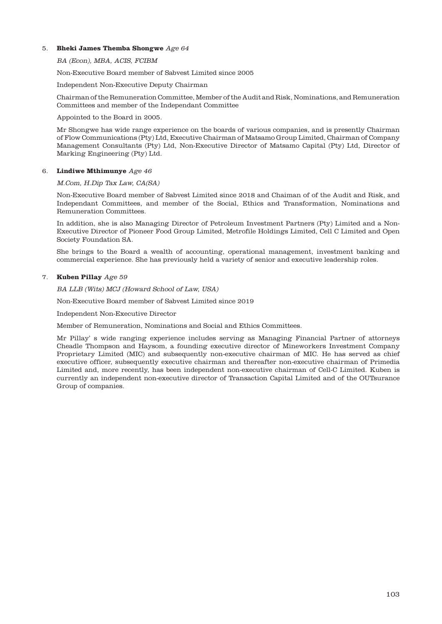## 5. **Bheki James Themba Shongwe** Age 64

BA (Econ), MBA, ACIS, FCIBM

Non-Executive Board member of Sabvest Limited since 2005

Independent Non-Executive Deputy Chairman

Chairman of the Remuneration Committee, Member of the Audit and Risk, Nominations, and Remuneration Committees and member of the Independant Committee

Appointed to the Board in 2005.

Mr Shongwe has wide range experience on the boards of various companies, and is presently Chairman of Flow Communications (Pty) Ltd, Executive Chairman of Matsamo Group Limited, Chairman of Company Management Consultants (Pty) Ltd, Non-Executive Director of Matsamo Capital (Pty) Ltd, Director of Marking Engineering (Pty) Ltd.

## 6. **Lindiwe Mthimunye** Age 46

## M.Com, H.Dip Tax Law, CA(SA)

Non-Executive Board member of Sabvest Limited since 2018 and Chaiman of of the Audit and Risk, and Independant Committees, and member of the Social, Ethics and Transformation, Nominations and Remuneration Committees.

In addition, she is also Managing Director of Petroleum Investment Partners (Pty) Limited and a Non-Executive Director of Pioneer Food Group Limited, Metrofile Holdings Limited, Cell C Limited and Open Society Foundation SA.

She brings to the Board a wealth of accounting, operational management, investment banking and commercial experience. She has previously held a variety of senior and executive leadership roles.

## 7. **Kuben Pillay** Age 59

BA LLB (Wits) MCJ (Howard School of Law, USA)

Non-Executive Board member of Sabvest Limited since 2019

Independent Non-Executive Director

Member of Remuneration, Nominations and Social and Ethics Committees.

Mr Pillay' s wide ranging experience includes serving as Managing Financial Partner of attorneys Cheadle Thompson and Haysom, a founding executive director of Mineworkers Investment Company Proprietary Limited (MIC) and subsequently non-executive chairman of MIC. He has served as chief executive officer, subsequently executive chairman and thereafter non-executive chairman of Primedia Limited and, more recently, has been independent non-executive chairman of Cell-C Limited. Kuben is currently an independent non-executive director of Transaction Capital Limited and of the OUTsurance Group of companies.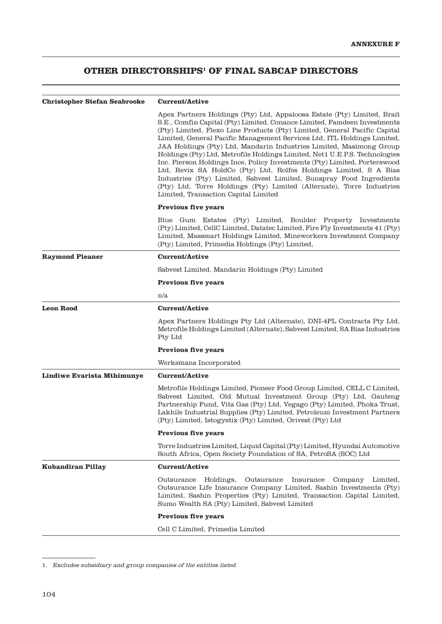# **OTHER DIRECTORSHIPS1 OF FINAL SABCAP DIRECTORS**

| <b>Christopher Stefan Seabrooke</b> | <b>Current/Active</b>                                                                                                                                                                                                                                                                                                                                                                                                                                                                                                                                                                                                                                                                                                                                                                                       |  |  |
|-------------------------------------|-------------------------------------------------------------------------------------------------------------------------------------------------------------------------------------------------------------------------------------------------------------------------------------------------------------------------------------------------------------------------------------------------------------------------------------------------------------------------------------------------------------------------------------------------------------------------------------------------------------------------------------------------------------------------------------------------------------------------------------------------------------------------------------------------------------|--|--|
|                                     | Apex Partners Holdings (Pty) Ltd, Appaloosa Estate (Pty) Limited, Brait<br>S.E., Comfin Capital (Pty) Limited, Conance Limited, Famdeen Investments<br>(Pty) Limited, Flexo Line Products (Pty) Limited, General Pacific Capital<br>Limited, General Pacific Management Services Ltd, ITL Holdings Limited,<br>JAA Holdings (Pty) Ltd, Mandarin Industries Limited, Masimong Group<br>Holdings (Pty) Ltd, Metrofile Holdings Limited, Net1 U.E.P.S. Technologies<br>Inc. Pierson Holdings Ince, Policy Investments (Pty) Limited, Porterswood<br>Ltd, Revix SA HoldCo (Pty) Ltd, Rolfes Holdings Limited, S A Bias<br>Industries (Pty) Limited, Sabvest Limited, Sunspray Food Ingredients<br>(Pty) Ltd, Torre Holdings (Pty) Limited (Alternate), Torre Industries<br>Limited, Transaction Capital Limited |  |  |
|                                     | <b>Previous five years</b>                                                                                                                                                                                                                                                                                                                                                                                                                                                                                                                                                                                                                                                                                                                                                                                  |  |  |
|                                     | Blue Gum Estates (Pty) Limited, Boulder Property Investments<br>(Pty) Limited, CellC Limited, Datatec Limited, Fire Fly Investments 41 (Pty)<br>Limited, Massmart Holdings Limited, Mineworkers Investment Company<br>(Pty) Limited, Primedia Holdings (Pty) Limited,                                                                                                                                                                                                                                                                                                                                                                                                                                                                                                                                       |  |  |
| <b>Raymond Pleaner</b>              | <b>Current/Active</b>                                                                                                                                                                                                                                                                                                                                                                                                                                                                                                                                                                                                                                                                                                                                                                                       |  |  |
|                                     | Sabvest Limited, Mandarin Holdings (Pty) Limited                                                                                                                                                                                                                                                                                                                                                                                                                                                                                                                                                                                                                                                                                                                                                            |  |  |
|                                     | <b>Previous five years</b>                                                                                                                                                                                                                                                                                                                                                                                                                                                                                                                                                                                                                                                                                                                                                                                  |  |  |
|                                     | n/a                                                                                                                                                                                                                                                                                                                                                                                                                                                                                                                                                                                                                                                                                                                                                                                                         |  |  |
| <b>Leon Rood</b>                    | <b>Current/Active</b>                                                                                                                                                                                                                                                                                                                                                                                                                                                                                                                                                                                                                                                                                                                                                                                       |  |  |
|                                     | Apex Partners Holdings Pty Ltd (Alternate), DNI-4PL Contracts Pty Ltd,<br>Metrofile Holdings Limited (Alternate), Sabvest Limited, SA Bias Industries<br>Pty Ltd                                                                                                                                                                                                                                                                                                                                                                                                                                                                                                                                                                                                                                            |  |  |
|                                     | <b>Previous five years</b>                                                                                                                                                                                                                                                                                                                                                                                                                                                                                                                                                                                                                                                                                                                                                                                  |  |  |
|                                     | Werksmans Incorporated                                                                                                                                                                                                                                                                                                                                                                                                                                                                                                                                                                                                                                                                                                                                                                                      |  |  |
| Lindiwe Evarista Mthimunye          | <b>Current/Active</b>                                                                                                                                                                                                                                                                                                                                                                                                                                                                                                                                                                                                                                                                                                                                                                                       |  |  |
|                                     | Metrofile Holdings Limited, Pioneer Food Group Limited, CELL C Limited,<br>Sabvest Limited, Old Mutual Investment Group (Pty) Ltd, Gauteng<br>Partnership Fund, Vita Gas (Pty) Ltd, Vegago (Pty) Limited, Phoka Trust,<br>Lakhile Industrial Supplies (Pty) Limited, Petroleum Investment Partners<br>(Pty) Limited, Istogystix (Pty) Limited, Orivest (Pty) Ltd                                                                                                                                                                                                                                                                                                                                                                                                                                            |  |  |
|                                     | <b>Previous five years</b>                                                                                                                                                                                                                                                                                                                                                                                                                                                                                                                                                                                                                                                                                                                                                                                  |  |  |
|                                     | Torre Industries Limited, Liquid Capital (Pty) Limited, Hyundai Automotive<br>South Africa, Open Society Foundation of SA, PetroSA (SOC) Ltd                                                                                                                                                                                                                                                                                                                                                                                                                                                                                                                                                                                                                                                                |  |  |
| <b>Kubandiran Pillay</b>            | <b>Current/Active</b>                                                                                                                                                                                                                                                                                                                                                                                                                                                                                                                                                                                                                                                                                                                                                                                       |  |  |
|                                     | Outsurance<br>Holdings,<br>Outsurance<br>Insurance<br>Company<br>Limited.<br>Outsurance Life Insurance Company Limited, Sashin Investments (Pty)<br>Limited, Sashin Properties (Pty) Limited, Transaction Capital Limited,<br>Sumo Wealth SA (Pty) Limited, Sabvest Limited                                                                                                                                                                                                                                                                                                                                                                                                                                                                                                                                 |  |  |
|                                     | <b>Previous five years</b>                                                                                                                                                                                                                                                                                                                                                                                                                                                                                                                                                                                                                                                                                                                                                                                  |  |  |
|                                     | Cell C Limited, Primedia Limited                                                                                                                                                                                                                                                                                                                                                                                                                                                                                                                                                                                                                                                                                                                                                                            |  |  |
|                                     |                                                                                                                                                                                                                                                                                                                                                                                                                                                                                                                                                                                                                                                                                                                                                                                                             |  |  |

<sup>1.</sup> Excludes subsidiary and group companies of the entities listed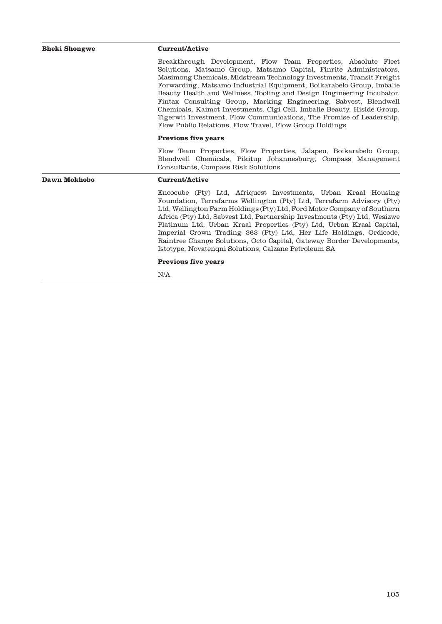| Bheki Shongwe                                        | <b>Current/Active</b>                                                                                                                                                                                                                                                                                                                                                                                                                                                                                                                                                                                                                            |  |  |  |
|------------------------------------------------------|--------------------------------------------------------------------------------------------------------------------------------------------------------------------------------------------------------------------------------------------------------------------------------------------------------------------------------------------------------------------------------------------------------------------------------------------------------------------------------------------------------------------------------------------------------------------------------------------------------------------------------------------------|--|--|--|
|                                                      | Breakthrough Development, Flow Team Properties, Absolute Fleet<br>Solutions, Matsamo Group, Matsamo Capital, Finrite Administrators,<br>Masimong Chemicals, Midstream Technology Investments, Transit Freight<br>Forwarding, Matsamo Industrial Equipment, Boikarabelo Group, Imbalie<br>Beauty Health and Wellness, Tooling and Design Engineering Incubator,<br>Fintax Consulting Group, Marking Engineering, Sabvest, Blendwell<br>Chemicals, Kaimot Investments, Cigi Cell, Imbalie Beauty, Hiside Group,<br>Tigerwit Investment, Flow Communications, The Promise of Leadership,<br>Flow Public Relations, Flow Travel, Flow Group Holdings |  |  |  |
|                                                      | <b>Previous five years</b>                                                                                                                                                                                                                                                                                                                                                                                                                                                                                                                                                                                                                       |  |  |  |
|                                                      | Flow Team Properties, Flow Properties, Jalapeu, Boikarabelo Group,<br>Blendwell Chemicals, Pikitup Johannesburg, Compass Management<br>Consultants, Compass Risk Solutions                                                                                                                                                                                                                                                                                                                                                                                                                                                                       |  |  |  |
| Dawn Mokhobo                                         | <b>Current/Active</b>                                                                                                                                                                                                                                                                                                                                                                                                                                                                                                                                                                                                                            |  |  |  |
| Istotype, Novatengni Solutions, Calzane Petroleum SA | Encocube (Pty) Ltd, Afriquest Investments, Urban Kraal Housing<br>Foundation, Terrafarms Wellington (Pty) Ltd, Terrafarm Advisory (Pty)<br>Ltd, Wellington Farm Holdings (Pty) Ltd, Ford Motor Company of Southern<br>Africa (Pty) Ltd, Sabvest Ltd, Partnership Investments (Pty) Ltd, Wesizwe<br>Platinum Ltd, Urban Kraal Properties (Pty) Ltd, Urban Kraal Capital,<br>Imperial Crown Trading 363 (Pty) Ltd, Her Life Holdings, Ordicode,<br>Raintree Change Solutions, Octo Capital, Gateway Border Developments,                                                                                                                           |  |  |  |
|                                                      | <b>Previous five years</b>                                                                                                                                                                                                                                                                                                                                                                                                                                                                                                                                                                                                                       |  |  |  |
|                                                      | N/A                                                                                                                                                                                                                                                                                                                                                                                                                                                                                                                                                                                                                                              |  |  |  |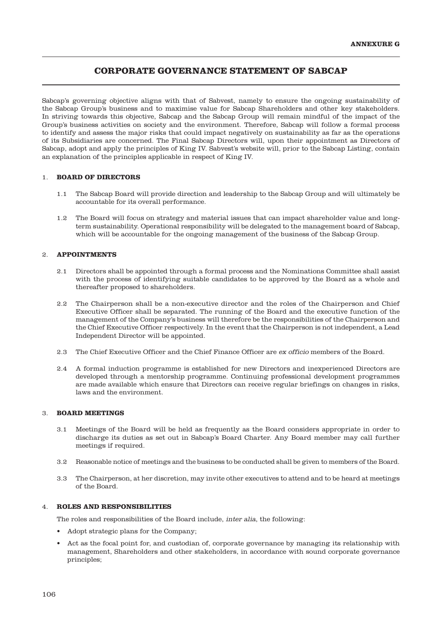# **CORPORATE GOVERNANCE STATEMENT OF SABCAP**

Sabcap's governing objective aligns with that of Sabvest, namely to ensure the ongoing sustainability of the Sabcap Group's business and to maximise value for Sabcap Shareholders and other key stakeholders. In striving towards this objective, Sabcap and the Sabcap Group will remain mindful of the impact of the Group's business activities on society and the environment. Therefore, Sabcap will follow a formal process to identify and assess the major risks that could impact negatively on sustainability as far as the operations of its Subsidiaries are concerned. The Final Sabcap Directors will, upon their appointment as Directors of Sabcap, adopt and apply the principles of King IV. Sabvest's website will, prior to the Sabcap Listing, contain an explanation of the principles applicable in respect of King IV.

## 1. **BOARD OF DIRECTORS**

- 1.1 The Sabcap Board will provide direction and leadership to the Sabcap Group and will ultimately be accountable for its overall performance.
- 1.2 The Board will focus on strategy and material issues that can impact shareholder value and longterm sustainability. Operational responsibility will be delegated to the management board of Sabcap, which will be accountable for the ongoing management of the business of the Sabcap Group.

## 2. **APPOINTMENTS**

- 2.1 Directors shall be appointed through a formal process and the Nominations Committee shall assist with the process of identifying suitable candidates to be approved by the Board as a whole and thereafter proposed to shareholders.
- 2.2 The Chairperson shall be a non-executive director and the roles of the Chairperson and Chief Executive Officer shall be separated. The running of the Board and the executive function of the management of the Company's business will therefore be the responsibilities of the Chairperson and the Chief Executive Officer respectively. In the event that the Chairperson is not independent, a Lead Independent Director will be appointed.
- 2.3 The Chief Executive Officer and the Chief Finance Officer are ex officio members of the Board.
- 2.4 A formal induction programme is established for new Directors and inexperienced Directors are developed through a mentorship programme. Continuing professional development programmes are made available which ensure that Directors can receive regular briefings on changes in risks, laws and the environment.

## 3. **BOARD MEETINGS**

- 3.1 Meetings of the Board will be held as frequently as the Board considers appropriate in order to discharge its duties as set out in Sabcap's Board Charter. Any Board member may call further meetings if required.
- 3.2 Reasonable notice of meetings and the business to be conducted shall be given to members of the Board.
- 3.3 The Chairperson, at her discretion, may invite other executives to attend and to be heard at meetings of the Board.

## 4. **ROLES AND RESPONSIBILITIES**

The roles and responsibilities of the Board include, inter alia, the following:

- Adopt strategic plans for the Company;
- Act as the focal point for, and custodian of, corporate governance by managing its relationship with management, Shareholders and other stakeholders, in accordance with sound corporate governance principles;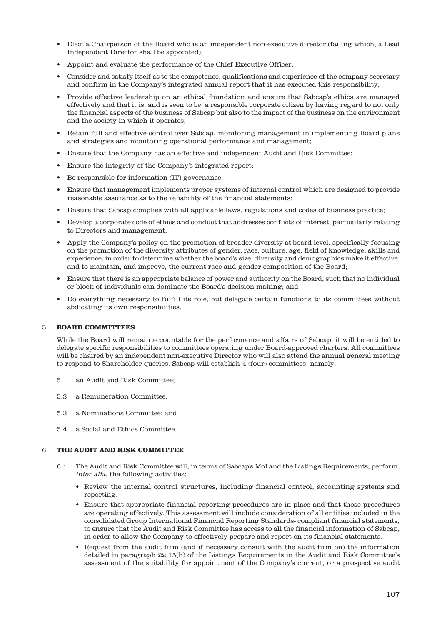- Elect a Chairperson of the Board who is an independent non-executive director (failing which, a Lead Independent Director shall be appointed);
- Appoint and evaluate the performance of the Chief Executive Officer;
- Consider and satisfy itself as to the competence, qualifications and experience of the company secretary and confirm in the Company's integrated annual report that it has executed this responsibility;
- Provide effective leadership on an ethical foundation and ensure that Sabcap's ethics are managed effectively and that it is, and is seen to be, a responsible corporate citizen by having regard to not only the financial aspects of the business of Sabcap but also to the impact of the business on the environment and the society in which it operates;
- Retain full and effective control over Sabcap, monitoring management in implementing Board plans and strategies and monitoring operational performance and management;
- Ensure that the Company has an effective and independent Audit and Risk Committee;
- Ensure the integrity of the Company's integrated report;
- Be responsible for information (IT) governance;
- Ensure that management implements proper systems of internal control which are designed to provide reasonable assurance as to the reliability of the financial statements;
- Ensure that Sabcap complies with all applicable laws, regulations and codes of business practice;
- Develop a corporate code of ethics and conduct that addresses conflicts of interest, particularly relating to Directors and management;
- Apply the Company's policy on the promotion of broader diversity at board level, specifically focusing on the promotion of the diversity attributes of gender, race, culture, age, field of knowledge, skills and experience, in order to determine whether the board's size, diversity and demographics make it effective; and to maintain, and improve, the current race and gender composition of the Board;
- Ensure that there is an appropriate balance of power and authority on the Board, such that no individual or block of individuals can dominate the Board's decision making; and
- Do everything necessary to fulfill its role, but delegate certain functions to its committees without abdicating its own responsibilities.

### 5. **BOARD COMMITTEES**

While the Board will remain accountable for the performance and affairs of Sabcap, it will be entitled to delegate specific responsibilities to committees operating under Board-approved charters. All committees will be chaired by an independent non-executive Director who will also attend the annual general meeting to respond to Shareholder queries. Sabcap will establish 4 (four) committees, namely:

- 5.1 an Audit and Risk Committee;
- 5.2 a Remuneration Committee;
- 5.3 a Nominations Committee; and
- 5.4 a Social and Ethics Committee.

# 6. **THE AUDIT AND RISK COMMITTEE**

- 6.1 The Audit and Risk Committee will, in terms of Sabcap's MoI and the Listings Requirements, perform, inter alia, the following activities:
	- Review the internal control structures, including financial control, accounting systems and reporting.
	- Ensure that appropriate financial reporting procedures are in place and that those procedures are operating effectively. This assessment will include consideration of all entities included in the consolidated Group International Financial Reporting Standards- compliant financial statements, to ensure that the Audit and Risk Committee has access to all the financial information of Sabcap, in order to allow the Company to effectively prepare and report on its financial statements.
	- Request from the audit firm (and if necessary consult with the audit firm on) the information detailed in paragraph 22.15(h) of the Listings Requirements in the Audit and Risk Committee's assessment of the suitability for appointment of the Company's current, or a prospective audit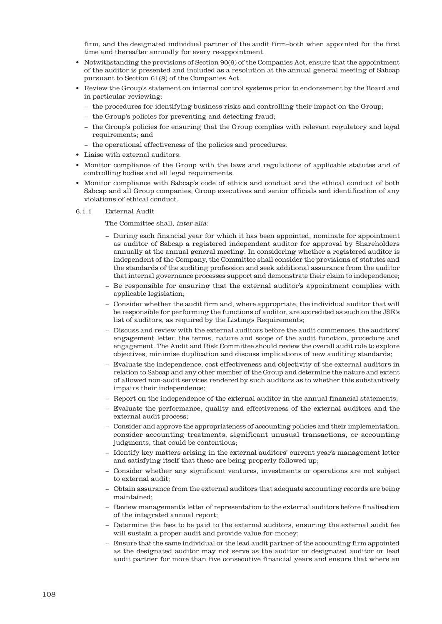firm, and the designated individual partner of the audit firm–both when appointed for the first time and thereafter annually for every re-appointment.

- Notwithstanding the provisions of Section 90(6) of the Companies Act, ensure that the appointment of the auditor is presented and included as a resolution at the annual general meeting of Sabcap pursuant to Section 61(8) of the Companies Act.
- Review the Group's statement on internal control systems prior to endorsement by the Board and in particular reviewing:
	- − the procedures for identifying business risks and controlling their impact on the Group;
	- − the Group's policies for preventing and detecting fraud;
	- − the Group's policies for ensuring that the Group complies with relevant regulatory and legal requirements; and
	- − the operational effectiveness of the policies and procedures.
- Liaise with external auditors.
- Monitor compliance of the Group with the laws and regulations of applicable statutes and of controlling bodies and all legal requirements.
- Monitor compliance with Sabcap's code of ethics and conduct and the ethical conduct of both Sabcap and all Group companies, Group executives and senior officials and identification of any violations of ethical conduct.
- 6.1.1 External Audit

The Committee shall, inter alia:

- − During each financial year for which it has been appointed, nominate for appointment as auditor of Sabcap a registered independent auditor for approval by Shareholders annually at the annual general meeting. In considering whether a registered auditor is independent of the Company, the Committee shall consider the provisions of statutes and the standards of the auditing profession and seek additional assurance from the auditor that internal governance processes support and demonstrate their claim to independence;
- − Be responsible for ensuring that the external auditor's appointment complies with applicable legislation;
- − Consider whether the audit firm and, where appropriate, the individual auditor that will be responsible for performing the functions of auditor, are accredited as such on the JSE's list of auditors, as required by the Listings Requirements;
- − Discuss and review with the external auditors before the audit commences, the auditors' engagement letter, the terms, nature and scope of the audit function, procedure and engagement. The Audit and Risk Committee should review the overall audit role to explore objectives, minimise duplication and discuss implications of new auditing standards;
- − Evaluate the independence, cost effectiveness and objectivity of the external auditors in relation to Sabcap and any other member of the Group and determine the nature and extent of allowed non-audit services rendered by such auditors as to whether this substantively impairs their independence;
- − Report on the independence of the external auditor in the annual financial statements;
- − Evaluate the performance, quality and effectiveness of the external auditors and the external audit process;
- − Consider and approve the appropriateness of accounting policies and their implementation, consider accounting treatments, significant unusual transactions, or accounting judgments, that could be contentious;
- − Identify key matters arising in the external auditors' current year's management letter and satisfying itself that these are being properly followed up;
- − Consider whether any significant ventures, investments or operations are not subject to external audit;
- − Obtain assurance from the external auditors that adequate accounting records are being maintained;
- − Review management's letter of representation to the external auditors before finalisation of the integrated annual report;
- − Determine the fees to be paid to the external auditors, ensuring the external audit fee will sustain a proper audit and provide value for money;
- − Ensure that the same individual or the lead audit partner of the accounting firm appointed as the designated auditor may not serve as the auditor or designated auditor or lead audit partner for more than five consecutive financial years and ensure that where an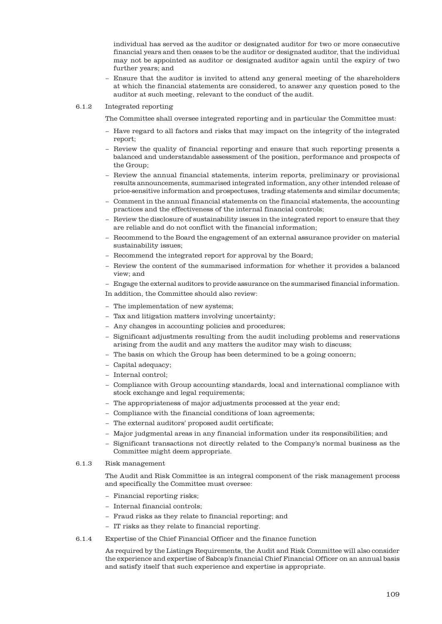individual has served as the auditor or designated auditor for two or more consecutive financial years and then ceases to be the auditor or designated auditor, that the individual may not be appointed as auditor or designated auditor again until the expiry of two further years; and

− Ensure that the auditor is invited to attend any general meeting of the shareholders at which the financial statements are considered, to answer any question posed to the auditor at such meeting, relevant to the conduct of the audit.

#### 6.1.2 Integrated reporting

The Committee shall oversee integrated reporting and in particular the Committee must:

- − Have regard to all factors and risks that may impact on the integrity of the integrated report;
- − Review the quality of financial reporting and ensure that such reporting presents a balanced and understandable assessment of the position, performance and prospects of the Group;
- − Review the annual financial statements, interim reports, preliminary or provisional results announcements, summarised integrated information, any other intended release of price-sensitive information and prospectuses, trading statements and similar documents;
- − Comment in the annual financial statements on the financial statements, the accounting practices and the effectiveness of the internal financial controls;
- − Review the disclosure of sustainability issues in the integrated report to ensure that they are reliable and do not conflict with the financial information;
- − Recommend to the Board the engagement of an external assurance provider on material sustainability issues;
- − Recommend the integrated report for approval by the Board;
- − Review the content of the summarised information for whether it provides a balanced view; and
- − Engage the external auditors to provide assurance on the summarised financial information.

In addition, the Committee should also review:

- − The implementation of new systems;
- − Tax and litigation matters involving uncertainty;
- − Any changes in accounting policies and procedures;
- − Significant adjustments resulting from the audit including problems and reservations arising from the audit and any matters the auditor may wish to discuss;
- − The basis on which the Group has been determined to be a going concern;
- − Capital adequacy;
- − Internal control;
- − Compliance with Group accounting standards, local and international compliance with stock exchange and legal requirements;
- − The appropriateness of major adjustments processed at the year end;
- − Compliance with the financial conditions of loan agreements;
- − The external auditors' proposed audit certificate;
- − Major judgmental areas in any financial information under its responsibilities; and
- − Significant transactions not directly related to the Company's normal business as the Committee might deem appropriate.

#### 6.1.3 Risk management

The Audit and Risk Committee is an integral component of the risk management process and specifically the Committee must oversee:

- − Financial reporting risks;
- − Internal financial controls;
- − Fraud risks as they relate to financial reporting; and
- − IT risks as they relate to financial reporting.
- 6.1.4 Expertise of the Chief Financial Officer and the finance function

As required by the Listings Requirements, the Audit and Risk Committee will also consider the experience and expertise of Sabcap's financial Chief Financial Officer on an annual basis and satisfy itself that such experience and expertise is appropriate.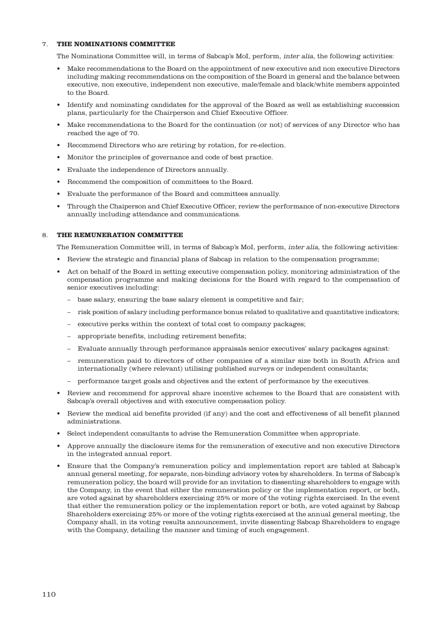### 7. **THE NOMINATIONS COMMITTEE**

The Nominations Committee will, in terms of Sabcap's MoI, perform, inter alia, the following activities:

- Make recommendations to the Board on the appointment of new executive and non executive Directors including making recommendations on the composition of the Board in general and the balance between executive, non executive, independent non executive, male/female and black/white members appointed to the Board.
- Identify and nominating candidates for the approval of the Board as well as establishing succession plans, particularly for the Chairperson and Chief Executive Officer.
- Make recommendations to the Board for the continuation (or not) of services of any Director who has reached the age of 70.
- Recommend Directors who are retiring by rotation, for re-election.
- Monitor the principles of governance and code of best practice.
- Evaluate the independence of Directors annually.
- Recommend the composition of committees to the Board.
- Evaluate the performance of the Board and committees annually.
- Through the Chaiperson and Chief Executive Officer, review the performance of non-executive Directors annually including attendance and communications.

#### 8. **THE REMUNERATION COMMITTEE**

The Remuneration Committee will, in terms of Sabcap's MoI, perform, inter alia, the following activities:

- Review the strategic and financial plans of Sabcap in relation to the compensation programme;
- Act on behalf of the Board in setting executive compensation policy, monitoring administration of the compensation programme and making decisions for the Board with regard to the compensation of senior executives including:
	- base salary, ensuring the base salary element is competitive and fair;
	- risk position of salary including performance bonus related to qualitative and quantitative indicators;
	- executive perks within the context of total cost to company packages;
	- appropriate benefits, including retirement benefits;
	- Evaluate annually through performance appraisals senior executives' salary packages against:
	- remuneration paid to directors of other companies of a similar size both in South Africa and internationally (where relevant) utilising published surveys or independent consultants;
	- performance target goals and objectives and the extent of performance by the executives.
- Review and recommend for approval share incentive schemes to the Board that are consistent with Sabcap's overall objectives and with executive compensation policy.
- Review the medical aid benefits provided (if any) and the cost and effectiveness of all benefit planned administrations.
- Select independent consultants to advise the Remuneration Committee when appropriate.
- Approve annually the disclosure items for the remuneration of executive and non executive Directors in the integrated annual report.
- Ensure that the Company's remuneration policy and implementation report are tabled at Sabcap's annual general meeting, for separate, non-binding advisory votes by shareholders. In terms of Sabcap's remuneration policy, the board will provide for an invitation to dissenting shareholders to engage with the Company, in the event that either the remuneration policy or the implementation report, or both, are voted against by shareholders exercising 25% or more of the voting rights exercised. In the event that either the remuneration policy or the implementation report or both, are voted against by Sabcap Shareholders exercising 25% or more of the voting rights exercised at the annual general meeting, the Company shall, in its voting results announcement, invite dissenting Sabcap Shareholders to engage with the Company, detailing the manner and timing of such engagement.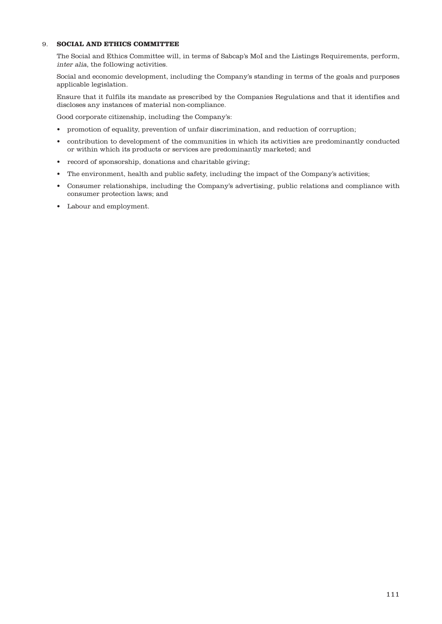# 9. **SOCIAL AND ETHICS COMMITTEE**

The Social and Ethics Committee will, in terms of Sabcap's MoI and the Listings Requirements, perform, inter alia, the following activities.

Social and economic development, including the Company's standing in terms of the goals and purposes applicable legislation.

Ensure that it fulfils its mandate as prescribed by the Companies Regulations and that it identifies and discloses any instances of material non-compliance.

Good corporate citizenship, including the Company's:

- promotion of equality, prevention of unfair discrimination, and reduction of corruption;
- contribution to development of the communities in which its activities are predominantly conducted or within which its products or services are predominantly marketed; and
- record of sponsorship, donations and charitable giving;
- The environment, health and public safety, including the impact of the Company's activities;
- Consumer relationships, including the Company's advertising, public relations and compliance with consumer protection laws; and
- Labour and employment.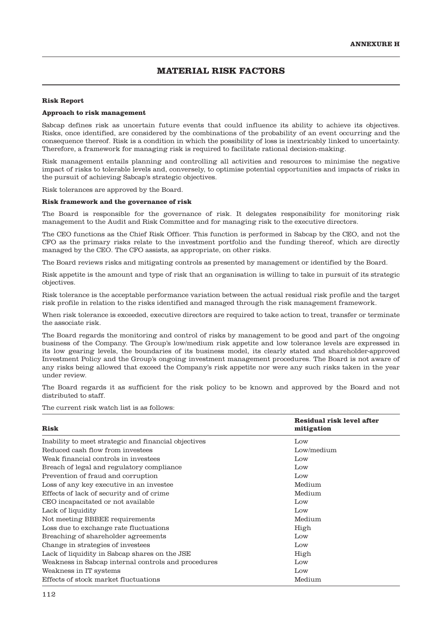# **MATERIAL RISK FACTORS**

#### **Risk Report**

#### **Approach to risk management**

Sabcap defines risk as uncertain future events that could influence its ability to achieve its objectives. Risks, once identified, are considered by the combinations of the probability of an event occurring and the consequence thereof. Risk is a condition in which the possibility of loss is inextricably linked to uncertainty. Therefore, a framework for managing risk is required to facilitate rational decision-making.

Risk management entails planning and controlling all activities and resources to minimise the negative impact of risks to tolerable levels and, conversely, to optimise potential opportunities and impacts of risks in the pursuit of achieving Sabcap's strategic objectives.

Risk tolerances are approved by the Board.

#### **Risk framework and the governance of risk**

The Board is responsible for the governance of risk. It delegates responsibility for monitoring risk management to the Audit and Risk Committee and for managing risk to the executive directors.

The CEO functions as the Chief Risk Officer. This function is performed in Sabcap by the CEO, and not the CFO as the primary risks relate to the investment portfolio and the funding thereof, which are directly managed by the CEO. The CFO assists, as appropriate, on other risks.

The Board reviews risks and mitigating controls as presented by management or identified by the Board.

Risk appetite is the amount and type of risk that an organisation is willing to take in pursuit of its strategic objectives.

Risk tolerance is the acceptable performance variation between the actual residual risk profile and the target risk profile in relation to the risks identified and managed through the risk management framework.

When risk tolerance is exceeded, executive directors are required to take action to treat, transfer or terminate the associate risk.

The Board regards the monitoring and control of risks by management to be good and part of the ongoing business of the Company. The Group's low/medium risk appetite and low tolerance levels are expressed in its low gearing levels, the boundaries of its business model, its clearly stated and shareholder-approved Investment Policy and the Group's ongoing investment management procedures. The Board is not aware of any risks being allowed that exceed the Company's risk appetite nor were any such risks taken in the year under review.

The Board regards it as sufficient for the risk policy to be known and approved by the Board and not distributed to staff.

The current risk watch list is as follows:

| Risk                                                 | Residual risk level after<br>mitigation |
|------------------------------------------------------|-----------------------------------------|
| Inability to meet strategic and financial objectives | $_{\text{Low}}$                         |
| Reduced cash flow from investees                     | Low/medium                              |
| Weak financial controls in investees                 | Low                                     |
| Breach of legal and regulatory compliance            | $_{\text{Low}}$                         |
| Prevention of fraud and corruption                   | Low                                     |
| Loss of any key executive in an investee             | Medium                                  |
| Effects of lack of security and of crime             | Medium                                  |
| CEO incapacitated or not available                   | $_{\text{Low}}$                         |
| Lack of liquidity                                    | $_{\text{Low}}$                         |
| Not meeting BBBEE requirements                       | Medium                                  |
| Loss due to exchange rate fluctuations               | High                                    |
| Breaching of shareholder agreements                  | Low                                     |
| Change in strategies of investees                    | $_{\text{Low}}$                         |
| Lack of liquidity in Sabcap shares on the JSE        | High                                    |
| Weakness in Sabcap internal controls and procedures  | $_{\text{Low}}$                         |
| Weakness in IT systems                               | Low                                     |
| Effects of stock market fluctuations                 | Medium                                  |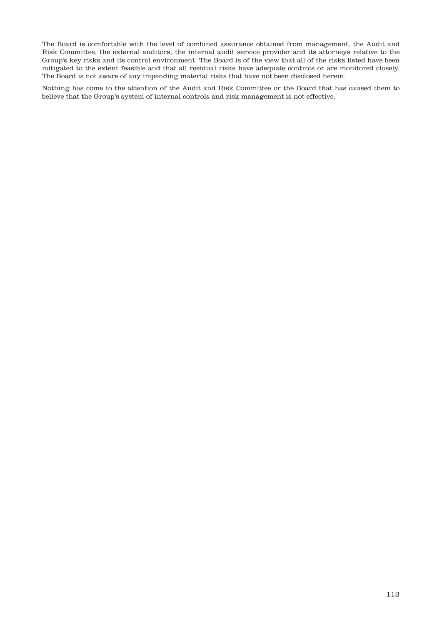The Board is comfortable with the level of combined assurance obtained from management, the Audit and Risk Committee, the external auditors, the internal audit service provider and its attorneys relative to the Group's key risks and its control environment. The Board is of the view that all of the risks listed have been mitigated to the extent feasible and that all residual risks have adequate controls or are monitored closely. The Board is not aware of any impending material risks that have not been disclosed herein.

Nothing has come to the attention of the Audit and Risk Committee or the Board that has caused them to believe that the Group's system of internal controls and risk management is not effective.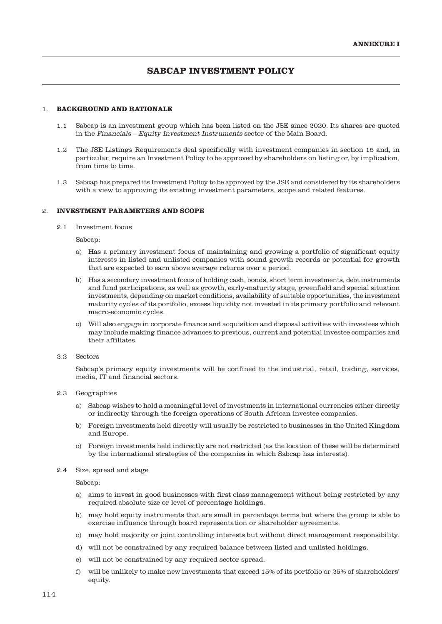# **SABCAP INVESTMENT POLICY**

# 1. **BACKGROUND AND RATIONALE**

- 1.1 Sabcap is an investment group which has been listed on the JSE since 2020. Its shares are quoted in the Financials – Equity Investment Instruments sector of the Main Board.
- 1.2 The JSE Listings Requirements deal specifically with investment companies in section 15 and, in particular, require an Investment Policy to be approved by shareholders on listing or, by implication, from time to time.
- 1.3 Sabcap has prepared its Investment Policy to be approved by the JSE and considered by its shareholders with a view to approving its existing investment parameters, scope and related features.

# 2. **INVESTMENT PARAMETERS AND SCOPE**

2.1 Investment focus

Sabcap:

- a) Has a primary investment focus of maintaining and growing a portfolio of significant equity interests in listed and unlisted companies with sound growth records or potential for growth that are expected to earn above average returns over a period.
- b) Has a secondary investment focus of holding cash, bonds, short term investments, debt instruments and fund participations, as well as growth, early-maturity stage, greenfield and special situation investments, depending on market conditions, availability of suitable opportunities, the investment maturity cycles of its portfolio, excess liquidity not invested in its primary portfolio and relevant macro-economic cycles.
- c) Will also engage in corporate finance and acquisition and disposal activities with investees which may include making finance advances to previous, current and potential investee companies and their affiliates.
- 2.2 Sectors

Sabcap's primary equity investments will be confined to the industrial, retail, trading, services, media, IT and financial sectors.

#### 2.3 Geographies

- a) Sabcap wishes to hold a meaningful level of investments in international currencies either directly or indirectly through the foreign operations of South African investee companies.
- b) Foreign investments held directly will usually be restricted to businesses in the United Kingdom and Europe.
- c) Foreign investments held indirectly are not restricted (as the location of these will be determined by the international strategies of the companies in which Sabcap has interests).
- 2.4 Size, spread and stage

Sabcap:

- a) aims to invest in good businesses with first class management without being restricted by any required absolute size or level of percentage holdings.
- b) may hold equity instruments that are small in percentage terms but where the group is able to exercise influence through board representation or shareholder agreements.
- c) may hold majority or joint controlling interests but without direct management responsibility.
- d) will not be constrained by any required balance between listed and unlisted holdings.
- e) will not be constrained by any required sector spread.
- f) will be unlikely to make new investments that exceed 15% of its portfolio or 25% of shareholders' equity.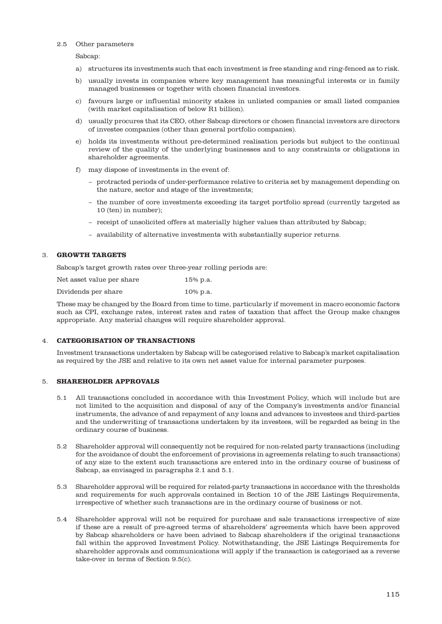#### 2.5 Other parameters

Sabcap:

- a) structures its investments such that each investment is free standing and ring-fenced as to risk.
- b) usually invests in companies where key management has meaningful interests or in family managed businesses or together with chosen financial investors.
- c) favours large or influential minority stakes in unlisted companies or small listed companies (with market capitalisation of below R1 billion).
- d) usually procures that its CEO, other Sabcap directors or chosen financial investors are directors of investee companies (other than general portfolio companies).
- e) holds its investments without pre-determined realisation periods but subject to the continual review of the quality of the underlying businesses and to any constraints or obligations in shareholder agreements.
- f) may dispose of investments in the event of:
	- − protracted periods of under-performance relative to criteria set by management depending on the nature, sector and stage of the investments;
	- − the number of core investments exceeding its target portfolio spread (currently targeted as 10 (ten) in number);
	- − receipt of unsolicited offers at materially higher values than attributed by Sabcap;
	- − availability of alternative investments with substantially superior returns.

### 3. **GROWTH TARGETS**

Sabcap's target growth rates over three-year rolling periods are:

| Net asset value per share | 15% p.a. |
|---------------------------|----------|
| Dividends per share       | 10% p.a. |

These may be changed by the Board from time to time, particularly if movement in macro economic factors such as CPI, exchange rates, interest rates and rates of taxation that affect the Group make changes appropriate. Any material changes will require shareholder approval.

# 4. **CATEGORISATION OF TRANSACTIONS**

Investment transactions undertaken by Sabcap will be categorised relative to Sabcap's market capitalisation as required by the JSE and relative to its own net asset value for internal parameter purposes.

# 5. **SHAREHOLDER APPROVALS**

- 5.1 All transactions concluded in accordance with this Investment Policy, which will include but are not limited to the acquisition and disposal of any of the Company's investments and/or financial instruments, the advance of and repayment of any loans and advances to investees and third-parties and the underwriting of transactions undertaken by its investees, will be regarded as being in the ordinary course of business.
- 5.2 Shareholder approval will consequently not be required for non-related party transactions (including for the avoidance of doubt the enforcement of provisions in agreements relating to such transactions) of any size to the extent such transactions are entered into in the ordinary course of business of Sabcap, as envisaged in paragraphs 2.1 and 5.1.
- 5.3 Shareholder approval will be required for related-party transactions in accordance with the thresholds and requirements for such approvals contained in Section 10 of the JSE Listings Requirements, irrespective of whether such transactions are in the ordinary course of business or not.
- 5.4 Shareholder approval will not be required for purchase and sale transactions irrespective of size if these are a result of pre-agreed terms of shareholders' agreements which have been approved by Sabcap shareholders or have been advised to Sabcap shareholders if the original transactions fall within the approved Investment Policy. Notwithstanding, the JSE Listings Requirements for shareholder approvals and communications will apply if the transaction is categorised as a reverse take-over in terms of Section 9.5(c).